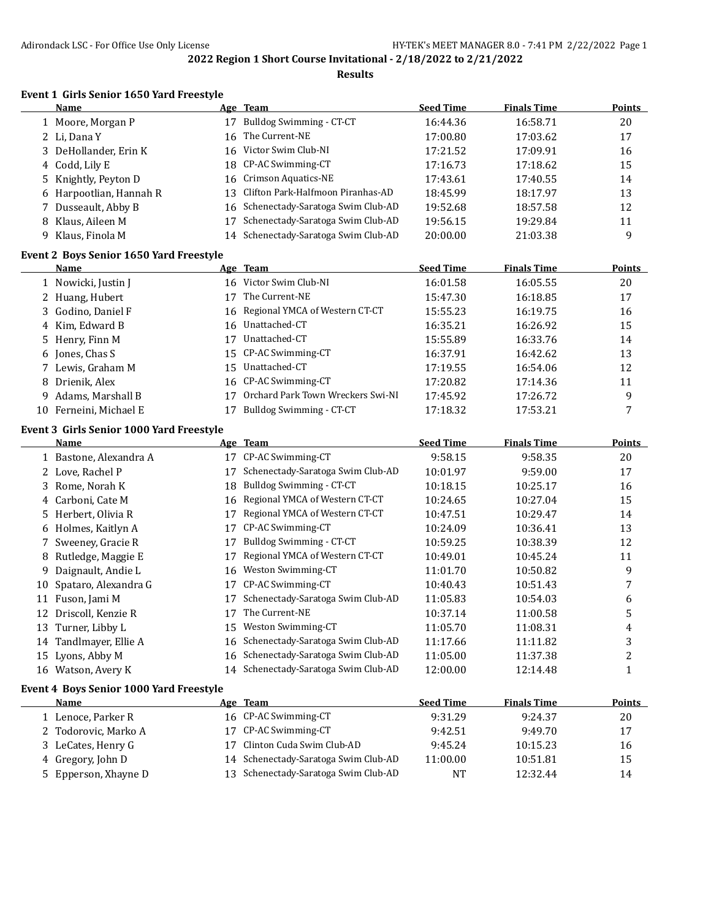**Results**

#### **Event 1 Girls Senior 1650 Yard Freestyle**

| <b>Name</b>             |    | Age Team                             | <b>Seed Time</b> | <b>Finals Time</b> | <b>Points</b> |
|-------------------------|----|--------------------------------------|------------------|--------------------|---------------|
| 1 Moore, Morgan P       | 17 | Bulldog Swimming - CT-CT             | 16:44.36         | 16:58.71           | 20            |
| 2 Li, Dana Y            |    | 16 The Current-NE                    | 17:00.80         | 17:03.62           | 17            |
| 3 DeHollander, Erin K   |    | 16 Victor Swim Club-NI               | 17:21.52         | 17:09.91           | 16            |
| 4 Codd, Lily E          |    | 18 CP-AC Swimming-CT                 | 17:16.73         | 17:18.62           | 15            |
| 5 Knightly, Peyton D    |    | 16 Crimson Aquatics-NE               | 17:43.61         | 17:40.55           | 14            |
| 6 Harpootlian, Hannah R |    | 13 Clifton Park-Halfmoon Piranhas-AD | 18:45.99         | 18:17.97           | 13            |
| 7 Dusseault, Abby B     |    | 16 Schenectady-Saratoga Swim Club-AD | 19:52.68         | 18:57.58           | 12            |
| 8 Klaus, Aileen M       | 17 | Schenectady-Saratoga Swim Club-AD    | 19:56.15         | 19:29.84           | 11            |
| 9 Klaus, Finola M       |    | 14 Schenectady-Saratoga Swim Club-AD | 20:00.00         | 21:03.38           | 9             |
|                         |    |                                      |                  |                    |               |

### **Event 2 Boys Senior 1650 Yard Freestyle**

| <b>Name</b>            | Age Team                          | <b>Seed Time</b> | <b>Finals Time</b> | <b>Points</b> |
|------------------------|-----------------------------------|------------------|--------------------|---------------|
| 1 Nowicki, Justin J    | 16 Victor Swim Club-NI            | 16:01.58         | 16:05.55           | 20            |
| 2 Huang, Hubert        | 17 The Current-NE                 | 15:47.30         | 16:18.85           | 17            |
| 3 Godino, Daniel F     | 16 Regional YMCA of Western CT-CT | 15:55.23         | 16:19.75           | 16            |
| 4 Kim, Edward B        | 16 Unattached-CT                  | 16:35.21         | 16:26.92           | 15            |
| 5 Henry, Finn M        | Unattached-CT                     | 15:55.89         | 16:33.76           | 14            |
| 6 Jones, Chas S        | 15 CP-AC Swimming-CT              | 16:37.91         | 16:42.62           | 13            |
| 7 Lewis, Graham M      | 15 Unattached-CT                  | 17:19.55         | 16:54.06           | 12            |
| 8 Drienik, Alex        | 16 CP-AC Swimming-CT              | 17:20.82         | 17:14.36           | 11            |
| 9 Adams, Marshall B    | Orchard Park Town Wreckers Swi-NI | 17:45.92         | 17:26.72           | 9             |
| 10 Ferneini, Michael E | Bulldog Swimming - CT-CT          | 17:18.32         | 17:53.21           |               |

#### **Event 3 Girls Senior 1000 Yard Freestyle**

|    | <b>Name</b>                                    |    | Age Team                          | <b>Seed Time</b> | <b>Finals Time</b> | <b>Points</b> |
|----|------------------------------------------------|----|-----------------------------------|------------------|--------------------|---------------|
|    | 1 Bastone, Alexandra A                         | 17 | CP-AC Swimming-CT                 | 9:58.15          | 9:58.35            | 20            |
|    | 2 Love, Rachel P                               | 17 | Schenectady-Saratoga Swim Club-AD | 10:01.97         | 9:59.00            | 17            |
|    | 3 Rome, Norah K                                | 18 | Bulldog Swimming - CT-CT          | 10:18.15         | 10:25.17           | 16            |
| 4  | Carboni, Cate M                                | 16 | Regional YMCA of Western CT-CT    | 10:24.65         | 10:27.04           | 15            |
|    | 5 Herbert, Olivia R                            | 17 | Regional YMCA of Western CT-CT    | 10:47.51         | 10:29.47           | 14            |
|    | 6 Holmes, Kaitlyn A                            | 17 | CP-AC Swimming-CT                 | 10:24.09         | 10:36.41           | 13            |
| 7. | Sweeney, Gracie R                              | 17 | Bulldog Swimming - CT-CT          | 10:59.25         | 10:38.39           | 12            |
| 8  | Rutledge, Maggie E                             | 17 | Regional YMCA of Western CT-CT    | 10:49.01         | 10:45.24           | 11            |
| 9  | Daignault, Andie L                             | 16 | Weston Swimming-CT                | 11:01.70         | 10:50.82           | 9             |
| 10 | Spataro, Alexandra G                           | 17 | CP-AC Swimming-CT                 | 10:40.43         | 10:51.43           | 7             |
| 11 | Fuson, Jami M                                  | 17 | Schenectady-Saratoga Swim Club-AD | 11:05.83         | 10:54.03           | 6             |
| 12 | Driscoll, Kenzie R                             | 17 | The Current-NE                    | 10:37.14         | 11:00.58           | 5             |
| 13 | Turner, Libby L                                | 15 | Weston Swimming-CT                | 11:05.70         | 11:08.31           | 4             |
| 14 | Tandlmayer, Ellie A                            | 16 | Schenectady-Saratoga Swim Club-AD | 11:17.66         | 11:11.82           | 3             |
| 15 | Lyons, Abby M                                  | 16 | Schenectady-Saratoga Swim Club-AD | 11:05.00         | 11:37.38           | 2             |
| 16 | Watson, Avery K                                | 14 | Schenectady-Saratoga Swim Club-AD | 12:00.00         | 12:14.48           | 1             |
|    | <b>Event 4 Boys Senior 1000 Yard Freestyle</b> |    |                                   |                  |                    |               |
|    | Name                                           |    | Age Team                          | <b>Seed Time</b> | <b>Finals Time</b> | Points        |
|    | 1 Lenoce, Parker R                             |    | 16 CP-AC Swimming-CT              | 9:31.29          | 9:24.37            | 20            |
|    | Todorovic, Marko A                             | 17 | CP-AC Swimming-CT                 | 9:42.51          | 9:49.70            | 17            |
|    | 3 LeCates, Henry G                             | 17 | Clinton Cuda Swim Club-AD         | 9:45.24          | 10:15.23           | 16            |

4 Gregory, John D 14 Schenectady-Saratoga Swim Club-AD 11:00.00 10:51.81 15 5 Epperson, Xhayne D 13 Schenectady-Saratoga Swim Club-AD NT 12:32.44 14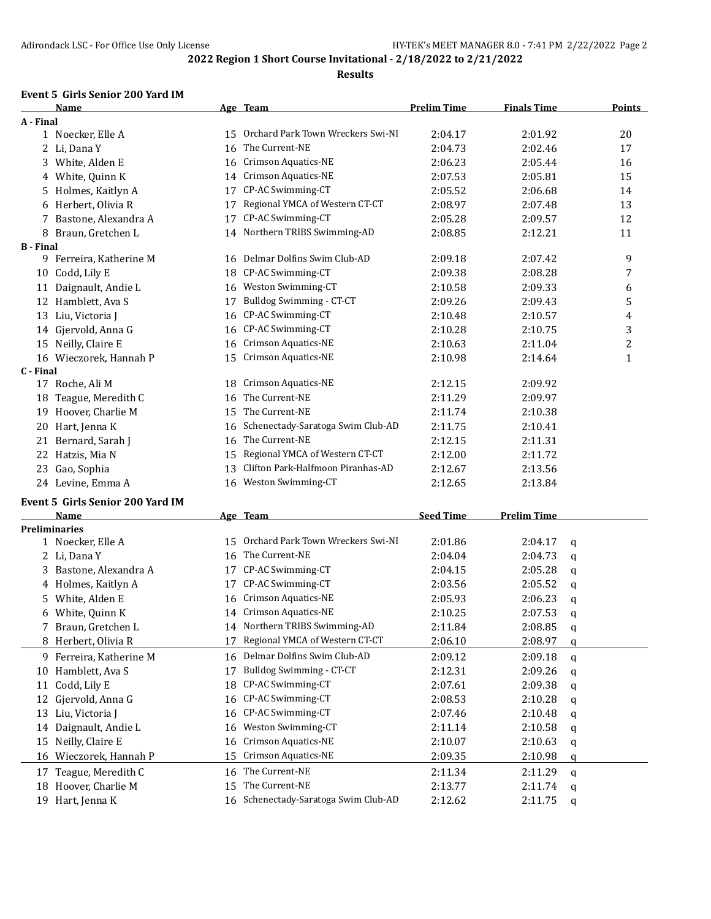#### **Results**

#### **Event 5 Girls Senior 200 Yard IM**

|                  | <b>Name</b>                             |    | Age Team                          | <b>Prelim Time</b> | <b>Finals Time</b> |   | Points       |
|------------------|-----------------------------------------|----|-----------------------------------|--------------------|--------------------|---|--------------|
| A - Final        |                                         |    |                                   |                    |                    |   |              |
|                  | 1 Noecker, Elle A                       | 15 | Orchard Park Town Wreckers Swi-NI | 2:04.17            | 2:01.92            |   | 20           |
|                  | 2 Li, Dana Y                            | 16 | The Current-NE                    | 2:04.73            | 2:02.46            |   | 17           |
|                  | 3 White, Alden E                        | 16 | Crimson Aquatics-NE               | 2:06.23            | 2:05.44            |   | 16           |
|                  | 4 White, Quinn K                        | 14 | Crimson Aquatics-NE               | 2:07.53            | 2:05.81            |   | 15           |
|                  | 5 Holmes, Kaitlyn A                     | 17 | CP-AC Swimming-CT                 | 2:05.52            | 2:06.68            |   | 14           |
|                  | 6 Herbert, Olivia R                     | 17 | Regional YMCA of Western CT-CT    | 2:08.97            | 2:07.48            |   | 13           |
|                  | 7 Bastone, Alexandra A                  | 17 | CP-AC Swimming-CT                 | 2:05.28            | 2:09.57            |   | 12           |
|                  | 8 Braun, Gretchen L                     |    | 14 Northern TRIBS Swimming-AD     | 2:08.85            | 2:12.21            |   | 11           |
| <b>B</b> - Final |                                         |    |                                   |                    |                    |   |              |
|                  | 9 Ferreira, Katherine M                 |    | 16 Delmar Dolfins Swim Club-AD    | 2:09.18            | 2:07.42            |   | 9            |
|                  | 10 Codd, Lily E                         | 18 | CP-AC Swimming-CT                 | 2:09.38            | 2:08.28            |   | 7            |
| 11               | Daignault, Andie L                      | 16 | Weston Swimming-CT                | 2:10.58            | 2:09.33            |   | 6            |
|                  | 12 Hamblett, Ava S                      | 17 | <b>Bulldog Swimming - CT-CT</b>   | 2:09.26            | 2:09.43            |   | 5            |
|                  | 13 Liu, Victoria J                      | 16 | CP-AC Swimming-CT                 | 2:10.48            | 2:10.57            |   | 4            |
|                  | 14 Gjervold, Anna G                     | 16 | CP-AC Swimming-CT                 | 2:10.28            | 2:10.75            |   | 3            |
|                  | 15 Neilly, Claire E                     | 16 | Crimson Aquatics-NE               | 2:10.63            | 2:11.04            |   | 2            |
|                  | 16 Wieczorek, Hannah P                  | 15 | <b>Crimson Aquatics-NE</b>        | 2:10.98            | 2:14.64            |   | $\mathbf{1}$ |
| C - Final        |                                         |    |                                   |                    |                    |   |              |
|                  | 17 Roche, Ali M                         | 18 | Crimson Aquatics-NE               | 2:12.15            | 2:09.92            |   |              |
| 18               | Teague, Meredith C                      | 16 | The Current-NE                    | 2:11.29            | 2:09.97            |   |              |
|                  | 19 Hoover, Charlie M                    | 15 | The Current-NE                    | 2:11.74            | 2:10.38            |   |              |
|                  | 20 Hart, Jenna K                        | 16 | Schenectady-Saratoga Swim Club-AD | 2:11.75            | 2:10.41            |   |              |
|                  | 21 Bernard, Sarah J                     | 16 | The Current-NE                    | 2:12.15            | 2:11.31            |   |              |
|                  | 22 Hatzis, Mia N                        | 15 | Regional YMCA of Western CT-CT    | 2:12.00            | 2:11.72            |   |              |
|                  | 23 Gao, Sophia                          | 13 | Clifton Park-Halfmoon Piranhas-AD | 2:12.67            | 2:13.56            |   |              |
|                  | 24 Levine, Emma A                       | 16 | Weston Swimming-CT                | 2:12.65            | 2:13.84            |   |              |
|                  | <b>Event 5 Girls Senior 200 Yard IM</b> |    |                                   |                    |                    |   |              |
|                  | <b>Name</b>                             |    | Age Team                          | <b>Seed Time</b>   | <b>Prelim Time</b> |   |              |
|                  | <b>Preliminaries</b>                    |    |                                   |                    |                    |   |              |
|                  | 1 Noecker, Elle A                       | 15 | Orchard Park Town Wreckers Swi-NI | 2:01.86            | 2:04.17            | q |              |
|                  | 2 Li, Dana Y                            | 16 | The Current-NE                    | 2:04.04            | 2:04.73            | q |              |
|                  | 3 Bastone, Alexandra A                  | 17 | CP-AC Swimming-CT                 | 2:04.15            | 2:05.28            | q |              |
|                  | 4 Holmes, Kaitlyn A                     | 17 | CP-AC Swimming-CT                 | 2:03.56            | 2:05.52            | q |              |
|                  |                                         |    |                                   |                    |                    |   |              |

| 4   | Holmes, Kaitlyn A       | 17 | CP-AC Swimming-CT                 | 2:03.56 | 2:05.52 | a |
|-----|-------------------------|----|-----------------------------------|---------|---------|---|
|     | 5 White, Alden E        | 16 | <b>Crimson Aquatics-NE</b>        | 2:05.93 | 2:06.23 | q |
| 6   | White, Quinn K          | 14 | Crimson Aquatics-NE               | 2:10.25 | 2:07.53 | a |
|     | 7 Braun, Gretchen L     | 14 | Northern TRIBS Swimming-AD        | 2:11.84 | 2:08.85 | a |
|     | 8 Herbert, Olivia R     | 17 | Regional YMCA of Western CT-CT    | 2:06.10 | 2:08.97 | q |
|     | 9 Ferreira, Katherine M | 16 | Delmar Dolfins Swim Club-AD       | 2:09.12 | 2:09.18 | q |
| 10  | Hamblett, Ava S         | 17 | Bulldog Swimming - CT-CT          | 2:12.31 | 2:09.26 | q |
| 11  | Codd, Lily E            | 18 | CP-AC Swimming-CT                 | 2:07.61 | 2:09.38 | q |
| 12  | Giervold, Anna G        | 16 | CP-AC Swimming-CT                 | 2:08.53 | 2:10.28 | q |
| 13  | Liu, Victoria I         | 16 | CP-AC Swimming-CT                 | 2:07.46 | 2:10.48 | q |
| 14  | Daignault, Andie L      | 16 | Weston Swimming-CT                | 2:11.14 | 2:10.58 | q |
| 15  | Neilly, Claire E        | 16 | <b>Crimson Aquatics-NE</b>        | 2:10.07 | 2:10.63 | q |
|     | 16 Wieczorek, Hannah P  | 15 | Crimson Aquatics-NE               | 2:09.35 | 2:10.98 | q |
| 17  | Teague, Meredith C      | 16 | The Current-NE                    | 2:11.34 | 2:11.29 | q |
| 18  | Hoover, Charlie M       | 15 | The Current-NE                    | 2:13.77 | 2:11.74 | q |
| 19. | Hart, Jenna K           | 16 | Schenectady-Saratoga Swim Club-AD | 2:12.62 | 2:11.75 | a |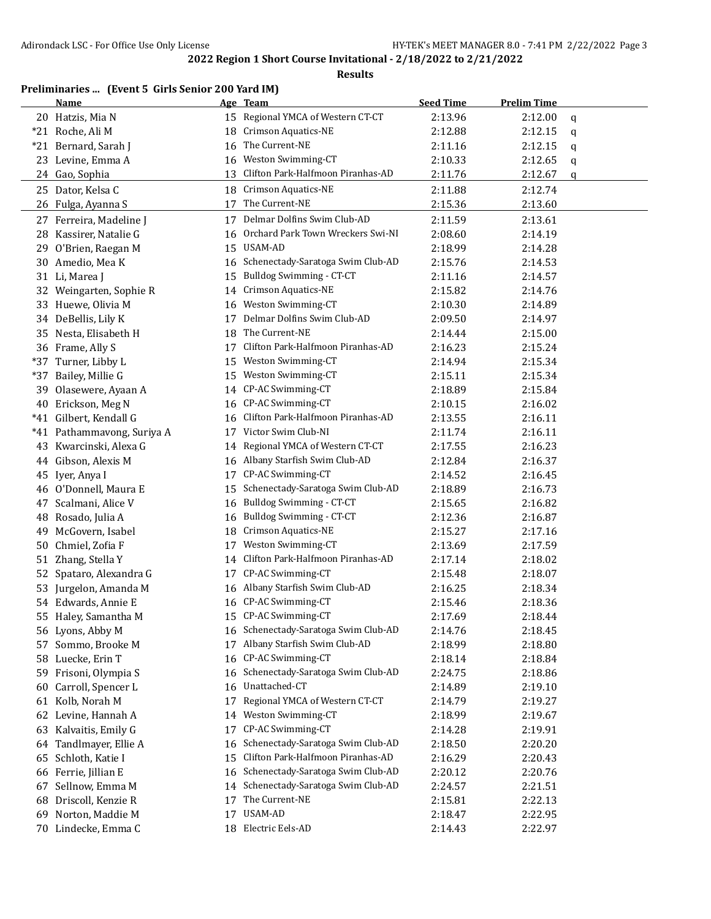| Preliminaries  (Event 5 Girls Senior 200 Yard IM) |  |  |  |
|---------------------------------------------------|--|--|--|
|---------------------------------------------------|--|--|--|

|       | <b>Name</b>                |    | Age Team                             | <b>Seed Time</b> | <b>Prelim Time</b> |   |
|-------|----------------------------|----|--------------------------------------|------------------|--------------------|---|
|       | 20 Hatzis, Mia N           | 15 | Regional YMCA of Western CT-CT       | 2:13.96          | 2:12.00            | q |
|       | *21 Roche, Ali M           | 18 | Crimson Aquatics-NE                  | 2:12.88          | 2:12.15            | q |
|       | *21 Bernard, Sarah J       | 16 | The Current-NE                       | 2:11.16          | 2:12.15            | q |
| 23    | Levine, Emma A             | 16 | Weston Swimming-CT                   | 2:10.33          | 2:12.65            | q |
| 24    | Gao, Sophia                | 13 | Clifton Park-Halfmoon Piranhas-AD    | 2:11.76          | 2:12.67            | q |
|       | 25 Dator, Kelsa C          | 18 | Crimson Aquatics-NE                  | 2:11.88          | 2:12.74            |   |
|       | 26 Fulga, Ayanna S         | 17 | The Current-NE                       | 2:15.36          | 2:13.60            |   |
|       | 27 Ferreira, Madeline J    |    | 17 Delmar Dolfins Swim Club-AD       | 2:11.59          | 2:13.61            |   |
|       | 28 Kassirer, Natalie G     | 16 | Orchard Park Town Wreckers Swi-NI    | 2:08.60          | 2:14.19            |   |
|       | 29 O'Brien, Raegan M       | 15 | USAM-AD                              | 2:18.99          | 2:14.28            |   |
|       | 30 Amedio, Mea K           | 16 | Schenectady-Saratoga Swim Club-AD    | 2:15.76          | 2:14.53            |   |
|       | 31 Li, Marea J             | 15 | Bulldog Swimming - CT-CT             | 2:11.16          | 2:14.57            |   |
|       | 32 Weingarten, Sophie R    | 14 | Crimson Aquatics-NE                  | 2:15.82          | 2:14.76            |   |
|       | 33 Huewe, Olivia M         | 16 | Weston Swimming-CT                   | 2:10.30          | 2:14.89            |   |
|       |                            | 17 | Delmar Dolfins Swim Club-AD          |                  |                    |   |
|       | 34 DeBellis, Lily K        |    | The Current-NE                       | 2:09.50          | 2:14.97            |   |
| 35    | Nesta, Elisabeth H         | 18 | Clifton Park-Halfmoon Piranhas-AD    | 2:14.44          | 2:15.00            |   |
|       | 36 Frame, Ally S           | 17 |                                      | 2:16.23          | 2:15.24            |   |
| $*37$ | Turner, Libby L            | 15 | Weston Swimming-CT                   | 2:14.94          | 2:15.34            |   |
| $*37$ | Bailey, Millie G           | 15 | Weston Swimming-CT                   | 2:15.11          | 2:15.34            |   |
| 39    | Olasewere, Ayaan A         | 14 | CP-AC Swimming-CT                    | 2:18.89          | 2:15.84            |   |
| 40    | Erickson, Meg N            | 16 | CP-AC Swimming-CT                    | 2:10.15          | 2:16.02            |   |
|       | *41 Gilbert, Kendall G     | 16 | Clifton Park-Halfmoon Piranhas-AD    | 2:13.55          | 2:16.11            |   |
|       | *41 Pathammavong, Suriya A | 17 | Victor Swim Club-NI                  | 2:11.74          | 2:16.11            |   |
| 43    | Kwarcinski, Alexa G        | 14 | Regional YMCA of Western CT-CT       | 2:17.55          | 2:16.23            |   |
|       | 44 Gibson, Alexis M        |    | 16 Albany Starfish Swim Club-AD      | 2:12.84          | 2:16.37            |   |
| 45    | Iyer, Anya I               | 17 | CP-AC Swimming-CT                    | 2:14.52          | 2:16.45            |   |
|       | 46 O'Donnell, Maura E      | 15 | Schenectady-Saratoga Swim Club-AD    | 2:18.89          | 2:16.73            |   |
| 47    | Scalmani, Alice V          | 16 | Bulldog Swimming - CT-CT             | 2:15.65          | 2:16.82            |   |
| 48    | Rosado, Julia A            | 16 | Bulldog Swimming - CT-CT             | 2:12.36          | 2:16.87            |   |
| 49    | McGovern, Isabel           | 18 | Crimson Aquatics-NE                  | 2:15.27          | 2:17.16            |   |
| 50    | Chmiel, Zofia F            | 17 | Weston Swimming-CT                   | 2:13.69          | 2:17.59            |   |
| 51    | Zhang, Stella Y            | 14 | Clifton Park-Halfmoon Piranhas-AD    | 2:17.14          | 2:18.02            |   |
| 52    | Spataro, Alexandra G       | 17 | CP-AC Swimming-CT                    | 2:15.48          | 2:18.07            |   |
|       | 53 Jurgelon, Amanda M      |    | 16 Albany Starfish Swim Club-AD      | 2:16.25          | 2:18.34            |   |
|       | 54 Edwards, Annie E        |    | 16 CP-AC Swimming-CT                 | 2:15.46          | 2:18.36            |   |
|       | 55 Haley, Samantha M       |    | 15 CP-AC Swimming-CT                 | 2:17.69          | 2:18.44            |   |
|       | 56 Lyons, Abby M           |    | 16 Schenectady-Saratoga Swim Club-AD | 2:14.76          | 2:18.45            |   |
|       | 57 Sommo, Brooke M         | 17 | Albany Starfish Swim Club-AD         | 2:18.99          | 2:18.80            |   |
|       | 58 Luecke, Erin T          | 16 | CP-AC Swimming-CT                    | 2:18.14          | 2:18.84            |   |
|       | 59 Frisoni, Olympia S      | 16 | Schenectady-Saratoga Swim Club-AD    | 2:24.75          | 2:18.86            |   |
|       | 60 Carroll, Spencer L      | 16 | Unattached-CT                        | 2:14.89          | 2:19.10            |   |
| 61    | Kolb, Norah M              | 17 | Regional YMCA of Western CT-CT       | 2:14.79          | 2:19.27            |   |
|       | 62 Levine, Hannah A        | 14 | Weston Swimming-CT                   | 2:18.99          | 2:19.67            |   |
| 63    | Kalvaitis, Emily G         | 17 | CP-AC Swimming-CT                    | 2:14.28          | 2:19.91            |   |
|       | 64 Tandlmayer, Ellie A     | 16 | Schenectady-Saratoga Swim Club-AD    | 2:18.50          | 2:20.20            |   |
| 65    | Schloth, Katie I           | 15 | Clifton Park-Halfmoon Piranhas-AD    | 2:16.29          | 2:20.43            |   |
|       | 66 Ferrie, Jillian E       | 16 | Schenectady-Saratoga Swim Club-AD    | 2:20.12          | 2:20.76            |   |
| 67    | Sellnow, Emma M            | 14 | Schenectady-Saratoga Swim Club-AD    | 2:24.57          | 2:21.51            |   |
| 68    | Driscoll, Kenzie R         | 17 | The Current-NE                       | 2:15.81          | 2:22.13            |   |
| 69    | Norton, Maddie M           | 17 | USAM-AD                              | 2:18.47          | 2:22.95            |   |
|       | 70 Lindecke, Emma C        | 18 | Electric Eels-AD                     | 2:14.43          | 2:22.97            |   |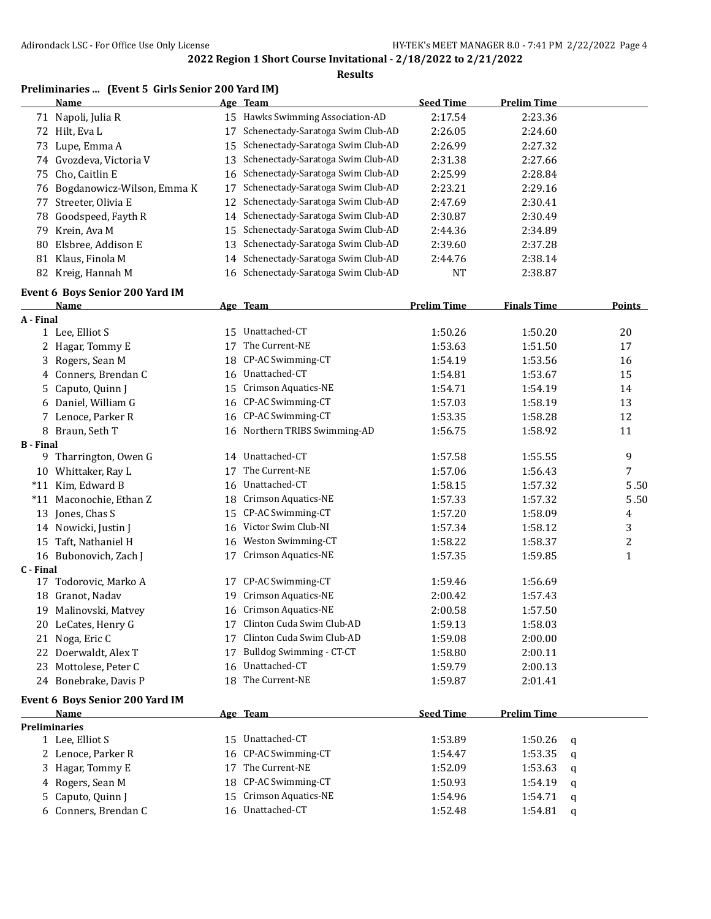| <b>Name</b>                         | Preliminaries  (Event 5 Girls Senior 200 Yard IM) |    | Age Team                             | <b>Seed Time</b>   | <b>Prelim Time</b> |   |                         |
|-------------------------------------|---------------------------------------------------|----|--------------------------------------|--------------------|--------------------|---|-------------------------|
| 71 Napoli, Julia R                  |                                                   |    | 15 Hawks Swimming Association-AD     | 2:17.54            | 2:23.36            |   |                         |
| 72 Hilt, Eva L                      |                                                   |    | 17 Schenectady-Saratoga Swim Club-AD | 2:26.05            | 2:24.60            |   |                         |
| 73<br>Lupe, Emma A                  |                                                   |    | 15 Schenectady-Saratoga Swim Club-AD | 2:26.99            | 2:27.32            |   |                         |
| 74 Gvozdeva, Victoria V             |                                                   |    | 13 Schenectady-Saratoga Swim Club-AD | 2:31.38            | 2:27.66            |   |                         |
| Cho, Caitlin E<br>75                |                                                   |    | 16 Schenectady-Saratoga Swim Club-AD | 2:25.99            | 2:28.84            |   |                         |
|                                     | 76 Bogdanowicz-Wilson, Emma K                     |    | 17 Schenectady-Saratoga Swim Club-AD | 2:23.21            | 2:29.16            |   |                         |
| Streeter, Olivia E<br>77            |                                                   |    | 12 Schenectady-Saratoga Swim Club-AD | 2:47.69            | 2:30.41            |   |                         |
| 78 Goodspeed, Fayth R               |                                                   |    | 14 Schenectady-Saratoga Swim Club-AD | 2:30.87            | 2:30.49            |   |                         |
| 79 Krein, Ava M                     |                                                   |    | 15 Schenectady-Saratoga Swim Club-AD | 2:44.36            | 2:34.89            |   |                         |
| 80 Elsbree, Addison E               |                                                   |    | 13 Schenectady-Saratoga Swim Club-AD | 2:39.60            | 2:37.28            |   |                         |
| 81 Klaus, Finola M                  |                                                   |    | 14 Schenectady-Saratoga Swim Club-AD | 2:44.76            | 2:38.14            |   |                         |
| 82 Kreig, Hannah M                  |                                                   |    | 16 Schenectady-Saratoga Swim Club-AD | <b>NT</b>          | 2:38.87            |   |                         |
|                                     |                                                   |    |                                      |                    |                    |   |                         |
|                                     | Event 6 Boys Senior 200 Yard IM                   |    |                                      |                    |                    |   |                         |
| <b>Name</b><br>A - Final            |                                                   |    | Age Team                             | <b>Prelim Time</b> | <b>Finals Time</b> |   | <b>Points</b>           |
| 1 Lee, Elliot S                     |                                                   |    | 15 Unattached-CT                     | 1:50.26            | 1:50.20            |   | 20                      |
| 2 Hagar, Tommy E                    |                                                   | 17 | The Current-NE                       | 1:53.63            | 1:51.50            |   | 17                      |
| 3 Rogers, Sean M                    |                                                   | 18 | CP-AC Swimming-CT                    | 1:54.19            | 1:53.56            |   | 16                      |
| 4 Conners, Brendan C                |                                                   | 16 | Unattached-CT                        | 1:54.81            | 1:53.67            |   | 15                      |
| Caputo, Quinn J                     |                                                   | 15 | <b>Crimson Aquatics-NE</b>           | 1:54.71            | 1:54.19            |   |                         |
| 5.<br>6 Daniel, William G           |                                                   |    | CP-AC Swimming-CT                    | 1:57.03            | 1:58.19            |   | 14<br>13                |
|                                     |                                                   | 16 | CP-AC Swimming-CT                    |                    |                    |   |                         |
| 7 Lenoce, Parker R                  |                                                   | 16 | 16 Northern TRIBS Swimming-AD        | 1:53.35            | 1:58.28            |   | 12                      |
| 8 Braun, Seth T<br><b>B</b> - Final |                                                   |    |                                      | 1:56.75            | 1:58.92            |   | 11                      |
|                                     | 9 Tharrington, Owen G                             |    | 14 Unattached-CT                     | 1:57.58            | 1:55.55            |   | 9                       |
| 10 Whittaker, Ray L                 |                                                   | 17 | The Current-NE                       | 1:57.06            | 1:56.43            |   | 7                       |
| *11 Kim, Edward B                   |                                                   | 16 | Unattached-CT                        | 1:58.15            | 1:57.32            |   | 5.50                    |
| *11 Maconochie, Ethan Z             |                                                   | 18 | Crimson Aquatics-NE                  | 1:57.33            | 1:57.32            |   | 5.50                    |
| 13 Jones, Chas S                    |                                                   | 15 | CP-AC Swimming-CT                    | 1:57.20            | 1:58.09            |   | $\overline{\mathbf{4}}$ |
| 14 Nowicki, Justin J                |                                                   | 16 | Victor Swim Club-NI                  | 1:57.34            | 1:58.12            |   | 3                       |
| 15 Taft, Nathaniel H                |                                                   | 16 | Weston Swimming-CT                   | 1:58.22            | 1:58.37            |   | $\boldsymbol{2}$        |
| 16 Bubonovich, Zach J               |                                                   |    | 17 Crimson Aquatics-NE               | 1:57.35            | 1:59.85            |   | $\mathbf{1}$            |
| C - Final                           |                                                   |    |                                      |                    |                    |   |                         |
| 17 Todorovic, Marko A               |                                                   |    | 17 CP-AC Swimming-CT                 | 1:59.46            | 1:56.69            |   |                         |
| 18 Granot, Nadav                    |                                                   |    | 19 Crimson Aquatics-NE               | 2:00.42            | 1:57.43            |   |                         |
| 19 Malinovski, Matvey               |                                                   |    | 16 Crimson Aquatics-NE               | 2:00.58            | 1:57.50            |   |                         |
| 20 LeCates, Henry G                 |                                                   |    | 17 Clinton Cuda Swim Club-AD         | 1:59.13            | 1:58.03            |   |                         |
| 21 Noga, Eric C                     |                                                   |    | 17 Clinton Cuda Swim Club-AD         | 1:59.08            | 2:00.00            |   |                         |
| 22 Doerwaldt, Alex T                |                                                   |    | 17 Bulldog Swimming - CT-CT          | 1:58.80            | 2:00.11            |   |                         |
| 23 Mottolese, Peter C               |                                                   |    | 16 Unattached-CT                     | 1:59.79            | 2:00.13            |   |                         |
| 24 Bonebrake, Davis P               |                                                   |    | 18 The Current-NE                    | 1:59.87            | 2:01.41            |   |                         |
|                                     |                                                   |    |                                      |                    |                    |   |                         |
| <b>Name</b>                         | Event 6 Boys Senior 200 Yard IM                   |    | Age Team                             | <b>Seed Time</b>   | <b>Prelim Time</b> |   |                         |
| <b>Preliminaries</b>                |                                                   |    |                                      |                    |                    |   |                         |
| 1 Lee, Elliot S                     |                                                   |    | 15 Unattached-CT                     | 1:53.89            | 1:50.26            | q |                         |
| 2 Lenoce, Parker R                  |                                                   |    | 16 CP-AC Swimming-CT                 | 1:54.47            | 1:53.35            | q |                         |
| 3 Hagar, Tommy E                    |                                                   |    | 17 The Current-NE                    | 1:52.09            | 1:53.63            | q |                         |
| 4 Rogers, Sean M                    |                                                   |    | 18 CP-AC Swimming-CT                 | 1:50.93            | 1:54.19            |   |                         |
| Caputo, Quinn J<br>5                |                                                   |    | 15 Crimson Aquatics-NE               | 1:54.96            | 1:54.71            | q |                         |
| 6 Conners, Brendan C                |                                                   |    | 16 Unattached-CT                     | 1:52.48            | 1:54.81            | q |                         |
|                                     |                                                   |    |                                      |                    |                    | q |                         |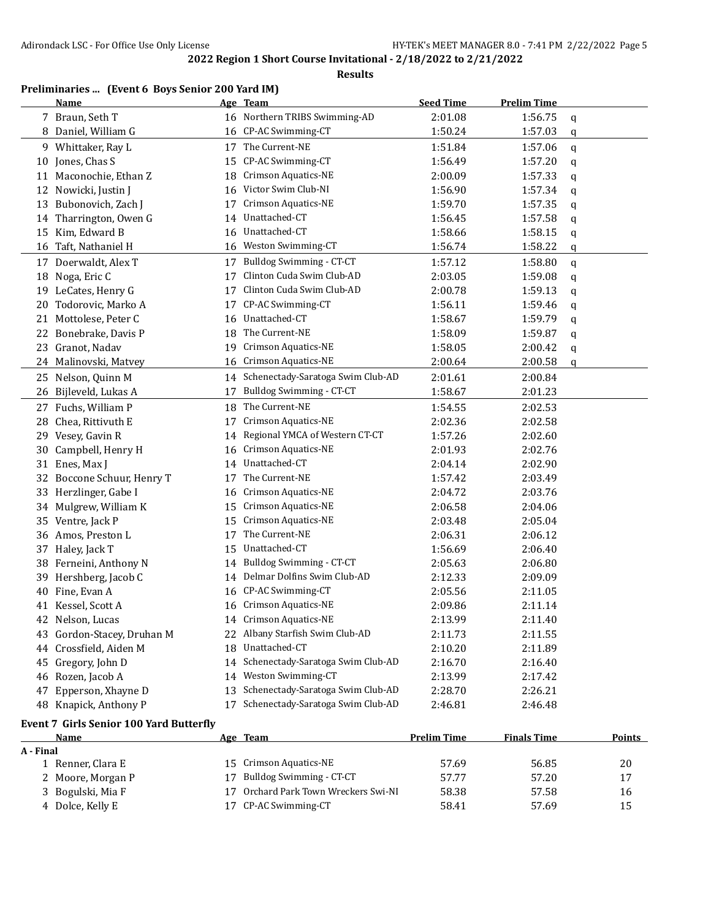| Preliminaries  (Event 6 Boys Senior 200 Yard IM) |
|--------------------------------------------------|
|                                                  |

|    | Name                                           |    | Age Team                             | <b>Seed Time</b> | <b>Prelim Time</b> |              |
|----|------------------------------------------------|----|--------------------------------------|------------------|--------------------|--------------|
|    | 7 Braun, Seth T                                |    | 16 Northern TRIBS Swimming-AD        | 2:01.08          | 1:56.75            | q            |
|    | 8 Daniel, William G                            | 16 | CP-AC Swimming-CT                    | 1:50.24          | 1:57.03            | q            |
|    | 9 Whittaker, Ray L                             | 17 | The Current-NE                       | 1:51.84          | 1:57.06            | $\mathbf{q}$ |
|    | 10 Jones, Chas S                               | 15 | CP-AC Swimming-CT                    | 1:56.49          | 1:57.20            | q            |
|    | 11 Maconochie, Ethan Z                         | 18 | Crimson Aquatics-NE                  | 2:00.09          | 1:57.33            | q            |
|    | 12 Nowicki, Justin J                           | 16 | Victor Swim Club-NI                  | 1:56.90          | 1:57.34            | q            |
| 13 | Bubonovich, Zach J                             | 17 | Crimson Aquatics-NE                  | 1:59.70          | 1:57.35            | q            |
| 14 | Tharrington, Owen G                            | 14 | Unattached-CT                        | 1:56.45          | 1:57.58            | q            |
| 15 | Kim, Edward B                                  | 16 | Unattached-CT                        | 1:58.66          | 1:58.15            | q            |
| 16 | Taft, Nathaniel H                              | 16 | Weston Swimming-CT                   | 1:56.74          | 1:58.22            | q            |
| 17 | Doerwaldt, Alex T                              | 17 | Bulldog Swimming - CT-CT             | 1:57.12          | 1:58.80            | q            |
| 18 | Noga, Eric C                                   | 17 | Clinton Cuda Swim Club-AD            | 2:03.05          | 1:59.08            | q            |
| 19 | LeCates, Henry G                               | 17 | Clinton Cuda Swim Club-AD            | 2:00.78          | 1:59.13            | q            |
| 20 | Todorovic, Marko A                             | 17 | CP-AC Swimming-CT                    | 1:56.11          | 1:59.46            | q            |
| 21 | Mottolese, Peter C                             | 16 | Unattached-CT                        | 1:58.67          | 1:59.79            | q            |
| 22 | Bonebrake, Davis P                             | 18 | The Current-NE                       | 1:58.09          | 1:59.87            | q            |
|    | 23 Granot, Nadav                               | 19 | Crimson Aquatics-NE                  | 1:58.05          | 2:00.42            | q            |
|    | 24 Malinovski, Matvey                          | 16 | Crimson Aquatics-NE                  | 2:00.64          | 2:00.58            | q            |
|    | 25 Nelson, Quinn M                             |    | 14 Schenectady-Saratoga Swim Club-AD | 2:01.61          | 2:00.84            |              |
| 26 | Bijleveld, Lukas A                             | 17 | Bulldog Swimming - CT-CT             | 1:58.67          | 2:01.23            |              |
|    | 27 Fuchs, William P                            |    | 18 The Current-NE                    | 1:54.55          | 2:02.53            |              |
| 28 | Chea, Rittivuth E                              | 17 | Crimson Aquatics-NE                  | 2:02.36          | 2:02.58            |              |
| 29 | Vesey, Gavin R                                 |    | 14 Regional YMCA of Western CT-CT    | 1:57.26          | 2:02.60            |              |
| 30 | Campbell, Henry H                              | 16 | Crimson Aquatics-NE                  | 2:01.93          | 2:02.76            |              |
| 31 | Enes, Max J                                    | 14 | Unattached-CT                        | 2:04.14          | 2:02.90            |              |
| 32 | Boccone Schuur, Henry T                        | 17 | The Current-NE                       | 1:57.42          | 2:03.49            |              |
| 33 | Herzlinger, Gabe I                             | 16 | Crimson Aquatics-NE                  | 2:04.72          | 2:03.76            |              |
| 34 | Mulgrew, William K                             | 15 | Crimson Aquatics-NE                  | 2:06.58          | 2:04.06            |              |
| 35 | Ventre, Jack P                                 | 15 | Crimson Aquatics-NE                  | 2:03.48          | 2:05.04            |              |
| 36 | Amos, Preston L                                | 17 | The Current-NE                       | 2:06.31          | 2:06.12            |              |
| 37 | Haley, Jack T                                  | 15 | Unattached-CT                        | 1:56.69          | 2:06.40            |              |
| 38 | Ferneini, Anthony N                            | 14 | Bulldog Swimming - CT-CT             | 2:05.63          | 2:06.80            |              |
| 39 | Hershberg, Jacob C                             | 14 | Delmar Dolfins Swim Club-AD          | 2:12.33          | 2:09.09            |              |
| 40 | Fine, Evan A                                   | 16 | CP-AC Swimming-CT                    | 2:05.56          | 2:11.05            |              |
|    | 41 Kessel, Scott A                             |    | 16 Crimson Aquatics-NE               | 2:09.86          | 2:11.14            |              |
|    | 42 Nelson, Lucas                               |    | 14 Crimson Aquatics-NE               | 2:13.99          | 2:11.40            |              |
|    | 43 Gordon-Stacey, Druhan M                     |    | 22 Albany Starfish Swim Club-AD      | 2:11.73          | 2:11.55            |              |
|    | 44 Crossfield, Aiden M                         |    | 18 Unattached-CT                     | 2:10.20          | 2:11.89            |              |
|    | 45 Gregory, John D                             | 14 | Schenectady-Saratoga Swim Club-AD    | 2:16.70          | 2:16.40            |              |
|    | 46 Rozen, Jacob A                              |    | 14 Weston Swimming-CT                | 2:13.99          | 2:17.42            |              |
| 47 | Epperson, Xhayne D                             | 13 | Schenectady-Saratoga Swim Club-AD    | 2:28.70          | 2:26.21            |              |
|    | 48 Knapick, Anthony P                          |    | 17 Schenectady-Saratoga Swim Club-AD | 2:46.81          | 2:46.48            |              |
|    | <b>Event 7 Girls Senior 100 Yard Butterfly</b> |    |                                      |                  |                    |              |
|    |                                                |    |                                      |                  |                    |              |

| <b>Name</b>       | Age | <b>Team</b> | <b>Prelim Time</b>                                                                                                 | <b>Finals Time</b> | <b>Points</b> |
|-------------------|-----|-------------|--------------------------------------------------------------------------------------------------------------------|--------------------|---------------|
| A - Final         |     |             |                                                                                                                    |                    |               |
| 1 Renner, Clara E |     |             | 57.69                                                                                                              | 56.85              | 20            |
| 2 Moore, Morgan P |     |             | 57.77                                                                                                              | 57.20              | 17            |
| 3 Bogulski, Mia F |     |             | 58.38                                                                                                              | 57.58              | 16            |
| 4 Dolce, Kelly E  |     |             | 58.41                                                                                                              | 57.69              | 15            |
|                   |     |             | 15 Crimson Aquatics-NE<br>17 Bulldog Swimming - CT-CT<br>Orchard Park Town Wreckers Swi-NI<br>17 CP-AC Swimming-CT |                    |               |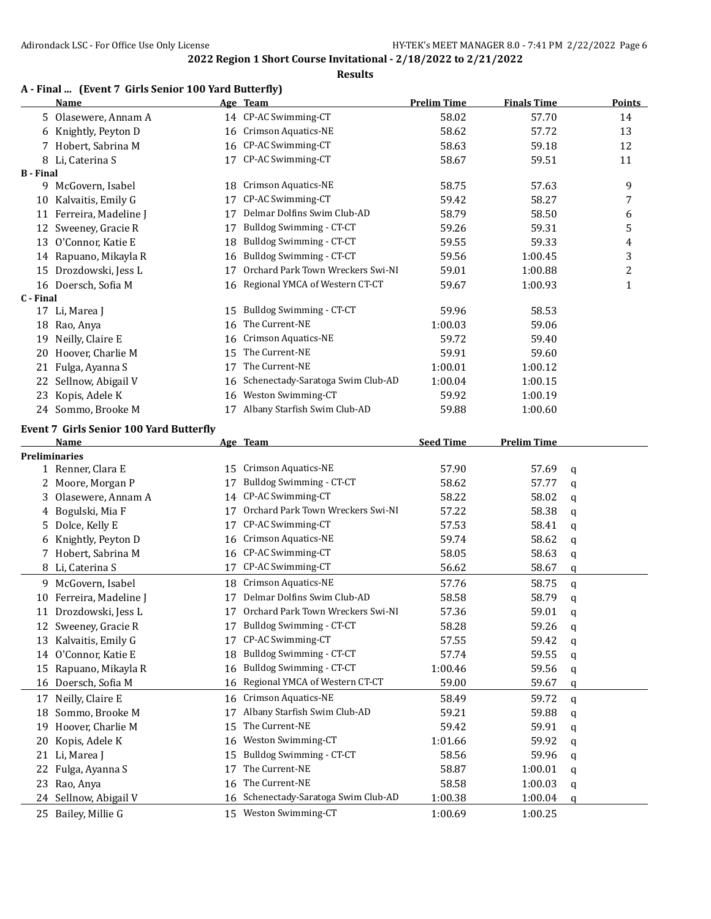#### **Results**

# **A - Final ... (Event 7 Girls Senior 100 Yard Butterfly)**

|                  | <b>Name</b>                                    |    | Age Team                          | <b>Prelim Time</b> | <b>Finals Time</b> | Points         |
|------------------|------------------------------------------------|----|-----------------------------------|--------------------|--------------------|----------------|
| 5.               | Olasewere, Annam A                             |    | 14 CP-AC Swimming-CT              | 58.02              | 57.70              | 14             |
| 6                | Knightly, Peyton D                             | 16 | Crimson Aquatics-NE               | 58.62              | 57.72              | 13             |
|                  | Hobert, Sabrina M                              | 16 | CP-AC Swimming-CT                 | 58.63              | 59.18              | 12             |
| 8                | Li, Caterina S                                 | 17 | CP-AC Swimming-CT                 | 58.67              | 59.51              | 11             |
| <b>B</b> - Final |                                                |    |                                   |                    |                    |                |
| 9.               | McGovern, Isabel                               | 18 | Crimson Aquatics-NE               | 58.75              | 57.63              | 9              |
| 10               | Kalvaitis, Emily G                             | 17 | CP-AC Swimming-CT                 | 59.42              | 58.27              | 7              |
| 11               | Ferreira, Madeline J                           | 17 | Delmar Dolfins Swim Club-AD       | 58.79              | 58.50              | 6              |
| 12               | Sweeney, Gracie R                              | 17 | <b>Bulldog Swimming - CT-CT</b>   | 59.26              | 59.31              | 5              |
| 13               | O'Connor, Katie E                              | 18 | <b>Bulldog Swimming - CT-CT</b>   | 59.55              | 59.33              | 4              |
| 14               | Rapuano, Mikayla R                             | 16 | Bulldog Swimming - CT-CT          | 59.56              | 1:00.45            | 3              |
| 15               | Drozdowski, Jess L                             | 17 | Orchard Park Town Wreckers Swi-NI | 59.01              | 1:00.88            | $\overline{c}$ |
| 16               | Doersch, Sofia M                               | 16 | Regional YMCA of Western CT-CT    | 59.67              | 1:00.93            | $\mathbf{1}$   |
| C - Final        |                                                |    |                                   |                    |                    |                |
| 17               | Li, Marea J                                    | 15 | Bulldog Swimming - CT-CT          | 59.96              | 58.53              |                |
| 18               | Rao, Anya                                      | 16 | The Current-NE                    | 1:00.03            | 59.06              |                |
| 19               | Neilly, Claire E                               | 16 | Crimson Aquatics-NE               | 59.72              | 59.40              |                |
| 20               | Hoover, Charlie M                              | 15 | The Current-NE                    | 59.91              | 59.60              |                |
| 21               | Fulga, Ayanna S                                | 17 | The Current-NE                    | 1:00.01            | 1:00.12            |                |
| 22               | Sellnow, Abigail V                             | 16 | Schenectady-Saratoga Swim Club-AD | 1:00.04            | 1:00.15            |                |
| 23               | Kopis, Adele K                                 | 16 | Weston Swimming-CT                | 59.92              | 1:00.19            |                |
| 24               | Sommo, Brooke M                                |    | Albany Starfish Swim Club-AD      | 59.88              | 1:00.60            |                |
|                  | <b>Event 7 Girls Senior 100 Yard Butterfly</b> |    |                                   |                    |                    |                |
|                  | Name                                           |    | Age Team                          | <b>Seed Time</b>   | <b>Prelim Time</b> |                |
|                  | Proliminarios                                  |    |                                   |                    |                    |                |

|              | <b>Preliminaries</b> |    |                                   |         |         |   |
|--------------|----------------------|----|-----------------------------------|---------|---------|---|
| $\mathbf{1}$ | Renner, Clara E      | 15 | <b>Crimson Aquatics-NE</b>        | 57.90   | 57.69   | a |
|              | Moore, Morgan P      | 17 | Bulldog Swimming - CT-CT          | 58.62   | 57.77   | a |
| 3            | Olasewere, Annam A   | 14 | CP-AC Swimming-CT                 | 58.22   | 58.02   | q |
| 4            | Bogulski, Mia F      |    | Orchard Park Town Wreckers Swi-NI | 57.22   | 58.38   | a |
| 5.           | Dolce, Kelly E       | 17 | CP-AC Swimming-CT                 | 57.53   | 58.41   | q |
| 6            | Knightly, Peyton D   | 16 | <b>Crimson Aquatics-NE</b>        | 59.74   | 58.62   | q |
| 7            | Hobert, Sabrina M    | 16 | CP-AC Swimming-CT                 | 58.05   | 58.63   | q |
| 8            | Li, Caterina S       | 17 | CP-AC Swimming-CT                 | 56.62   | 58.67   | q |
| 9.           | McGovern, Isabel     | 18 | <b>Crimson Aquatics-NE</b>        | 57.76   | 58.75   | q |
| 10           | Ferreira, Madeline J | 17 | Delmar Dolfins Swim Club-AD       | 58.58   | 58.79   | q |
| 11           | Drozdowski, Jess L   | 17 | Orchard Park Town Wreckers Swi-NI | 57.36   | 59.01   | q |
| 12           | Sweeney, Gracie R    | 17 | Bulldog Swimming - CT-CT          | 58.28   | 59.26   | q |
| 13           | Kalvaitis, Emily G   | 17 | CP-AC Swimming-CT                 | 57.55   | 59.42   | a |
| 14           | O'Connor, Katie E    | 18 | Bulldog Swimming - CT-CT          | 57.74   | 59.55   | q |
| 15           | Rapuano, Mikayla R   | 16 | Bulldog Swimming - CT-CT          | 1:00.46 | 59.56   | q |
| 16           | Doersch, Sofia M     | 16 | Regional YMCA of Western CT-CT    | 59.00   | 59.67   | q |
| 17           | Neilly, Claire E     | 16 | <b>Crimson Aquatics-NE</b>        | 58.49   | 59.72   | a |
| 18           | Sommo, Brooke M      | 17 | Albany Starfish Swim Club-AD      | 59.21   | 59.88   | q |
| 19           | Hoover, Charlie M    | 15 | The Current-NE                    | 59.42   | 59.91   | a |
| 20           | Kopis, Adele K       | 16 | Weston Swimming-CT                | 1:01.66 | 59.92   | a |
| 21           | Li, Marea J          | 15 | Bulldog Swimming - CT-CT          | 58.56   | 59.96   | q |
| 22           | Fulga, Ayanna S      | 17 | The Current-NE                    | 58.87   | 1:00.01 | q |
| 23           | Rao, Anya            | 16 | The Current-NE                    | 58.58   | 1:00.03 | q |
| 24           | Sellnow, Abigail V   | 16 | Schenectady-Saratoga Swim Club-AD | 1:00.38 | 1:00.04 | q |
|              | 25 Bailey, Millie G  |    | 15 Weston Swimming-CT             | 1:00.69 | 1:00.25 |   |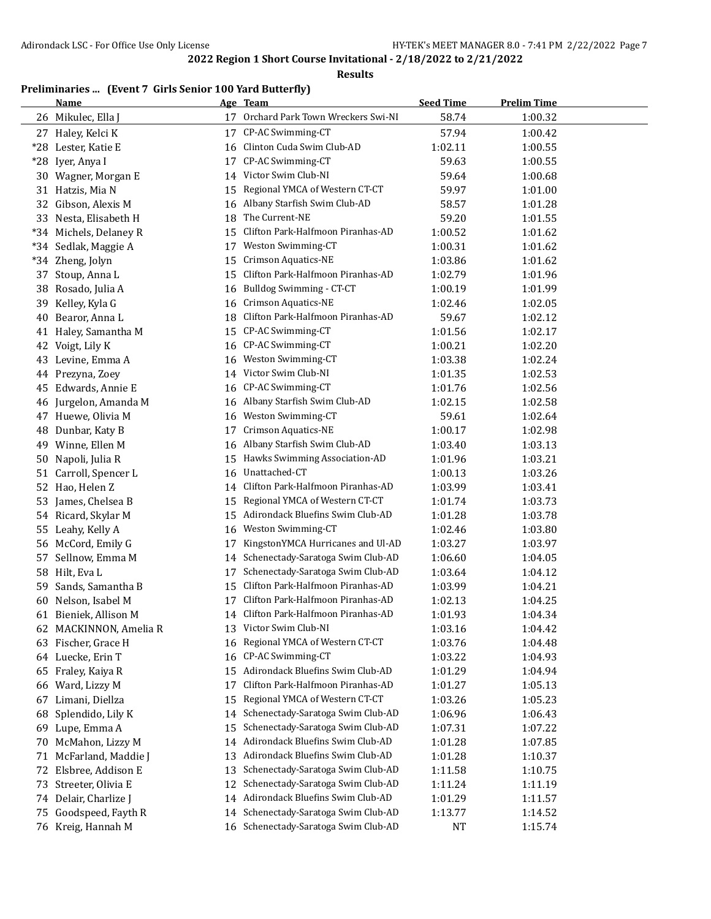**Results**

# **Preliminaries ... (Event 7 Girls Senior 100 Yard Butterfly)**

|       | Name                   |    | Age Team                             | <b>Seed Time</b> | <b>Prelim Time</b> |
|-------|------------------------|----|--------------------------------------|------------------|--------------------|
|       | 26 Mikulec, Ella J     | 17 | Orchard Park Town Wreckers Swi-NI    | 58.74            | 1:00.32            |
|       | 27 Haley, Kelci K      | 17 | CP-AC Swimming-CT                    | 57.94            | 1:00.42            |
|       | *28 Lester, Katie E    | 16 | Clinton Cuda Swim Club-AD            | 1:02.11          | 1:00.55            |
| $*28$ | Iyer, Anya I           | 17 | CP-AC Swimming-CT                    | 59.63            | 1:00.55            |
|       | 30 Wagner, Morgan E    | 14 | Victor Swim Club-NI                  | 59.64            | 1:00.68            |
|       | 31 Hatzis, Mia N       | 15 | Regional YMCA of Western CT-CT       | 59.97            | 1:01.00            |
|       | 32 Gibson, Alexis M    | 16 | Albany Starfish Swim Club-AD         | 58.57            | 1:01.28            |
|       | 33 Nesta, Elisabeth H  | 18 | The Current-NE                       | 59.20            | 1:01.55            |
|       | *34 Michels, Delaney R | 15 | Clifton Park-Halfmoon Piranhas-AD    | 1:00.52          | 1:01.62            |
|       | *34 Sedlak, Maggie A   | 17 | Weston Swimming-CT                   | 1:00.31          | 1:01.62            |
|       | *34 Zheng, Jolyn       | 15 | Crimson Aquatics-NE                  | 1:03.86          | 1:01.62            |
| 37    | Stoup, Anna L          | 15 | Clifton Park-Halfmoon Piranhas-AD    | 1:02.79          | 1:01.96            |
|       | 38 Rosado, Julia A     | 16 | Bulldog Swimming - CT-CT             | 1:00.19          | 1:01.99            |
|       | 39 Kelley, Kyla G      | 16 | Crimson Aquatics-NE                  | 1:02.46          | 1:02.05            |
| 40    | Bearor, Anna L         | 18 | Clifton Park-Halfmoon Piranhas-AD    | 59.67            | 1:02.12            |
| 41    | Haley, Samantha M      | 15 | CP-AC Swimming-CT                    | 1:01.56          | 1:02.17            |
| 42    | Voigt, Lily K          | 16 | CP-AC Swimming-CT                    | 1:00.21          | 1:02.20            |
| 43    | Levine, Emma A         | 16 | Weston Swimming-CT                   | 1:03.38          | 1:02.24            |
|       | 44 Prezyna, Zoey       | 14 | Victor Swim Club-NI                  | 1:01.35          | 1:02.53            |
| 45    | Edwards, Annie E       | 16 | CP-AC Swimming-CT                    | 1:01.76          | 1:02.56            |
|       | 46 Jurgelon, Amanda M  | 16 | Albany Starfish Swim Club-AD         | 1:02.15          | 1:02.58            |
|       | 47 Huewe, Olivia M     | 16 | Weston Swimming-CT                   | 59.61            | 1:02.64            |
|       | 48 Dunbar, Katy B      | 17 | Crimson Aquatics-NE                  | 1:00.17          | 1:02.98            |
| 49    | Winne, Ellen M         | 16 | Albany Starfish Swim Club-AD         | 1:03.40          | 1:03.13            |
|       | 50 Napoli, Julia R     | 15 | Hawks Swimming Association-AD        | 1:01.96          | 1:03.21            |
| 51    | Carroll, Spencer L     | 16 | Unattached-CT                        | 1:00.13          | 1:03.26            |
|       | 52 Hao, Helen Z        | 14 | Clifton Park-Halfmoon Piranhas-AD    | 1:03.99          | 1:03.41            |
| 53    | James, Chelsea B       | 15 | Regional YMCA of Western CT-CT       | 1:01.74          | 1:03.73            |
|       | 54 Ricard, Skylar M    | 15 | Adirondack Bluefins Swim Club-AD     | 1:01.28          | 1:03.78            |
|       | 55 Leahy, Kelly A      | 16 | Weston Swimming-CT                   | 1:02.46          | 1:03.80            |
|       | 56 McCord, Emily G     | 17 | KingstonYMCA Hurricanes and Ul-AD    | 1:03.27          | 1:03.97            |
| 57    | Sellnow, Emma M        | 14 | Schenectady-Saratoga Swim Club-AD    | 1:06.60          | 1:04.05            |
|       | 58 Hilt, Eva L         | 17 | Schenectady-Saratoga Swim Club-AD    | 1:03.64          | 1:04.12            |
| 59    | Sands, Samantha B      | 15 | Clifton Park-Halfmoon Piranhas-AD    | 1:03.99          | 1:04.21            |
|       | 60 Nelson, Isabel M    | 17 | Clifton Park-Halfmoon Piranhas-AD    | 1:02.13          | 1:04.25            |
| 61    | Bieniek, Allison M     |    | 14 Clifton Park-Halfmoon Piranhas-AD | 1:01.93          | 1:04.34            |
|       | 62 MACKINNON, Amelia R | 13 | Victor Swim Club-NI                  | 1:03.16          | 1:04.42            |
|       | 63 Fischer, Grace H    | 16 | Regional YMCA of Western CT-CT       | 1:03.76          | 1:04.48            |
|       | 64 Luecke, Erin T      | 16 | CP-AC Swimming-CT                    | 1:03.22          | 1:04.93            |
|       | 65 Fraley, Kaiya R     | 15 | Adirondack Bluefins Swim Club-AD     | 1:01.29          | 1:04.94            |
|       | 66 Ward, Lizzy M       | 17 | Clifton Park-Halfmoon Piranhas-AD    | 1:01.27          | 1:05.13            |
| 67    | Limani, Diellza        | 15 | Regional YMCA of Western CT-CT       | 1:03.26          | 1:05.23            |
| 68    | Splendido, Lily K      | 14 | Schenectady-Saratoga Swim Club-AD    | 1:06.96          | 1:06.43            |
| 69    | Lupe, Emma A           | 15 | Schenectady-Saratoga Swim Club-AD    | 1:07.31          | 1:07.22            |
| 70    | McMahon, Lizzy M       | 14 | Adirondack Bluefins Swim Club-AD     | 1:01.28          | 1:07.85            |
| 71    | McFarland, Maddie J    | 13 | Adirondack Bluefins Swim Club-AD     | 1:01.28          | 1:10.37            |
| 72    | Elsbree, Addison E     | 13 | Schenectady-Saratoga Swim Club-AD    | 1:11.58          | 1:10.75            |
| 73    | Streeter, Olivia E     | 12 | Schenectady-Saratoga Swim Club-AD    | 1:11.24          | 1:11.19            |
| 74    | Delair, Charlize J     | 14 | Adirondack Bluefins Swim Club-AD     | 1:01.29          | 1:11.57            |
| 75    | Goodspeed, Fayth R     | 14 | Schenectady-Saratoga Swim Club-AD    | 1:13.77          | 1:14.52            |
|       | 76 Kreig, Hannah M     |    | 16 Schenectady-Saratoga Swim Club-AD | NT               | 1:15.74            |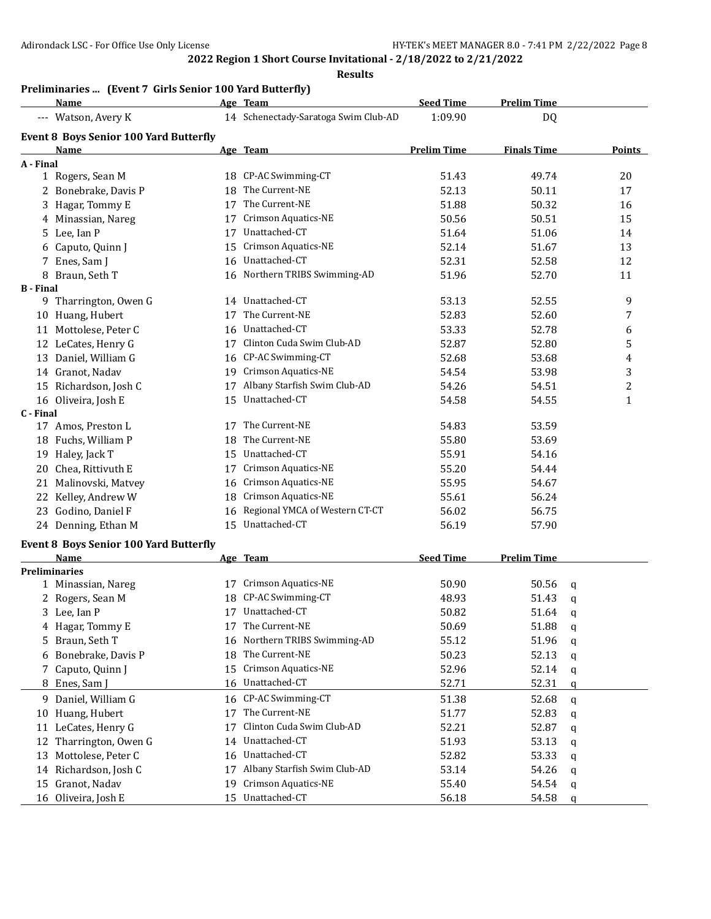**Results**

# **Preliminaries ... (Event 7 Girls Senior 100 Yard Butterfly)**

|                  | Name                                          |    | Age Team                             | <b>Seed Time</b>   | <b>Prelim Time</b> |   |                |
|------------------|-----------------------------------------------|----|--------------------------------------|--------------------|--------------------|---|----------------|
|                  | --- Watson, Avery K                           |    | 14 Schenectady-Saratoga Swim Club-AD | 1:09.90            | <b>DQ</b>          |   |                |
|                  | <b>Event 8 Boys Senior 100 Yard Butterfly</b> |    |                                      |                    |                    |   |                |
|                  | Name                                          |    | Age Team                             | <b>Prelim Time</b> | <b>Finals Time</b> |   | <b>Points</b>  |
| A - Final        |                                               |    |                                      |                    |                    |   |                |
|                  | 1 Rogers, Sean M                              |    | 18 CP-AC Swimming-CT                 | 51.43              | 49.74              |   | 20             |
|                  | 2 Bonebrake, Davis P                          | 18 | The Current-NE                       | 52.13              | 50.11              |   | 17             |
|                  | 3 Hagar, Tommy E                              | 17 | The Current-NE                       | 51.88              | 50.32              |   | 16             |
|                  | 4 Minassian, Nareg                            | 17 | Crimson Aquatics-NE                  | 50.56              | 50.51              |   | 15             |
|                  | 5 Lee, Ian P                                  | 17 | Unattached-CT                        | 51.64              | 51.06              |   | 14             |
|                  | 6 Caputo, Quinn J                             | 15 | Crimson Aquatics-NE                  | 52.14              | 51.67              |   | 13             |
|                  | 7 Enes, Sam J                                 |    | 16 Unattached-CT                     | 52.31              | 52.58              |   | 12             |
|                  | 8 Braun, Seth T                               |    | 16 Northern TRIBS Swimming-AD        | 51.96              | 52.70              |   | 11             |
| <b>B</b> - Final |                                               |    |                                      |                    |                    |   |                |
|                  | 9 Tharrington, Owen G                         |    | 14 Unattached-CT                     | 53.13              | 52.55              |   | 9              |
|                  | 10 Huang, Hubert                              | 17 | The Current-NE                       | 52.83              | 52.60              |   | 7              |
|                  | 11 Mottolese, Peter C                         | 16 | Unattached-CT                        | 53.33              | 52.78              |   | 6              |
|                  | 12 LeCates, Henry G                           | 17 | Clinton Cuda Swim Club-AD            | 52.87              | 52.80              |   | 5              |
|                  | 13 Daniel, William G                          | 16 | CP-AC Swimming-CT                    | 52.68              | 53.68              |   | 4              |
|                  | 14 Granot, Nadav                              | 19 | Crimson Aquatics-NE                  | 54.54              | 53.98              |   | 3              |
|                  | 15 Richardson, Josh C                         | 17 | Albany Starfish Swim Club-AD         | 54.26              | 54.51              |   | $\overline{c}$ |
|                  | 16 Oliveira, Josh E                           | 15 | Unattached-CT                        | 54.58              | 54.55              |   | $\mathbf{1}$   |
| C - Final        |                                               |    |                                      |                    |                    |   |                |
|                  | 17 Amos, Preston L                            | 17 | The Current-NE                       | 54.83              | 53.59              |   |                |
|                  | 18 Fuchs, William P                           | 18 | The Current-NE                       | 55.80              | 53.69              |   |                |
|                  | 19 Haley, Jack T                              | 15 | Unattached-CT                        | 55.91              | 54.16              |   |                |
|                  | 20 Chea, Rittivuth E                          | 17 | Crimson Aquatics-NE                  | 55.20              | 54.44              |   |                |
|                  | 21 Malinovski, Matvey                         | 16 | Crimson Aquatics-NE                  | 55.95              | 54.67              |   |                |
|                  | 22 Kelley, Andrew W                           | 18 | Crimson Aquatics-NE                  | 55.61              | 56.24              |   |                |
|                  | 23 Godino, Daniel F                           | 16 | Regional YMCA of Western CT-CT       | 56.02              | 56.75              |   |                |
|                  | 24 Denning, Ethan M                           |    | 15 Unattached-CT                     | 56.19              | 57.90              |   |                |
|                  | <b>Event 8 Boys Senior 100 Yard Butterfly</b> |    |                                      |                    |                    |   |                |
|                  | Name                                          |    | Age Team                             | <b>Seed Time</b>   | <b>Prelim Time</b> |   |                |
|                  | <b>Preliminaries</b>                          |    |                                      |                    |                    |   |                |
|                  | 1 Minassian, Nareg                            |    | 17 Crimson Aquatics-NE               | 50.90              | 50.56              | q |                |
|                  | 2 Rogers, Sean M                              |    | 18 CP-AC Swimming-CT                 | 48.93              | 51.43              | q |                |
|                  | 3 Lee, Ian P                                  |    | 17 Unattached-CT                     | 50.82              | 51.64              | q |                |
|                  | 4 Hagar, Tommy E                              |    | 17 The Current-NE                    | 50.69              | 51.88              | q |                |
|                  | 5 Braun, Seth T                               | 16 | Northern TRIBS Swimming-AD           | 55.12              | 51.96              | q |                |
|                  | 6 Bonebrake, Davis P                          | 18 | The Current-NE                       | 50.23              | 52.13              | q |                |
|                  | 7 Caputo, Quinn J                             | 15 | Crimson Aquatics-NE                  | 52.96              | 52.14              | q |                |
|                  | 8 Enes, Sam J                                 | 16 | Unattached-CT                        | 52.71              | 52.31              | q |                |
|                  | 9 Daniel, William G                           |    | 16 CP-AC Swimming-CT                 | 51.38              | 52.68              | q |                |
|                  | 10 Huang, Hubert                              | 17 | The Current-NE                       | 51.77              | 52.83              | q |                |
|                  | 11 LeCates, Henry G                           | 17 | Clinton Cuda Swim Club-AD            | 52.21              | 52.87              | q |                |
| 12               | Tharrington, Owen G                           | 14 | Unattached-CT                        | 51.93              | 53.13              | q |                |
|                  | 13 Mottolese, Peter C                         | 16 | Unattached-CT                        | 52.82              | 53.33              | q |                |
|                  | 14 Richardson, Josh C                         | 17 | Albany Starfish Swim Club-AD         | 53.14              | 54.26              | q |                |
|                  | 15 Granot, Nadav                              | 19 | Crimson Aquatics-NE                  | 55.40              | 54.54              | q |                |
|                  | 16 Oliveira, Josh E                           | 15 | Unattached-CT                        | 56.18              | 54.58              | q |                |
|                  |                                               |    |                                      |                    |                    |   |                |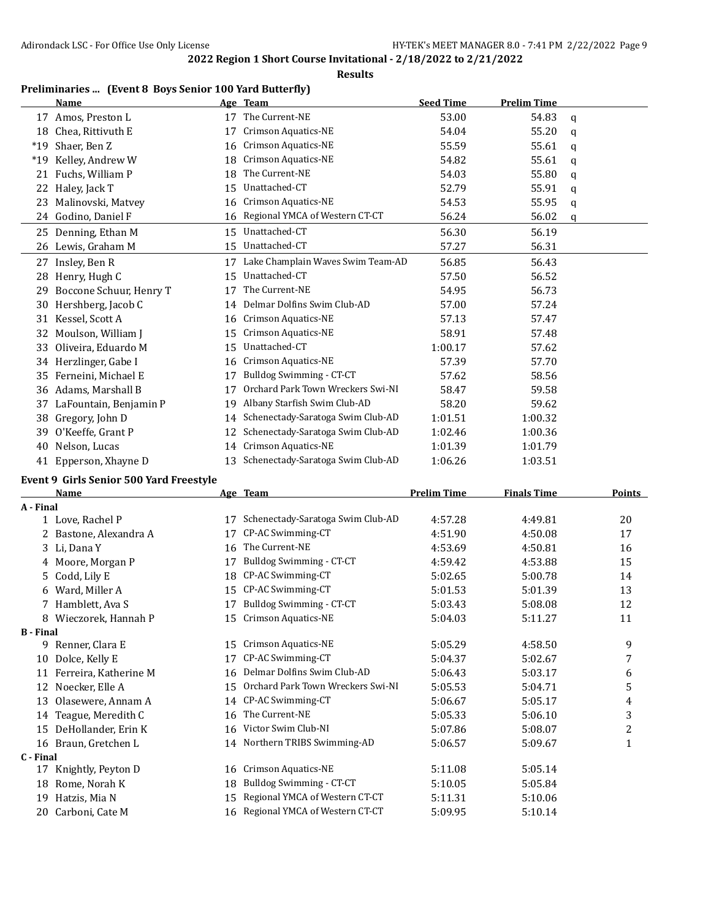**C - Final**

**2022 Region 1 Short Course Invitational - 2/18/2022 to 2/21/2022**

**Results**

## **Preliminaries ... (Event 8 Boys Senior 100 Yard Butterfly)**

|                  | Name                                    |    | <u>Age Team</u>                      | <b>Seed Time</b>   | <b>Prelim Time</b> |   |        |
|------------------|-----------------------------------------|----|--------------------------------------|--------------------|--------------------|---|--------|
|                  | 17 Amos, Preston L                      |    | 17 The Current-NE                    | 53.00              | 54.83              | q |        |
|                  | 18 Chea, Rittivuth E                    | 17 | <b>Crimson Aquatics-NE</b>           | 54.04              | 55.20              | q |        |
|                  | *19 Shaer, Ben Z                        | 16 | Crimson Aquatics-NE                  | 55.59              | 55.61              | q |        |
|                  | *19 Kelley, Andrew W                    | 18 | Crimson Aquatics-NE                  | 54.82              | 55.61              | q |        |
|                  | 21 Fuchs, William P                     | 18 | The Current-NE                       | 54.03              | 55.80              | q |        |
| 22               | Haley, Jack T                           | 15 | Unattached-CT                        | 52.79              | 55.91              | q |        |
| 23               | Malinovski, Matvey                      | 16 | Crimson Aquatics-NE                  | 54.53              | 55.95              | q |        |
|                  | 24 Godino, Daniel F                     |    | 16 Regional YMCA of Western CT-CT    | 56.24              | 56.02              | q |        |
|                  | 25 Denning, Ethan M                     |    | 15 Unattached-CT                     | 56.30              | 56.19              |   |        |
|                  | 26 Lewis, Graham M                      | 15 | Unattached-CT                        | 57.27              | 56.31              |   |        |
|                  |                                         |    |                                      |                    |                    |   |        |
|                  | 27 Insley, Ben R                        | 17 | Lake Champlain Waves Swim Team-AD    | 56.85              | 56.43              |   |        |
|                  | 28 Henry, Hugh C                        | 15 | Unattached-CT                        | 57.50              | 56.52              |   |        |
|                  | 29 Boccone Schuur, Henry T              | 17 | The Current-NE                       | 54.95              | 56.73              |   |        |
| 30               | Hershberg, Jacob C                      | 14 | Delmar Dolfins Swim Club-AD          | 57.00              | 57.24              |   |        |
|                  | 31 Kessel, Scott A                      | 16 | Crimson Aquatics-NE                  | 57.13              | 57.47              |   |        |
| 32               | Moulson, William J                      | 15 | Crimson Aquatics-NE                  | 58.91              | 57.48              |   |        |
| 33               | Oliveira, Eduardo M                     | 15 | Unattached-CT                        | 1:00.17            | 57.62              |   |        |
|                  | 34 Herzlinger, Gabe I                   | 16 | Crimson Aquatics-NE                  | 57.39              | 57.70              |   |        |
|                  | 35 Ferneini, Michael E                  | 17 | Bulldog Swimming - CT-CT             | 57.62              | 58.56              |   |        |
|                  | 36 Adams, Marshall B                    | 17 | Orchard Park Town Wreckers Swi-NI    | 58.47              | 59.58              |   |        |
|                  | 37 LaFountain, Benjamin P               |    | 19 Albany Starfish Swim Club-AD      | 58.20              | 59.62              |   |        |
| 38               | Gregory, John D                         | 14 | Schenectady-Saratoga Swim Club-AD    | 1:01.51            | 1:00.32            |   |        |
| 39               | O'Keeffe, Grant P                       | 12 | Schenectady-Saratoga Swim Club-AD    | 1:02.46            | 1:00.36            |   |        |
| 40               | Nelson, Lucas                           | 14 | Crimson Aquatics-NE                  | 1:01.39            | 1:01.79            |   |        |
|                  | 41 Epperson, Xhayne D                   |    | 13 Schenectady-Saratoga Swim Club-AD | 1:06.26            | 1:03.51            |   |        |
|                  | Event 9 Girls Senior 500 Yard Freestyle |    |                                      |                    |                    |   |        |
|                  | Name                                    |    | Age Team                             | <b>Prelim Time</b> | <b>Finals Time</b> |   | Points |
| A - Final        |                                         |    |                                      |                    |                    |   |        |
|                  | 1 Love, Rachel P                        | 17 | Schenectady-Saratoga Swim Club-AD    | 4:57.28            | 4:49.81            |   | 20     |
|                  | 2 Bastone, Alexandra A                  | 17 | CP-AC Swimming-CT                    | 4:51.90            | 4:50.08            |   | 17     |
|                  | 3 Li, Dana Y                            | 16 | The Current-NE                       | 4:53.69            | 4:50.81            |   | 16     |
|                  | 4 Moore, Morgan P                       | 17 | Bulldog Swimming - CT-CT             | 4:59.42            | 4:53.88            |   | 15     |
| 5.               | Codd, Lily E                            | 18 | CP-AC Swimming-CT                    | 5:02.65            | 5:00.78            |   | 14     |
|                  | 6 Ward, Miller A                        |    | 15 CP-AC Swimming-CT                 | 5:01.53            | 5:01.39            |   | 13     |
|                  | 7 Hamblett, Ava S                       |    | 17 Bulldog Swimming - CT-CT          | 5:03.43            | 5:08.08            |   | 12     |
|                  | 8 Wieczorek, Hannah P                   |    | 15 Crimson Aquatics-NE               | 5:04.03            | 5:11.27            |   | 11     |
| <b>B</b> - Final |                                         |    |                                      |                    |                    |   |        |
|                  | 9 Renner, Clara E                       | 15 | Crimson Aquatics-NE                  | 5:05.29            | 4:58.50            |   | 9      |
|                  | 10 Dolce, Kelly E                       | 17 | CP-AC Swimming-CT                    | 5:04.37            | 5:02.67            |   | 7      |
|                  | 11 Ferreira, Katherine M                | 16 | Delmar Dolfins Swim Club-AD          | 5:06.43            | 5:03.17            |   | 6      |
|                  | 12 Noecker, Elle A                      | 15 | Orchard Park Town Wreckers Swi-NI    | 5:05.53            | 5:04.71            |   | 5      |
| 13               | Olasewere, Annam A                      |    | 14 CP-AC Swimming-CT                 | 5:06.67            | 5:05.17            |   | 4      |
|                  | 14 Teague, Meredith C                   | 16 | The Current-NE                       | 5:05.33            | 5:06.10            |   | 3      |
|                  | 15 DeHollander, Erin K                  |    | 16 Victor Swim Club-NI               | 5:07.86            | 5:08.07            |   | 2      |
|                  | 16 Braun, Gretchen L                    |    | 14 Northern TRIBS Swimming-AD        | 5:06.57            | 5:09.67            |   | 1      |

17 Knightly, Peyton D 16 Crimson Aquatics-NE 5:11.08 5:05.14 18 Rome, Norah K 18 Bulldog Swimming - CT-CT 5:10.05 5:05.84 19 Hatzis, Mia N 15 Regional YMCA of Western CT-CT 5:11.31 5:10.06 Carboni, Cate M 16 Regional YMCA of Western CT-CT 5:09.95 5:10.14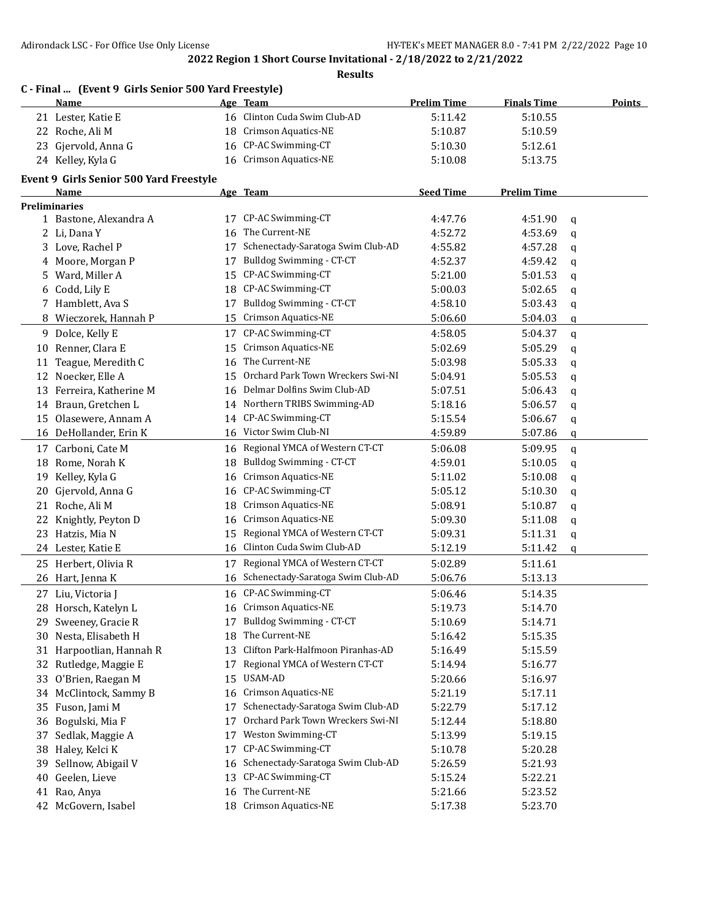|    | C - Final  (Event 9 Girls Senior 500 Yard Freestyle)<br>Name |    | <u>Age Team</u>                   | <b>Prelim Time</b> | <b>Finals Time</b> | <b>Points</b> |
|----|--------------------------------------------------------------|----|-----------------------------------|--------------------|--------------------|---------------|
|    | 21 Lester, Katie E                                           |    | 16 Clinton Cuda Swim Club-AD      | 5:11.42            | 5:10.55            |               |
|    | 22 Roche, Ali M                                              |    | 18 Crimson Aquatics-NE            | 5:10.87            | 5:10.59            |               |
| 23 | Gjervold, Anna G                                             | 16 | CP-AC Swimming-CT                 | 5:10.30            | 5:12.61            |               |
|    | 24 Kelley, Kyla G                                            |    | 16 Crimson Aquatics-NE            | 5:10.08            | 5:13.75            |               |
|    | Event 9 Girls Senior 500 Yard Freestyle                      |    |                                   |                    |                    |               |
|    | Name                                                         |    | Age Team                          | <b>Seed Time</b>   | <b>Prelim Time</b> |               |
|    | <b>Preliminaries</b>                                         |    |                                   |                    |                    |               |
|    | 1 Bastone, Alexandra A                                       | 17 | CP-AC Swimming-CT                 | 4:47.76            | 4:51.90            | q             |
|    | 2 Li, Dana Y                                                 | 16 | The Current-NE                    | 4:52.72            | 4:53.69            | q             |
|    | 3 Love, Rachel P                                             | 17 | Schenectady-Saratoga Swim Club-AD | 4:55.82            | 4:57.28            | q             |
|    | 4 Moore, Morgan P                                            | 17 | Bulldog Swimming - CT-CT          | 4:52.37            | 4:59.42            | q             |
| 5. | Ward, Miller A                                               | 15 | CP-AC Swimming-CT                 | 5:21.00            | 5:01.53            | q             |
|    | 6 Codd, Lily E                                               |    | 18 CP-AC Swimming-CT              | 5:00.03            | 5:02.65            | q             |
|    | 7 Hamblett, Ava S                                            | 17 | Bulldog Swimming - CT-CT          | 4:58.10            | 5:03.43            | q             |
|    | Wieczorek, Hannah P                                          | 15 | Crimson Aquatics-NE               | 5:06.60            | 5:04.03            | q             |
|    | 9 Dolce, Kelly E                                             |    | 17 CP-AC Swimming-CT              | 4:58.05            | 5:04.37            | q             |
| 10 | Renner, Clara E                                              | 15 | <b>Crimson Aquatics-NE</b>        | 5:02.69            | 5:05.29            | q             |
| 11 | Teague, Meredith C                                           | 16 | The Current-NE                    | 5:03.98            | 5:05.33            | q             |
|    | 12 Noecker, Elle A                                           | 15 | Orchard Park Town Wreckers Swi-NI | 5:04.91            | 5:05.53            | q             |
| 13 | Ferreira, Katherine M                                        | 16 | Delmar Dolfins Swim Club-AD       | 5:07.51            | 5:06.43            | q             |
|    | 14 Braun, Gretchen L                                         |    | 14 Northern TRIBS Swimming-AD     | 5:18.16            | 5:06.57            | q             |
| 15 | Olasewere, Annam A                                           |    | 14 CP-AC Swimming-CT              | 5:15.54            | 5:06.67            | q             |
|    | 16 DeHollander, Erin K                                       |    | 16 Victor Swim Club-NI            | 4:59.89            | 5:07.86            | q             |
| 17 | Carboni, Cate M                                              | 16 | Regional YMCA of Western CT-CT    | 5:06.08            | 5:09.95            | q             |
| 18 | Rome, Norah K                                                | 18 | Bulldog Swimming - CT-CT          | 4:59.01            | 5:10.05            | q             |
| 19 | Kelley, Kyla G                                               | 16 | Crimson Aquatics-NE               | 5:11.02            | 5:10.08            | q             |
| 20 | Gjervold, Anna G                                             | 16 | CP-AC Swimming-CT                 | 5:05.12            | 5:10.30            | q             |
| 21 | Roche, Ali M                                                 | 18 | Crimson Aquatics-NE               | 5:08.91            | 5:10.87            | q             |
| 22 | Knightly, Peyton D                                           | 16 | Crimson Aquatics-NE               | 5:09.30            | 5:11.08            | q             |
| 23 | Hatzis, Mia N                                                | 15 | Regional YMCA of Western CT-CT    | 5:09.31            | 5:11.31            | q             |
|    | 24 Lester, Katie E                                           | 16 | Clinton Cuda Swim Club-AD         | 5:12.19            | 5:11.42            | q             |
|    | 25 Herbert, Olivia R                                         |    | 17 Regional YMCA of Western CT-CT | 5:02.89            | 5:11.61            |               |
|    | 26 Hart, Jenna K                                             | 16 | Schenectady-Saratoga Swim Club-AD | 5:06.76            | 5:13.13            |               |
|    | 27 Liu, Victoria J                                           |    | 16 CP-AC Swimming-CT              | 5:06.46            | 5:14.35            |               |
|    | 28 Horsch, Katelyn L                                         |    | 16 Crimson Aquatics-NE            | 5:19.73            | 5:14.70            |               |
|    | 29 Sweeney, Gracie R                                         | 17 | Bulldog Swimming - CT-CT          | 5:10.69            | 5:14.71            |               |
|    | 30 Nesta, Elisabeth H                                        | 18 | The Current-NE                    | 5:16.42            | 5:15.35            |               |
|    | 31 Harpootlian, Hannah R                                     | 13 | Clifton Park-Halfmoon Piranhas-AD | 5:16.49            | 5:15.59            |               |
|    | 32 Rutledge, Maggie E                                        | 17 | Regional YMCA of Western CT-CT    | 5:14.94            | 5:16.77            |               |
|    | 33 O'Brien, Raegan M                                         | 15 | USAM-AD                           | 5:20.66            | 5:16.97            |               |
|    | 34 McClintock, Sammy B                                       | 16 | Crimson Aquatics-NE               | 5:21.19            | 5:17.11            |               |
|    | 35 Fuson, Jami M                                             | 17 | Schenectady-Saratoga Swim Club-AD | 5:22.79            | 5:17.12            |               |
|    | 36 Bogulski, Mia F                                           | 17 | Orchard Park Town Wreckers Swi-NI | 5:12.44            | 5:18.80            |               |
| 37 | Sedlak, Maggie A                                             | 17 | Weston Swimming-CT                | 5:13.99            | 5:19.15            |               |
|    | 38 Haley, Kelci K                                            | 17 | CP-AC Swimming-CT                 | 5:10.78            | 5:20.28            |               |
| 39 | Sellnow, Abigail V                                           | 16 | Schenectady-Saratoga Swim Club-AD | 5:26.59            | 5:21.93            |               |
| 40 | Geelen, Lieve                                                | 13 | CP-AC Swimming-CT                 | 5:15.24            | 5:22.21            |               |
| 41 | Rao, Anya                                                    | 16 | The Current-NE                    | 5:21.66            | 5:23.52            |               |
|    | 42 McGovern, Isabel                                          |    | 18 Crimson Aquatics-NE            | 5:17.38            | 5:23.70            |               |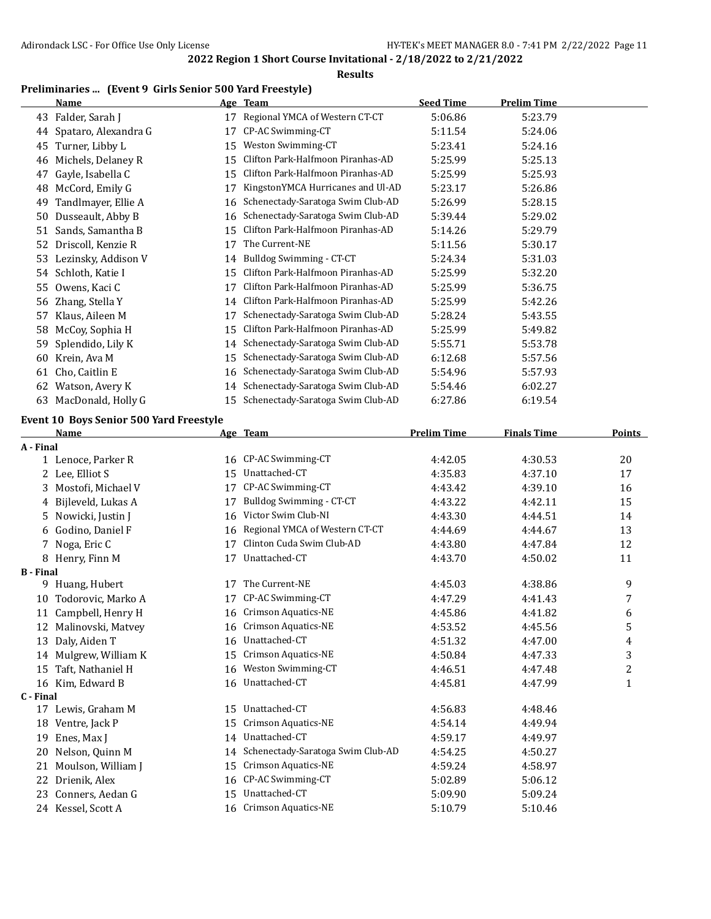**Results**

# **Preliminaries ... (Event 9 Girls Senior 500 Yard Freestyle)**

|                  | Name                                           |    | Age Team                             | <b>Seed Time</b>   | <b>Prelim Time</b> |                         |
|------------------|------------------------------------------------|----|--------------------------------------|--------------------|--------------------|-------------------------|
|                  | 43 Falder, Sarah J                             | 17 | Regional YMCA of Western CT-CT       | 5:06.86            | 5:23.79            |                         |
|                  | 44 Spataro, Alexandra G                        | 17 | CP-AC Swimming-CT                    | 5:11.54            | 5:24.06            |                         |
| 45               | Turner, Libby L                                | 15 | Weston Swimming-CT                   | 5:23.41            | 5:24.16            |                         |
|                  | 46 Michels, Delaney R                          | 15 | Clifton Park-Halfmoon Piranhas-AD    | 5:25.99            | 5:25.13            |                         |
| 47               | Gayle, Isabella C                              | 15 | Clifton Park-Halfmoon Piranhas-AD    | 5:25.99            | 5:25.93            |                         |
| 48               | McCord, Emily G                                | 17 | KingstonYMCA Hurricanes and Ul-AD    | 5:23.17            | 5:26.86            |                         |
| 49               | Tandlmayer, Ellie A                            | 16 | Schenectady-Saratoga Swim Club-AD    | 5:26.99            | 5:28.15            |                         |
| 50               | Dusseault, Abby B                              | 16 | Schenectady-Saratoga Swim Club-AD    | 5:39.44            | 5:29.02            |                         |
|                  | 51 Sands, Samantha B                           | 15 | Clifton Park-Halfmoon Piranhas-AD    | 5:14.26            | 5:29.79            |                         |
|                  | 52 Driscoll, Kenzie R                          | 17 | The Current-NE                       | 5:11.56            | 5:30.17            |                         |
|                  | 53 Lezinsky, Addison V                         | 14 | Bulldog Swimming - CT-CT             | 5:24.34            | 5:31.03            |                         |
|                  | 54 Schloth, Katie I                            | 15 | Clifton Park-Halfmoon Piranhas-AD    | 5:25.99            | 5:32.20            |                         |
|                  | 55 Owens, Kaci C                               | 17 | Clifton Park-Halfmoon Piranhas-AD    | 5:25.99            | 5:36.75            |                         |
|                  | 56 Zhang, Stella Y                             | 14 | Clifton Park-Halfmoon Piranhas-AD    | 5:25.99            | 5:42.26            |                         |
|                  | 57 Klaus, Aileen M                             | 17 | Schenectady-Saratoga Swim Club-AD    | 5:28.24            | 5:43.55            |                         |
|                  | 58 McCoy, Sophia H                             | 15 | Clifton Park-Halfmoon Piranhas-AD    | 5:25.99            | 5:49.82            |                         |
| 59               | Splendido, Lily K                              | 14 | Schenectady-Saratoga Swim Club-AD    | 5:55.71            | 5:53.78            |                         |
|                  | 60 Krein, Ava M                                | 15 | Schenectady-Saratoga Swim Club-AD    | 6:12.68            | 5:57.56            |                         |
|                  | 61 Cho, Caitlin E                              | 16 | Schenectady-Saratoga Swim Club-AD    | 5:54.96            | 5:57.93            |                         |
|                  | 62 Watson, Avery K                             | 14 | Schenectady-Saratoga Swim Club-AD    | 5:54.46            | 6:02.27            |                         |
|                  | 63 MacDonald, Holly G                          |    | 15 Schenectady-Saratoga Swim Club-AD | 6:27.86            | 6:19.54            |                         |
|                  | <b>Event 10 Boys Senior 500 Yard Freestyle</b> |    |                                      |                    |                    |                         |
|                  | <b>Name</b>                                    |    | Age Team                             | <b>Prelim Time</b> | <b>Finals Time</b> | <b>Points</b>           |
| A - Final        |                                                |    |                                      |                    |                    |                         |
|                  | 1 Lenoce, Parker R                             |    | 16 CP-AC Swimming-CT                 | 4:42.05            | 4:30.53            | 20                      |
|                  | 2 Lee, Elliot S                                | 15 | Unattached-CT                        | 4:35.83            | 4:37.10            | 17                      |
|                  | 3 Mostofi, Michael V                           | 17 | CP-AC Swimming-CT                    | 4:43.42            | 4:39.10            | 16                      |
|                  | 4 Bijleveld, Lukas A                           | 17 | Bulldog Swimming - CT-CT             | 4:43.22            | 4:42.11            | 15                      |
| 5.               | Nowicki, Justin J                              | 16 | Victor Swim Club-NI                  | 4:43.30            | 4:44.51            | 14                      |
|                  | 6 Godino, Daniel F                             | 16 | Regional YMCA of Western CT-CT       | 4:44.69            | 4:44.67            | 13                      |
|                  | 7 Noga, Eric C                                 | 17 | Clinton Cuda Swim Club-AD            | 4:43.80            | 4:47.84            | 12                      |
|                  | 8 Henry, Finn M                                | 17 | Unattached-CT                        | 4:43.70            | 4:50.02            | 11                      |
| <b>B</b> - Final |                                                |    |                                      |                    |                    |                         |
|                  | 9 Huang, Hubert                                | 17 | The Current-NE                       | 4:45.03            | 4:38.86            | 9                       |
|                  | 10 Todorovic, Marko A                          | 17 | CP-AC Swimming-CT                    | 4:47.29            | 4:41.43            | 7                       |
|                  | 11 Campbell, Henry H                           |    | 16 Crimson Aquatics-NE               | 4:45.86            | 4:41.82            | 6                       |
|                  |                                                |    |                                      |                    |                    |                         |
|                  | 12 Malinovski, Matvey                          |    | 16 Crimson Aquatics-NE               | 4:53.52            | 4:45.56            | 5                       |
|                  | 13 Daly, Aiden T                               | 16 | Unattached-CT                        | 4:51.32            | 4:47.00            | 4                       |
|                  | 14 Mulgrew, William K                          | 15 | <b>Crimson Aquatics-NE</b>           | 4:50.84            | 4:47.33            | 3                       |
| 15               | Taft, Nathaniel H                              | 16 | Weston Swimming-CT                   | 4:46.51            | 4:47.48            | $\overline{\mathbf{c}}$ |
|                  | 16 Kim, Edward B                               | 16 | Unattached-CT                        | 4:45.81            | 4:47.99            | $\mathbf{1}$            |
| C - Final        |                                                |    |                                      |                    |                    |                         |
|                  | 17 Lewis, Graham M                             |    | 15 Unattached-CT                     | 4:56.83            | 4:48.46            |                         |
|                  | 18 Ventre, Jack P                              | 15 | Crimson Aquatics-NE                  | 4:54.14            | 4:49.94            |                         |
| 19               | Enes, Max J                                    | 14 | Unattached-CT                        | 4:59.17            | 4:49.97            |                         |
| 20               | Nelson, Quinn M                                | 14 | Schenectady-Saratoga Swim Club-AD    | 4:54.25            | 4:50.27            |                         |
|                  | 21 Moulson, William J                          | 15 | Crimson Aquatics-NE                  | 4:59.24            | 4:58.97            |                         |
|                  | 22 Drienik, Alex                               | 16 | CP-AC Swimming-CT                    | 5:02.89            | 5:06.12            |                         |
|                  | 23 Conners, Aedan G                            | 15 | Unattached-CT                        | 5:09.90            | 5:09.24            |                         |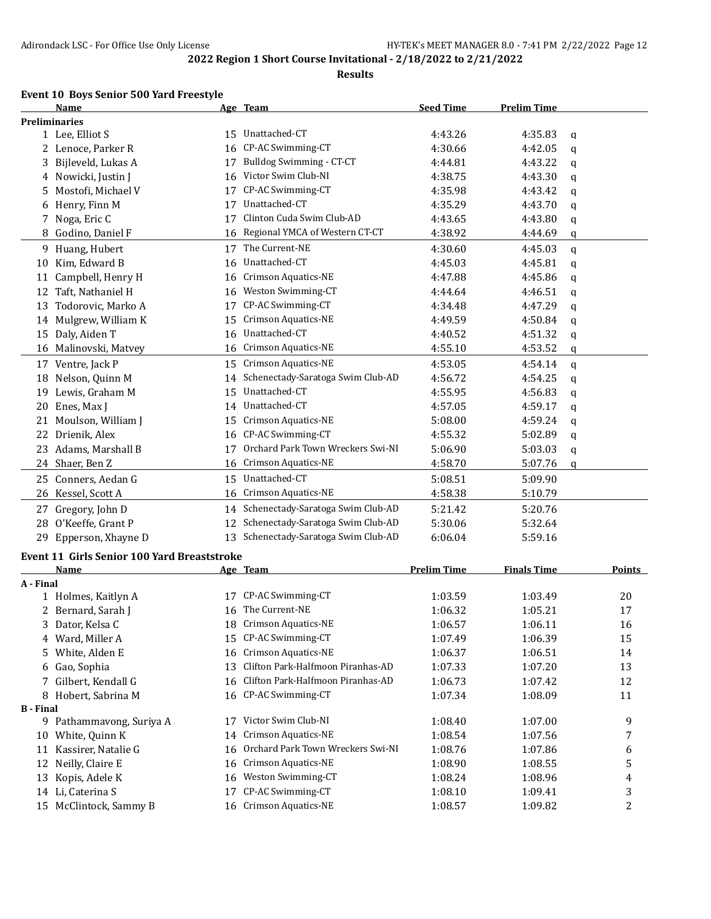#### **Results**

# **Event 10 Boys Senior 500 Yard Freestyle**

| Preliminaries<br>15 Unattached-CT<br>1 Lee, Elliot S<br>4:43.26<br>4:35.83<br>q<br>CP-AC Swimming-CT<br>2 Lenoce, Parker R<br>4:30.66<br>4:42.05<br>16<br>q<br>Bulldog Swimming - CT-CT<br>Bijleveld, Lukas A<br>4:44.81<br>4:43.22<br>3<br>17<br>q<br>Victor Swim Club-NI<br>4 Nowicki, Justin J<br>4:38.75<br>4:43.30<br>16<br>q<br>CP-AC Swimming-CT<br>Mostofi, Michael V<br>4:35.98<br>4:43.42<br>5<br>17<br>q<br>Unattached-CT<br>Henry, Finn M<br>4:35.29<br>4:43.70<br>17<br>6<br>q<br>Clinton Cuda Swim Club-AD<br>4:43.80<br>7 Noga, Eric C<br>4:43.65<br>17<br>q<br>Regional YMCA of Western CT-CT<br>8 Godino, Daniel F<br>4:38.92<br>4:44.69<br>16<br>q<br>The Current-NE<br>Huang, Hubert<br>4:30.60<br>4:45.03<br>9<br>17<br>$\mathbf{q}$<br>Unattached-CT<br>Kim, Edward B<br>4:45.03<br>4:45.81<br>10<br>16<br>q<br>Crimson Aquatics-NE<br>Campbell, Henry H<br>4:47.88<br>4:45.86<br>16<br>11<br>q<br>Weston Swimming-CT<br>Taft, Nathaniel H<br>4:44.64<br>4:46.51<br>12<br>16<br>q<br>CP-AC Swimming-CT<br>Todorovic, Marko A<br>13<br>4:34.48<br>4:47.29<br>17<br>q<br>Crimson Aquatics-NE<br>14 Mulgrew, William K<br>15<br>4:49.59<br>4:50.84<br>q<br>Unattached-CT<br>Daly, Aiden T<br>4:40.52<br>4:51.32<br>15<br>16<br>q<br>Crimson Aquatics-NE<br>16 Malinovski, Matvey<br>4:55.10<br>4:53.52<br>16<br>q<br><b>Crimson Aquatics-NE</b><br>17 Ventre, Jack P<br>4:53.05<br>4:54.14<br>15<br>q<br>Schenectady-Saratoga Swim Club-AD<br>Nelson, Quinn M<br>4:56.72<br>4:54.25<br>18<br>14<br>q<br>Unattached-CT<br>19 Lewis, Graham M<br>4:55.95<br>4:56.83<br>15<br>q<br>Unattached-CT<br>20<br>Enes, Max J<br>4:57.05<br>4:59.17<br>14<br>q<br>21 Moulson, William J<br>Crimson Aquatics-NE<br>5:08.00<br>4:59.24<br>15<br>q<br>CP-AC Swimming-CT<br>22 Drienik, Alex<br>4:55.32<br>5:02.89<br>16<br>q<br>Orchard Park Town Wreckers Swi-NI<br>23 Adams, Marshall B<br>5:03.03<br>17<br>5:06.90<br>q<br>24 Shaer, Ben Z<br>16 Crimson Aquatics-NE<br>4:58.70<br>5:07.76<br>q<br>15 Unattached-CT<br>25 Conners, Aedan G<br>5:08.51<br>5:09.90<br>26 Kessel, Scott A<br>Crimson Aquatics-NE<br>4:58.38<br>5:10.79<br>16<br>Schenectady-Saratoga Swim Club-AD<br>27 Gregory, John D<br>5:21.42<br>5:20.76<br>14<br>Schenectady-Saratoga Swim Club-AD<br>O'Keeffe, Grant P<br>5:30.06<br>5:32.64<br>28<br>12<br>13 Schenectady-Saratoga Swim Club-AD<br>29 Epperson, Xhayne D<br>6:06.04<br>5:59.16<br><b>Event 11 Girls Senior 100 Yard Breaststroke</b><br><b>Prelim Time</b><br><b>Finals Time</b><br>Name<br>Age Team<br><b>Points</b><br>A - Final<br>17 CP-AC Swimming-CT<br>1 Holmes, Kaitlyn A<br>1:03.59<br>1:03.49<br>20<br>16 The Current-NE<br>2 Bernard, Sarah J<br>1:06.32<br>1:05.21<br>17<br>18 Crimson Aquatics-NE<br>Dator, Kelsa C<br>1:06.57<br>1:06.11<br>16<br>CP-AC Swimming-CT<br>15<br>4 Ward, Miller A<br>15<br>1:07.49<br>1:06.39<br>Crimson Aquatics-NE<br>White, Alden E<br>14<br>1:06.37<br>1:06.51<br>16<br>5<br>Clifton Park-Halfmoon Piranhas-AD<br>6 Gao, Sophia<br>13<br>13<br>1:07.33<br>1:07.20<br>Clifton Park-Halfmoon Piranhas-AD<br>Gilbert, Kendall G<br>12<br>1:06.73<br>1:07.42<br>7<br>16<br>16 CP-AC Swimming-CT<br>Hobert, Sabrina M<br>11<br>1:07.34<br>1:08.09<br>8<br><b>B</b> - Final<br>Victor Swim Club-NI<br>9 Pathammavong, Suriya A<br>9<br>1:08.40<br>1:07.00<br>17<br>Crimson Aquatics-NE<br>7<br>10 White, Quinn K<br>1:08.54<br>1:07.56<br>14<br>Orchard Park Town Wreckers Swi-NI<br>Kassirer, Natalie G<br>1:08.76<br>1:07.86<br>6<br>11<br>16<br>Crimson Aquatics-NE<br>Neilly, Claire E<br>1:08.90<br>1:08.55<br>5<br>12<br>16<br>Weston Swimming-CT<br>Kopis, Adele K<br>4<br>13<br>1:08.24<br>1:08.96<br>16<br>CP-AC Swimming-CT<br>3<br>14 Li, Caterina S<br>1:08.10<br>1:09.41<br>17<br>Crimson Aquatics-NE<br>2<br>15 McClintock, Sammy B<br>1:08.57<br>1:09.82<br>16 | Name | Age Team | <b>Seed Time</b> | <b>Prelim Time</b> |  |
|-------------------------------------------------------------------------------------------------------------------------------------------------------------------------------------------------------------------------------------------------------------------------------------------------------------------------------------------------------------------------------------------------------------------------------------------------------------------------------------------------------------------------------------------------------------------------------------------------------------------------------------------------------------------------------------------------------------------------------------------------------------------------------------------------------------------------------------------------------------------------------------------------------------------------------------------------------------------------------------------------------------------------------------------------------------------------------------------------------------------------------------------------------------------------------------------------------------------------------------------------------------------------------------------------------------------------------------------------------------------------------------------------------------------------------------------------------------------------------------------------------------------------------------------------------------------------------------------------------------------------------------------------------------------------------------------------------------------------------------------------------------------------------------------------------------------------------------------------------------------------------------------------------------------------------------------------------------------------------------------------------------------------------------------------------------------------------------------------------------------------------------------------------------------------------------------------------------------------------------------------------------------------------------------------------------------------------------------------------------------------------------------------------------------------------------------------------------------------------------------------------------------------------------------------------------------------------------------------------------------------------------------------------------------------------------------------------------------------------------------------------------------------------------------------------------------------------------------------------------------------------------------------------------------------------------------------------------------------------------------------------------------------------------------------------------------------------------------------------------------------------------------------------------------------------------------------------------------------------------------------------------------------------------------------------------------------------------------------------------------------------------------------------------------------------------------------------------------------------------------------------------------------------------------------------------------------------------------------------------------------------------------------------------------------------------------------------------------------------------------------------------------------------------------------------------------------------------------------------------------|------|----------|------------------|--------------------|--|
|                                                                                                                                                                                                                                                                                                                                                                                                                                                                                                                                                                                                                                                                                                                                                                                                                                                                                                                                                                                                                                                                                                                                                                                                                                                                                                                                                                                                                                                                                                                                                                                                                                                                                                                                                                                                                                                                                                                                                                                                                                                                                                                                                                                                                                                                                                                                                                                                                                                                                                                                                                                                                                                                                                                                                                                                                                                                                                                                                                                                                                                                                                                                                                                                                                                                                                                                                                                                                                                                                                                                                                                                                                                                                                                                                                                                                                                                   |      |          |                  |                    |  |
|                                                                                                                                                                                                                                                                                                                                                                                                                                                                                                                                                                                                                                                                                                                                                                                                                                                                                                                                                                                                                                                                                                                                                                                                                                                                                                                                                                                                                                                                                                                                                                                                                                                                                                                                                                                                                                                                                                                                                                                                                                                                                                                                                                                                                                                                                                                                                                                                                                                                                                                                                                                                                                                                                                                                                                                                                                                                                                                                                                                                                                                                                                                                                                                                                                                                                                                                                                                                                                                                                                                                                                                                                                                                                                                                                                                                                                                                   |      |          |                  |                    |  |
|                                                                                                                                                                                                                                                                                                                                                                                                                                                                                                                                                                                                                                                                                                                                                                                                                                                                                                                                                                                                                                                                                                                                                                                                                                                                                                                                                                                                                                                                                                                                                                                                                                                                                                                                                                                                                                                                                                                                                                                                                                                                                                                                                                                                                                                                                                                                                                                                                                                                                                                                                                                                                                                                                                                                                                                                                                                                                                                                                                                                                                                                                                                                                                                                                                                                                                                                                                                                                                                                                                                                                                                                                                                                                                                                                                                                                                                                   |      |          |                  |                    |  |
|                                                                                                                                                                                                                                                                                                                                                                                                                                                                                                                                                                                                                                                                                                                                                                                                                                                                                                                                                                                                                                                                                                                                                                                                                                                                                                                                                                                                                                                                                                                                                                                                                                                                                                                                                                                                                                                                                                                                                                                                                                                                                                                                                                                                                                                                                                                                                                                                                                                                                                                                                                                                                                                                                                                                                                                                                                                                                                                                                                                                                                                                                                                                                                                                                                                                                                                                                                                                                                                                                                                                                                                                                                                                                                                                                                                                                                                                   |      |          |                  |                    |  |
|                                                                                                                                                                                                                                                                                                                                                                                                                                                                                                                                                                                                                                                                                                                                                                                                                                                                                                                                                                                                                                                                                                                                                                                                                                                                                                                                                                                                                                                                                                                                                                                                                                                                                                                                                                                                                                                                                                                                                                                                                                                                                                                                                                                                                                                                                                                                                                                                                                                                                                                                                                                                                                                                                                                                                                                                                                                                                                                                                                                                                                                                                                                                                                                                                                                                                                                                                                                                                                                                                                                                                                                                                                                                                                                                                                                                                                                                   |      |          |                  |                    |  |
|                                                                                                                                                                                                                                                                                                                                                                                                                                                                                                                                                                                                                                                                                                                                                                                                                                                                                                                                                                                                                                                                                                                                                                                                                                                                                                                                                                                                                                                                                                                                                                                                                                                                                                                                                                                                                                                                                                                                                                                                                                                                                                                                                                                                                                                                                                                                                                                                                                                                                                                                                                                                                                                                                                                                                                                                                                                                                                                                                                                                                                                                                                                                                                                                                                                                                                                                                                                                                                                                                                                                                                                                                                                                                                                                                                                                                                                                   |      |          |                  |                    |  |
|                                                                                                                                                                                                                                                                                                                                                                                                                                                                                                                                                                                                                                                                                                                                                                                                                                                                                                                                                                                                                                                                                                                                                                                                                                                                                                                                                                                                                                                                                                                                                                                                                                                                                                                                                                                                                                                                                                                                                                                                                                                                                                                                                                                                                                                                                                                                                                                                                                                                                                                                                                                                                                                                                                                                                                                                                                                                                                                                                                                                                                                                                                                                                                                                                                                                                                                                                                                                                                                                                                                                                                                                                                                                                                                                                                                                                                                                   |      |          |                  |                    |  |
|                                                                                                                                                                                                                                                                                                                                                                                                                                                                                                                                                                                                                                                                                                                                                                                                                                                                                                                                                                                                                                                                                                                                                                                                                                                                                                                                                                                                                                                                                                                                                                                                                                                                                                                                                                                                                                                                                                                                                                                                                                                                                                                                                                                                                                                                                                                                                                                                                                                                                                                                                                                                                                                                                                                                                                                                                                                                                                                                                                                                                                                                                                                                                                                                                                                                                                                                                                                                                                                                                                                                                                                                                                                                                                                                                                                                                                                                   |      |          |                  |                    |  |
|                                                                                                                                                                                                                                                                                                                                                                                                                                                                                                                                                                                                                                                                                                                                                                                                                                                                                                                                                                                                                                                                                                                                                                                                                                                                                                                                                                                                                                                                                                                                                                                                                                                                                                                                                                                                                                                                                                                                                                                                                                                                                                                                                                                                                                                                                                                                                                                                                                                                                                                                                                                                                                                                                                                                                                                                                                                                                                                                                                                                                                                                                                                                                                                                                                                                                                                                                                                                                                                                                                                                                                                                                                                                                                                                                                                                                                                                   |      |          |                  |                    |  |
|                                                                                                                                                                                                                                                                                                                                                                                                                                                                                                                                                                                                                                                                                                                                                                                                                                                                                                                                                                                                                                                                                                                                                                                                                                                                                                                                                                                                                                                                                                                                                                                                                                                                                                                                                                                                                                                                                                                                                                                                                                                                                                                                                                                                                                                                                                                                                                                                                                                                                                                                                                                                                                                                                                                                                                                                                                                                                                                                                                                                                                                                                                                                                                                                                                                                                                                                                                                                                                                                                                                                                                                                                                                                                                                                                                                                                                                                   |      |          |                  |                    |  |
|                                                                                                                                                                                                                                                                                                                                                                                                                                                                                                                                                                                                                                                                                                                                                                                                                                                                                                                                                                                                                                                                                                                                                                                                                                                                                                                                                                                                                                                                                                                                                                                                                                                                                                                                                                                                                                                                                                                                                                                                                                                                                                                                                                                                                                                                                                                                                                                                                                                                                                                                                                                                                                                                                                                                                                                                                                                                                                                                                                                                                                                                                                                                                                                                                                                                                                                                                                                                                                                                                                                                                                                                                                                                                                                                                                                                                                                                   |      |          |                  |                    |  |
|                                                                                                                                                                                                                                                                                                                                                                                                                                                                                                                                                                                                                                                                                                                                                                                                                                                                                                                                                                                                                                                                                                                                                                                                                                                                                                                                                                                                                                                                                                                                                                                                                                                                                                                                                                                                                                                                                                                                                                                                                                                                                                                                                                                                                                                                                                                                                                                                                                                                                                                                                                                                                                                                                                                                                                                                                                                                                                                                                                                                                                                                                                                                                                                                                                                                                                                                                                                                                                                                                                                                                                                                                                                                                                                                                                                                                                                                   |      |          |                  |                    |  |
|                                                                                                                                                                                                                                                                                                                                                                                                                                                                                                                                                                                                                                                                                                                                                                                                                                                                                                                                                                                                                                                                                                                                                                                                                                                                                                                                                                                                                                                                                                                                                                                                                                                                                                                                                                                                                                                                                                                                                                                                                                                                                                                                                                                                                                                                                                                                                                                                                                                                                                                                                                                                                                                                                                                                                                                                                                                                                                                                                                                                                                                                                                                                                                                                                                                                                                                                                                                                                                                                                                                                                                                                                                                                                                                                                                                                                                                                   |      |          |                  |                    |  |
|                                                                                                                                                                                                                                                                                                                                                                                                                                                                                                                                                                                                                                                                                                                                                                                                                                                                                                                                                                                                                                                                                                                                                                                                                                                                                                                                                                                                                                                                                                                                                                                                                                                                                                                                                                                                                                                                                                                                                                                                                                                                                                                                                                                                                                                                                                                                                                                                                                                                                                                                                                                                                                                                                                                                                                                                                                                                                                                                                                                                                                                                                                                                                                                                                                                                                                                                                                                                                                                                                                                                                                                                                                                                                                                                                                                                                                                                   |      |          |                  |                    |  |
|                                                                                                                                                                                                                                                                                                                                                                                                                                                                                                                                                                                                                                                                                                                                                                                                                                                                                                                                                                                                                                                                                                                                                                                                                                                                                                                                                                                                                                                                                                                                                                                                                                                                                                                                                                                                                                                                                                                                                                                                                                                                                                                                                                                                                                                                                                                                                                                                                                                                                                                                                                                                                                                                                                                                                                                                                                                                                                                                                                                                                                                                                                                                                                                                                                                                                                                                                                                                                                                                                                                                                                                                                                                                                                                                                                                                                                                                   |      |          |                  |                    |  |
|                                                                                                                                                                                                                                                                                                                                                                                                                                                                                                                                                                                                                                                                                                                                                                                                                                                                                                                                                                                                                                                                                                                                                                                                                                                                                                                                                                                                                                                                                                                                                                                                                                                                                                                                                                                                                                                                                                                                                                                                                                                                                                                                                                                                                                                                                                                                                                                                                                                                                                                                                                                                                                                                                                                                                                                                                                                                                                                                                                                                                                                                                                                                                                                                                                                                                                                                                                                                                                                                                                                                                                                                                                                                                                                                                                                                                                                                   |      |          |                  |                    |  |
|                                                                                                                                                                                                                                                                                                                                                                                                                                                                                                                                                                                                                                                                                                                                                                                                                                                                                                                                                                                                                                                                                                                                                                                                                                                                                                                                                                                                                                                                                                                                                                                                                                                                                                                                                                                                                                                                                                                                                                                                                                                                                                                                                                                                                                                                                                                                                                                                                                                                                                                                                                                                                                                                                                                                                                                                                                                                                                                                                                                                                                                                                                                                                                                                                                                                                                                                                                                                                                                                                                                                                                                                                                                                                                                                                                                                                                                                   |      |          |                  |                    |  |
|                                                                                                                                                                                                                                                                                                                                                                                                                                                                                                                                                                                                                                                                                                                                                                                                                                                                                                                                                                                                                                                                                                                                                                                                                                                                                                                                                                                                                                                                                                                                                                                                                                                                                                                                                                                                                                                                                                                                                                                                                                                                                                                                                                                                                                                                                                                                                                                                                                                                                                                                                                                                                                                                                                                                                                                                                                                                                                                                                                                                                                                                                                                                                                                                                                                                                                                                                                                                                                                                                                                                                                                                                                                                                                                                                                                                                                                                   |      |          |                  |                    |  |
|                                                                                                                                                                                                                                                                                                                                                                                                                                                                                                                                                                                                                                                                                                                                                                                                                                                                                                                                                                                                                                                                                                                                                                                                                                                                                                                                                                                                                                                                                                                                                                                                                                                                                                                                                                                                                                                                                                                                                                                                                                                                                                                                                                                                                                                                                                                                                                                                                                                                                                                                                                                                                                                                                                                                                                                                                                                                                                                                                                                                                                                                                                                                                                                                                                                                                                                                                                                                                                                                                                                                                                                                                                                                                                                                                                                                                                                                   |      |          |                  |                    |  |
|                                                                                                                                                                                                                                                                                                                                                                                                                                                                                                                                                                                                                                                                                                                                                                                                                                                                                                                                                                                                                                                                                                                                                                                                                                                                                                                                                                                                                                                                                                                                                                                                                                                                                                                                                                                                                                                                                                                                                                                                                                                                                                                                                                                                                                                                                                                                                                                                                                                                                                                                                                                                                                                                                                                                                                                                                                                                                                                                                                                                                                                                                                                                                                                                                                                                                                                                                                                                                                                                                                                                                                                                                                                                                                                                                                                                                                                                   |      |          |                  |                    |  |
|                                                                                                                                                                                                                                                                                                                                                                                                                                                                                                                                                                                                                                                                                                                                                                                                                                                                                                                                                                                                                                                                                                                                                                                                                                                                                                                                                                                                                                                                                                                                                                                                                                                                                                                                                                                                                                                                                                                                                                                                                                                                                                                                                                                                                                                                                                                                                                                                                                                                                                                                                                                                                                                                                                                                                                                                                                                                                                                                                                                                                                                                                                                                                                                                                                                                                                                                                                                                                                                                                                                                                                                                                                                                                                                                                                                                                                                                   |      |          |                  |                    |  |
|                                                                                                                                                                                                                                                                                                                                                                                                                                                                                                                                                                                                                                                                                                                                                                                                                                                                                                                                                                                                                                                                                                                                                                                                                                                                                                                                                                                                                                                                                                                                                                                                                                                                                                                                                                                                                                                                                                                                                                                                                                                                                                                                                                                                                                                                                                                                                                                                                                                                                                                                                                                                                                                                                                                                                                                                                                                                                                                                                                                                                                                                                                                                                                                                                                                                                                                                                                                                                                                                                                                                                                                                                                                                                                                                                                                                                                                                   |      |          |                  |                    |  |
|                                                                                                                                                                                                                                                                                                                                                                                                                                                                                                                                                                                                                                                                                                                                                                                                                                                                                                                                                                                                                                                                                                                                                                                                                                                                                                                                                                                                                                                                                                                                                                                                                                                                                                                                                                                                                                                                                                                                                                                                                                                                                                                                                                                                                                                                                                                                                                                                                                                                                                                                                                                                                                                                                                                                                                                                                                                                                                                                                                                                                                                                                                                                                                                                                                                                                                                                                                                                                                                                                                                                                                                                                                                                                                                                                                                                                                                                   |      |          |                  |                    |  |
|                                                                                                                                                                                                                                                                                                                                                                                                                                                                                                                                                                                                                                                                                                                                                                                                                                                                                                                                                                                                                                                                                                                                                                                                                                                                                                                                                                                                                                                                                                                                                                                                                                                                                                                                                                                                                                                                                                                                                                                                                                                                                                                                                                                                                                                                                                                                                                                                                                                                                                                                                                                                                                                                                                                                                                                                                                                                                                                                                                                                                                                                                                                                                                                                                                                                                                                                                                                                                                                                                                                                                                                                                                                                                                                                                                                                                                                                   |      |          |                  |                    |  |
|                                                                                                                                                                                                                                                                                                                                                                                                                                                                                                                                                                                                                                                                                                                                                                                                                                                                                                                                                                                                                                                                                                                                                                                                                                                                                                                                                                                                                                                                                                                                                                                                                                                                                                                                                                                                                                                                                                                                                                                                                                                                                                                                                                                                                                                                                                                                                                                                                                                                                                                                                                                                                                                                                                                                                                                                                                                                                                                                                                                                                                                                                                                                                                                                                                                                                                                                                                                                                                                                                                                                                                                                                                                                                                                                                                                                                                                                   |      |          |                  |                    |  |
|                                                                                                                                                                                                                                                                                                                                                                                                                                                                                                                                                                                                                                                                                                                                                                                                                                                                                                                                                                                                                                                                                                                                                                                                                                                                                                                                                                                                                                                                                                                                                                                                                                                                                                                                                                                                                                                                                                                                                                                                                                                                                                                                                                                                                                                                                                                                                                                                                                                                                                                                                                                                                                                                                                                                                                                                                                                                                                                                                                                                                                                                                                                                                                                                                                                                                                                                                                                                                                                                                                                                                                                                                                                                                                                                                                                                                                                                   |      |          |                  |                    |  |
|                                                                                                                                                                                                                                                                                                                                                                                                                                                                                                                                                                                                                                                                                                                                                                                                                                                                                                                                                                                                                                                                                                                                                                                                                                                                                                                                                                                                                                                                                                                                                                                                                                                                                                                                                                                                                                                                                                                                                                                                                                                                                                                                                                                                                                                                                                                                                                                                                                                                                                                                                                                                                                                                                                                                                                                                                                                                                                                                                                                                                                                                                                                                                                                                                                                                                                                                                                                                                                                                                                                                                                                                                                                                                                                                                                                                                                                                   |      |          |                  |                    |  |
|                                                                                                                                                                                                                                                                                                                                                                                                                                                                                                                                                                                                                                                                                                                                                                                                                                                                                                                                                                                                                                                                                                                                                                                                                                                                                                                                                                                                                                                                                                                                                                                                                                                                                                                                                                                                                                                                                                                                                                                                                                                                                                                                                                                                                                                                                                                                                                                                                                                                                                                                                                                                                                                                                                                                                                                                                                                                                                                                                                                                                                                                                                                                                                                                                                                                                                                                                                                                                                                                                                                                                                                                                                                                                                                                                                                                                                                                   |      |          |                  |                    |  |
|                                                                                                                                                                                                                                                                                                                                                                                                                                                                                                                                                                                                                                                                                                                                                                                                                                                                                                                                                                                                                                                                                                                                                                                                                                                                                                                                                                                                                                                                                                                                                                                                                                                                                                                                                                                                                                                                                                                                                                                                                                                                                                                                                                                                                                                                                                                                                                                                                                                                                                                                                                                                                                                                                                                                                                                                                                                                                                                                                                                                                                                                                                                                                                                                                                                                                                                                                                                                                                                                                                                                                                                                                                                                                                                                                                                                                                                                   |      |          |                  |                    |  |
|                                                                                                                                                                                                                                                                                                                                                                                                                                                                                                                                                                                                                                                                                                                                                                                                                                                                                                                                                                                                                                                                                                                                                                                                                                                                                                                                                                                                                                                                                                                                                                                                                                                                                                                                                                                                                                                                                                                                                                                                                                                                                                                                                                                                                                                                                                                                                                                                                                                                                                                                                                                                                                                                                                                                                                                                                                                                                                                                                                                                                                                                                                                                                                                                                                                                                                                                                                                                                                                                                                                                                                                                                                                                                                                                                                                                                                                                   |      |          |                  |                    |  |
|                                                                                                                                                                                                                                                                                                                                                                                                                                                                                                                                                                                                                                                                                                                                                                                                                                                                                                                                                                                                                                                                                                                                                                                                                                                                                                                                                                                                                                                                                                                                                                                                                                                                                                                                                                                                                                                                                                                                                                                                                                                                                                                                                                                                                                                                                                                                                                                                                                                                                                                                                                                                                                                                                                                                                                                                                                                                                                                                                                                                                                                                                                                                                                                                                                                                                                                                                                                                                                                                                                                                                                                                                                                                                                                                                                                                                                                                   |      |          |                  |                    |  |
|                                                                                                                                                                                                                                                                                                                                                                                                                                                                                                                                                                                                                                                                                                                                                                                                                                                                                                                                                                                                                                                                                                                                                                                                                                                                                                                                                                                                                                                                                                                                                                                                                                                                                                                                                                                                                                                                                                                                                                                                                                                                                                                                                                                                                                                                                                                                                                                                                                                                                                                                                                                                                                                                                                                                                                                                                                                                                                                                                                                                                                                                                                                                                                                                                                                                                                                                                                                                                                                                                                                                                                                                                                                                                                                                                                                                                                                                   |      |          |                  |                    |  |
|                                                                                                                                                                                                                                                                                                                                                                                                                                                                                                                                                                                                                                                                                                                                                                                                                                                                                                                                                                                                                                                                                                                                                                                                                                                                                                                                                                                                                                                                                                                                                                                                                                                                                                                                                                                                                                                                                                                                                                                                                                                                                                                                                                                                                                                                                                                                                                                                                                                                                                                                                                                                                                                                                                                                                                                                                                                                                                                                                                                                                                                                                                                                                                                                                                                                                                                                                                                                                                                                                                                                                                                                                                                                                                                                                                                                                                                                   |      |          |                  |                    |  |
|                                                                                                                                                                                                                                                                                                                                                                                                                                                                                                                                                                                                                                                                                                                                                                                                                                                                                                                                                                                                                                                                                                                                                                                                                                                                                                                                                                                                                                                                                                                                                                                                                                                                                                                                                                                                                                                                                                                                                                                                                                                                                                                                                                                                                                                                                                                                                                                                                                                                                                                                                                                                                                                                                                                                                                                                                                                                                                                                                                                                                                                                                                                                                                                                                                                                                                                                                                                                                                                                                                                                                                                                                                                                                                                                                                                                                                                                   |      |          |                  |                    |  |
|                                                                                                                                                                                                                                                                                                                                                                                                                                                                                                                                                                                                                                                                                                                                                                                                                                                                                                                                                                                                                                                                                                                                                                                                                                                                                                                                                                                                                                                                                                                                                                                                                                                                                                                                                                                                                                                                                                                                                                                                                                                                                                                                                                                                                                                                                                                                                                                                                                                                                                                                                                                                                                                                                                                                                                                                                                                                                                                                                                                                                                                                                                                                                                                                                                                                                                                                                                                                                                                                                                                                                                                                                                                                                                                                                                                                                                                                   |      |          |                  |                    |  |
|                                                                                                                                                                                                                                                                                                                                                                                                                                                                                                                                                                                                                                                                                                                                                                                                                                                                                                                                                                                                                                                                                                                                                                                                                                                                                                                                                                                                                                                                                                                                                                                                                                                                                                                                                                                                                                                                                                                                                                                                                                                                                                                                                                                                                                                                                                                                                                                                                                                                                                                                                                                                                                                                                                                                                                                                                                                                                                                                                                                                                                                                                                                                                                                                                                                                                                                                                                                                                                                                                                                                                                                                                                                                                                                                                                                                                                                                   |      |          |                  |                    |  |
|                                                                                                                                                                                                                                                                                                                                                                                                                                                                                                                                                                                                                                                                                                                                                                                                                                                                                                                                                                                                                                                                                                                                                                                                                                                                                                                                                                                                                                                                                                                                                                                                                                                                                                                                                                                                                                                                                                                                                                                                                                                                                                                                                                                                                                                                                                                                                                                                                                                                                                                                                                                                                                                                                                                                                                                                                                                                                                                                                                                                                                                                                                                                                                                                                                                                                                                                                                                                                                                                                                                                                                                                                                                                                                                                                                                                                                                                   |      |          |                  |                    |  |
|                                                                                                                                                                                                                                                                                                                                                                                                                                                                                                                                                                                                                                                                                                                                                                                                                                                                                                                                                                                                                                                                                                                                                                                                                                                                                                                                                                                                                                                                                                                                                                                                                                                                                                                                                                                                                                                                                                                                                                                                                                                                                                                                                                                                                                                                                                                                                                                                                                                                                                                                                                                                                                                                                                                                                                                                                                                                                                                                                                                                                                                                                                                                                                                                                                                                                                                                                                                                                                                                                                                                                                                                                                                                                                                                                                                                                                                                   |      |          |                  |                    |  |
|                                                                                                                                                                                                                                                                                                                                                                                                                                                                                                                                                                                                                                                                                                                                                                                                                                                                                                                                                                                                                                                                                                                                                                                                                                                                                                                                                                                                                                                                                                                                                                                                                                                                                                                                                                                                                                                                                                                                                                                                                                                                                                                                                                                                                                                                                                                                                                                                                                                                                                                                                                                                                                                                                                                                                                                                                                                                                                                                                                                                                                                                                                                                                                                                                                                                                                                                                                                                                                                                                                                                                                                                                                                                                                                                                                                                                                                                   |      |          |                  |                    |  |
|                                                                                                                                                                                                                                                                                                                                                                                                                                                                                                                                                                                                                                                                                                                                                                                                                                                                                                                                                                                                                                                                                                                                                                                                                                                                                                                                                                                                                                                                                                                                                                                                                                                                                                                                                                                                                                                                                                                                                                                                                                                                                                                                                                                                                                                                                                                                                                                                                                                                                                                                                                                                                                                                                                                                                                                                                                                                                                                                                                                                                                                                                                                                                                                                                                                                                                                                                                                                                                                                                                                                                                                                                                                                                                                                                                                                                                                                   |      |          |                  |                    |  |
|                                                                                                                                                                                                                                                                                                                                                                                                                                                                                                                                                                                                                                                                                                                                                                                                                                                                                                                                                                                                                                                                                                                                                                                                                                                                                                                                                                                                                                                                                                                                                                                                                                                                                                                                                                                                                                                                                                                                                                                                                                                                                                                                                                                                                                                                                                                                                                                                                                                                                                                                                                                                                                                                                                                                                                                                                                                                                                                                                                                                                                                                                                                                                                                                                                                                                                                                                                                                                                                                                                                                                                                                                                                                                                                                                                                                                                                                   |      |          |                  |                    |  |
|                                                                                                                                                                                                                                                                                                                                                                                                                                                                                                                                                                                                                                                                                                                                                                                                                                                                                                                                                                                                                                                                                                                                                                                                                                                                                                                                                                                                                                                                                                                                                                                                                                                                                                                                                                                                                                                                                                                                                                                                                                                                                                                                                                                                                                                                                                                                                                                                                                                                                                                                                                                                                                                                                                                                                                                                                                                                                                                                                                                                                                                                                                                                                                                                                                                                                                                                                                                                                                                                                                                                                                                                                                                                                                                                                                                                                                                                   |      |          |                  |                    |  |
|                                                                                                                                                                                                                                                                                                                                                                                                                                                                                                                                                                                                                                                                                                                                                                                                                                                                                                                                                                                                                                                                                                                                                                                                                                                                                                                                                                                                                                                                                                                                                                                                                                                                                                                                                                                                                                                                                                                                                                                                                                                                                                                                                                                                                                                                                                                                                                                                                                                                                                                                                                                                                                                                                                                                                                                                                                                                                                                                                                                                                                                                                                                                                                                                                                                                                                                                                                                                                                                                                                                                                                                                                                                                                                                                                                                                                                                                   |      |          |                  |                    |  |
|                                                                                                                                                                                                                                                                                                                                                                                                                                                                                                                                                                                                                                                                                                                                                                                                                                                                                                                                                                                                                                                                                                                                                                                                                                                                                                                                                                                                                                                                                                                                                                                                                                                                                                                                                                                                                                                                                                                                                                                                                                                                                                                                                                                                                                                                                                                                                                                                                                                                                                                                                                                                                                                                                                                                                                                                                                                                                                                                                                                                                                                                                                                                                                                                                                                                                                                                                                                                                                                                                                                                                                                                                                                                                                                                                                                                                                                                   |      |          |                  |                    |  |
|                                                                                                                                                                                                                                                                                                                                                                                                                                                                                                                                                                                                                                                                                                                                                                                                                                                                                                                                                                                                                                                                                                                                                                                                                                                                                                                                                                                                                                                                                                                                                                                                                                                                                                                                                                                                                                                                                                                                                                                                                                                                                                                                                                                                                                                                                                                                                                                                                                                                                                                                                                                                                                                                                                                                                                                                                                                                                                                                                                                                                                                                                                                                                                                                                                                                                                                                                                                                                                                                                                                                                                                                                                                                                                                                                                                                                                                                   |      |          |                  |                    |  |
|                                                                                                                                                                                                                                                                                                                                                                                                                                                                                                                                                                                                                                                                                                                                                                                                                                                                                                                                                                                                                                                                                                                                                                                                                                                                                                                                                                                                                                                                                                                                                                                                                                                                                                                                                                                                                                                                                                                                                                                                                                                                                                                                                                                                                                                                                                                                                                                                                                                                                                                                                                                                                                                                                                                                                                                                                                                                                                                                                                                                                                                                                                                                                                                                                                                                                                                                                                                                                                                                                                                                                                                                                                                                                                                                                                                                                                                                   |      |          |                  |                    |  |
|                                                                                                                                                                                                                                                                                                                                                                                                                                                                                                                                                                                                                                                                                                                                                                                                                                                                                                                                                                                                                                                                                                                                                                                                                                                                                                                                                                                                                                                                                                                                                                                                                                                                                                                                                                                                                                                                                                                                                                                                                                                                                                                                                                                                                                                                                                                                                                                                                                                                                                                                                                                                                                                                                                                                                                                                                                                                                                                                                                                                                                                                                                                                                                                                                                                                                                                                                                                                                                                                                                                                                                                                                                                                                                                                                                                                                                                                   |      |          |                  |                    |  |
|                                                                                                                                                                                                                                                                                                                                                                                                                                                                                                                                                                                                                                                                                                                                                                                                                                                                                                                                                                                                                                                                                                                                                                                                                                                                                                                                                                                                                                                                                                                                                                                                                                                                                                                                                                                                                                                                                                                                                                                                                                                                                                                                                                                                                                                                                                                                                                                                                                                                                                                                                                                                                                                                                                                                                                                                                                                                                                                                                                                                                                                                                                                                                                                                                                                                                                                                                                                                                                                                                                                                                                                                                                                                                                                                                                                                                                                                   |      |          |                  |                    |  |
|                                                                                                                                                                                                                                                                                                                                                                                                                                                                                                                                                                                                                                                                                                                                                                                                                                                                                                                                                                                                                                                                                                                                                                                                                                                                                                                                                                                                                                                                                                                                                                                                                                                                                                                                                                                                                                                                                                                                                                                                                                                                                                                                                                                                                                                                                                                                                                                                                                                                                                                                                                                                                                                                                                                                                                                                                                                                                                                                                                                                                                                                                                                                                                                                                                                                                                                                                                                                                                                                                                                                                                                                                                                                                                                                                                                                                                                                   |      |          |                  |                    |  |
|                                                                                                                                                                                                                                                                                                                                                                                                                                                                                                                                                                                                                                                                                                                                                                                                                                                                                                                                                                                                                                                                                                                                                                                                                                                                                                                                                                                                                                                                                                                                                                                                                                                                                                                                                                                                                                                                                                                                                                                                                                                                                                                                                                                                                                                                                                                                                                                                                                                                                                                                                                                                                                                                                                                                                                                                                                                                                                                                                                                                                                                                                                                                                                                                                                                                                                                                                                                                                                                                                                                                                                                                                                                                                                                                                                                                                                                                   |      |          |                  |                    |  |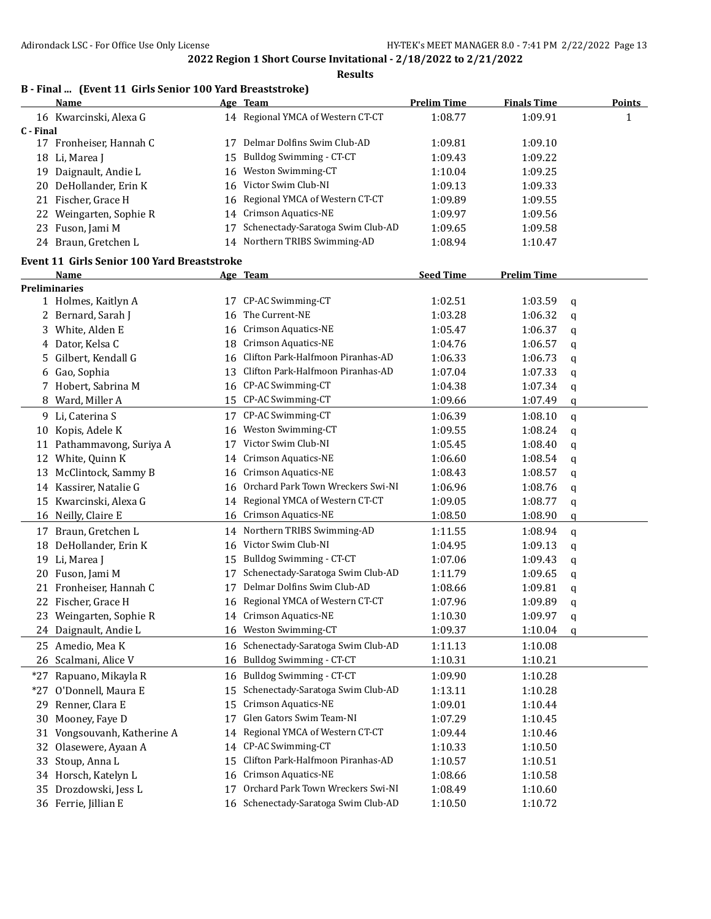|  |  |  |  |  | B - Final  (Event 11 Girls Senior 100 Yard Breaststroke) |
|--|--|--|--|--|----------------------------------------------------------|
|--|--|--|--|--|----------------------------------------------------------|

|           | <b>Name</b>                                        |    | Age Team                          | <b>Prelim Time</b> | <b>Finals Time</b> |   | <b>Points</b> |
|-----------|----------------------------------------------------|----|-----------------------------------|--------------------|--------------------|---|---------------|
|           | 16 Kwarcinski, Alexa G                             |    | 14 Regional YMCA of Western CT-CT | 1:08.77            | 1:09.91            |   | $\mathbf{1}$  |
| C - Final |                                                    |    |                                   |                    |                    |   |               |
|           | 17 Fronheiser, Hannah C                            | 17 | Delmar Dolfins Swim Club-AD       | 1:09.81            | 1:09.10            |   |               |
|           | 18 Li, Marea J                                     | 15 | <b>Bulldog Swimming - CT-CT</b>   | 1:09.43            | 1:09.22            |   |               |
|           | 19 Daignault, Andie L                              | 16 | Weston Swimming-CT                | 1:10.04            | 1:09.25            |   |               |
|           | 20 DeHollander, Erin K                             | 16 | Victor Swim Club-NI               | 1:09.13            | 1:09.33            |   |               |
|           | 21 Fischer, Grace H                                | 16 | Regional YMCA of Western CT-CT    | 1:09.89            | 1:09.55            |   |               |
|           | 22 Weingarten, Sophie R                            | 14 | Crimson Aquatics-NE               | 1:09.97            | 1:09.56            |   |               |
|           | 23 Fuson, Jami M                                   | 17 | Schenectady-Saratoga Swim Club-AD | 1:09.65            | 1:09.58            |   |               |
|           | 24 Braun, Gretchen L                               | 14 | Northern TRIBS Swimming-AD        | 1:08.94            | 1:10.47            |   |               |
|           | <b>Event 11 Girls Senior 100 Yard Breaststroke</b> |    |                                   |                    |                    |   |               |
|           | Name                                               |    | Age Team                          | <b>Seed Time</b>   | <b>Prelim Time</b> |   |               |
|           | <b>Preliminaries</b>                               |    |                                   |                    |                    |   |               |
|           | 1 Holmes, Kaitlyn A                                |    | 17 CP-AC Swimming-CT              | 1:02.51            | 1:03.59            | q |               |
|           | 2 Bernard, Sarah J                                 | 16 | The Current-NE                    | 1:03.28            | 1:06.32            | q |               |
|           | 3 White, Alden E                                   | 16 | Crimson Aquatics-NE               | 1:05.47            | 1:06.37            | q |               |
|           | 4 Dator, Kelsa C                                   | 18 | Crimson Aquatics-NE               | 1:04.76            | 1:06.57            | q |               |
|           | 5 Gilbert, Kendall G                               | 16 | Clifton Park-Halfmoon Piranhas-AD | 1:06.33            | 1:06.73            | q |               |
| 6         | Gao, Sophia                                        | 13 | Clifton Park-Halfmoon Piranhas-AD | 1:07.04            | 1:07.33            | q |               |
| 7         | Hobert, Sabrina M                                  | 16 | CP-AC Swimming-CT                 | 1:04.38            | 1:07.34            | q |               |
| 8         | Ward, Miller A                                     |    | 15 CP-AC Swimming-CT              | 1:09.66            | 1:07.49            | q |               |
|           | 9 Li, Caterina S                                   | 17 | CP-AC Swimming-CT                 | 1:06.39            | 1:08.10            | q |               |
|           | 10 Kopis, Adele K                                  | 16 | Weston Swimming-CT                | 1:09.55            | 1:08.24            | q |               |
|           | 11 Pathammavong, Suriya A                          | 17 | Victor Swim Club-NI               | 1:05.45            | 1:08.40            | q |               |
|           | 12 White, Quinn K                                  | 14 | Crimson Aquatics-NE               | 1:06.60            | 1:08.54            | q |               |
|           | 13 McClintock, Sammy B                             | 16 | Crimson Aquatics-NE               | 1:08.43            | 1:08.57            | q |               |
|           | 14 Kassirer, Natalie G                             | 16 | Orchard Park Town Wreckers Swi-NI | 1:06.96            | 1:08.76            | q |               |
|           | 15 Kwarcinski, Alexa G                             | 14 | Regional YMCA of Western CT-CT    | 1:09.05            | 1:08.77            | q |               |
|           | 16 Neilly, Claire E                                | 16 | Crimson Aquatics-NE               | 1:08.50            | 1:08.90            | q |               |
|           | 17 Braun, Gretchen L                               | 14 | Northern TRIBS Swimming-AD        | 1:11.55            | 1:08.94            | q |               |
|           | 18 DeHollander, Erin K                             | 16 | Victor Swim Club-NI               | 1:04.95            | 1:09.13            | q |               |
| 19        | Li, Marea J                                        | 15 | Bulldog Swimming - CT-CT          | 1:07.06            | 1:09.43            | q |               |
|           | 20 Fuson, Jami M                                   | 17 | Schenectady-Saratoga Swim Club-AD | 1:11.79            | 1:09.65            | q |               |
|           | 21 Fronheiser, Hannah C                            | 17 | Delmar Dolfins Swim Club-AD       | 1:08.66            | 1:09.81            | q |               |
|           | 22 Fischer, Grace H                                |    | 16 Regional YMCA of Western CT-CT | 1:07.96            | 1:09.89            | q |               |
|           | 23 Weingarten, Sophie R                            |    | 14 Crimson Aquatics-NE            | 1:10.30            | 1:09.97            | q |               |
|           | 24 Daignault, Andie L                              |    | 16 Weston Swimming-CT             | 1:09.37            | 1:10.04            | q |               |
|           | 25 Amedio, Mea K                                   | 16 | Schenectady-Saratoga Swim Club-AD | 1:11.13            | 1:10.08            |   |               |
|           | 26 Scalmani, Alice V                               | 16 | Bulldog Swimming - CT-CT          | 1:10.31            | 1:10.21            |   |               |
| $*27$     | Rapuano, Mikayla R                                 | 16 | Bulldog Swimming - CT-CT          | 1:09.90            | 1:10.28            |   |               |
| $*27$     | O'Donnell, Maura E                                 | 15 | Schenectady-Saratoga Swim Club-AD | 1:13.11            | 1:10.28            |   |               |
| 29        | Renner, Clara E                                    | 15 | Crimson Aquatics-NE               | 1:09.01            | 1:10.44            |   |               |
| 30        | Mooney, Faye D                                     | 17 | Glen Gators Swim Team-NI          | 1:07.29            | 1:10.45            |   |               |
| 31        | Vongsouvanh, Katherine A                           | 14 | Regional YMCA of Western CT-CT    | 1:09.44            | 1:10.46            |   |               |
| 32        | Olasewere, Ayaan A                                 | 14 | CP-AC Swimming-CT                 | 1:10.33            | 1:10.50            |   |               |
| 33        | Stoup, Anna L                                      | 15 | Clifton Park-Halfmoon Piranhas-AD | 1:10.57            | 1:10.51            |   |               |
| 34        | Horsch, Katelyn L                                  | 16 | Crimson Aquatics-NE               | 1:08.66            | 1:10.58            |   |               |
| 35        | Drozdowski, Jess L                                 | 17 | Orchard Park Town Wreckers Swi-NI | 1:08.49            | 1:10.60            |   |               |
|           | 36 Ferrie, Jillian E                               | 16 | Schenectady-Saratoga Swim Club-AD | 1:10.50            | 1:10.72            |   |               |
|           |                                                    |    |                                   |                    |                    |   |               |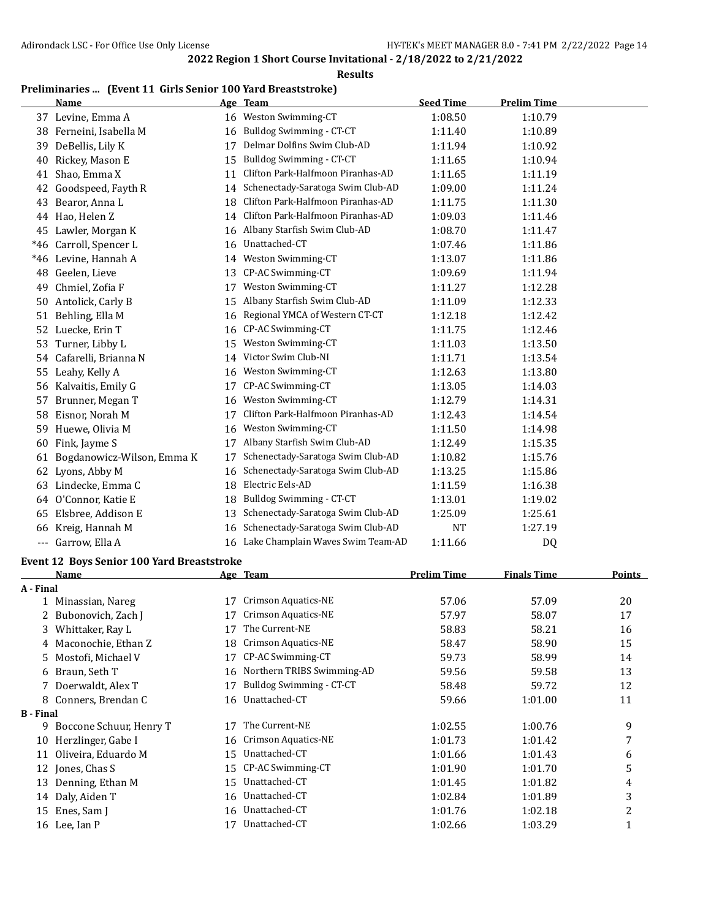#### **Results**

# **Preliminaries ... (Event 11 Girls Senior 100 Yard Breaststroke)**

|       | <b>Name</b>                |    | Age Team                             | <b>Seed Time</b> | <b>Prelim Time</b> |  |
|-------|----------------------------|----|--------------------------------------|------------------|--------------------|--|
|       | 37 Levine, Emma A          | 16 | Weston Swimming-CT                   | 1:08.50          | 1:10.79            |  |
| 38    | Ferneini, Isabella M       | 16 | <b>Bulldog Swimming - CT-CT</b>      | 1:11.40          | 1:10.89            |  |
| 39    | DeBellis, Lily K           | 17 | Delmar Dolfins Swim Club-AD          | 1:11.94          | 1:10.92            |  |
| 40    | Rickey, Mason E            | 15 | Bulldog Swimming - CT-CT             | 1:11.65          | 1:10.94            |  |
| 41    | Shao, Emma X               | 11 | Clifton Park-Halfmoon Piranhas-AD    | 1:11.65          | 1:11.19            |  |
| 42    | Goodspeed, Fayth R         | 14 | Schenectady-Saratoga Swim Club-AD    | 1:09.00          | 1:11.24            |  |
| 43    | Bearor, Anna L             | 18 | Clifton Park-Halfmoon Piranhas-AD    | 1:11.75          | 1:11.30            |  |
| 44    | Hao, Helen Z               | 14 | Clifton Park-Halfmoon Piranhas-AD    | 1:09.03          | 1:11.46            |  |
| 45    | Lawler, Morgan K           | 16 | Albany Starfish Swim Club-AD         | 1:08.70          | 1:11.47            |  |
| $*46$ | Carroll, Spencer L         | 16 | Unattached-CT                        | 1:07.46          | 1:11.86            |  |
|       | *46 Levine, Hannah A       | 14 | Weston Swimming-CT                   | 1:13.07          | 1:11.86            |  |
| 48    | Geelen, Lieve              | 13 | CP-AC Swimming-CT                    | 1:09.69          | 1:11.94            |  |
| 49    | Chmiel, Zofia F            | 17 | Weston Swimming-CT                   | 1:11.27          | 1:12.28            |  |
| 50    | Antolick, Carly B          | 15 | Albany Starfish Swim Club-AD         | 1:11.09          | 1:12.33            |  |
| 51    | Behling, Ella M            | 16 | Regional YMCA of Western CT-CT       | 1:12.18          | 1:12.42            |  |
| 52    | Luecke, Erin T             | 16 | CP-AC Swimming-CT                    | 1:11.75          | 1:12.46            |  |
| 53    | Turner, Libby L            | 15 | Weston Swimming-CT                   | 1:11.03          | 1:13.50            |  |
| 54    | Cafarelli, Brianna N       | 14 | Victor Swim Club-NI                  | 1:11.71          | 1:13.54            |  |
| 55    | Leahy, Kelly A             | 16 | Weston Swimming-CT                   | 1:12.63          | 1:13.80            |  |
| 56    | Kalvaitis, Emily G         | 17 | CP-AC Swimming-CT                    | 1:13.05          | 1:14.03            |  |
| 57    | Brunner, Megan T           | 16 | Weston Swimming-CT                   | 1:12.79          | 1:14.31            |  |
| 58    | Eisnor, Norah M            | 17 | Clifton Park-Halfmoon Piranhas-AD    | 1:12.43          | 1:14.54            |  |
| 59    | Huewe, Olivia M            | 16 | Weston Swimming-CT                   | 1:11.50          | 1:14.98            |  |
| 60    | Fink, Jayme S              | 17 | Albany Starfish Swim Club-AD         | 1:12.49          | 1:15.35            |  |
| 61    | Bogdanowicz-Wilson, Emma K | 17 | Schenectady-Saratoga Swim Club-AD    | 1:10.82          | 1:15.76            |  |
| 62    | Lyons, Abby M              | 16 | Schenectady-Saratoga Swim Club-AD    | 1:13.25          | 1:15.86            |  |
| 63    | Lindecke, Emma C           | 18 | Electric Eels-AD                     | 1:11.59          | 1:16.38            |  |
| 64    | O'Connor, Katie E          | 18 | Bulldog Swimming - CT-CT             | 1:13.01          | 1:19.02            |  |
| 65    | Elsbree, Addison E         | 13 | Schenectady-Saratoga Swim Club-AD    | 1:25.09          | 1:25.61            |  |
| 66    | Kreig, Hannah M            | 16 | Schenectady-Saratoga Swim Club-AD    | NT               | 1:27.19            |  |
| $---$ | Garrow, Ella A             |    | 16 Lake Champlain Waves Swim Team-AD | 1:11.66          | DQ                 |  |

## **Event 12 Boys Senior 100 Yard Breaststroke**

|                  | <b>Name</b>             |    | Age Team                   | <b>Prelim Time</b> | <b>Finals Time</b> | <b>Points</b> |
|------------------|-------------------------|----|----------------------------|--------------------|--------------------|---------------|
| A - Final        |                         |    |                            |                    |                    |               |
|                  | 1 Minassian, Nareg      | 17 | Crimson Aquatics-NE        | 57.06              | 57.09              | 20            |
|                  | 2 Bubonovich, Zach J    | 17 | Crimson Aquatics-NE        | 57.97              | 58.07              | 17            |
|                  | 3 Whittaker, Ray L      | 17 | The Current-NE             | 58.83              | 58.21              | 16            |
|                  | 4 Maconochie, Ethan Z   | 18 | Crimson Aquatics-NE        | 58.47              | 58.90              | 15            |
|                  | 5 Mostofi, Michael V    | 17 | CP-AC Swimming-CT          | 59.73              | 58.99              | 14            |
|                  | 6 Braun, Seth T         | 16 | Northern TRIBS Swimming-AD | 59.56              | 59.58              | 13            |
|                  | 7 Doerwaldt, Alex T     | 17 | Bulldog Swimming - CT-CT   | 58.48              | 59.72              | 12            |
|                  | 8 Conners, Brendan C    | 16 | Unattached-CT              | 59.66              | 1:01.00            | 11            |
| <b>B</b> - Final |                         |    |                            |                    |                    |               |
| 9                | Boccone Schuur, Henry T | 17 | The Current-NE             | 1:02.55            | 1:00.76            | 9             |
| 10               | Herzlinger, Gabe I      | 16 | Crimson Aquatics-NE        | 1:01.73            | 1:01.42            | 7             |
| 11               | Oliveira, Eduardo M     | 15 | Unattached-CT              | 1:01.66            | 1:01.43            | 6             |
| 12               | Jones, Chas S           | 15 | CP-AC Swimming-CT          | 1:01.90            | 1:01.70            | 5             |
| 13               | Denning, Ethan M        | 15 | Unattached-CT              | 1:01.45            | 1:01.82            | 4             |
| 14               | Daly, Aiden T           | 16 | Unattached-CT              | 1:02.84            | 1:01.89            | 3             |
| 15               | Enes, Sam J             | 16 | Unattached-CT              | 1:01.76            | 1:02.18            | 2             |
|                  | 16 Lee, Ian P           | 17 | Unattached-CT              | 1:02.66            | 1:03.29            | 1             |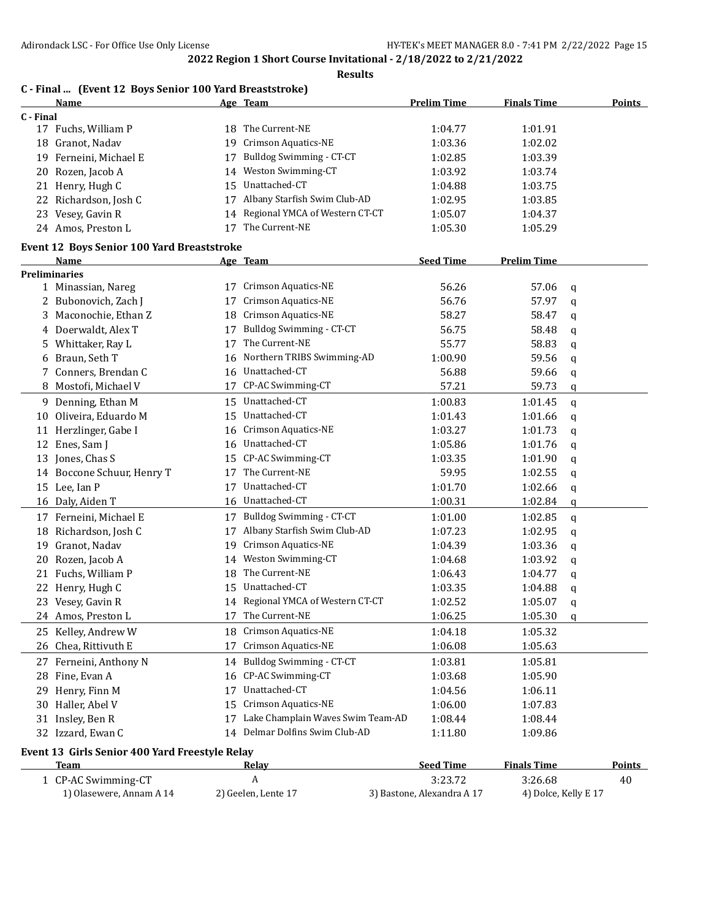|           | C - Final  (Event 12 Boys Senior 100 Yard Breaststroke) |    |                                            |                            |                      |        |               |
|-----------|---------------------------------------------------------|----|--------------------------------------------|----------------------------|----------------------|--------|---------------|
|           | Name                                                    |    | Age Team                                   | <b>Prelim Time</b>         | <b>Finals Time</b>   |        | <b>Points</b> |
| C - Final |                                                         |    |                                            |                            |                      |        |               |
|           | 17 Fuchs, William P                                     |    | 18 The Current-NE                          | 1:04.77                    | 1:01.91              |        |               |
|           | 18 Granot, Nadav                                        | 19 | Crimson Aquatics-NE                        | 1:03.36                    | 1:02.02              |        |               |
|           | 19 Ferneini, Michael E                                  | 17 | Bulldog Swimming - CT-CT                   | 1:02.85                    | 1:03.39              |        |               |
|           | 20 Rozen, Jacob A                                       | 14 | Weston Swimming-CT                         | 1:03.92                    | 1:03.74              |        |               |
|           | 21 Henry, Hugh C                                        |    | 15 Unattached-CT                           | 1:04.88                    | 1:03.75              |        |               |
|           | 22 Richardson, Josh C                                   | 17 | Albany Starfish Swim Club-AD               | 1:02.95                    | 1:03.85              |        |               |
|           | 23 Vesey, Gavin R                                       | 14 | Regional YMCA of Western CT-CT             | 1:05.07                    | 1:04.37              |        |               |
|           | 24 Amos, Preston L                                      |    | 17 The Current-NE                          | 1:05.30                    | 1:05.29              |        |               |
|           | Event 12 Boys Senior 100 Yard Breaststroke              |    |                                            |                            |                      |        |               |
|           | Name                                                    |    | Age Team                                   | <b>Seed Time</b>           | <b>Prelim Time</b>   |        |               |
|           | <b>Preliminaries</b><br>1 Minassian, Nareg              |    | 17 Crimson Aquatics-NE                     | 56.26                      | 57.06                |        |               |
|           | 2 Bubonovich, Zach J                                    | 17 | Crimson Aquatics-NE                        | 56.76                      | 57.97                | q      |               |
|           | 3 Maconochie, Ethan Z                                   |    | 18 Crimson Aquatics-NE                     | 58.27                      | 58.47                | q<br>q |               |
|           | 4 Doerwaldt, Alex T                                     | 17 | Bulldog Swimming - CT-CT                   | 56.75                      | 58.48                |        |               |
|           | 5 Whittaker, Ray L                                      | 17 | The Current-NE                             | 55.77                      | 58.83                | q      |               |
|           | 6 Braun, Seth T                                         | 16 | Northern TRIBS Swimming-AD                 | 1:00.90                    | 59.56                | q<br>q |               |
|           | 7 Conners, Brendan C                                    |    | 16 Unattached-CT                           | 56.88                      | 59.66                |        |               |
|           | 8 Mostofi, Michael V                                    | 17 | CP-AC Swimming-CT                          | 57.21                      | 59.73                | q<br>q |               |
|           |                                                         |    | 15 Unattached-CT                           |                            | 1:01.45              |        |               |
|           | 9 Denning, Ethan M                                      |    | 15 Unattached-CT                           | 1:00.83                    |                      | q      |               |
| 10        | Oliveira, Eduardo M                                     |    |                                            | 1:01.43                    | 1:01.66              | q      |               |
|           | 11 Herzlinger, Gabe I                                   |    | 16 Crimson Aquatics-NE<br>16 Unattached-CT | 1:03.27                    | 1:01.73              | q      |               |
|           | 12 Enes, Sam J                                          |    |                                            | 1:05.86                    | 1:01.76              | q      |               |
|           | 13 Jones, Chas S                                        |    | 15 CP-AC Swimming-CT<br>The Current-NE     | 1:03.35                    | 1:01.90              | q      |               |
|           | 14 Boccone Schuur, Henry T                              | 17 | Unattached-CT                              | 59.95                      | 1:02.55              | q      |               |
|           | 15 Lee, Ian P                                           | 17 | 16 Unattached-CT                           | 1:01.70                    | 1:02.66              | q      |               |
|           | 16 Daly, Aiden T                                        |    |                                            | 1:00.31                    | 1:02.84              | q      |               |
|           | 17 Ferneini, Michael E                                  |    | 17 Bulldog Swimming - CT-CT                | 1:01.00                    | 1:02.85              | q      |               |
| 18        | Richardson, Josh C                                      | 17 | Albany Starfish Swim Club-AD               | 1:07.23                    | 1:02.95              | q      |               |
| 19        | Granot, Nadav                                           | 19 | Crimson Aquatics-NE                        | 1:04.39                    | 1:03.36              | q      |               |
| 20        | Rozen, Jacob A                                          | 14 | Weston Swimming-CT<br>The Current-NE       | 1:04.68                    | 1:03.92              | q      |               |
|           | 21 Fuchs, William P                                     | 18 |                                            | 1:06.43                    | 1:04.77              | q      |               |
|           | 22 Henry, Hugh C                                        |    | 15 Unattached-CT                           | 1:03.35                    | 1:04.88              | q      |               |
|           | 23 Vesey, Gavin R                                       |    | 14 Regional YMCA of Western CT-CT          | 1:02.52                    | 1:05.07              | q      |               |
|           | 24 Amos, Preston L                                      | 17 | The Current-NE                             | 1:06.25                    | 1:05.30              | q      |               |
|           | 25 Kelley, Andrew W                                     | 18 | Crimson Aquatics-NE                        | 1:04.18                    | 1:05.32              |        |               |
|           | 26 Chea, Rittivuth E                                    | 17 | Crimson Aquatics-NE                        | 1:06.08                    | 1:05.63              |        |               |
|           | 27 Ferneini, Anthony N                                  | 14 | <b>Bulldog Swimming - CT-CT</b>            | 1:03.81                    | 1:05.81              |        |               |
| 28        | Fine, Evan A                                            | 16 | CP-AC Swimming-CT                          | 1:03.68                    | 1:05.90              |        |               |
| 29        | Henry, Finn M                                           | 17 | Unattached-CT                              | 1:04.56                    | 1:06.11              |        |               |
| 30        | Haller, Abel V                                          | 15 | Crimson Aquatics-NE                        | 1:06.00                    | 1:07.83              |        |               |
| 31        | Insley, Ben R                                           | 17 | Lake Champlain Waves Swim Team-AD          | 1:08.44                    | 1:08.44              |        |               |
|           | 32 Izzard, Ewan C                                       | 14 | Delmar Dolfins Swim Club-AD                | 1:11.80                    | 1:09.86              |        |               |
|           | Event 13 Girls Senior 400 Yard Freestyle Relay          |    |                                            |                            |                      |        |               |
|           | <b>Team</b>                                             |    | <b>Relay</b>                               | <b>Seed Time</b>           | <b>Finals Time</b>   |        | <b>Points</b> |
|           | 1 CP-AC Swimming-CT                                     |    | A                                          | 3:23.72                    | 3:26.68              |        | 40            |
|           | 1) Olasewere, Annam A 14                                |    | 2) Geelen, Lente 17                        | 3) Bastone, Alexandra A 17 | 4) Dolce, Kelly E 17 |        |               |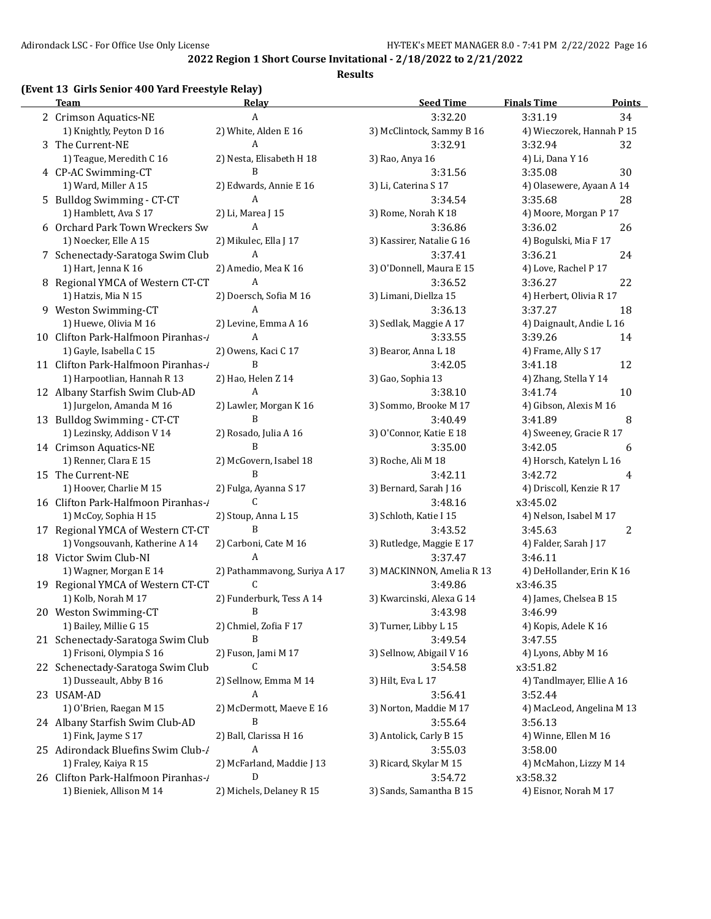#### **Results**

## **(Event 13 Girls Senior 400 Yard Freestyle Relay)**

| <b>Team</b>                         | <b>Relay</b>                 | <b>Seed Time</b>                   | <b>Finals Time</b>                   | <b>Points</b> |
|-------------------------------------|------------------------------|------------------------------------|--------------------------------------|---------------|
| 2 Crimson Aquatics-NE               | $\mathbf{A}$                 | 3:32.20                            | 3:31.19                              | 34            |
| 1) Knightly, Peyton D 16            | 2) White, Alden E 16         | 3) McClintock, Sammy B 16          | 4) Wieczorek, Hannah P 15            |               |
| 3 The Current-NE                    | $\mathbf{A}$                 | 3:32.91                            | 3:32.94                              | 32            |
| 1) Teague, Meredith C 16            | 2) Nesta, Elisabeth H 18     | 3) Rao, Anya 16                    | 4) Li, Dana Y 16                     |               |
| 4 CP-AC Swimming-CT                 | B                            | 3:31.56                            | 3:35.08                              | 30            |
| 1) Ward, Miller A 15                | 2) Edwards, Annie E 16       | 3) Li, Caterina S 17               | 4) Olasewere, Ayaan A 14             |               |
| 5 Bulldog Swimming - CT-CT          | A                            | 3:34.54                            | 3:35.68                              | 28            |
| 1) Hamblett, Ava S 17               | 2) Li, Marea J 15            | 3) Rome, Norah K 18                | 4) Moore, Morgan P 17                |               |
| 6 Orchard Park Town Wreckers Sw     | A                            | 3:36.86                            | 3:36.02                              | 26            |
| 1) Noecker, Elle A 15               | 2) Mikulec, Ella J 17        | 3) Kassirer, Natalie G 16          | 4) Bogulski, Mia F 17                |               |
| 7 Schenectady-Saratoga Swim Club    | A                            | 3:37.41                            | 3:36.21                              | 24            |
| 1) Hart, Jenna K 16                 | 2) Amedio, Mea K 16          | 3) O'Donnell, Maura E 15           | 4) Love, Rachel P 17                 |               |
| 8 Regional YMCA of Western CT-CT    | A                            | 3:36.52                            | 3:36.27                              | 22            |
| 1) Hatzis, Mia N 15                 | 2) Doersch, Sofia M 16       | 3) Limani, Diellza 15              | 4) Herbert, Olivia R 17              |               |
| 9 Weston Swimming-CT                | A                            | 3:36.13                            | 3:37.27                              | 18            |
| 1) Huewe, Olivia M 16               | 2) Levine, Emma A 16         | 3) Sedlak, Maggie A 17             | 4) Daignault, Andie L 16             |               |
| 10 Clifton Park-Halfmoon Piranhas-1 | A                            | 3:33.55                            | 3:39.26                              | 14            |
| 1) Gayle, Isabella C 15             | 2) Owens, Kaci C 17          | 3) Bearor, Anna L 18               | 4) Frame, Ally S 17                  |               |
| 11 Clifton Park-Halfmoon Piranhas-/ | B                            | 3:42.05                            | 3:41.18                              | 12            |
| 1) Harpootlian, Hannah R 13         | 2) Hao, Helen Z 14           | 3) Gao, Sophia 13                  | 4) Zhang, Stella Y 14                |               |
| 12 Albany Starfish Swim Club-AD     | A                            | 3:38.10                            | 3:41.74                              | 10            |
| 1) Jurgelon, Amanda M 16            | 2) Lawler, Morgan K 16       | 3) Sommo, Brooke M 17              | 4) Gibson, Alexis M 16               |               |
| 13 Bulldog Swimming - CT-CT         | B                            | 3:40.49                            | 3:41.89                              | 8             |
| 1) Lezinsky, Addison V 14           | 2) Rosado, Julia A 16        | 3) O'Connor, Katie E 18            | 4) Sweeney, Gracie R 17              |               |
| 14 Crimson Aquatics-NE              | B                            | 3:35.00                            | 3:42.05                              | 6             |
| 1) Renner, Clara E 15               | 2) McGovern, Isabel 18       | 3) Roche, Ali M 18                 | 4) Horsch, Katelyn L 16              |               |
| 15 The Current-NE                   | B                            | 3:42.11                            | 3:42.72                              | 4             |
| 1) Hoover, Charlie M 15             | 2) Fulga, Ayanna S 17        | 3) Bernard, Sarah J 16             | 4) Driscoll, Kenzie R 17             |               |
| 16 Clifton Park-Halfmoon Piranhas-/ | C                            | 3:48.16                            | x3:45.02                             |               |
| 1) McCoy, Sophia H 15               | 2) Stoup, Anna L 15          | 3) Schloth, Katie I 15             | 4) Nelson, Isabel M 17               |               |
| 17 Regional YMCA of Western CT-CT   | B                            | 3:43.52                            | 3:45.63                              | 2             |
| 1) Vongsouvanh, Katherine A 14      | 2) Carboni, Cate M 16        | 3) Rutledge, Maggie E 17           | 4) Falder, Sarah J 17                |               |
| 18 Victor Swim Club-NI              | A                            | 3:37.47                            | 3:46.11                              |               |
| 1) Wagner, Morgan E 14              | 2) Pathammavong, Suriya A 17 | 3) MACKINNON, Amelia R 13          | 4) DeHollander, Erin K 16            |               |
| 19 Regional YMCA of Western CT-CT   | $\mathcal{C}$                | 3:49.86                            | x3:46.35                             |               |
| 1) Kolb, Norah M 17                 | 2) Funderburk, Tess A 14     | 3) Kwarcinski, Alexa G 14          | 4) James, Chelsea B 15               |               |
| 20 Weston Swimming-CT               | B                            | 3:43.98                            | 3:46.99                              |               |
| 1) Bailey, Millie G 15              | 2) Chmiel, Zofia F 17        | 3) Turner, Libby L 15              | 4) Kopis, Adele K 16                 |               |
| 21 Schenectady-Saratoga Swim Club   | B                            | 3:49.54                            | 3:47.55                              |               |
| 1) Frisoni, Olympia S 16            | 2) Fuson, Jami M 17          | 3) Sellnow, Abigail V 16           | 4) Lyons, Abby M 16                  |               |
| 22 Schenectady-Saratoga Swim Club   | C                            | 3:54.58                            | x3:51.82                             |               |
| 1) Dusseault, Abby B 16             | 2) Sellnow, Emma M 14        | 3) Hilt, Eva L 17                  | 4) Tandlmayer, Ellie A 16            |               |
| 23 USAM-AD                          | A                            | 3:56.41                            |                                      |               |
| 1) O'Brien, Raegan M 15             | 2) McDermott, Maeve E 16     | 3) Norton, Maddie M 17             | 3:52.44<br>4) MacLeod, Angelina M 13 |               |
| 24 Albany Starfish Swim Club-AD     | B                            |                                    |                                      |               |
| 1) Fink, Jayme S 17                 | 2) Ball, Clarissa H 16       | 3:55.64<br>3) Antolick, Carly B 15 | 3:56.13<br>4) Winne, Ellen M 16      |               |
| 25 Adirondack Bluefins Swim Club-/  | A                            | 3:55.03                            | 3:58.00                              |               |
| 1) Fraley, Kaiya R 15               | 2) McFarland, Maddie J 13    | 3) Ricard, Skylar M 15             | 4) McMahon, Lizzy M 14               |               |
| 26 Clifton Park-Halfmoon Piranhas-/ | D                            | 3:54.72                            | x3:58.32                             |               |
| 1) Bieniek, Allison M 14            | 2) Michels, Delaney R 15     | 3) Sands, Samantha B 15            | 4) Eisnor, Norah M 17                |               |
|                                     |                              |                                    |                                      |               |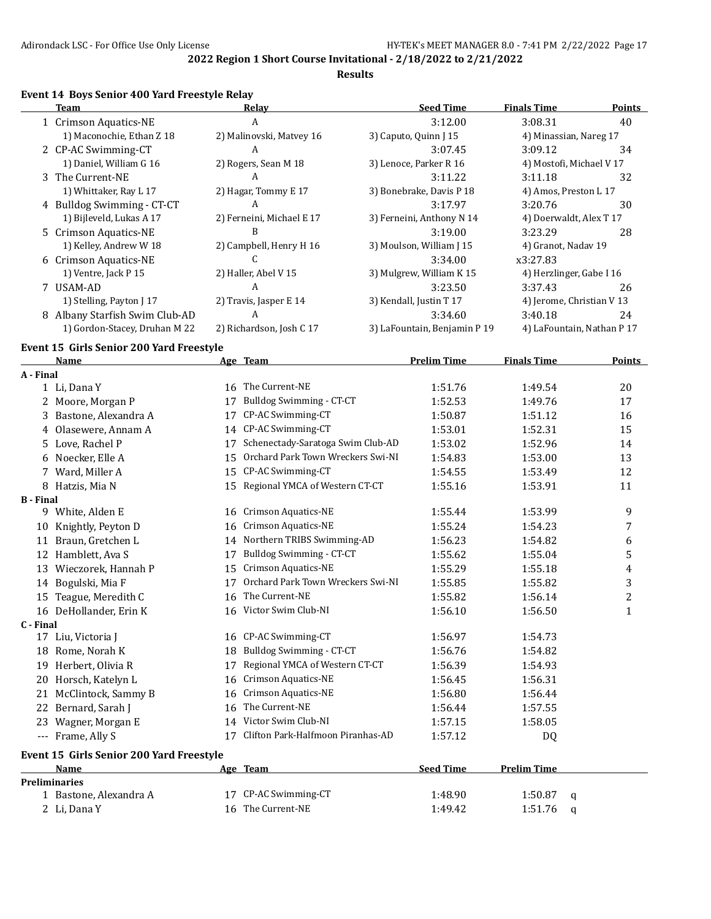**Results**

# **Event 14 Boys Senior 400 Yard Freestyle Relay**

|   | Team                           | Relay                     | <b>Seed Time</b>             | <b>Finals Time</b>         | <b>Points</b> |
|---|--------------------------------|---------------------------|------------------------------|----------------------------|---------------|
|   | 1 Crimson Aquatics-NE          | A                         | 3:12.00                      | 3:08.31                    | 40            |
|   | 1) Maconochie, Ethan Z 18      | 2) Malinovski, Matvey 16  | 3) Caputo, Quinn J 15        | 4) Minassian, Nareg 17     |               |
|   | 2 CP-AC Swimming-CT            | A                         | 3:07.45                      | 3:09.12                    | 34            |
|   | 1) Daniel, William G 16        | 2) Rogers, Sean M 18      | 3) Lenoce, Parker R 16       | 4) Mostofi, Michael V 17   |               |
| 3 | The Current-NE                 | A                         | 3:11.22                      | 3:11.18                    | 32            |
|   | 1) Whittaker, Ray L 17         | 2) Hagar, Tommy E 17      | 3) Bonebrake, Davis P 18     | 4) Amos, Preston L 17      |               |
|   | 4 Bulldog Swimming - CT-CT     | A                         | 3:17.97                      | 3:20.76                    | 30            |
|   | 1) Bijleveld, Lukas A 17       | 2) Ferneini, Michael E 17 | 3) Ferneini, Anthony N 14    | 4) Doerwaldt, Alex T 17    |               |
|   | 5 Crimson Aquatics-NE          | B                         | 3:19.00                      | 3:23.29                    | 28            |
|   | 1) Kelley, Andrew W 18         | 2) Campbell, Henry H 16   | 3) Moulson, William J 15     | 4) Granot, Naday 19        |               |
|   | 6 Crimson Aquatics-NE          |                           | 3:34.00                      | x3:27.83                   |               |
|   | 1) Ventre, Jack P 15           | 2) Haller, Abel V 15      | 3) Mulgrew, William K 15     | 4) Herzlinger, Gabe I 16   |               |
|   | 7 USAM-AD                      | A                         | 3:23.50                      | 3:37.43                    | 26            |
|   | 1) Stelling, Payton J 17       | 2) Travis, Jasper E 14    | 3) Kendall, Justin T 17      | 4) Jerome, Christian V 13  |               |
|   | 8 Albany Starfish Swim Club-AD | A                         | 3:34.60                      | 3:40.18                    | 24            |
|   | 1) Gordon-Stacey, Druhan M 22  | 2) Richardson, Josh C 17  | 3) LaFountain, Benjamin P 19 | 4) LaFountain, Nathan P 17 |               |

#### **Event 15 Girls Senior 200 Yard Freestyle**

|                  | <b>Name</b>                              |    | Age Team                          | <b>Prelim Time</b> | <b>Finals Time</b> |   | <b>Points</b> |
|------------------|------------------------------------------|----|-----------------------------------|--------------------|--------------------|---|---------------|
| A - Final        |                                          |    |                                   |                    |                    |   |               |
|                  | 1 Li, Dana Y                             | 16 | The Current-NE                    | 1:51.76            | 1:49.54            |   | 20            |
|                  | 2 Moore, Morgan P                        | 17 | Bulldog Swimming - CT-CT          | 1:52.53            | 1:49.76            |   | 17            |
|                  | 3 Bastone, Alexandra A                   | 17 | CP-AC Swimming-CT                 | 1:50.87            | 1:51.12            |   | 16            |
|                  | 4 Olasewere, Annam A                     | 14 | CP-AC Swimming-CT                 | 1:53.01            | 1:52.31            |   | 15            |
|                  | 5 Love, Rachel P                         | 17 | Schenectady-Saratoga Swim Club-AD | 1:53.02            | 1:52.96            |   | 14            |
|                  | 6 Noecker, Elle A                        | 15 | Orchard Park Town Wreckers Swi-NI | 1:54.83            | 1:53.00            |   | 13            |
|                  | 7 Ward, Miller A                         | 15 | CP-AC Swimming-CT                 | 1:54.55            | 1:53.49            |   | 12            |
|                  | 8 Hatzis, Mia N                          |    | 15 Regional YMCA of Western CT-CT | 1:55.16            | 1:53.91            |   | 11            |
| <b>B</b> - Final |                                          |    |                                   |                    |                    |   |               |
|                  | 9 White, Alden E                         |    | 16 Crimson Aquatics-NE            | 1:55.44            | 1:53.99            |   | 9             |
| 10               | Knightly, Peyton D                       | 16 | Crimson Aquatics-NE               | 1:55.24            | 1:54.23            |   | 7             |
|                  | 11 Braun, Gretchen L                     | 14 | Northern TRIBS Swimming-AD        | 1:56.23            | 1:54.82            |   | 6             |
|                  | 12 Hamblett, Ava S                       | 17 | <b>Bulldog Swimming - CT-CT</b>   | 1:55.62            | 1:55.04            |   | 5             |
| 13               | Wieczorek, Hannah P                      | 15 | Crimson Aquatics-NE               | 1:55.29            | 1:55.18            |   | 4             |
| 14               | Bogulski, Mia F                          | 17 | Orchard Park Town Wreckers Swi-NI | 1:55.85            | 1:55.82            |   | 3             |
| 15               | Teague, Meredith C                       | 16 | The Current-NE                    | 1:55.82            | 1:56.14            |   | 2             |
|                  | 16 DeHollander, Erin K                   |    | 16 Victor Swim Club-NI            | 1:56.10            | 1:56.50            |   | $\mathbf{1}$  |
| C - Final        |                                          |    |                                   |                    |                    |   |               |
|                  | 17 Liu, Victoria J                       |    | 16 CP-AC Swimming-CT              | 1:56.97            | 1:54.73            |   |               |
|                  | 18 Rome, Norah K                         |    | 18 Bulldog Swimming - CT-CT       | 1:56.76            | 1:54.82            |   |               |
|                  | 19 Herbert, Olivia R                     | 17 | Regional YMCA of Western CT-CT    | 1:56.39            | 1:54.93            |   |               |
|                  | 20 Horsch, Katelyn L                     | 16 | Crimson Aquatics-NE               | 1:56.45            | 1:56.31            |   |               |
|                  | 21 McClintock, Sammy B                   | 16 | Crimson Aquatics-NE               | 1:56.80            | 1:56.44            |   |               |
|                  | 22 Bernard, Sarah J                      | 16 | The Current-NE                    | 1:56.44            | 1:57.55            |   |               |
|                  | 23 Wagner, Morgan E                      |    | 14 Victor Swim Club-NI            | 1:57.15            | 1:58.05            |   |               |
|                  | --- Frame, Ally S                        | 17 | Clifton Park-Halfmoon Piranhas-AD | 1:57.12            | DQ.                |   |               |
|                  | Event 15 Girls Senior 200 Yard Freestyle |    |                                   |                    |                    |   |               |
|                  | <b>Name</b>                              |    | Age Team                          | <b>Seed Time</b>   | <b>Prelim Time</b> |   |               |
|                  | <b>Preliminaries</b>                     |    |                                   |                    |                    |   |               |
|                  | 1 Bastone, Alexandra A                   | 17 | CP-AC Swimming-CT                 | 1:48.90            | 1:50.87            | q |               |
|                  | 2 Li, Dana Y                             |    | 16 The Current-NE                 | 1:49.42            | 1:51.76            | a |               |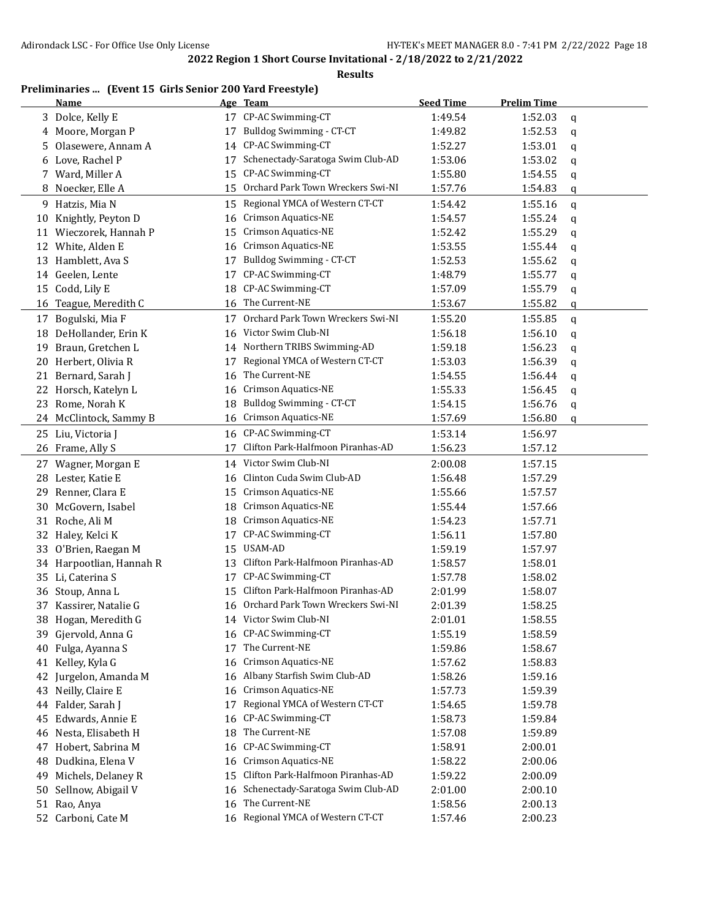**Results**

# **Preliminaries ... (Event 15 Girls Senior 200 Yard Freestyle)**

|    | Name                     |    | Age Team                             | <b>Seed Time</b> | <b>Prelim Time</b> |   |
|----|--------------------------|----|--------------------------------------|------------------|--------------------|---|
|    | 3 Dolce, Kelly E         | 17 | CP-AC Swimming-CT                    | 1:49.54          | 1:52.03            | q |
|    | 4 Moore, Morgan P        | 17 | <b>Bulldog Swimming - CT-CT</b>      | 1:49.82          | 1:52.53            | q |
| 5  | Olasewere, Annam A       | 14 | CP-AC Swimming-CT                    | 1:52.27          | 1:53.01            | q |
| 6  | Love, Rachel P           | 17 | Schenectady-Saratoga Swim Club-AD    | 1:53.06          | 1:53.02            | q |
|    | 7 Ward, Miller A         | 15 | CP-AC Swimming-CT                    | 1:55.80          | 1:54.55            | q |
|    | 8 Noecker, Elle A        | 15 | Orchard Park Town Wreckers Swi-NI    | 1:57.76          | 1:54.83            | q |
|    | 9 Hatzis, Mia N          | 15 | Regional YMCA of Western CT-CT       | 1:54.42          | 1:55.16            | q |
| 10 | Knightly, Peyton D       | 16 | Crimson Aquatics-NE                  | 1:54.57          | 1:55.24            | q |
| 11 | Wieczorek, Hannah P      | 15 | Crimson Aquatics-NE                  | 1:52.42          | 1:55.29            | q |
|    | 12 White, Alden E        | 16 | Crimson Aquatics-NE                  | 1:53.55          | 1:55.44            | q |
|    | 13 Hamblett, Ava S       | 17 | <b>Bulldog Swimming - CT-CT</b>      | 1:52.53          | 1:55.62            | q |
| 14 | Geelen, Lente            | 17 | CP-AC Swimming-CT                    | 1:48.79          | 1:55.77            | q |
| 15 | Codd, Lily E             | 18 | CP-AC Swimming-CT                    | 1:57.09          | 1:55.79            | q |
| 16 | Teague, Meredith C       | 16 | The Current-NE                       | 1:53.67          | 1:55.82            | q |
| 17 | Bogulski, Mia F          | 17 | Orchard Park Town Wreckers Swi-NI    | 1:55.20          | 1:55.85            | q |
| 18 | DeHollander, Erin K      | 16 | Victor Swim Club-NI                  | 1:56.18          | 1:56.10            | q |
| 19 | Braun, Gretchen L        | 14 | Northern TRIBS Swimming-AD           | 1:59.18          | 1:56.23            | q |
| 20 | Herbert, Olivia R        | 17 | Regional YMCA of Western CT-CT       | 1:53.03          | 1:56.39            | q |
| 21 | Bernard, Sarah J         | 16 | The Current-NE                       | 1:54.55          | 1:56.44            | q |
| 22 | Horsch, Katelyn L        | 16 | Crimson Aquatics-NE                  | 1:55.33          | 1:56.45            | q |
| 23 | Rome, Norah K            | 18 | Bulldog Swimming - CT-CT             | 1:54.15          | 1:56.76            | q |
|    | 24 McClintock, Sammy B   | 16 | Crimson Aquatics-NE                  | 1:57.69          | 1:56.80            | q |
|    | 25 Liu, Victoria J       | 16 | CP-AC Swimming-CT                    | 1:53.14          | 1:56.97            |   |
|    | 26 Frame, Ally S         | 17 | Clifton Park-Halfmoon Piranhas-AD    | 1:56.23          | 1:57.12            |   |
|    | 27 Wagner, Morgan E      | 14 | Victor Swim Club-NI                  | 2:00.08          | 1:57.15            |   |
|    | 28 Lester, Katie E       | 16 | Clinton Cuda Swim Club-AD            | 1:56.48          | 1:57.29            |   |
|    | 29 Renner, Clara E       | 15 | Crimson Aquatics-NE                  | 1:55.66          | 1:57.57            |   |
|    | 30 McGovern, Isabel      | 18 | Crimson Aquatics-NE                  | 1:55.44          | 1:57.66            |   |
|    | 31 Roche, Ali M          | 18 | Crimson Aquatics-NE                  | 1:54.23          | 1:57.71            |   |
|    | 32 Haley, Kelci K        | 17 | CP-AC Swimming-CT                    | 1:56.11          | 1:57.80            |   |
| 33 | O'Brien, Raegan M        | 15 | USAM-AD                              | 1:59.19          | 1:57.97            |   |
|    | 34 Harpootlian, Hannah R | 13 | Clifton Park-Halfmoon Piranhas-AD    | 1:58.57          | 1:58.01            |   |
|    | 35 Li, Caterina S        | 17 | CP-AC Swimming-CT                    | 1:57.78          | 1:58.02            |   |
| 36 | Stoup, Anna L            | 15 | Clifton Park-Halfmoon Piranhas-AD    | 2:01.99          | 1:58.07            |   |
|    | 37 Kassirer, Natalie G   |    | 16 Orchard Park Town Wreckers Swi-NI | 2:01.39          | 1:58.25            |   |
|    | 38 Hogan, Meredith G     | 14 | Victor Swim Club-NI                  | 2:01.01          | 1:58.55            |   |
| 39 | Gjervold, Anna G         | 16 | CP-AC Swimming-CT                    | 1:55.19          | 1:58.59            |   |
| 40 | Fulga, Ayanna S          | 17 | The Current-NE                       | 1:59.86          | 1:58.67            |   |
|    | 41 Kelley, Kyla G        | 16 | Crimson Aquatics-NE                  | 1:57.62          | 1:58.83            |   |
| 42 | Jurgelon, Amanda M       | 16 | Albany Starfish Swim Club-AD         | 1:58.26          | 1:59.16            |   |
|    | 43 Neilly, Claire E      | 16 | Crimson Aquatics-NE                  | 1:57.73          | 1:59.39            |   |
|    | 44 Falder, Sarah J       | 17 | Regional YMCA of Western CT-CT       | 1:54.65          | 1:59.78            |   |
|    | 45 Edwards, Annie E      | 16 | CP-AC Swimming-CT                    | 1:58.73          | 1:59.84            |   |
|    | 46 Nesta, Elisabeth H    | 18 | The Current-NE                       | 1:57.08          | 1:59.89            |   |
|    | 47 Hobert, Sabrina M     | 16 | CP-AC Swimming-CT                    | 1:58.91          | 2:00.01            |   |
| 48 | Dudkina, Elena V         | 16 | Crimson Aquatics-NE                  | 1:58.22          | 2:00.06            |   |
| 49 | Michels, Delaney R       | 15 | Clifton Park-Halfmoon Piranhas-AD    | 1:59.22          | 2:00.09            |   |
| 50 | Sellnow, Abigail V       | 16 | Schenectady-Saratoga Swim Club-AD    | 2:01.00          | 2:00.10            |   |
|    | 51 Rao, Anya             | 16 | The Current-NE                       | 1:58.56          | 2:00.13            |   |
|    | 52 Carboni, Cate M       |    | 16 Regional YMCA of Western CT-CT    | 1:57.46          | 2:00.23            |   |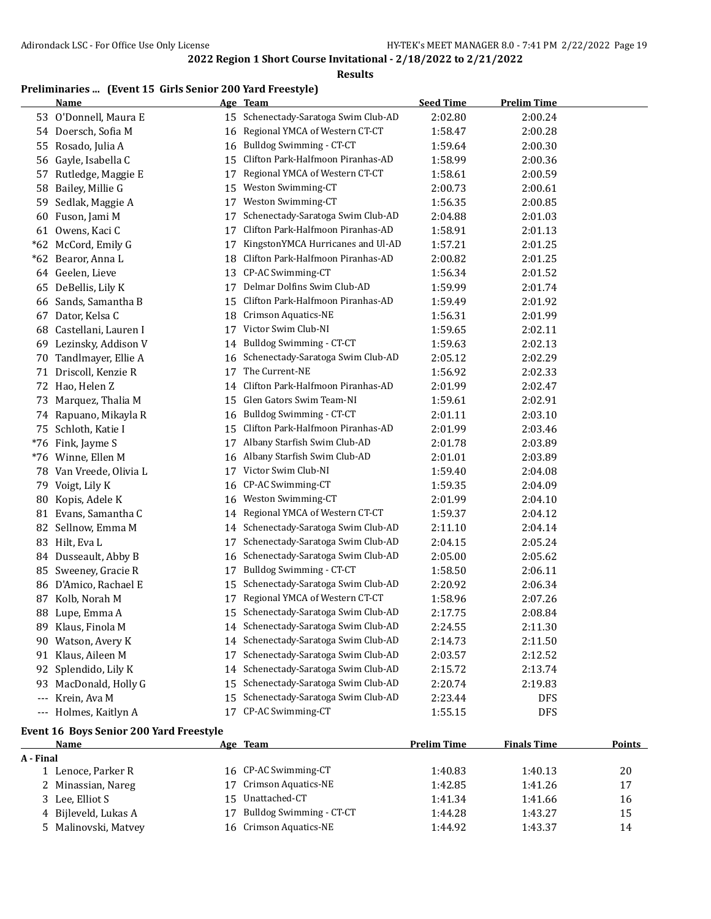#### **Results**

# **Preliminaries ... (Event 15 Girls Senior 200 Yard Freestyle)**

|                      | Name                  |    | Age Team                             | <b>Seed Time</b> | <b>Prelim Time</b> |
|----------------------|-----------------------|----|--------------------------------------|------------------|--------------------|
|                      | 53 O'Donnell, Maura E | 15 | Schenectady-Saratoga Swim Club-AD    | 2:02.80          | 2:00.24            |
|                      | 54 Doersch, Sofia M   | 16 | Regional YMCA of Western CT-CT       | 1:58.47          | 2:00.28            |
| 55                   | Rosado, Julia A       | 16 | Bulldog Swimming - CT-CT             | 1:59.64          | 2:00.30            |
| 56                   | Gayle, Isabella C     | 15 | Clifton Park-Halfmoon Piranhas-AD    | 1:58.99          | 2:00.36            |
| 57                   | Rutledge, Maggie E    | 17 | Regional YMCA of Western CT-CT       | 1:58.61          | 2:00.59            |
| 58                   | Bailey, Millie G      | 15 | Weston Swimming-CT                   | 2:00.73          | 2:00.61            |
| 59                   | Sedlak, Maggie A      | 17 | Weston Swimming-CT                   | 1:56.35          | 2:00.85            |
| 60                   | Fuson, Jami M         | 17 | Schenectady-Saratoga Swim Club-AD    | 2:04.88          | 2:01.03            |
|                      | 61 Owens, Kaci C      | 17 | Clifton Park-Halfmoon Piranhas-AD    | 1:58.91          | 2:01.13            |
| $*62$                | McCord, Emily G       | 17 | KingstonYMCA Hurricanes and Ul-AD    | 1:57.21          | 2:01.25            |
| $*62$                | Bearor, Anna L        | 18 | Clifton Park-Halfmoon Piranhas-AD    | 2:00.82          | 2:01.25            |
|                      | 64 Geelen, Lieve      | 13 | CP-AC Swimming-CT                    | 1:56.34          | 2:01.52            |
| 65                   | DeBellis, Lily K      | 17 | Delmar Dolfins Swim Club-AD          | 1:59.99          | 2:01.74            |
| 66                   | Sands, Samantha B     | 15 | Clifton Park-Halfmoon Piranhas-AD    | 1:59.49          | 2:01.92            |
| 67                   | Dator, Kelsa C        | 18 | Crimson Aquatics-NE                  | 1:56.31          | 2:01.99            |
| 68                   | Castellani, Lauren I  | 17 | Victor Swim Club-NI                  | 1:59.65          | 2:02.11            |
| 69                   | Lezinsky, Addison V   | 14 | Bulldog Swimming - CT-CT             | 1:59.63          | 2:02.13            |
| 70                   | Tandlmayer, Ellie A   | 16 | Schenectady-Saratoga Swim Club-AD    | 2:05.12          | 2:02.29            |
|                      | 71 Driscoll, Kenzie R | 17 | The Current-NE                       | 1:56.92          | 2:02.33            |
|                      | 72 Hao, Helen Z       | 14 | Clifton Park-Halfmoon Piranhas-AD    | 2:01.99          | 2:02.47            |
| 73                   | Marquez, Thalia M     | 15 | Glen Gators Swim Team-NI             | 1:59.61          | 2:02.91            |
| 74                   | Rapuano, Mikayla R    | 16 | Bulldog Swimming - CT-CT             | 2:01.11          | 2:03.10            |
| 75                   | Schloth, Katie I      | 15 | Clifton Park-Halfmoon Piranhas-AD    | 2:01.99          | 2:03.46            |
| $*76$                | Fink, Jayme S         | 17 | Albany Starfish Swim Club-AD         | 2:01.78          | 2:03.89            |
|                      | *76 Winne, Ellen M    | 16 | Albany Starfish Swim Club-AD         | 2:01.01          | 2:03.89            |
| 78                   | Van Vreede, Olivia L  | 17 | Victor Swim Club-NI                  | 1:59.40          | 2:04.08            |
| 79                   | Voigt, Lily K         | 16 | CP-AC Swimming-CT                    | 1:59.35          | 2:04.09            |
| 80                   | Kopis, Adele K        | 16 | Weston Swimming-CT                   | 2:01.99          | 2:04.10            |
|                      | 81 Evans, Samantha C  | 14 | Regional YMCA of Western CT-CT       | 1:59.37          | 2:04.12            |
|                      | 82 Sellnow, Emma M    | 14 | Schenectady-Saratoga Swim Club-AD    | 2:11.10          | 2:04.14            |
|                      | 83 Hilt, Eva L        | 17 | Schenectady-Saratoga Swim Club-AD    | 2:04.15          | 2:05.24            |
| 84                   | Dusseault, Abby B     | 16 | Schenectady-Saratoga Swim Club-AD    | 2:05.00          | 2:05.62            |
| 85                   | Sweeney, Gracie R     | 17 | Bulldog Swimming - CT-CT             | 1:58.50          | 2:06.11            |
| 86                   | D'Amico, Rachael E    | 15 | Schenectady-Saratoga Swim Club-AD    | 2:20.92          | 2:06.34            |
| 87                   | Kolb, Norah M         | 17 | Regional YMCA of Western CT-CT       | 1:58.96          | 2:07.26            |
| 88                   | Lupe, Emma A          | 15 | Schenectady-Saratoga Swim Club-AD    | 2:17.75          | 2:08.84            |
| 89                   | Klaus, Finola M       |    | 14 Schenectady-Saratoga Swim Club-AD | 2:24.55          | 2:11.30            |
| 90                   | Watson, Avery K       | 14 | Schenectady-Saratoga Swim Club-AD    | 2:14.73          | 2:11.50            |
|                      | 91 Klaus, Aileen M    | 17 | Schenectady-Saratoga Swim Club-AD    | 2:03.57          | 2:12.52            |
| 92                   | Splendido, Lily K     | 14 | Schenectady-Saratoga Swim Club-AD    | 2:15.72          | 2:13.74            |
| 93                   | MacDonald, Holly G    | 15 | Schenectady-Saratoga Swim Club-AD    | 2:20.74          | 2:19.83            |
| $\scriptstyle\cdots$ | Krein, Ava M          | 15 | Schenectady-Saratoga Swim Club-AD    | 2:23.44          | DFS                |
|                      | --- Holmes, Kaitlyn A | 17 | CP-AC Swimming-CT                    | 1:55.15          | <b>DFS</b>         |

## **Event 16 Boys Senior 200 Yard Freestyle**

|           | Name                 |     | Age Team                        | <b>Prelim Time</b> | <b>Finals Time</b> | <b>Points</b> |
|-----------|----------------------|-----|---------------------------------|--------------------|--------------------|---------------|
| A - Final |                      |     |                                 |                    |                    |               |
|           | 1 Lenoce, Parker R   |     | 16 CP-AC Swimming-CT            | 1:40.83            | 1:40.13            | 20            |
|           | 2 Minassian, Nareg   |     | Crimson Aquatics-NE             | 1:42.85            | 1:41.26            | 17            |
|           | 3 Lee, Elliot S      | 15. | Unattached-CT                   | 1:41.34            | 1:41.66            | 16            |
|           | 4 Bijleveld, Lukas A | 17  | <b>Bulldog Swimming - CT-CT</b> | 1:44.28            | 1:43.27            | 15            |
|           | 5 Malinovski, Matvey |     | 16 Crimson Aquatics-NE          | 1:44.92            | 1:43.37            | 14            |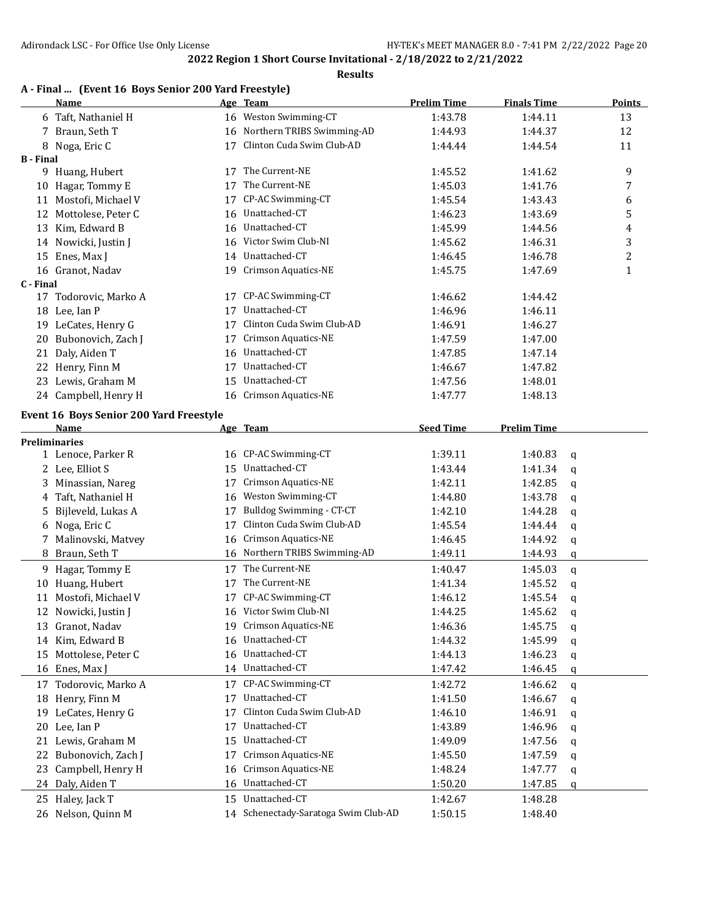|                  |                                                              |    | <b>Results</b>                |                    |                    |   |                         |
|------------------|--------------------------------------------------------------|----|-------------------------------|--------------------|--------------------|---|-------------------------|
|                  | A - Final  (Event 16 Boys Senior 200 Yard Freestyle)<br>Name |    | Age Team                      | <b>Prelim Time</b> | <b>Finals Time</b> |   | <b>Points</b>           |
|                  | 6 Taft, Nathaniel H                                          |    | 16 Weston Swimming-CT         | 1:43.78            | 1:44.11            |   | 13                      |
|                  | 7 Braun, Seth T                                              |    | 16 Northern TRIBS Swimming-AD | 1:44.93            | 1:44.37            |   | 12                      |
|                  | 8 Noga, Eric C                                               | 17 | Clinton Cuda Swim Club-AD     | 1:44.44            | 1:44.54            |   | 11                      |
| <b>B</b> - Final |                                                              |    |                               |                    |                    |   |                         |
|                  | 9 Huang, Hubert                                              | 17 | The Current-NE                | 1:45.52            | 1:41.62            |   | 9                       |
|                  | 10 Hagar, Tommy E                                            | 17 | The Current-NE                | 1:45.03            | 1:41.76            |   | 7                       |
|                  | 11 Mostofi, Michael V                                        | 17 | CP-AC Swimming-CT             | 1:45.54            | 1:43.43            |   | 6                       |
|                  | 12 Mottolese, Peter C                                        | 16 | Unattached-CT                 | 1:46.23            | 1:43.69            |   | 5                       |
|                  | 13 Kim, Edward B                                             | 16 | Unattached-CT                 | 1:45.99            | 1:44.56            |   | $\overline{\mathbf{4}}$ |
|                  | 14 Nowicki, Justin J                                         | 16 | Victor Swim Club-NI           | 1:45.62            | 1:46.31            |   | 3                       |
| 15               | Enes, Max J                                                  | 14 | Unattached-CT                 | 1:46.45            | 1:46.78            |   | $\overline{c}$          |
|                  | 16 Granot, Nadav                                             | 19 | Crimson Aquatics-NE           | 1:45.75            | 1:47.69            |   | $\mathbf{1}$            |
| C - Final        |                                                              |    |                               |                    |                    |   |                         |
|                  | 17 Todorovic, Marko A                                        | 17 | CP-AC Swimming-CT             | 1:46.62            | 1:44.42            |   |                         |
|                  | 18 Lee, Ian P                                                | 17 | Unattached-CT                 | 1:46.96            | 1:46.11            |   |                         |
|                  | 19 LeCates, Henry G                                          | 17 | Clinton Cuda Swim Club-AD     | 1:46.91            | 1:46.27            |   |                         |
|                  | 20 Bubonovich, Zach J                                        | 17 | Crimson Aquatics-NE           | 1:47.59            | 1:47.00            |   |                         |
|                  | 21 Daly, Aiden T                                             | 16 | Unattached-CT                 | 1:47.85            | 1:47.14            |   |                         |
|                  | 22 Henry, Finn M                                             | 17 | Unattached-CT                 | 1:46.67            | 1:47.82            |   |                         |
|                  | 23 Lewis, Graham M                                           | 15 | Unattached-CT                 | 1:47.56            | 1:48.01            |   |                         |
|                  | 24 Campbell, Henry H                                         | 16 | Crimson Aquatics-NE           | 1:47.77            | 1:48.13            |   |                         |
|                  | Event 16 Boys Senior 200 Yard Freestyle                      |    |                               |                    |                    |   |                         |
|                  | Name                                                         |    | Age Team                      | <b>Seed Time</b>   | <b>Prelim Time</b> |   |                         |
|                  | <b>Preliminaries</b>                                         |    |                               |                    |                    |   |                         |
|                  | 1 Lenoce, Parker R                                           |    | 16 CP-AC Swimming-CT          | 1:39.11            | 1:40.83            | q |                         |
|                  | 2 Lee, Elliot S                                              |    | 15 Unattached-CT              | 1:43.44            | 1:41.34            | q |                         |
|                  | 3 Minassian, Nareg                                           | 17 | Crimson Aquatics-NE           | 1:42.11            | 1:42.85            | q |                         |
| 4                | Taft, Nathaniel H                                            | 16 | Weston Swimming-CT            | 1:44.80            | 1:43.78            | q |                         |
| 5                | Bijleveld, Lukas A                                           | 17 | Bulldog Swimming - CT-CT      | 1:42.10            | 1:44.28            | q |                         |
|                  | 6 Noga, Eric C                                               | 17 | Clinton Cuda Swim Club-AD     | 1:45.54            | 1:44.44            | q |                         |
| 7.               | Malinovski, Matvey                                           | 16 | Crimson Aquatics-NE           | 1:46.45            | 1:44.92            | q |                         |
|                  | 8 Braun, Seth T                                              | 16 | Northern TRIBS Swimming-AD    | 1:49.11            | 1:44.93            | q |                         |
|                  | 9 Hagar, Tommy E                                             | 17 | The Current-NE                | 1:40.47            | 1:45.03            | q |                         |
|                  | 10 Huang, Hubert                                             | 17 | The Current-NE                | 1:41.34            | 1:45.52            | q |                         |
|                  | 11 Mostofi, Michael V                                        | 17 | CP-AC Swimming-CT             | 1:46.12            | 1:45.54            | q |                         |
| 12               | Nowicki, Justin J                                            | 16 | Victor Swim Club-NI           | 1:44.25            | 1:45.62            | q |                         |
| 13               | Granot, Nadav                                                | 19 | Crimson Aquatics-NE           | 1:46.36            | 1:45.75            | q |                         |
|                  | 14 Kim, Edward B                                             | 16 | Unattached-CT                 | 1:44.32            | 1:45.99            | q |                         |
| 15               | Mottolese, Peter C                                           | 16 | Unattached-CT                 | 1:44.13            | 1:46.23            | q |                         |
|                  | 16 Enes, Max J                                               | 14 | Unattached-CT                 | 1:47.42            | 1:46.45            | q |                         |
| 17               | Todorovic, Marko A                                           | 17 | CP-AC Swimming-CT             | 1:42.72            | 1:46.62            | q |                         |
|                  | 18 Henry, Finn M                                             | 17 | Unattached-CT                 | 1:41.50            | 1:46.67            | q |                         |
|                  | 19 LeCates, Henry G                                          | 17 | Clinton Cuda Swim Club-AD     | 1:46.10            | 1:46.91            | q |                         |
|                  | 20 Lee, Ian P                                                | 17 | Unattached-CT                 | 1:43.89            | 1:46.96            | q |                         |
|                  | 21 Lewis, Graham M                                           | 15 | Unattached-CT                 | 1:49.09            | 1:47.56            | q |                         |
|                  | 22 Bubonovich, Zach J                                        |    | 17 Crimson Aquatics-NE        | 1:45.50            | 1:47.59            | q |                         |

23 Campbell, Henry H 16 Crimson Aquatics-NE 1:48.24 1:47.77 q<br>24 Daly, Aiden T 16 Unattached-CT 1:50.20 1:47.85 q Daly, Aiden T 16 Unattached-CT 1:50.20 1:47.85 q

25 Haley, Jack T 1:48.28 Nelson, Quinn M 14 Schenectady-Saratoga Swim Club-AD 1:50.15 1:48.40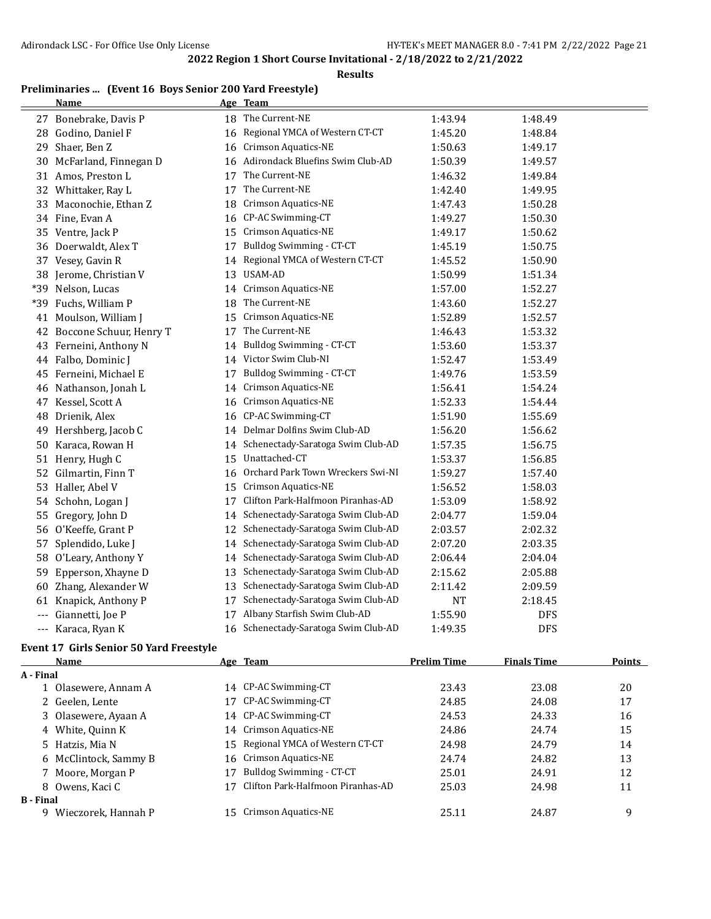**Results**

# **Preliminaries ... (Event 16 Boys Senior 200 Yard Freestyle)**

|       | <b>Name</b>             |        | Age Team                          |           |            |
|-------|-------------------------|--------|-----------------------------------|-----------|------------|
|       | 27 Bonebrake, Davis P   |        | 18 The Current-NE                 | 1:43.94   | 1:48.49    |
| 28    | Godino, Daniel F        | 16     | Regional YMCA of Western CT-CT    | 1:45.20   | 1:48.84    |
| 29    | Shaer, Ben Z            | 16     | Crimson Aquatics-NE               | 1:50.63   | 1:49.17    |
| 30    | McFarland, Finnegan D   | 16     | Adirondack Bluefins Swim Club-AD  | 1:50.39   | 1:49.57    |
| 31    | Amos, Preston L         | 17     | The Current-NE                    | 1:46.32   | 1:49.84    |
| 32    | Whittaker, Ray L        | 17     | The Current-NE                    | 1:42.40   | 1:49.95    |
| 33    | Maconochie, Ethan Z     | 18     | Crimson Aquatics-NE               | 1:47.43   | 1:50.28    |
|       | 34 Fine, Evan A         | 16     | CP-AC Swimming-CT                 | 1:49.27   | 1:50.30    |
|       | 35 Ventre, Jack P       | 15     | <b>Crimson Aquatics-NE</b>        | 1:49.17   | 1:50.62    |
|       | 36 Doerwaldt, Alex T    | 17     | Bulldog Swimming - CT-CT          | 1:45.19   | 1:50.75    |
| 37    | Vesey, Gavin R          | 14     | Regional YMCA of Western CT-CT    | 1:45.52   | 1:50.90    |
|       | 38 Jerome, Christian V  | 13     | USAM-AD                           | 1:50.99   | 1:51.34    |
| *39   | Nelson, Lucas           | 14     | Crimson Aquatics-NE               | 1:57.00   | 1:52.27    |
| $*39$ | Fuchs, William P        | 18     | The Current-NE                    | 1:43.60   | 1:52.27    |
| 41    | Moulson, William J      | 15     | Crimson Aquatics-NE               | 1:52.89   | 1:52.57    |
| 42    | Boccone Schuur, Henry T | $17\,$ | The Current-NE                    | 1:46.43   | 1:53.32    |
| 43    | Ferneini, Anthony N     | 14     | <b>Bulldog Swimming - CT-CT</b>   | 1:53.60   | 1:53.37    |
|       | 44 Falbo, Dominic J     | 14     | Victor Swim Club-NI               | 1:52.47   | 1:53.49    |
| 45    | Ferneini, Michael E     | 17     | Bulldog Swimming - CT-CT          | 1:49.76   | 1:53.59    |
|       | 46 Nathanson, Jonah L   | 14     | Crimson Aquatics-NE               | 1:56.41   | 1:54.24    |
| 47    | Kessel, Scott A         | 16     | <b>Crimson Aquatics-NE</b>        | 1:52.33   | 1:54.44    |
| 48    | Drienik, Alex           | 16     | CP-AC Swimming-CT                 | 1:51.90   | 1:55.69    |
| 49    | Hershberg, Jacob C      |        | 14 Delmar Dolfins Swim Club-AD    | 1:56.20   | 1:56.62    |
| 50    | Karaca, Rowan H         | 14     | Schenectady-Saratoga Swim Club-AD | 1:57.35   | 1:56.75    |
| 51    | Henry, Hugh C           | 15     | Unattached-CT                     | 1:53.37   | 1:56.85    |
| 52    | Gilmartin, Finn T       | 16     | Orchard Park Town Wreckers Swi-NI | 1:59.27   | 1:57.40    |
| 53    | Haller, Abel V          | 15     | <b>Crimson Aquatics-NE</b>        | 1:56.52   | 1:58.03    |
| 54    | Schohn, Logan J         | 17     | Clifton Park-Halfmoon Piranhas-AD | 1:53.09   | 1:58.92    |
| 55    | Gregory, John D         | 14     | Schenectady-Saratoga Swim Club-AD | 2:04.77   | 1:59.04    |
|       | 56 O'Keeffe, Grant P    | 12     | Schenectady-Saratoga Swim Club-AD | 2:03.57   | 2:02.32    |
| 57    | Splendido, Luke J       | 14     | Schenectady-Saratoga Swim Club-AD | 2:07.20   | 2:03.35    |
| 58    | O'Leary, Anthony Y      | 14     | Schenectady-Saratoga Swim Club-AD | 2:06.44   | 2:04.04    |
| 59    | Epperson, Xhayne D      | 13     | Schenectady-Saratoga Swim Club-AD | 2:15.62   | 2:05.88    |
| 60    | Zhang, Alexander W      | 13     | Schenectady-Saratoga Swim Club-AD | 2:11.42   | 2:09.59    |
| 61    | Knapick, Anthony P      | 17     | Schenectady-Saratoga Swim Club-AD | $\rm{NT}$ | 2:18.45    |
| ---   | Giannetti, Joe P        |        | 17 Albany Starfish Swim Club-AD   | 1:55.90   | <b>DFS</b> |
| ---   | Karaca, Ryan K          | 16     | Schenectady-Saratoga Swim Club-AD | 1:49.35   | <b>DFS</b> |

## **Event 17 Girls Senior 50 Yard Freestyle**

|                  | <b>Name</b>           |    | Age Team                          | <b>Prelim Time</b> | <b>Finals Time</b> | <b>Points</b> |
|------------------|-----------------------|----|-----------------------------------|--------------------|--------------------|---------------|
| A - Final        |                       |    |                                   |                    |                    |               |
|                  | 1 Olasewere, Annam A  |    | 14 CP-AC Swimming-CT              | 23.43              | 23.08              | 20            |
|                  | 2 Geelen, Lente       | 17 | CP-AC Swimming-CT                 | 24.85              | 24.08              | 17            |
|                  | 3 Olasewere, Ayaan A  |    | 14 CP-AC Swimming-CT              | 24.53              | 24.33              | 16            |
|                  | 4 White, Quinn K      |    | 14 Crimson Aquatics-NE            | 24.86              | 24.74              | 15            |
|                  | 5 Hatzis, Mia N       |    | 15 Regional YMCA of Western CT-CT | 24.98              | 24.79              | 14            |
|                  | 6 McClintock, Sammy B |    | 16 Crimson Aquatics-NE            | 24.74              | 24.82              | 13            |
|                  | 7 Moore, Morgan P     | 17 | Bulldog Swimming - CT-CT          | 25.01              | 24.91              | 12            |
|                  | 8 Owens, Kaci C       |    | Clifton Park-Halfmoon Piranhas-AD | 25.03              | 24.98              | 11            |
| <b>B</b> - Final |                       |    |                                   |                    |                    |               |
|                  | Wieczorek, Hannah P   | 15 | Crimson Aquatics-NE               | 25.11              | 24.87              | 9             |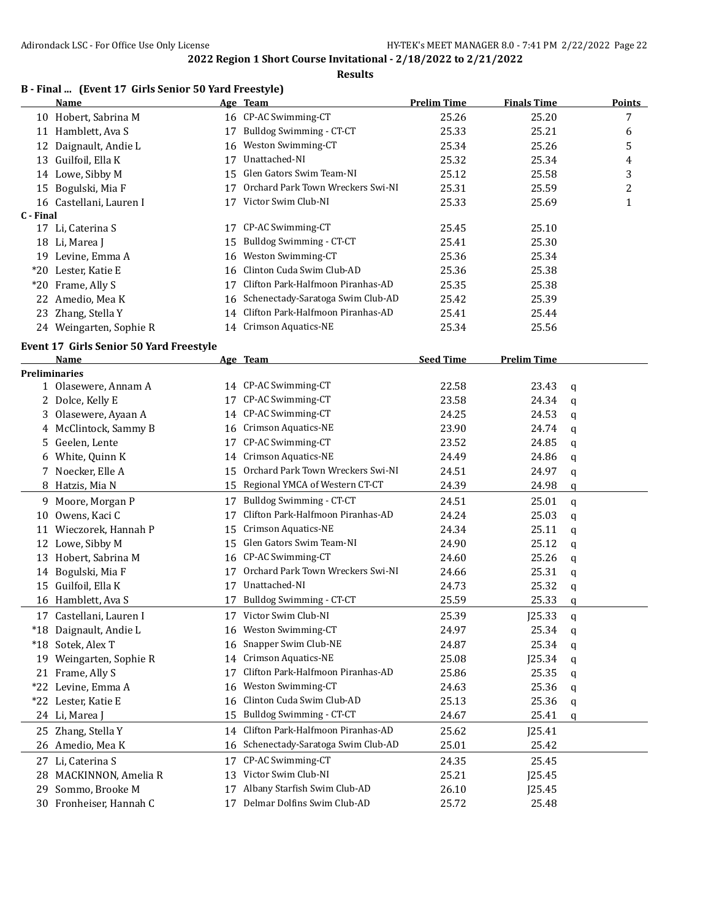#### **Results**

# **B - Final ... (Event 17 Girls Senior 50 Yard Freestyle)**

|           | Name                                    |    | Age Team                             | <b>Prelim Time</b> | <b>Finals Time</b> | <b>Points</b> |
|-----------|-----------------------------------------|----|--------------------------------------|--------------------|--------------------|---------------|
|           | 10 Hobert, Sabrina M                    |    | 16 CP-AC Swimming-CT                 | 25.26              | 25.20              | 7             |
|           | 11 Hamblett, Ava S                      |    | 17 Bulldog Swimming - CT-CT          | 25.33              | 25.21              | 6             |
|           | 12 Daignault, Andie L                   | 16 | Weston Swimming-CT                   | 25.34              | 25.26              | 5             |
|           | 13 Guilfoil, Ella K                     | 17 | Unattached-NI                        | 25.32              | 25.34              | 4             |
|           | 14 Lowe, Sibby M                        | 15 | Glen Gators Swim Team-NI             | 25.12              | 25.58              | 3             |
|           | 15 Bogulski, Mia F                      | 17 | Orchard Park Town Wreckers Swi-NI    | 25.31              | 25.59              | 2             |
|           | 16 Castellani, Lauren I                 |    | 17 Victor Swim Club-NI               | 25.33              | 25.69              | $\mathbf{1}$  |
| C - Final |                                         |    |                                      |                    |                    |               |
|           | 17 Li, Caterina S                       |    | 17 CP-AC Swimming-CT                 | 25.45              | 25.10              |               |
|           | 18 Li, Marea J                          | 15 | Bulldog Swimming - CT-CT             | 25.41              | 25.30              |               |
|           | 19 Levine, Emma A                       |    | 16 Weston Swimming-CT                | 25.36              | 25.34              |               |
|           | *20 Lester, Katie E                     | 16 | Clinton Cuda Swim Club-AD            | 25.36              | 25.38              |               |
|           | *20 Frame, Ally S                       | 17 | Clifton Park-Halfmoon Piranhas-AD    | 25.35              | 25.38              |               |
|           | 22 Amedio, Mea K                        | 16 | Schenectady-Saratoga Swim Club-AD    | 25.42              | 25.39              |               |
|           | 23 Zhang, Stella Y                      | 14 | Clifton Park-Halfmoon Piranhas-AD    | 25.41              | 25.44              |               |
|           | 24 Weingarten, Sophie R                 |    | 14 Crimson Aquatics-NE               | 25.34              | 25.56              |               |
|           | Event 17 Girls Senior 50 Yard Freestyle |    |                                      |                    |                    |               |
|           | Name                                    |    | Age Team                             | <b>Seed Time</b>   | <b>Prelim Time</b> |               |
|           | <b>Preliminaries</b>                    |    |                                      |                    |                    |               |
|           | 1 Olasewere, Annam A                    |    | 14 CP-AC Swimming-CT                 | 22.58              | 23.43              | q             |
|           | 2 Dolce, Kelly E                        |    | 17 CP-AC Swimming-CT                 | 23.58              | 24.34              | q             |
|           | 3 Olasewere, Ayaan A                    |    | 14 CP-AC Swimming-CT                 | 24.25              | 24.53              | q             |
|           | 4 McClintock, Sammy B                   |    | 16 Crimson Aquatics-NE               | 23.90              | 24.74              | q             |
|           | 5 Geelen, Lente                         | 17 | CP-AC Swimming-CT                    | 23.52              | 24.85              | q             |
|           | 6 White, Quinn K                        |    | 14 Crimson Aquatics-NE               | 24.49              | 24.86              | q             |
|           | 7 Noecker, Elle A                       |    | 15 Orchard Park Town Wreckers Swi-NI | 24.51              | 24.97              | q             |
|           | 8 Hatzis, Mia N                         |    | 15 Regional YMCA of Western CT-CT    | 24.39              | 24.98              | q             |
|           | 9 Moore, Morgan P                       | 17 | Bulldog Swimming - CT-CT             | 24.51              | 25.01              | q             |
|           | 10 Owens, Kaci C                        | 17 | Clifton Park-Halfmoon Piranhas-AD    | 24.24              | 25.03              | q             |
|           | 11 Wieczorek, Hannah P                  | 15 | Crimson Aquatics-NE                  | 24.34              | 25.11              | q             |
|           | 12 Lowe, Sibby M                        |    | 15 Glen Gators Swim Team-NI          | 24.90              | 25.12              | q             |
|           | 13 Hobert, Sabrina M                    |    | 16 CP-AC Swimming-CT                 | 24.60              | 25.26              | q             |
|           | 14 Bogulski, Mia F                      |    | 17 Orchard Park Town Wreckers Swi-NI | 24.66              | 25.31              | q             |
|           | 15 Guilfoil, Ella K                     |    | 17 Unattached-NI                     | 24.73              | 25.32              | q             |
|           | 16 Hamblett, Ava S                      |    | 17 Bulldog Swimming - CT-CT          | 25.59              | 25.33              | q             |
|           | 17 Castellani, Lauren I                 |    | 17 Victor Swim Club-NI               | 25.39              | J25.33             | q             |
|           | *18 Daignault, Andie L                  |    | 16 Weston Swimming-CT                | 24.97              | 25.34              | q             |
|           | *18 Sotek, Alex T                       | 16 | Snapper Swim Club-NE                 | 24.87              | 25.34              | q             |
|           | 19 Weingarten, Sophie R                 | 14 | Crimson Aquatics-NE                  | 25.08              | J25.34             | q             |
|           | 21 Frame, Ally S                        | 17 | Clifton Park-Halfmoon Piranhas-AD    | 25.86              | 25.35              | q             |
|           | *22 Levine, Emma A                      | 16 | Weston Swimming-CT                   | 24.63              | 25.36              | q             |
|           | *22 Lester, Katie E                     | 16 | Clinton Cuda Swim Club-AD            | 25.13              | 25.36              | q             |
|           | 24 Li, Marea J                          | 15 | Bulldog Swimming - CT-CT             | 24.67              | 25.41              | q             |
|           | 25 Zhang, Stella Y                      | 14 | Clifton Park-Halfmoon Piranhas-AD    | 25.62              | J25.41             |               |
|           | 26 Amedio, Mea K                        | 16 | Schenectady-Saratoga Swim Club-AD    | 25.01              | 25.42              |               |
|           |                                         |    | CP-AC Swimming-CT                    |                    |                    |               |
|           | 27 Li, Caterina S                       | 17 | Victor Swim Club-NI                  | 24.35              | 25.45              |               |
| 28        | MACKINNON, Amelia R                     | 13 | Albany Starfish Swim Club-AD         | 25.21              | J25.45             |               |
| 29        | Sommo, Brooke M                         | 17 |                                      | 26.10              | J25.45             |               |
|           | 30 Fronheiser, Hannah C                 | 17 | Delmar Dolfins Swim Club-AD          | 25.72              | 25.48              |               |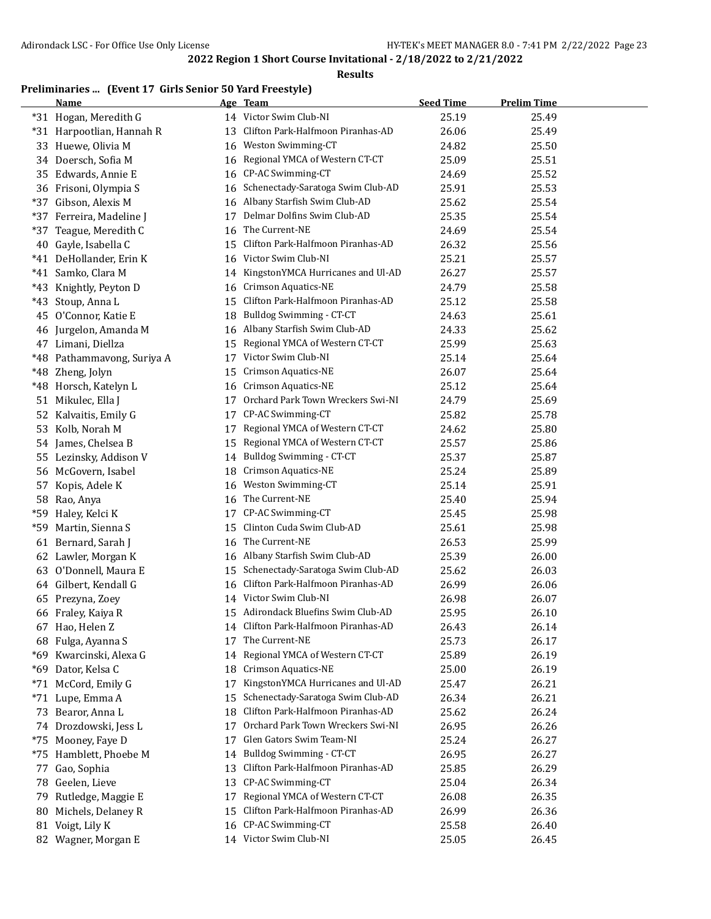**Results**

# **Preliminaries ... (Event 17 Girls Senior 50 Yard Freestyle)**

|       | <b>Name</b>                |    | Age Team                            | <b>Seed Time</b> | <b>Prelim Time</b> |  |
|-------|----------------------------|----|-------------------------------------|------------------|--------------------|--|
|       | *31 Hogan, Meredith G      |    | 14 Victor Swim Club-NI              | 25.19            | 25.49              |  |
|       | *31 Harpootlian, Hannah R  | 13 | Clifton Park-Halfmoon Piranhas-AD   | 26.06            | 25.49              |  |
|       | 33 Huewe, Olivia M         | 16 | Weston Swimming-CT                  | 24.82            | 25.50              |  |
|       | 34 Doersch, Sofia M        | 16 | Regional YMCA of Western CT-CT      | 25.09            | 25.51              |  |
|       | 35 Edwards, Annie E        | 16 | CP-AC Swimming-CT                   | 24.69            | 25.52              |  |
|       | 36 Frisoni, Olympia S      | 16 | Schenectady-Saratoga Swim Club-AD   | 25.91            | 25.53              |  |
|       | *37 Gibson, Alexis M       | 16 | Albany Starfish Swim Club-AD        | 25.62            | 25.54              |  |
| $*37$ | Ferreira, Madeline J       | 17 | Delmar Dolfins Swim Club-AD         | 25.35            | 25.54              |  |
| *37   | Teague, Meredith C         | 16 | The Current-NE                      | 24.69            | 25.54              |  |
| 40    | Gayle, Isabella C          | 15 | Clifton Park-Halfmoon Piranhas-AD   | 26.32            | 25.56              |  |
|       | *41 DeHollander, Erin K    | 16 | Victor Swim Club-NI                 | 25.21            | 25.57              |  |
|       | *41 Samko, Clara M         | 14 | KingstonYMCA Hurricanes and Ul-AD   | 26.27            | 25.57              |  |
|       | *43 Knightly, Peyton D     | 16 | Crimson Aquatics-NE                 | 24.79            | 25.58              |  |
|       | *43 Stoup, Anna L          | 15 | Clifton Park-Halfmoon Piranhas-AD   | 25.12            | 25.58              |  |
|       | 45 O'Connor, Katie E       | 18 | Bulldog Swimming - CT-CT            | 24.63            | 25.61              |  |
|       | 46 Jurgelon, Amanda M      |    | 16 Albany Starfish Swim Club-AD     | 24.33            | 25.62              |  |
|       | 47 Limani, Diellza         | 15 | Regional YMCA of Western CT-CT      | 25.99            | 25.63              |  |
|       | *48 Pathammavong, Suriya A | 17 | Victor Swim Club-NI                 | 25.14            | 25.64              |  |
|       | *48 Zheng, Jolyn           | 15 | Crimson Aquatics-NE                 | 26.07            | 25.64              |  |
|       | *48 Horsch, Katelyn L      | 16 | Crimson Aquatics-NE                 | 25.12            | 25.64              |  |
|       | 51 Mikulec, Ella J         | 17 | Orchard Park Town Wreckers Swi-NI   | 24.79            | 25.69              |  |
|       | 52 Kalvaitis, Emily G      | 17 | CP-AC Swimming-CT                   | 25.82            | 25.78              |  |
|       | 53 Kolb, Norah M           | 17 | Regional YMCA of Western CT-CT      | 24.62            | 25.80              |  |
|       | 54 James, Chelsea B        | 15 | Regional YMCA of Western CT-CT      | 25.57            | 25.86              |  |
|       | 55 Lezinsky, Addison V     | 14 | Bulldog Swimming - CT-CT            | 25.37            | 25.87              |  |
|       | 56 McGovern, Isabel        | 18 | Crimson Aquatics-NE                 | 25.24            | 25.89              |  |
|       | 57 Kopis, Adele K          | 16 | Weston Swimming-CT                  | 25.14            | 25.91              |  |
|       | 58 Rao, Anya               | 16 | The Current-NE                      | 25.40            | 25.94              |  |
|       | *59 Haley, Kelci K         | 17 | CP-AC Swimming-CT                   | 25.45            | 25.98              |  |
| *59   | Martin, Sienna S           | 15 | Clinton Cuda Swim Club-AD           | 25.61            | 25.98              |  |
|       | 61 Bernard, Sarah J        | 16 | The Current-NE                      | 26.53            | 25.99              |  |
|       | 62 Lawler, Morgan K        | 16 | Albany Starfish Swim Club-AD        | 25.39            | 26.00              |  |
|       | 63 O'Donnell, Maura E      | 15 | Schenectady-Saratoga Swim Club-AD   | 25.62            | 26.03              |  |
|       | 64 Gilbert, Kendall G      | 16 | Clifton Park-Halfmoon Piranhas-AD   | 26.99            | 26.06              |  |
|       | 65 Prezyna, Zoey           |    | 14 Victor Swim Club-NI              | 26.98            | 26.07              |  |
|       | 66 Fraley, Kaiya R         |    | 15 Adirondack Bluefins Swim Club-AD | 25.95            | 26.10              |  |
|       | 67 Hao, Helen Z            | 14 | Clifton Park-Halfmoon Piranhas-AD   | 26.43            | 26.14              |  |
| 68    | Fulga, Ayanna S            | 17 | The Current-NE                      | 25.73            | 26.17              |  |
| *69   | Kwarcinski, Alexa G        | 14 | Regional YMCA of Western CT-CT      | 25.89            | 26.19              |  |
| $*69$ | Dator, Kelsa C             | 18 | Crimson Aquatics-NE                 | 25.00            | 26.19              |  |
| $*71$ | McCord, Emily G            | 17 | KingstonYMCA Hurricanes and Ul-AD   | 25.47            | 26.21              |  |
| $*71$ | Lupe, Emma A               | 15 | Schenectady-Saratoga Swim Club-AD   | 26.34            | 26.21              |  |
|       | 73 Bearor, Anna L          | 18 | Clifton Park-Halfmoon Piranhas-AD   | 25.62            | 26.24              |  |
|       | 74 Drozdowski, Jess L      | 17 | Orchard Park Town Wreckers Swi-NI   | 26.95            | 26.26              |  |
|       | *75 Mooney, Faye D         | 17 | Glen Gators Swim Team-NI            | 25.24            | 26.27              |  |
|       | *75 Hamblett, Phoebe M     | 14 | Bulldog Swimming - CT-CT            | 26.95            | 26.27              |  |
| 77    | Gao, Sophia                | 13 | Clifton Park-Halfmoon Piranhas-AD   | 25.85            | 26.29              |  |
|       | 78 Geelen, Lieve           | 13 | CP-AC Swimming-CT                   | 25.04            | 26.34              |  |
| 79    | Rutledge, Maggie E         | 17 | Regional YMCA of Western CT-CT      | 26.08            | 26.35              |  |
| 80    | Michels, Delaney R         | 15 | Clifton Park-Halfmoon Piranhas-AD   | 26.99            | 26.36              |  |
|       | 81 Voigt, Lily K           | 16 | CP-AC Swimming-CT                   | 25.58            | 26.40              |  |
|       | 82 Wagner, Morgan E        |    | 14 Victor Swim Club-NI              | 25.05            | 26.45              |  |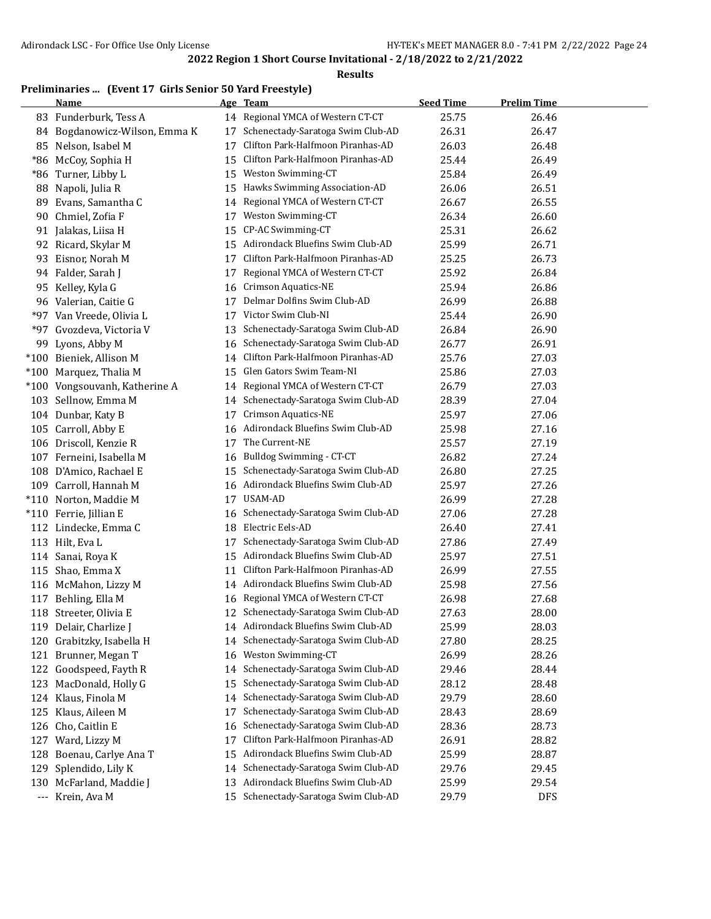#### **Results**

# **Preliminaries ... (Event 17 Girls Senior 50 Yard Freestyle)**

|        | <b>Name</b>                          |          | Age Team                             | <b>Seed Time</b> | <b>Prelim Time</b> |  |
|--------|--------------------------------------|----------|--------------------------------------|------------------|--------------------|--|
|        | 83 Funderburk, Tess A                |          | 14 Regional YMCA of Western CT-CT    | 25.75            | 26.46              |  |
| 84     | Bogdanowicz-Wilson, Emma K           | 17       | Schenectady-Saratoga Swim Club-AD    | 26.31            | 26.47              |  |
|        | 85 Nelson, Isabel M                  | 17       | Clifton Park-Halfmoon Piranhas-AD    | 26.03            | 26.48              |  |
| *86    | McCoy, Sophia H                      | 15       | Clifton Park-Halfmoon Piranhas-AD    | 25.44            | 26.49              |  |
| $*86$  | Turner, Libby L                      | 15       | Weston Swimming-CT                   | 25.84            | 26.49              |  |
| 88     | Napoli, Julia R                      | 15       | Hawks Swimming Association-AD        | 26.06            | 26.51              |  |
| 89     | Evans, Samantha C                    | 14       | Regional YMCA of Western CT-CT       | 26.67            | 26.55              |  |
| 90     | Chmiel, Zofia F                      | 17       | Weston Swimming-CT                   | 26.34            | 26.60              |  |
|        | 91 Jalakas, Liisa H                  | 15       | CP-AC Swimming-CT                    | 25.31            | 26.62              |  |
| 92     | Ricard, Skylar M                     | 15       | Adirondack Bluefins Swim Club-AD     | 25.99            | 26.71              |  |
| 93     | Eisnor, Norah M                      | 17       | Clifton Park-Halfmoon Piranhas-AD    | 25.25            | 26.73              |  |
|        | 94 Falder, Sarah J                   | 17       | Regional YMCA of Western CT-CT       | 25.92            | 26.84              |  |
| 95     | Kelley, Kyla G                       | 16       | Crimson Aquatics-NE                  | 25.94            | 26.86              |  |
|        | 96 Valerian, Caitie G                | 17       | Delmar Dolfins Swim Club-AD          | 26.99            | 26.88              |  |
| *97    | Van Vreede, Olivia L                 | 17       | Victor Swim Club-NI                  | 25.44            | 26.90              |  |
| $*97$  | Gvozdeva, Victoria V                 | 13       | Schenectady-Saratoga Swim Club-AD    | 26.84            | 26.90              |  |
| 99     | Lyons, Abby M                        | 16       | Schenectady-Saratoga Swim Club-AD    | 26.77            | 26.91              |  |
|        | *100 Bieniek, Allison M              | 14       | Clifton Park-Halfmoon Piranhas-AD    | 25.76            | 27.03              |  |
| $*100$ | Marquez, Thalia M                    | 15       | Glen Gators Swim Team-NI             | 25.86            | 27.03              |  |
|        | *100 Vongsouvanh, Katherine A        | 14       | Regional YMCA of Western CT-CT       | 26.79            | 27.03              |  |
| 103    | Sellnow, Emma M                      | 14       | Schenectady-Saratoga Swim Club-AD    | 28.39            | 27.04              |  |
|        | 104 Dunbar, Katy B                   | 17       | Crimson Aquatics-NE                  | 25.97            | 27.06              |  |
|        | 105 Carroll, Abby E                  | 16       | Adirondack Bluefins Swim Club-AD     | 25.98            | 27.16              |  |
|        | 106 Driscoll, Kenzie R               | 17       | The Current-NE                       | 25.57            | 27.19              |  |
|        | 107 Ferneini, Isabella M             | 16       | Bulldog Swimming - CT-CT             | 26.82            | 27.24              |  |
|        | 108 D'Amico, Rachael E               | 15       | Schenectady-Saratoga Swim Club-AD    | 26.80            | 27.25              |  |
|        | 109 Carroll, Hannah M                | 16       | Adirondack Bluefins Swim Club-AD     | 25.97            | 27.26              |  |
|        | *110 Norton, Maddie M                | 17       | USAM-AD                              | 26.99            | 27.28              |  |
|        | *110 Ferrie, Jillian E               | 16       | Schenectady-Saratoga Swim Club-AD    | 27.06            | 27.28              |  |
|        | 112 Lindecke, Emma C                 | 18       | Electric Eels-AD                     | 26.40            | 27.41              |  |
|        |                                      |          | Schenectady-Saratoga Swim Club-AD    |                  |                    |  |
|        | 113 Hilt, Eva L<br>114 Sanai, Roya K | 17<br>15 | Adirondack Bluefins Swim Club-AD     | 27.86<br>25.97   | 27.49<br>27.51     |  |
|        |                                      |          | Clifton Park-Halfmoon Piranhas-AD    |                  |                    |  |
| 115    | Shao, Emma X<br>116 McMahon, Lizzy M | 11       | Adirondack Bluefins Swim Club-AD     | 26.99            | 27.55<br>27.56     |  |
|        |                                      | 14       | Regional YMCA of Western CT-CT       | 25.98            |                    |  |
| 117    | Behling, Ella M                      | 16<br>12 | Schenectady-Saratoga Swim Club-AD    | 26.98            | 27.68              |  |
|        | 118 Streeter, Olivia E               |          | 14 Adirondack Bluefins Swim Club-AD  | 27.63            | 28.00              |  |
|        | 119 Delair, Charlize J               |          | Schenectady-Saratoga Swim Club-AD    | 25.99            | 28.03              |  |
| 120    | Grabitzky, Isabella H                | 14       | Weston Swimming-CT                   | 27.80            | 28.25              |  |
|        | 121 Brunner, Megan T                 | 16       | Schenectady-Saratoga Swim Club-AD    | 26.99            | 28.26              |  |
| 122    | Goodspeed, Fayth R                   | 14       |                                      | 29.46            | 28.44              |  |
| 123    | MacDonald, Holly G                   | 15       | Schenectady-Saratoga Swim Club-AD    | 28.12            | 28.48              |  |
|        | 124 Klaus, Finola M                  | 14       | Schenectady-Saratoga Swim Club-AD    | 29.79            | 28.60              |  |
| 125    | Klaus, Aileen M                      | 17       | Schenectady-Saratoga Swim Club-AD    | 28.43            | 28.69              |  |
| 126    | Cho, Caitlin E                       | 16       | Schenectady-Saratoga Swim Club-AD    | 28.36            | 28.73              |  |
| 127    | Ward, Lizzy M                        | 17       | Clifton Park-Halfmoon Piranhas-AD    | 26.91            | 28.82              |  |
| 128    | Boenau, Carlye Ana T                 | 15       | Adirondack Bluefins Swim Club-AD     | 25.99            | 28.87              |  |
| 129    | Splendido, Lily K                    | 14       | Schenectady-Saratoga Swim Club-AD    | 29.76            | 29.45              |  |
| 130    | McFarland, Maddie J                  | 13       | Adirondack Bluefins Swim Club-AD     | 25.99            | 29.54              |  |
|        | --- Krein, Ava M                     |          | 15 Schenectady-Saratoga Swim Club-AD | 29.79            | <b>DFS</b>         |  |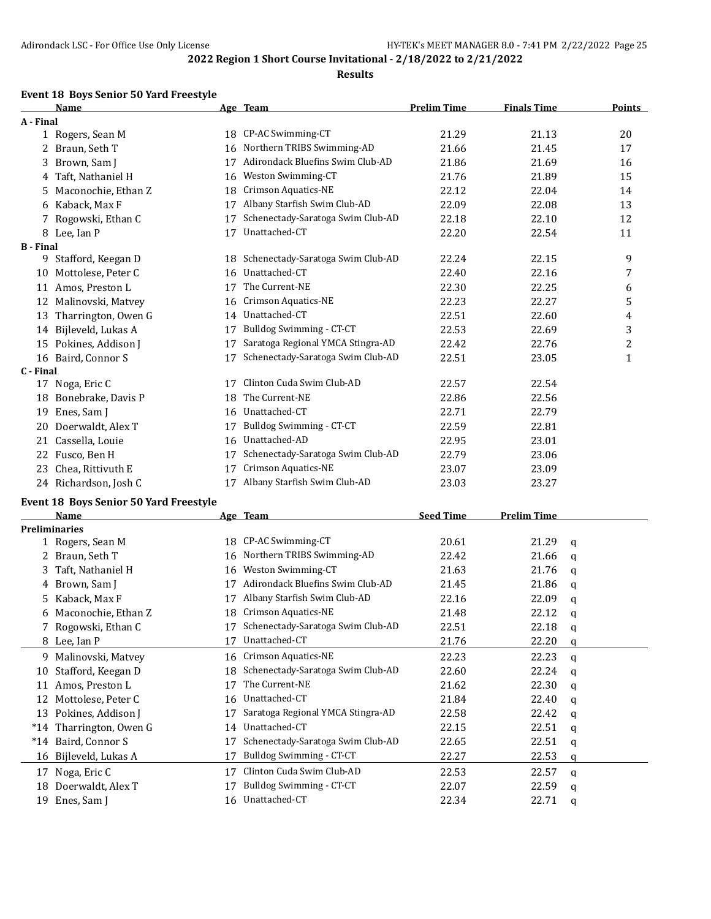#### **Results**

#### **Event 18 Boys Senior 50 Yard Freestyle**

|                  | <b>Name</b>           |    | Age Team                          | <b>Prelim Time</b> | <b>Finals Time</b> | Points         |
|------------------|-----------------------|----|-----------------------------------|--------------------|--------------------|----------------|
| A - Final        |                       |    |                                   |                    |                    |                |
|                  | 1 Rogers, Sean M      | 18 | CP-AC Swimming-CT                 | 21.29              | 21.13              | 20             |
| 2                | Braun, Seth T         | 16 | Northern TRIBS Swimming-AD        | 21.66              | 21.45              | 17             |
| 3                | Brown, Sam J          | 17 | Adirondack Bluefins Swim Club-AD  | 21.86              | 21.69              | 16             |
| 4                | Taft, Nathaniel H     | 16 | Weston Swimming-CT                | 21.76              | 21.89              | 15             |
| 5                | Maconochie, Ethan Z   | 18 | <b>Crimson Aquatics-NE</b>        | 22.12              | 22.04              | 14             |
|                  | 6 Kaback, Max F       | 17 | Albany Starfish Swim Club-AD      | 22.09              | 22.08              | 13             |
|                  | Rogowski, Ethan C     | 17 | Schenectady-Saratoga Swim Club-AD | 22.18              | 22.10              | 12             |
|                  | 8 Lee, Ian P          | 17 | Unattached-CT                     | 22.20              | 22.54              | 11             |
| <b>B</b> - Final |                       |    |                                   |                    |                    |                |
| 9                | Stafford, Keegan D    | 18 | Schenectady-Saratoga Swim Club-AD | 22.24              | 22.15              | 9              |
| 10               | Mottolese, Peter C    | 16 | Unattached-CT                     | 22.40              | 22.16              | 7              |
| 11               | Amos, Preston L       | 17 | The Current-NE                    | 22.30              | 22.25              | 6              |
| 12               | Malinovski, Matvey    | 16 | Crimson Aquatics-NE               | 22.23              | 22.27              | 5              |
| 13               | Tharrington, Owen G   | 14 | Unattached-CT                     | 22.51              | 22.60              | 4              |
| 14               | Bijleveld, Lukas A    | 17 | Bulldog Swimming - CT-CT          | 22.53              | 22.69              | 3              |
| 15               | Pokines, Addison J    | 17 | Saratoga Regional YMCA Stingra-AD | 22.42              | 22.76              | $\overline{c}$ |
|                  | 16 Baird, Connor S    | 17 | Schenectady-Saratoga Swim Club-AD | 22.51              | 23.05              | $\mathbf{1}$   |
| C - Final        |                       |    |                                   |                    |                    |                |
| 17               | Noga, Eric C          | 17 | Clinton Cuda Swim Club-AD         | 22.57              | 22.54              |                |
| 18               | Bonebrake, Davis P    | 18 | The Current-NE                    | 22.86              | 22.56              |                |
| 19               | Enes, Sam J           | 16 | Unattached-CT                     | 22.71              | 22.79              |                |
| 20               | Doerwaldt, Alex T     | 17 | Bulldog Swimming - CT-CT          | 22.59              | 22.81              |                |
| 21               | Cassella, Louie       | 16 | Unattached-AD                     | 22.95              | 23.01              |                |
| 22               | Fusco, Ben H          | 17 | Schenectady-Saratoga Swim Club-AD | 22.79              | 23.06              |                |
| 23               | Chea, Rittivuth E     | 17 | Crimson Aquatics-NE               | 23.07              | 23.09              |                |
|                  | 24 Richardson, Josh C | 17 | Albany Starfish Swim Club-AD      | 23.03              | 23.27              |                |

#### **Event 18 Boys Senior 50 Yard Freestyle**

|              | Name                 |    | Age Team                          | <b>Seed Time</b> | <b>Prelim Time</b> |   |
|--------------|----------------------|----|-----------------------------------|------------------|--------------------|---|
|              | <b>Preliminaries</b> |    |                                   |                  |                    |   |
|              | 1 Rogers, Sean M     | 18 | CP-AC Swimming-CT                 | 20.61            | 21.29              | a |
| $\mathbf{Z}$ | Braun, Seth T        | 16 | Northern TRIBS Swimming-AD        | 22.42            | 21.66              | a |
| 3.           | Taft, Nathaniel H    | 16 | Weston Swimming-CT                | 21.63            | 21.76              | a |
| 4            | Brown, Sam J         | 17 | Adirondack Bluefins Swim Club-AD  | 21.45            | 21.86              | a |
| 5.           | Kaback, Max F        | 17 | Albany Starfish Swim Club-AD      | 22.16            | 22.09              | a |
|              | Maconochie, Ethan Z  | 18 | Crimson Aquatics-NE               | 21.48            | 22.12              | a |
|              | 7 Rogowski, Ethan C  | 17 | Schenectady-Saratoga Swim Club-AD | 22.51            | 22.18              | q |
|              | 8 Lee, Ian P         | 17 | Unattached-CT                     | 21.76            | 22.20              | q |
| 9            | Malinovski, Matvey   | 16 | Crimson Aquatics-NE               | 22.23            | 22.23              | q |
| 10           | Stafford, Keegan D   | 18 | Schenectady-Saratoga Swim Club-AD | 22.60            | 22.24              | a |
| 11           | Amos, Preston L      |    | The Current-NE                    | 21.62            | 22.30              | q |
| 12           | Mottolese, Peter C   | 16 | Unattached-CT                     | 21.84            | 22.40              | a |
| 13           | Pokines, Addison J   | 17 | Saratoga Regional YMCA Stingra-AD | 22.58            | 22.42              | q |
| $*14$        | Tharrington, Owen G  | 14 | Unattached-CT                     | 22.15            | 22.51              | q |
| $*14$        | Baird, Connor S      | 17 | Schenectady-Saratoga Swim Club-AD | 22.65            | 22.51              | q |
| 16           | Bijleveld, Lukas A   | 17 | Bulldog Swimming - CT-CT          | 22.27            | 22.53              | q |
| 17           | Noga, Eric C         | 17 | Clinton Cuda Swim Club-AD         | 22.53            | 22.57              | a |
| 18           | Doerwaldt, Alex T    | 17 | Bulldog Swimming - CT-CT          | 22.07            | 22.59              | q |
| 19           | Enes, Sam J          | 16 | Unattached-CT                     | 22.34            | 22.71              | q |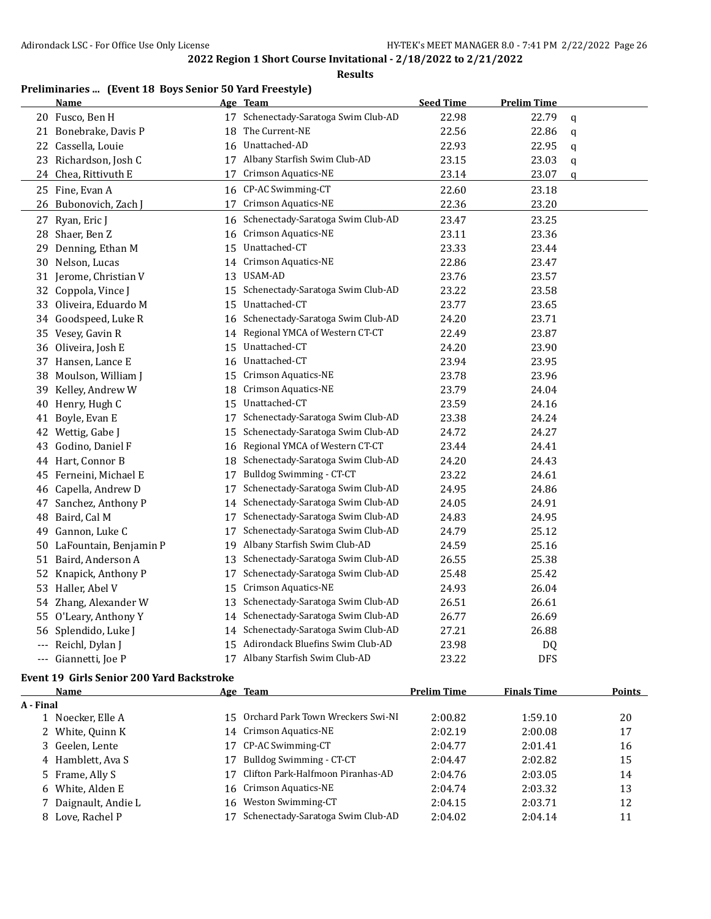**Results**

## **Preliminaries ... (Event 18 Boys Senior 50 Yard Freestyle)**

|       | <b>Name</b>            |    | Age Team                             | <b>Seed Time</b> | <b>Prelim Time</b> |             |
|-------|------------------------|----|--------------------------------------|------------------|--------------------|-------------|
|       | 20 Fusco, Ben H        | 17 | Schenectady-Saratoga Swim Club-AD    | 22.98            | 22.79              | $\mathbf q$ |
| 21    | Bonebrake, Davis P     |    | 18 The Current-NE                    | 22.56            | 22.86              | q           |
|       | 22 Cassella, Louie     | 16 | Unattached-AD                        | 22.93            | 22.95              | q           |
|       | 23 Richardson, Josh C  |    | 17 Albany Starfish Swim Club-AD      | 23.15            | 23.03              | q           |
|       | 24 Chea, Rittivuth E   | 17 | Crimson Aquatics-NE                  | 23.14            | 23.07              | q           |
|       | 25 Fine, Evan A        |    | 16 CP-AC Swimming-CT                 | 22.60            | 23.18              |             |
| 26    | Bubonovich, Zach J     | 17 | Crimson Aquatics-NE                  | 22.36            | 23.20              |             |
|       | 27 Ryan, Eric J        | 16 | Schenectady-Saratoga Swim Club-AD    | 23.47            | 23.25              |             |
|       | 28 Shaer, Ben Z        | 16 | Crimson Aquatics-NE                  | 23.11            | 23.36              |             |
|       | 29 Denning, Ethan M    | 15 | Unattached-CT                        | 23.33            | 23.44              |             |
| 30    | Nelson, Lucas          | 14 | Crimson Aquatics-NE                  | 22.86            | 23.47              |             |
|       | 31 Jerome, Christian V | 13 | USAM-AD                              | 23.76            | 23.57              |             |
|       | 32 Coppola, Vince J    |    | 15 Schenectady-Saratoga Swim Club-AD | 23.22            | 23.58              |             |
|       | 33 Oliveira, Eduardo M | 15 | Unattached-CT                        | 23.77            | 23.65              |             |
|       | 34 Goodspeed, Luke R   | 16 | Schenectady-Saratoga Swim Club-AD    | 24.20            | 23.71              |             |
| 35    | Vesey, Gavin R         | 14 | Regional YMCA of Western CT-CT       | 22.49            | 23.87              |             |
| 36    | Oliveira, Josh E       | 15 | Unattached-CT                        | 24.20            | 23.90              |             |
|       | 37 Hansen, Lance E     | 16 | Unattached-CT                        | 23.94            | 23.95              |             |
| 38    | Moulson, William J     | 15 | Crimson Aquatics-NE                  | 23.78            | 23.96              |             |
| 39    | Kelley, Andrew W       | 18 | Crimson Aquatics-NE                  | 23.79            | 24.04              |             |
| 40    | Henry, Hugh C          |    | 15 Unattached-CT                     | 23.59            | 24.16              |             |
| 41    | Boyle, Evan E          | 17 | Schenectady-Saratoga Swim Club-AD    | 23.38            | 24.24              |             |
| 42    | Wettig, Gabe J         | 15 | Schenectady-Saratoga Swim Club-AD    | 24.72            | 24.27              |             |
| 43    | Godino, Daniel F       | 16 | Regional YMCA of Western CT-CT       | 23.44            | 24.41              |             |
|       | 44 Hart, Connor B      | 18 | Schenectady-Saratoga Swim Club-AD    | 24.20            | 24.43              |             |
| 45    | Ferneini, Michael E    | 17 | Bulldog Swimming - CT-CT             | 23.22            | 24.61              |             |
|       | 46 Capella, Andrew D   | 17 | Schenectady-Saratoga Swim Club-AD    | 24.95            | 24.86              |             |
| 47    | Sanchez, Anthony P     | 14 | Schenectady-Saratoga Swim Club-AD    | 24.05            | 24.91              |             |
| 48    | Baird, Cal M           | 17 | Schenectady-Saratoga Swim Club-AD    | 24.83            | 24.95              |             |
| 49    | Gannon, Luke C         | 17 | Schenectady-Saratoga Swim Club-AD    | 24.79            | 25.12              |             |
| 50    | LaFountain, Benjamin P | 19 | Albany Starfish Swim Club-AD         | 24.59            | 25.16              |             |
| 51    | Baird, Anderson A      | 13 | Schenectady-Saratoga Swim Club-AD    | 26.55            | 25.38              |             |
| 52    | Knapick, Anthony P     | 17 | Schenectady-Saratoga Swim Club-AD    | 25.48            | 25.42              |             |
| 53    | Haller, Abel V         | 15 | Crimson Aquatics-NE                  | 24.93            | 26.04              |             |
| 54    | Zhang, Alexander W     | 13 | Schenectady-Saratoga Swim Club-AD    | 26.51            | 26.61              |             |
| 55    | O'Leary, Anthony Y     | 14 | Schenectady-Saratoga Swim Club-AD    | 26.77            | 26.69              |             |
|       | 56 Splendido, Luke J   | 14 | Schenectady-Saratoga Swim Club-AD    | 27.21            | 26.88              |             |
|       | Reichl, Dylan J        |    | 15 Adirondack Bluefins Swim Club-AD  | 23.98            | DQ                 |             |
| $---$ | Giannetti, Joe P       |    | 17 Albany Starfish Swim Club-AD      | 23.22            | <b>DFS</b>         |             |

### **Event 19 Girls Senior 200 Yard Backstroke**

|           | Name                 |     | Age Team                          | <b>Prelim Time</b> | <b>Finals Time</b> | <b>Points</b> |
|-----------|----------------------|-----|-----------------------------------|--------------------|--------------------|---------------|
| A - Final |                      |     |                                   |                    |                    |               |
|           | 1 Noecker, Elle A    | 15. | Orchard Park Town Wreckers Swi-NI | 2:00.82            | 1:59.10            | 20            |
|           | 2 White, Quinn K     |     | 14 Crimson Aquatics-NE            | 2:02.19            | 2:00.08            | 17            |
|           | 3 Geelen, Lente      | 17  | CP-AC Swimming-CT                 | 2:04.77            | 2:01.41            | 16            |
|           | 4 Hamblett, Ava S    |     | Bulldog Swimming - CT-CT          | 2:04.47            | 2:02.82            | 15            |
|           | 5 Frame, Ally S      |     | Clifton Park-Halfmoon Piranhas-AD | 2:04.76            | 2:03.05            | 14            |
|           | 6 White, Alden E     | 16  | Crimson Aquatics-NE               | 2:04.74            | 2:03.32            | 13            |
|           | 7 Daignault, Andie L | 16  | Weston Swimming-CT                | 2:04.15            | 2:03.71            | 12            |
|           | 8 Love, Rachel P     |     | Schenectady-Saratoga Swim Club-AD | 2:04.02            | 2:04.14            | 11            |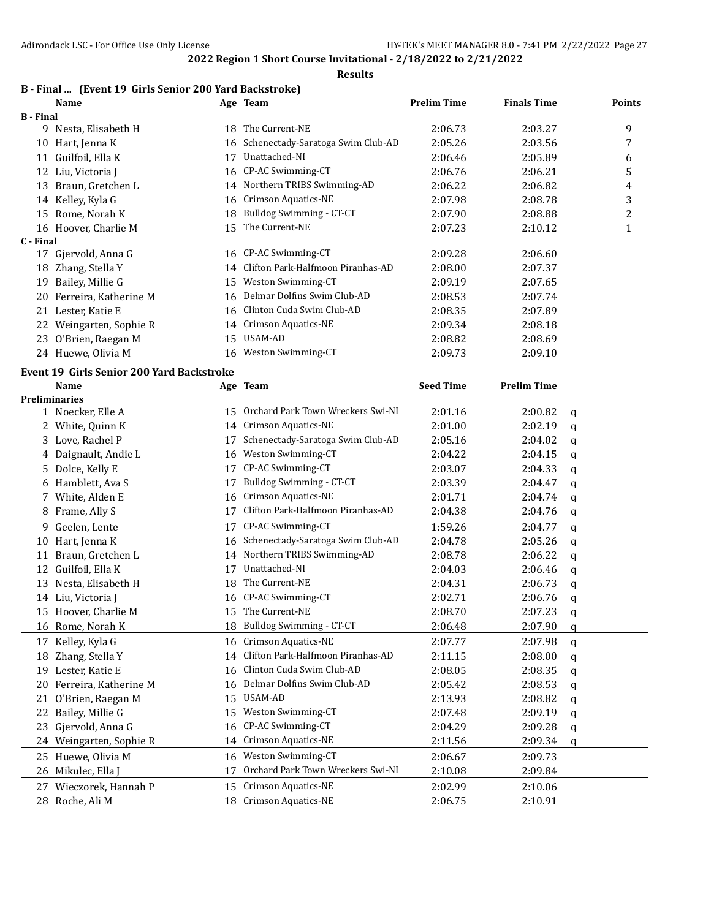**Results**

# **B - Final ... (Event 19 Girls Senior 200 Yard Backstroke)**

|                  | Name                                             |    | Age Team                          | <b>Prelim Time</b> | <b>Finals Time</b> |   | <b>Points</b> |
|------------------|--------------------------------------------------|----|-----------------------------------|--------------------|--------------------|---|---------------|
| <b>B</b> - Final |                                                  |    |                                   |                    |                    |   |               |
|                  | 9 Nesta, Elisabeth H                             |    | 18 The Current-NE                 | 2:06.73            | 2:03.27            |   | 9             |
|                  | 10 Hart, Jenna K                                 | 16 | Schenectady-Saratoga Swim Club-AD | 2:05.26            | 2:03.56            |   | 7             |
|                  | 11 Guilfoil, Ella K                              | 17 | Unattached-NI                     | 2:06.46            | 2:05.89            |   | 6             |
|                  | 12 Liu, Victoria J                               | 16 | CP-AC Swimming-CT                 | 2:06.76            | 2:06.21            |   | 5             |
|                  | 13 Braun, Gretchen L                             |    | 14 Northern TRIBS Swimming-AD     | 2:06.22            | 2:06.82            |   | 4             |
|                  | 14 Kelley, Kyla G                                | 16 | Crimson Aquatics-NE               | 2:07.98            | 2:08.78            |   | 3             |
|                  | 15 Rome, Norah K                                 | 18 | Bulldog Swimming - CT-CT          | 2:07.90            | 2:08.88            |   | 2             |
|                  | 16 Hoover, Charlie M                             | 15 | The Current-NE                    | 2:07.23            | 2:10.12            |   | $\mathbf{1}$  |
| C - Final        |                                                  |    |                                   |                    |                    |   |               |
|                  | 17 Gjervold, Anna G                              |    | 16 CP-AC Swimming-CT              | 2:09.28            | 2:06.60            |   |               |
|                  | 18 Zhang, Stella Y                               | 14 | Clifton Park-Halfmoon Piranhas-AD | 2:08.00            | 2:07.37            |   |               |
| 19               | Bailey, Millie G                                 | 15 | Weston Swimming-CT                | 2:09.19            | 2:07.65            |   |               |
|                  | 20 Ferreira, Katherine M                         | 16 | Delmar Dolfins Swim Club-AD       | 2:08.53            | 2:07.74            |   |               |
|                  | 21 Lester, Katie E                               | 16 | Clinton Cuda Swim Club-AD         | 2:08.35            | 2:07.89            |   |               |
|                  | 22 Weingarten, Sophie R                          |    | 14 Crimson Aquatics-NE            | 2:09.34            | 2:08.18            |   |               |
|                  | 23 O'Brien, Raegan M                             | 15 | USAM-AD                           | 2:08.82            | 2:08.69            |   |               |
|                  | 24 Huewe, Olivia M                               |    | 16 Weston Swimming-CT             | 2:09.73            | 2:09.10            |   |               |
|                  | <b>Event 19 Girls Senior 200 Yard Backstroke</b> |    |                                   |                    |                    |   |               |
|                  | Name                                             |    | Age Team                          | <b>Seed Time</b>   | <b>Prelim Time</b> |   |               |
|                  | <b>Preliminaries</b>                             |    |                                   |                    |                    |   |               |
|                  | 1 Noecker, Elle A                                | 15 | Orchard Park Town Wreckers Swi-NI | 2:01.16            | 2:00.82            | q |               |
|                  | 2 White, Quinn K                                 | 14 | Crimson Aquatics-NE               | 2:01.00            | 2:02.19            | q |               |
|                  | 3 Love, Rachel P                                 | 17 | Schenectady-Saratoga Swim Club-AD | 2:05.16            | 2:04.02            | q |               |
|                  | 4 Daignault, Andie L                             | 16 | Weston Swimming-CT                | 2:04.22            | 2:04.15            | q |               |
| 5                | Dolce, Kelly E                                   | 17 | CP-AC Swimming-CT                 | 2:03.07            | 2:04.33            |   |               |
|                  | 6 Hamblett, Ava S                                | 17 | Bulldog Swimming - CT-CT          | 2:03.39            | 2:04.47            | q |               |
| 7                | White, Alden E                                   | 16 | Crimson Aquatics-NE               | 2:01.71            | 2:04.74            | q |               |
|                  |                                                  | 17 | Clifton Park-Halfmoon Piranhas-AD | 2:04.38            | 2:04.76            | q |               |
|                  | 8 Frame, Ally S                                  |    |                                   |                    |                    | q |               |
| 9                | Geelen, Lente                                    | 17 | CP-AC Swimming-CT                 | 1:59.26            | 2:04.77            | q |               |
| 10               | Hart, Jenna K                                    | 16 | Schenectady-Saratoga Swim Club-AD | 2:04.78            | 2:05.26            | q |               |
| 11               | Braun, Gretchen L                                |    | 14 Northern TRIBS Swimming-AD     | 2:08.78            | 2:06.22            | q |               |
|                  | 12 Guilfoil, Ella K                              | 17 | Unattached-NI                     | 2:04.03            | 2:06.46            | q |               |
|                  | 13 Nesta, Elisabeth H                            | 18 | The Current-NE                    | 2:04.31            | 2:06.73            | q |               |
|                  | 14 Liu, Victoria J                               |    | 16 CP-AC Swimming-CT              | 2:02.71            | 2:06.76            | q |               |
|                  | 15 Hoover, Charlie M                             |    | 15 The Current-NE                 | 2:08.70            | 2:07.23            | q |               |
|                  | 16 Rome, Norah K                                 | 18 | Bulldog Swimming - CT-CT          | 2:06.48            | 2:07.90            | q |               |
|                  | 17 Kelley, Kyla G                                | 16 | Crimson Aquatics-NE               | 2:07.77            | 2:07.98            | q |               |
| 18               | Zhang, Stella Y                                  | 14 | Clifton Park-Halfmoon Piranhas-AD | 2:11.15            | 2:08.00            | q |               |
| 19               | Lester, Katie E                                  | 16 | Clinton Cuda Swim Club-AD         | 2:08.05            | 2:08.35            | q |               |
| 20               | Ferreira, Katherine M                            | 16 | Delmar Dolfins Swim Club-AD       | 2:05.42            | 2:08.53            | q |               |
| 21               | O'Brien, Raegan M                                | 15 | USAM-AD                           | 2:13.93            | 2:08.82            | q |               |
| 22               | Bailey, Millie G                                 | 15 | Weston Swimming-CT                | 2:07.48            | 2:09.19            | q |               |
| 23               | Gjervold, Anna G                                 | 16 | CP-AC Swimming-CT                 | 2:04.29            | 2:09.28            | q |               |
| 24               | Weingarten, Sophie R                             | 14 | Crimson Aquatics-NE               | 2:11.56            | 2:09.34            | q |               |
|                  | 25 Huewe, Olivia M                               | 16 | Weston Swimming-CT                | 2:06.67            | 2:09.73            |   |               |
|                  | 26 Mikulec, Ella J                               | 17 | Orchard Park Town Wreckers Swi-NI | 2:10.08            | 2:09.84            |   |               |
|                  | 27 Wieczorek, Hannah P                           | 15 | Crimson Aquatics-NE               | 2:02.99            | 2:10.06            |   |               |
|                  | 28 Roche, Ali M                                  |    | 18 Crimson Aquatics-NE            | 2:06.75            | 2:10.91            |   |               |
|                  |                                                  |    |                                   |                    |                    |   |               |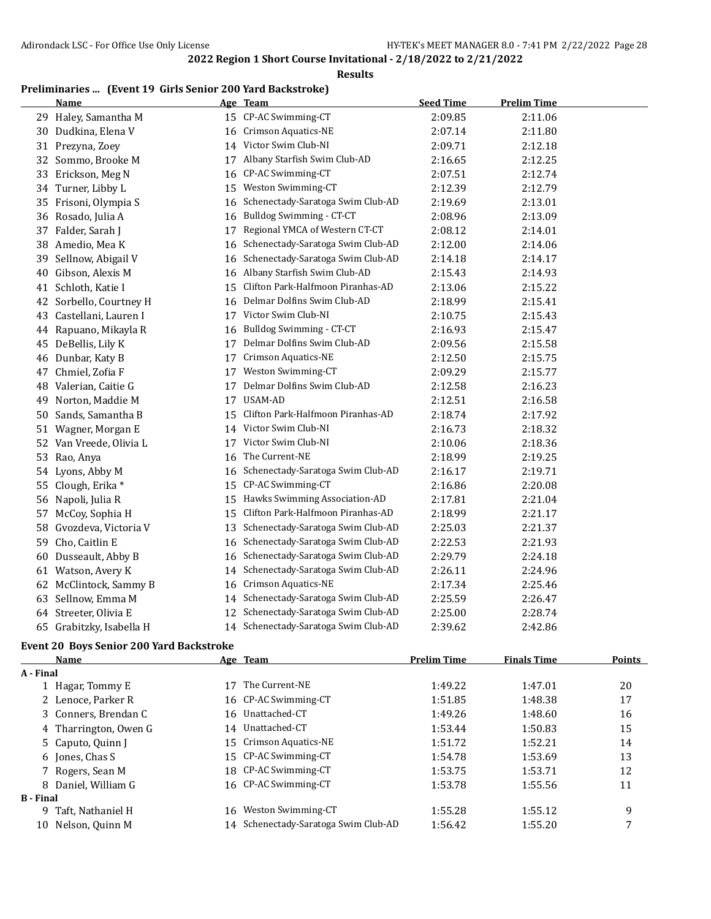**Results**

# **Preliminaries ... (Event 19 Girls Senior 200 Yard Backstroke)**

|    | Name                     |    | Age Team                             | <b>Seed Time</b> | <b>Prelim Time</b> |
|----|--------------------------|----|--------------------------------------|------------------|--------------------|
|    | 29 Haley, Samantha M     |    | 15 CP-AC Swimming-CT                 | 2:09.85          | 2:11.06            |
| 30 | Dudkina, Elena V         |    | 16 Crimson Aquatics-NE               | 2:07.14          | 2:11.80            |
|    | 31 Prezyna, Zoey         |    | 14 Victor Swim Club-NI               | 2:09.71          | 2:12.18            |
|    | 32 Sommo, Brooke M       | 17 | Albany Starfish Swim Club-AD         | 2:16.65          | 2:12.25            |
| 33 | Erickson, Meg N          | 16 | CP-AC Swimming-CT                    | 2:07.51          | 2:12.74            |
| 34 | Turner, Libby L          | 15 | Weston Swimming-CT                   | 2:12.39          | 2:12.79            |
| 35 | Frisoni, Olympia S       | 16 | Schenectady-Saratoga Swim Club-AD    | 2:19.69          | 2:13.01            |
|    | 36 Rosado, Julia A       | 16 | Bulldog Swimming - CT-CT             | 2:08.96          | 2:13.09            |
|    | 37 Falder, Sarah J       | 17 | Regional YMCA of Western CT-CT       | 2:08.12          | 2:14.01            |
| 38 | Amedio, Mea K            |    | 16 Schenectady-Saratoga Swim Club-AD | 2:12.00          | 2:14.06            |
| 39 | Sellnow, Abigail V       | 16 | Schenectady-Saratoga Swim Club-AD    | 2:14.18          | 2:14.17            |
| 40 | Gibson, Alexis M         | 16 | Albany Starfish Swim Club-AD         | 2:15.43          | 2:14.93            |
|    | 41 Schloth, Katie I      | 15 | Clifton Park-Halfmoon Piranhas-AD    | 2:13.06          | 2:15.22            |
| 42 | Sorbello, Courtney H     | 16 | Delmar Dolfins Swim Club-AD          | 2:18.99          | 2:15.41            |
| 43 | Castellani, Lauren I     | 17 | Victor Swim Club-NI                  | 2:10.75          | 2:15.43            |
|    | 44 Rapuano, Mikayla R    | 16 | Bulldog Swimming - CT-CT             | 2:16.93          | 2:15.47            |
| 45 | DeBellis, Lily K         | 17 | Delmar Dolfins Swim Club-AD          | 2:09.56          | 2:15.58            |
| 46 | Dunbar, Katy B           | 17 | Crimson Aquatics-NE                  | 2:12.50          | 2:15.75            |
| 47 | Chmiel, Zofia F          | 17 | Weston Swimming-CT                   | 2:09.29          | 2:15.77            |
| 48 | Valerian, Caitie G       | 17 | Delmar Dolfins Swim Club-AD          | 2:12.58          | 2:16.23            |
| 49 | Norton, Maddie M         | 17 | USAM-AD                              | 2:12.51          | 2:16.58            |
| 50 | Sands, Samantha B        | 15 | Clifton Park-Halfmoon Piranhas-AD    | 2:18.74          | 2:17.92            |
|    | 51 Wagner, Morgan E      | 14 | Victor Swim Club-NI                  | 2:16.73          | 2:18.32            |
|    | 52 Van Vreede, Olivia L  | 17 | Victor Swim Club-NI                  | 2:10.06          | 2:18.36            |
| 53 | Rao, Anya                | 16 | The Current-NE                       | 2:18.99          | 2:19.25            |
|    | 54 Lyons, Abby M         | 16 | Schenectady-Saratoga Swim Club-AD    | 2:16.17          | 2:19.71            |
|    | 55 Clough, Erika *       | 15 | CP-AC Swimming-CT                    | 2:16.86          | 2:20.08            |
|    | 56 Napoli, Julia R       | 15 | Hawks Swimming Association-AD        | 2:17.81          | 2:21.04            |
| 57 | McCoy, Sophia H          | 15 | Clifton Park-Halfmoon Piranhas-AD    | 2:18.99          | 2:21.17            |
| 58 | Gvozdeva, Victoria V     | 13 | Schenectady-Saratoga Swim Club-AD    | 2:25.03          | 2:21.37            |
| 59 | Cho, Caitlin E           | 16 | Schenectady-Saratoga Swim Club-AD    | 2:22.53          | 2:21.93            |
|    | 60 Dusseault, Abby B     | 16 | Schenectady-Saratoga Swim Club-AD    | 2:29.79          | 2:24.18            |
|    | 61 Watson, Avery K       | 14 | Schenectady-Saratoga Swim Club-AD    | 2:26.11          | 2:24.96            |
|    | 62 McClintock, Sammy B   | 16 | Crimson Aquatics-NE                  | 2:17.34          | 2:25.46            |
| 63 | Sellnow, Emma M          | 14 | Schenectady-Saratoga Swim Club-AD    | 2:25.59          | 2:26.47            |
|    | 64 Streeter, Olivia E    | 12 | Schenectady-Saratoga Swim Club-AD    | 2:25.00          | 2:28.74            |
|    | 65 Grabitzky, Isabella H |    | 14 Schenectady-Saratoga Swim Club-AD | 2:39.62          | 2:42.86            |

## **Event 20 Boys Senior 200 Yard Backstroke**

|                  | <b>Name</b>           |    | Age Team                             | <b>Prelim Time</b> | <b>Finals Time</b> | <b>Points</b> |
|------------------|-----------------------|----|--------------------------------------|--------------------|--------------------|---------------|
| A - Final        |                       |    |                                      |                    |                    |               |
|                  | 1 Hagar, Tommy E      | 17 | The Current-NE                       | 1:49.22            | 1:47.01            | 20            |
|                  | 2 Lenoce, Parker R    |    | 16 CP-AC Swimming-CT                 | 1:51.85            | 1:48.38            | 17            |
|                  | 3 Conners, Brendan C  |    | 16 Unattached-CT                     | 1:49.26            | 1:48.60            | 16            |
|                  | 4 Tharrington, Owen G |    | 14 Unattached-CT                     | 1:53.44            | 1:50.83            | 15            |
|                  | 5 Caputo, Quinn J     |    | 15 Crimson Aquatics-NE               | 1:51.72            | 1:52.21            | 14            |
|                  | 6 Jones, Chas S       |    | 15 CP-AC Swimming-CT                 | 1:54.78            | 1:53.69            | 13            |
|                  | 7 Rogers, Sean M      |    | 18 CP-AC Swimming-CT                 | 1:53.75            | 1:53.71            | 12            |
|                  | 8 Daniel, William G   |    | 16 CP-AC Swimming-CT                 | 1:53.78            | 1:55.56            | 11            |
| <b>B</b> - Final |                       |    |                                      |                    |                    |               |
| 9.               | Taft, Nathaniel H     | 16 | Weston Swimming-CT                   | 1:55.28            | 1:55.12            | 9             |
| 10               | Nelson, Quinn M       |    | 14 Schenectady-Saratoga Swim Club-AD | 1:56.42            | 1:55.20            | 7             |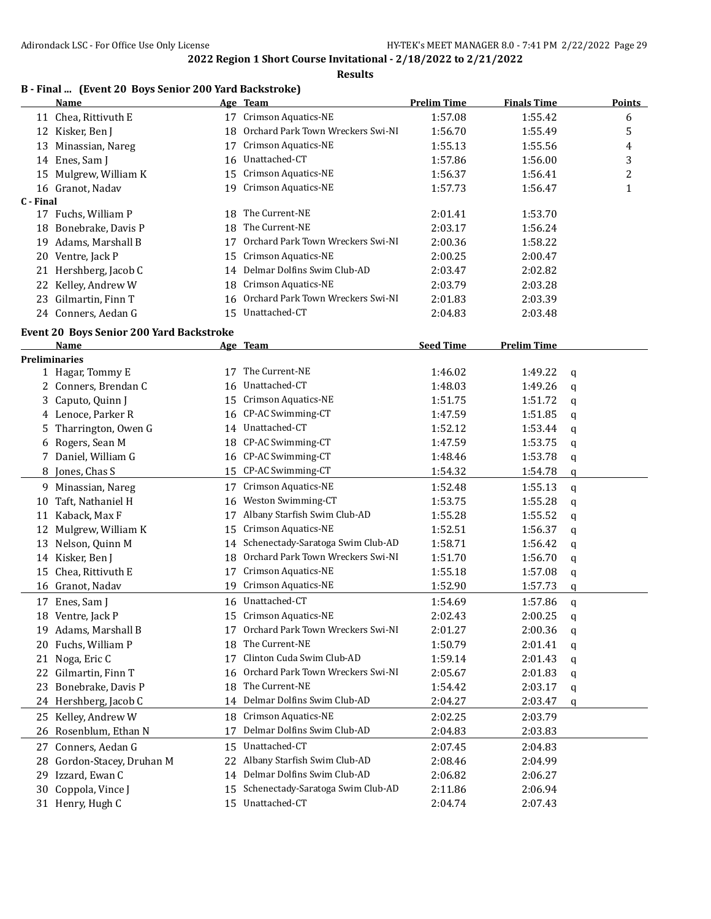## **Results**

# **B - Final ... (Event 20 Boys Senior 200 Yard Backstroke)**

|           | <b>Name</b>           |     | Age Team                             | <b>Prelim Time</b> | <b>Finals Time</b> | <b>Points</b> |
|-----------|-----------------------|-----|--------------------------------------|--------------------|--------------------|---------------|
|           | 11 Chea, Rittivuth E  | 17  | Crimson Aquatics-NE                  | 1:57.08            | 1:55.42            | 6             |
| 12        | Kisker, Ben J         | 18  | Orchard Park Town Wreckers Swi-NI    | 1:56.70            | 1:55.49            | 5             |
| 13        | Minassian, Nareg      | 17  | Crimson Aquatics-NE                  | 1:55.13            | 1:55.56            | 4             |
|           | 14 Enes, Sam J        | 16  | Unattached-CT                        | 1:57.86            | 1:56.00            | 3             |
| 15        | Mulgrew, William K    | 15  | Crimson Aquatics-NE                  | 1:56.37            | 1:56.41            | 2             |
|           | 16 Granot, Nadav      | 19  | Crimson Aquatics-NE                  | 1:57.73            | 1:56.47            |               |
| C - Final |                       |     |                                      |                    |                    |               |
| 17        | Fuchs, William P      | 18  | The Current-NE                       | 2:01.41            | 1:53.70            |               |
| 18        | Bonebrake, Davis P    | 18. | The Current-NE                       | 2:03.17            | 1:56.24            |               |
| 19        | Adams, Marshall B     | 17  | Orchard Park Town Wreckers Swi-NI    | 2:00.36            | 1:58.22            |               |
|           | 20 Ventre, Jack P     | 15  | Crimson Aquatics-NE                  | 2:00.25            | 2:00.47            |               |
|           | 21 Hershberg, Jacob C |     | 14 Delmar Dolfins Swim Club-AD       | 2:03.47            | 2:02.82            |               |
|           | 22 Kelley, Andrew W   |     | 18 Crimson Aquatics-NE               | 2:03.79            | 2:03.28            |               |
| 23        | Gilmartin, Finn T     |     | 16 Orchard Park Town Wreckers Swi-NI | 2:01.83            | 2:03.39            |               |
|           | 24 Conners, Aedan G   | 15  | Unattached-CT                        | 2:04.83            | 2:03.48            |               |

### **Event 20 Boys Senior 200 Yard Backstroke**

|    | <b>Name</b>             |    | Age Team                          | <b>Seed Time</b> | <b>Prelim Time</b> |              |
|----|-------------------------|----|-----------------------------------|------------------|--------------------|--------------|
|    | <b>Preliminaries</b>    |    |                                   |                  |                    |              |
|    | 1 Hagar, Tommy E        | 17 | The Current-NE                    | 1:46.02          | 1:49.22            | $\mathsf{q}$ |
| 2  | Conners, Brendan C      | 16 | Unattached-CT                     | 1:48.03          | 1:49.26            | q            |
| 3  | Caputo, Quinn J         | 15 | Crimson Aquatics-NE               | 1:51.75          | 1:51.72            | q            |
| 4  | Lenoce, Parker R        | 16 | CP-AC Swimming-CT                 | 1:47.59          | 1:51.85            | $\mathbf q$  |
| 5  | Tharrington, Owen G     | 14 | Unattached-CT                     | 1:52.12          | 1:53.44            | q            |
| 6  | Rogers, Sean M          | 18 | CP-AC Swimming-CT                 | 1:47.59          | 1:53.75            | q            |
| 7  | Daniel, William G       | 16 | CP-AC Swimming-CT                 | 1:48.46          | 1:53.78            | q            |
|    | 8 Jones, Chas S         | 15 | CP-AC Swimming-CT                 | 1:54.32          | 1:54.78            | q            |
| 9  | Minassian, Nareg        | 17 | Crimson Aquatics-NE               | 1:52.48          | 1:55.13            | $\mathbf q$  |
| 10 | Taft, Nathaniel H       | 16 | Weston Swimming-CT                | 1:53.75          | 1:55.28            | q            |
| 11 | Kaback, Max F           | 17 | Albany Starfish Swim Club-AD      | 1:55.28          | 1:55.52            | q            |
| 12 | Mulgrew, William K      | 15 | Crimson Aquatics-NE               | 1:52.51          | 1:56.37            | q            |
| 13 | Nelson, Quinn M         | 14 | Schenectady-Saratoga Swim Club-AD | 1:58.71          | 1:56.42            | q            |
| 14 | Kisker, Ben J           | 18 | Orchard Park Town Wreckers Swi-NI | 1:51.70          | 1:56.70            | q            |
| 15 | Chea, Rittivuth E       | 17 | Crimson Aquatics-NE               | 1:55.18          | 1:57.08            | q            |
|    | 16 Granot, Nadav        | 19 | Crimson Aquatics-NE               | 1:52.90          | 1:57.73            | q            |
| 17 | Enes, Sam J             | 16 | Unattached-CT                     | 1:54.69          | 1:57.86            | $\mathbf q$  |
| 18 | Ventre, Jack P          | 15 | Crimson Aquatics-NE               | 2:02.43          | 2:00.25            | q            |
| 19 | Adams, Marshall B       | 17 | Orchard Park Town Wreckers Swi-NI | 2:01.27          | 2:00.36            | q            |
| 20 | Fuchs, William P        | 18 | The Current-NE                    | 1:50.79          | 2:01.41            | q            |
| 21 | Noga, Eric C            | 17 | Clinton Cuda Swim Club-AD         | 1:59.14          | 2:01.43            | q            |
| 22 | Gilmartin, Finn T       | 16 | Orchard Park Town Wreckers Swi-NI | 2:05.67          | 2:01.83            | q            |
| 23 | Bonebrake, Davis P      | 18 | The Current-NE                    | 1:54.42          | 2:03.17            | q            |
|    | 24 Hershberg, Jacob C   | 14 | Delmar Dolfins Swim Club-AD       | 2:04.27          | 2:03.47            | $\mathbf{q}$ |
| 25 | Kelley, Andrew W        | 18 | <b>Crimson Aquatics-NE</b>        | 2:02.25          | 2:03.79            |              |
| 26 | Rosenblum, Ethan N      | 17 | Delmar Dolfins Swim Club-AD       | 2:04.83          | 2:03.83            |              |
| 27 | Conners, Aedan G        | 15 | Unattached-CT                     | 2:07.45          | 2:04.83            |              |
| 28 | Gordon-Stacey, Druhan M | 22 | Albany Starfish Swim Club-AD      | 2:08.46          | 2:04.99            |              |
| 29 | Izzard, Ewan C          | 14 | Delmar Dolfins Swim Club-AD       | 2:06.82          | 2:06.27            |              |
| 30 | Coppola, Vince J        | 15 | Schenectady-Saratoga Swim Club-AD | 2:11.86          | 2:06.94            |              |
|    | 31 Henry, Hugh C        | 15 | Unattached-CT                     | 2:04.74          | 2:07.43            |              |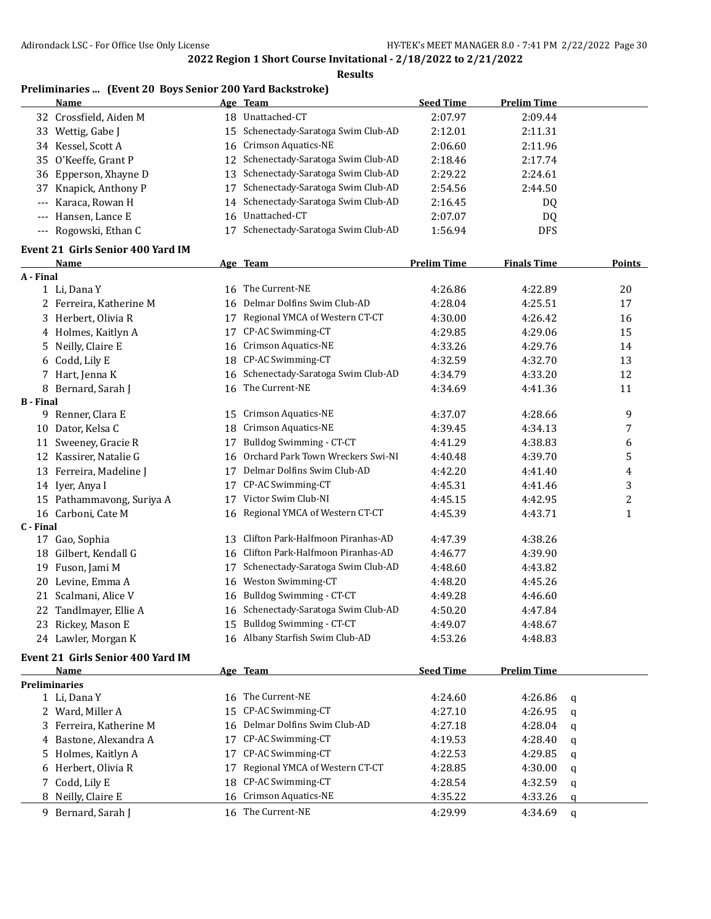**Results**

## **Preliminaries ... (Event 20 Boys Senior 200 Yard Backstroke)**

|                  | Name                              |    | Age Team                             | <b>Seed Time</b>   | <b>Prelim Time</b> |                |
|------------------|-----------------------------------|----|--------------------------------------|--------------------|--------------------|----------------|
|                  | 32 Crossfield, Aiden M            |    | 18 Unattached-CT                     | 2:07.97            | 2:09.44            |                |
|                  | 33 Wettig, Gabe J                 | 15 | Schenectady-Saratoga Swim Club-AD    | 2:12.01            | 2:11.31            |                |
|                  | 34 Kessel, Scott A                | 16 | Crimson Aquatics-NE                  | 2:06.60            | 2:11.96            |                |
|                  | 35 O'Keeffe, Grant P              | 12 | Schenectady-Saratoga Swim Club-AD    | 2:18.46            | 2:17.74            |                |
|                  | 36 Epperson, Xhayne D             | 13 | Schenectady-Saratoga Swim Club-AD    | 2:29.22            | 2:24.61            |                |
|                  | 37 Knapick, Anthony P             | 17 | Schenectady-Saratoga Swim Club-AD    | 2:54.56            | 2:44.50            |                |
| $---$            | Karaca, Rowan H                   | 14 | Schenectady-Saratoga Swim Club-AD    | 2:16.45            | DQ                 |                |
| $\cdots$         | Hansen, Lance E                   | 16 | Unattached-CT                        | 2:07.07            | DQ                 |                |
| $\cdots$         | Rogowski, Ethan C                 | 17 | Schenectady-Saratoga Swim Club-AD    | 1:56.94            | <b>DFS</b>         |                |
|                  | Event 21 Girls Senior 400 Yard IM |    |                                      |                    |                    |                |
|                  | <b>Name</b>                       |    | Age Team                             | <b>Prelim Time</b> | <b>Finals Time</b> | <b>Points</b>  |
| A - Final        |                                   |    |                                      |                    |                    |                |
|                  | 1 Li, Dana Y                      | 16 | The Current-NE                       | 4:26.86            | 4:22.89            | 20             |
|                  | 2 Ferreira, Katherine M           |    | 16 Delmar Dolfins Swim Club-AD       | 4:28.04            | 4:25.51            | 17             |
|                  | 3 Herbert, Olivia R               | 17 | Regional YMCA of Western CT-CT       | 4:30.00            | 4:26.42            | 16             |
|                  | 4 Holmes, Kaitlyn A               | 17 | CP-AC Swimming-CT                    | 4:29.85            | 4:29.06            | 15             |
|                  | 5 Neilly, Claire E                | 16 | <b>Crimson Aquatics-NE</b>           | 4:33.26            | 4:29.76            | 14             |
|                  | 6 Codd, Lily E                    | 18 | CP-AC Swimming-CT                    | 4:32.59            | 4:32.70            | 13             |
|                  | 7 Hart, Jenna K                   | 16 | Schenectady-Saratoga Swim Club-AD    | 4:34.79            | 4:33.20            | 12             |
|                  | 8 Bernard, Sarah J                | 16 | The Current-NE                       | 4:34.69            | 4:41.36            | 11             |
| <b>B</b> - Final |                                   |    |                                      |                    |                    |                |
|                  | 9 Renner, Clara E                 | 15 | Crimson Aquatics-NE                  | 4:37.07            | 4:28.66            | 9              |
|                  | 10 Dator, Kelsa C                 | 18 | <b>Crimson Aquatics-NE</b>           | 4:39.45            | 4:34.13            | 7              |
|                  | 11 Sweeney, Gracie R              | 17 | Bulldog Swimming - CT-CT             | 4:41.29            | 4:38.83            | 6              |
|                  | 12 Kassirer, Natalie G            | 16 | Orchard Park Town Wreckers Swi-NI    | 4:40.48            | 4:39.70            | 5              |
|                  | 13 Ferreira, Madeline J           | 17 | Delmar Dolfins Swim Club-AD          | 4:42.20            | 4:41.40            | 4              |
|                  | 14 Iyer, Anya I                   | 17 | CP-AC Swimming-CT                    | 4:45.31            | 4:41.46            | 3              |
|                  | 15 Pathammavong, Suriya A         | 17 | Victor Swim Club-NI                  | 4:45.15            | 4:42.95            | $\overline{c}$ |
|                  | 16 Carboni, Cate M                | 16 | Regional YMCA of Western CT-CT       | 4:45.39            | 4:43.71            | $\mathbf{1}$   |
| C - Final        |                                   |    |                                      |                    |                    |                |
|                  | 17 Gao, Sophia                    |    | 13 Clifton Park-Halfmoon Piranhas-AD | 4:47.39            | 4:38.26            |                |
|                  | 18 Gilbert, Kendall G             | 16 | Clifton Park-Halfmoon Piranhas-AD    | 4:46.77            | 4:39.90            |                |
|                  | 19 Fuson, Jami M                  | 17 | Schenectady-Saratoga Swim Club-AD    | 4:48.60            | 4:43.82            |                |
|                  | 20 Levine, Emma A                 | 16 | Weston Swimming-CT                   | 4:48.20            | 4:45.26            |                |
|                  | 21 Scalmani, Alice V              | 16 | Bulldog Swimming - CT-CT             | 4:49.28            | 4:46.60            |                |
|                  | 22 Tandlmayer, Ellie A            | 16 | Schenectady-Saratoga Swim Club-AD    | 4:50.20            | 4:47.84            |                |
|                  | 23 Rickey, Mason E                | 15 | Bulldog Swimming - CT-CT             | 4:49.07            | 4:48.67            |                |
|                  | 24 Lawler, Morgan K               |    | 16 Albany Starfish Swim Club-AD      | 4:53.26            | 4:48.83            |                |

## **Event 21 Girls Senior 400 Yard IM**

|    | Name                    |     | Age Team                       | <b>Seed Time</b> | <b>Prelim Time</b> |          |
|----|-------------------------|-----|--------------------------------|------------------|--------------------|----------|
|    | <b>Preliminaries</b>    |     |                                |                  |                    |          |
|    | 1 Li, Dana Y            | 16. | The Current-NE                 | 4:24.60          | 4:26.86            | - q      |
|    | 2 Ward, Miller A        |     | 15 CP-AC Swimming-CT           | 4:27.10          | 4:26.95            | $\alpha$ |
|    | 3 Ferreira, Katherine M |     | 16 Delmar Dolfins Swim Club-AD | 4:27.18          | 4:28.04            | q        |
|    | 4 Bastone, Alexandra A  | 17  | CP-AC Swimming-CT              | 4:19.53          | 4:28.40            | q        |
|    | 5 Holmes, Kaitlyn A     | 17  | CP-AC Swimming-CT              | 4:22.53          | 4:29.85            | q        |
|    | 6 Herbert, Olivia R     | 17  | Regional YMCA of Western CT-CT | 4:28.85          | 4:30.00            | q        |
|    | 7 Codd, Lily E          | 18  | CP-AC Swimming-CT              | 4:28.54          | 4:32.59            | q        |
|    | 8 Neilly, Claire E      |     | 16 Crimson Aquatics-NE         | 4:35.22          | 4:33.26            | q        |
| 9. | Bernard, Sarah J        | 16  | The Current-NE                 | 4:29.99          | 4:34.69            | q        |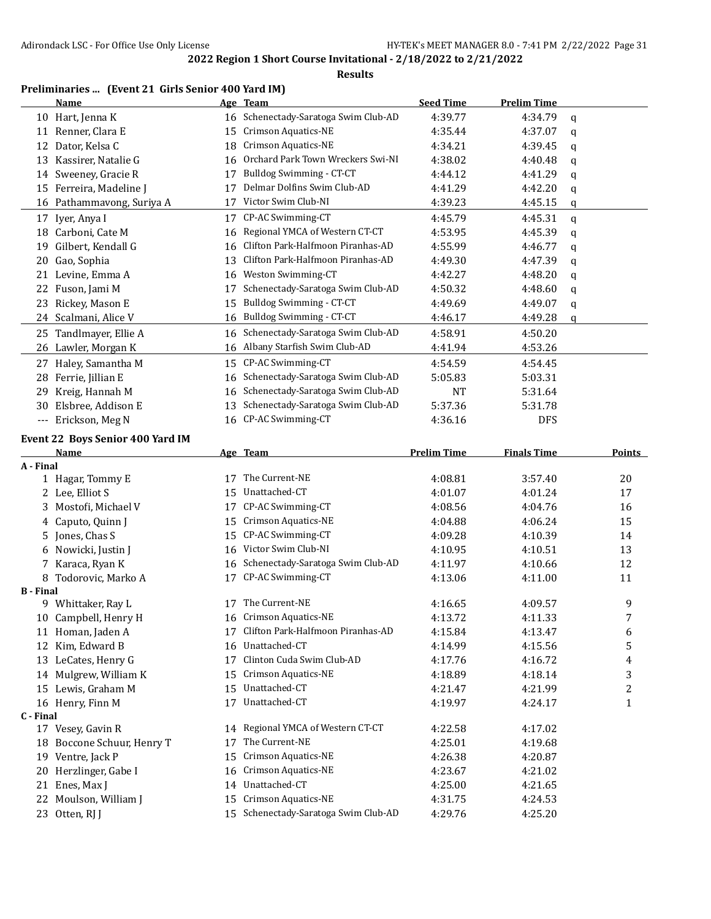|                  | <b>Name</b>                      |    | Age Team                             | <b>Seed Time</b>   | <b>Prelim Time</b> |   |               |
|------------------|----------------------------------|----|--------------------------------------|--------------------|--------------------|---|---------------|
|                  | 10 Hart, Jenna K                 |    | 16 Schenectady-Saratoga Swim Club-AD | 4:39.77            | 4:34.79            | q |               |
|                  | 11 Renner, Clara E               | 15 | Crimson Aquatics-NE                  | 4:35.44            | 4:37.07            | q |               |
| 12               | Dator, Kelsa C                   | 18 | Crimson Aquatics-NE                  | 4:34.21            | 4:39.45            | q |               |
|                  | 13 Kassirer, Natalie G           | 16 | Orchard Park Town Wreckers Swi-NI    | 4:38.02            | 4:40.48            | q |               |
|                  | 14 Sweeney, Gracie R             | 17 | Bulldog Swimming - CT-CT             | 4:44.12            | 4:41.29            | q |               |
|                  | 15 Ferreira, Madeline J          | 17 | Delmar Dolfins Swim Club-AD          | 4:41.29            | 4:42.20            | q |               |
| 16               | Pathammavong, Suriya A           | 17 | Victor Swim Club-NI                  | 4:39.23            | 4:45.15            | q |               |
| 17               | Iyer, Anya I                     | 17 | CP-AC Swimming-CT                    | 4:45.79            | 4:45.31            | q |               |
|                  | 18 Carboni, Cate M               | 16 | Regional YMCA of Western CT-CT       | 4:53.95            | 4:45.39            | q |               |
| 19               | Gilbert, Kendall G               | 16 | Clifton Park-Halfmoon Piranhas-AD    | 4:55.99            | 4:46.77            | q |               |
| 20               | Gao, Sophia                      | 13 | Clifton Park-Halfmoon Piranhas-AD    | 4:49.30            | 4:47.39            | q |               |
|                  | 21 Levine, Emma A                |    | 16 Weston Swimming-CT                | 4:42.27            | 4:48.20            | q |               |
|                  | 22 Fuson, Jami M                 | 17 | Schenectady-Saratoga Swim Club-AD    | 4:50.32            | 4:48.60            | q |               |
| 23               | Rickey, Mason E                  | 15 | Bulldog Swimming - CT-CT             | 4:49.69            | 4:49.07            | q |               |
|                  | 24 Scalmani, Alice V             |    | 16 Bulldog Swimming - CT-CT          | 4:46.17            | 4:49.28            | q |               |
|                  | 25 Tandlmayer, Ellie A           |    | 16 Schenectady-Saratoga Swim Club-AD | 4:58.91            | 4:50.20            |   |               |
|                  | 26 Lawler, Morgan K              |    | 16 Albany Starfish Swim Club-AD      | 4:41.94            | 4:53.26            |   |               |
|                  | 27 Haley, Samantha M             |    | 15 CP-AC Swimming-CT                 | 4:54.59            | 4:54.45            |   |               |
|                  | 28 Ferrie, Jillian E             |    | 16 Schenectady-Saratoga Swim Club-AD | 5:05.83            | 5:03.31            |   |               |
| 29               | Kreig, Hannah M                  | 16 | Schenectady-Saratoga Swim Club-AD    | NT                 | 5:31.64            |   |               |
| 30               | Elsbree, Addison E               | 13 | Schenectady-Saratoga Swim Club-AD    | 5:37.36            | 5:31.78            |   |               |
|                  | --- Erickson, Meg N              |    | 16 CP-AC Swimming-CT                 | 4:36.16            | <b>DFS</b>         |   |               |
|                  |                                  |    |                                      |                    |                    |   |               |
|                  | Event 22 Boys Senior 400 Yard IM |    |                                      |                    |                    |   |               |
| A - Final        | Name                             |    | Age Team                             | <b>Prelim Time</b> | <b>Finals Time</b> |   | <b>Points</b> |
|                  | 1 Hagar, Tommy E                 | 17 | The Current-NE                       | 4:08.81            | 3:57.40            |   | 20            |
|                  | 2 Lee, Elliot S                  | 15 | Unattached-CT                        | 4:01.07            | 4:01.24            |   | 17            |
| 3                | Mostofi, Michael V               | 17 | CP-AC Swimming-CT                    | 4:08.56            | 4:04.76            |   | 16            |
|                  | 4 Caputo, Quinn J                | 15 | Crimson Aquatics-NE                  | 4:04.88            | 4:06.24            |   | 15            |
|                  | 5 Jones, Chas S                  | 15 | CP-AC Swimming-CT                    | 4:09.28            | 4:10.39            |   | 14            |
| 6                | Nowicki, Justin J                | 16 | Victor Swim Club-NI                  | 4:10.95            | 4:10.51            |   | 13            |
| 7                | Karaca, Ryan K                   | 16 | Schenectady-Saratoga Swim Club-AD    | 4:11.97            | 4:10.66            |   | 12            |
|                  | 8 Todorovic, Marko A             | 17 | CP-AC Swimming-CT                    | 4:13.06            | 4:11.00            |   | 11            |
| <b>B</b> - Final |                                  |    |                                      |                    |                    |   |               |
|                  | 9 Whittaker, Ray L               |    | 17 The Current-NE                    | 4:16.65            | 4:09.57            |   | 9             |
|                  | 10 Campbell, Henry H             |    | 16 Crimson Aquatics-NE               | 4:13.72            | 4:11.33            |   | 7             |
|                  | 11 Homan, Jaden A                |    | 17 Clifton Park-Halfmoon Piranhas-AD | 4:15.84            | 4:13.47            |   | 6             |
|                  | 12 Kim, Edward B                 | 16 | Unattached-CT                        | 4:14.99            | 4:15.56            |   | 5             |
|                  | 13 LeCates, Henry G              | 17 | Clinton Cuda Swim Club-AD            | 4:17.76            | 4:16.72            |   | 4             |
|                  | 14 Mulgrew, William K            | 15 | Crimson Aquatics-NE                  | 4:18.89            | 4:18.14            |   | 3             |
|                  | 15 Lewis, Graham M               | 15 | Unattached-CT                        | 4:21.47            | 4:21.99            |   | 2             |
|                  | 16 Henry, Finn M                 | 17 | Unattached-CT                        | 4:19.97            | 4:24.17            |   | 1             |
| C - Final        |                                  |    |                                      |                    |                    |   |               |
|                  | 17 Vesey, Gavin R                |    | 14 Regional YMCA of Western CT-CT    | 4:22.58            | 4:17.02            |   |               |
|                  | 18 Boccone Schuur, Henry T       | 17 | The Current-NE                       | 4:25.01            | 4:19.68            |   |               |
|                  | 19 Ventre, Jack P                | 15 | <b>Crimson Aquatics-NE</b>           | 4:26.38            | 4:20.87            |   |               |
|                  | 20 Herzlinger, Gabe I            | 16 | Crimson Aquatics-NE                  | 4:23.67            | 4:21.02            |   |               |
|                  | 21 Enes, Max J                   |    | 14 Unattached-CT                     | 4:25.00            | 4:21.65            |   |               |
|                  | 22 Moulson, William J            |    | 15 Crimson Aquatics-NE               | 4:31.75            | 4:24.53            |   |               |
|                  | 23 Otten, RJ J                   |    | 15 Schenectady-Saratoga Swim Club-AD | 4:29.76            | 4:25.20            |   |               |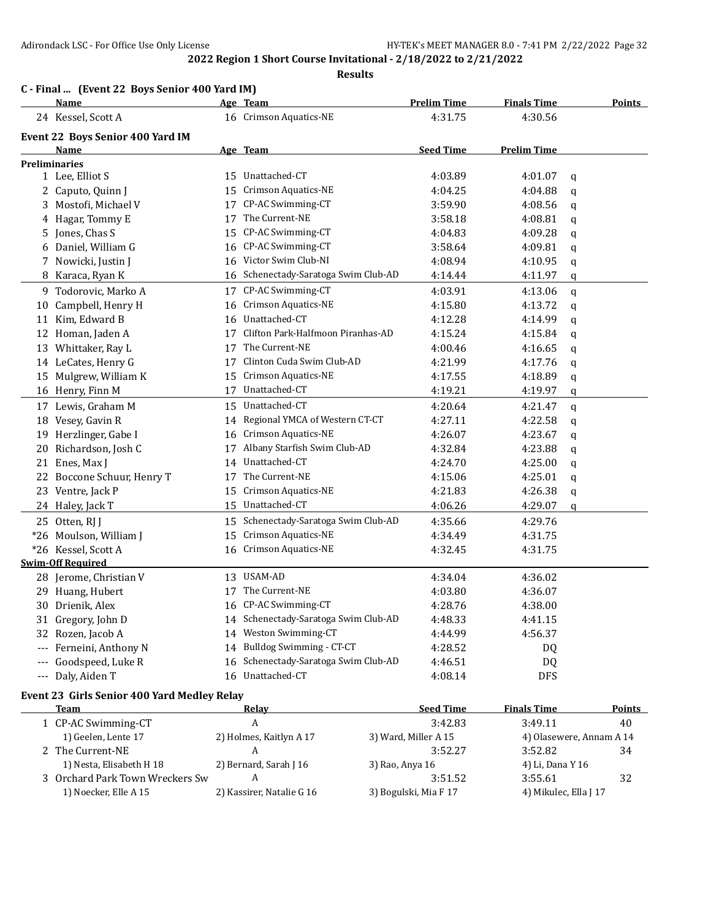# **Results**

## **C - Final ... (Event 22 Boys Senior 400 Yard IM)**

|       | <u>Name</u>                      |    | Age Team                             | <b>Prelim Time</b> | <b>Finals Time</b> | <b>Points</b> |
|-------|----------------------------------|----|--------------------------------------|--------------------|--------------------|---------------|
|       | 24 Kessel, Scott A               |    | 16 Crimson Aquatics-NE               | 4:31.75            | 4:30.56            |               |
|       | Event 22 Boys Senior 400 Yard IM |    |                                      |                    |                    |               |
|       | <b>Name</b>                      |    | Age Team                             | <b>Seed Time</b>   | <b>Prelim Time</b> |               |
|       | Preliminaries                    |    |                                      |                    |                    |               |
|       | 1 Lee, Elliot S                  |    | 15 Unattached-CT                     | 4:03.89            | 4:01.07            | q             |
|       | 2 Caputo, Quinn J                | 15 | Crimson Aquatics-NE                  | 4:04.25            | 4:04.88            | q             |
|       | 3 Mostofi, Michael V             |    | 17 CP-AC Swimming-CT                 | 3:59.90            | 4:08.56            | q             |
|       | 4 Hagar, Tommy E                 | 17 | The Current-NE                       | 3:58.18            | 4:08.81            | q             |
|       | 5 Jones, Chas S                  | 15 | CP-AC Swimming-CT                    | 4:04.83            | 4:09.28            | q             |
|       | 6 Daniel, William G              | 16 | CP-AC Swimming-CT                    | 3:58.64            | 4:09.81            | q             |
|       | 7 Nowicki, Justin J              |    | 16 Victor Swim Club-NI               | 4:08.94            | 4:10.95            | q             |
|       | 8 Karaca, Ryan K                 | 16 | Schenectady-Saratoga Swim Club-AD    | 4:14.44            | 4:11.97            | q             |
|       | 9 Todorovic, Marko A             | 17 | CP-AC Swimming-CT                    | 4:03.91            | 4:13.06            | $\mathbf{q}$  |
| 10    | Campbell, Henry H                | 16 | Crimson Aquatics-NE                  | 4:15.80            | 4:13.72            | q             |
|       | 11 Kim, Edward B                 |    | 16 Unattached-CT                     | 4:12.28            | 4:14.99            | q             |
|       | 12 Homan, Jaden A                | 17 | Clifton Park-Halfmoon Piranhas-AD    | 4:15.24            | 4:15.84            | q             |
|       | 13 Whittaker, Ray L              | 17 | The Current-NE                       | 4:00.46            | 4:16.65            | q             |
|       | 14 LeCates, Henry G              | 17 | Clinton Cuda Swim Club-AD            | 4:21.99            | 4:17.76            | q             |
|       | 15 Mulgrew, William K            |    | 15 Crimson Aquatics-NE               | 4:17.55            | 4:18.89            | q             |
|       | 16 Henry, Finn M                 | 17 | Unattached-CT                        | 4:19.21            | 4:19.97            | q             |
|       | 17 Lewis, Graham M               |    | 15 Unattached-CT                     | 4:20.64            | 4:21.47            | q             |
|       | 18 Vesey, Gavin R                |    | 14 Regional YMCA of Western CT-CT    | 4:27.11            | 4:22.58            | q             |
|       | 19 Herzlinger, Gabe I            | 16 | Crimson Aquatics-NE                  | 4:26.07            | 4:23.67            | q             |
|       | 20 Richardson, Josh C            | 17 | Albany Starfish Swim Club-AD         | 4:32.84            | 4:23.88            | q             |
| 21    | Enes, Max J                      | 14 | Unattached-CT                        | 4:24.70            | 4:25.00            | q             |
|       | 22 Boccone Schuur, Henry T       |    | 17 The Current-NE                    | 4:15.06            | 4:25.01            | q             |
|       | 23 Ventre, Jack P                | 15 | <b>Crimson Aquatics-NE</b>           | 4:21.83            | 4:26.38            | q             |
|       | 24 Haley, Jack T                 |    | 15 Unattached-CT                     | 4:06.26            | 4:29.07            | q             |
|       | 25 Otten, RJ J                   | 15 | Schenectady-Saratoga Swim Club-AD    | 4:35.66            | 4:29.76            |               |
|       | *26 Moulson, William J           | 15 | Crimson Aquatics-NE                  | 4:34.49            | 4:31.75            |               |
|       | *26 Kessel, Scott A              | 16 | <b>Crimson Aquatics-NE</b>           | 4:32.45            | 4:31.75            |               |
|       | <b>Swim-Off Required</b>         |    |                                      |                    |                    |               |
|       | 28 Jerome, Christian V           |    | 13 USAM-AD                           | 4:34.04            | 4:36.02            |               |
|       | 29 Huang, Hubert                 | 17 | The Current-NE                       | 4:03.80            | 4:36.07            |               |
|       | 30 Drienik, Alex                 | 16 | CP-AC Swimming-CT                    | 4:28.76            | 4:38.00            |               |
|       | 31 Gregory, John D               | 14 | Schenectady-Saratoga Swim Club-AD    | 4:48.33            | 4:41.15            |               |
| 32    | Rozen, Jacob A                   | 14 | Weston Swimming-CT                   | 4:44.99            | 4:56.37            |               |
|       | Ferneini, Anthony N              |    | 14 Bulldog Swimming - CT-CT          | 4:28.52            | DQ                 |               |
|       | Goodspeed, Luke R                |    | 16 Schenectady-Saratoga Swim Club-AD | 4:46.51            | DQ                 |               |
| $---$ | Daly, Aiden T                    |    | 16 Unattached-CT                     | 4:08.14            | <b>DFS</b>         |               |

### **Event 23 Girls Senior 400 Yard Medley Relay**

| Team                            | Relav                     | <b>Seed Time</b>      | <b>Finals Time</b>    | Points                   |
|---------------------------------|---------------------------|-----------------------|-----------------------|--------------------------|
| 1 CP-AC Swimming-CT             |                           | 3:42.83               | 3:49.11               | 40                       |
| 1) Geelen, Lente 17             | 2) Holmes, Kaitlyn A 17   | 3) Ward, Miller A 15  |                       | 4) Olasewere, Annam A 14 |
| 2 The Current-NE                |                           | 3:52.27               | 3:52.82               | 34                       |
| 1) Nesta, Elisabeth H 18        | 2) Bernard, Sarah J 16    | 3) Rao, Anya 16       | 4) Li, Dana Y 16      |                          |
| 3 Orchard Park Town Wreckers Sw | A                         | 3:51.52               | 3:55.61               | 32                       |
| 1) Noecker, Elle A 15           | 2) Kassirer, Natalie G 16 | 3) Bogulski, Mia F 17 | 4) Mikulec, Ella J 17 |                          |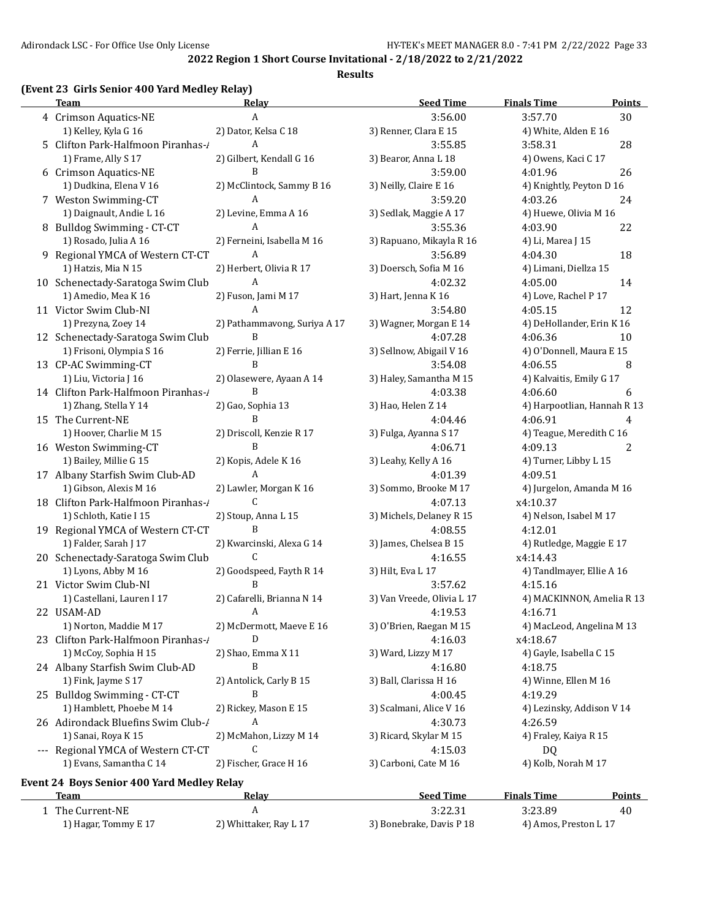**2022 Region 1 Short Course Invitational - 2/18/2022 to 2/21/2022**

#### **Results**

## **(Event 23 Girls Senior 400 Yard Medley Relay)**

| <b>Team</b>                                | Relay                          | <b>Seed Time</b>           | <b>Finals Time</b>          | <b>Points</b> |
|--------------------------------------------|--------------------------------|----------------------------|-----------------------------|---------------|
| 4 Crimson Aquatics-NE                      | A                              | 3:56.00                    | 3:57.70                     | 30            |
| 1) Kelley, Kyla G 16                       | 2) Dator, Kelsa C 18           | 3) Renner, Clara E 15      | 4) White, Alden E 16        |               |
| 5 Clifton Park-Halfmoon Piranhas-1         | $\mathbf{A}$                   | 3:55.85                    | 3:58.31                     | 28            |
| 1) Frame, Ally S 17                        | 2) Gilbert, Kendall G 16       | 3) Bearor, Anna L 18       | 4) Owens, Kaci C 17         |               |
| 6 Crimson Aquatics-NE                      | B                              | 3:59.00                    | 4:01.96                     | 26            |
| 1) Dudkina, Elena V 16                     | 2) McClintock, Sammy B 16      | 3) Neilly, Claire E 16     | 4) Knightly, Peyton D 16    |               |
| 7 Weston Swimming-CT                       | A                              | 3:59.20                    | 4:03.26                     | 24            |
| 1) Daignault, Andie L 16                   | 2) Levine, Emma A 16           | 3) Sedlak, Maggie A 17     | 4) Huewe, Olivia M 16       |               |
| 8 Bulldog Swimming - CT-CT                 | A                              | 3:55.36                    | 4:03.90                     | 22            |
| 1) Rosado, Julia A 16                      | 2) Ferneini, Isabella M 16     | 3) Rapuano, Mikayla R 16   | 4) Li, Marea J 15           |               |
| 9 Regional YMCA of Western CT-CT           | A                              | 3:56.89                    | 4:04.30                     | 18            |
| 1) Hatzis, Mia N 15                        | 2) Herbert, Olivia R 17        | 3) Doersch, Sofia M 16     | 4) Limani, Diellza 15       |               |
| 10 Schenectady-Saratoga Swim Club          | A                              | 4:02.32                    | 4:05.00                     | 14            |
| 1) Amedio, Mea K 16                        | 2) Fuson, Jami M 17            | 3) Hart, Jenna K 16        | 4) Love, Rachel P 17        |               |
| 11 Victor Swim Club-NI                     | A                              | 3:54.80                    | 4:05.15                     | 12            |
| 1) Prezyna, Zoey 14                        | 2) Pathammavong, Suriya A 17   | 3) Wagner, Morgan E 14     | 4) DeHollander, Erin K 16   |               |
| 12 Schenectady-Saratoga Swim Club          | B                              | 4:07.28                    | 4:06.36                     | 10            |
| 1) Frisoni, Olympia S 16                   | 2) Ferrie, Jillian E 16        | 3) Sellnow, Abigail V 16   | 4) O'Donnell, Maura E 15    |               |
| 13 CP-AC Swimming-CT                       | B                              | 3:54.08                    | 4:06.55                     | 8             |
| 1) Liu, Victoria J 16                      | 2) Olasewere, Ayaan A 14       | 3) Haley, Samantha M 15    | 4) Kalvaitis, Emily G 17    |               |
| 14 Clifton Park-Halfmoon Piranhas-/        | B                              | 4:03.38                    | 4:06.60                     | 6             |
| 1) Zhang, Stella Y 14                      | 2) Gao, Sophia 13              | 3) Hao, Helen Z 14         | 4) Harpootlian, Hannah R 13 |               |
| 15 The Current-NE                          | B                              | 4:04.46                    | 4:06.91                     | 4             |
| 1) Hoover, Charlie M 15                    | 2) Driscoll, Kenzie R 17       | 3) Fulga, Ayanna S 17      | 4) Teague, Meredith C 16    |               |
| 16 Weston Swimming-CT                      | B                              | 4:06.71                    | 4:09.13                     | 2             |
| 1) Bailey, Millie G 15                     | 2) Kopis, Adele K 16           |                            | 4) Turner, Libby L 15       |               |
|                                            | A                              | 3) Leahy, Kelly A 16       |                             |               |
| 17 Albany Starfish Swim Club-AD            |                                | 4:01.39                    | 4:09.51                     |               |
| 1) Gibson, Alexis M 16                     | 2) Lawler, Morgan K 16<br>C    | 3) Sommo, Brooke M 17      | 4) Jurgelon, Amanda M 16    |               |
| 18 Clifton Park-Halfmoon Piranhas-/        |                                | 4:07.13                    | x4:10.37                    |               |
| 1) Schloth, Katie I 15                     | 2) Stoup, Anna L 15<br>B       | 3) Michels, Delaney R 15   | 4) Nelson, Isabel M 17      |               |
| 19 Regional YMCA of Western CT-CT          |                                | 4:08.55                    | 4:12.01                     |               |
| 1) Falder, Sarah J 17                      | 2) Kwarcinski, Alexa G 14<br>C | 3) James, Chelsea B 15     | 4) Rutledge, Maggie E 17    |               |
| 20 Schenectady-Saratoga Swim Club          |                                | 4:16.55                    | x4:14.43                    |               |
| 1) Lyons, Abby M 16                        | 2) Goodspeed, Fayth R 14       | 3) Hilt, Eva L 17          | 4) Tandlmayer, Ellie A 16   |               |
| 21 Victor Swim Club-NI                     | B                              | 3:57.62                    | 4:15.16                     |               |
| 1) Castellani, Lauren I 17                 | 2) Cafarelli, Brianna N 14     | 3) Van Vreede, Olivia L 17 | 4) MACKINNON, Amelia R 13   |               |
| 22 USAM-AD                                 | A                              | 4:19.53                    | 4:16.71                     |               |
| 1) Norton, Maddie M 17                     | 2) McDermott, Maeve E 16       | 3) O'Brien, Raegan M 15    | 4) MacLeod, Angelina M 13   |               |
| 23 Clifton Park-Halfmoon Piranhas-/        | D                              | 4:16.03                    | x4:18.67                    |               |
| 1) McCoy, Sophia H 15                      | 2) Shao, Emma X 11             | 3) Ward, Lizzy M 17        | 4) Gayle, Isabella C 15     |               |
| 24 Albany Starfish Swim Club-AD            | B                              | 4:16.80                    | 4:18.75                     |               |
| 1) Fink, Jayme S 17                        | 2) Antolick, Carly B 15        | 3) Ball, Clarissa H 16     | 4) Winne, Ellen M 16        |               |
| 25 Bulldog Swimming - CT-CT                | B                              | 4:00.45                    | 4:19.29                     |               |
| 1) Hamblett, Phoebe M 14                   | 2) Rickey, Mason E 15          | 3) Scalmani, Alice V 16    | 4) Lezinsky, Addison V 14   |               |
| 26 Adirondack Bluefins Swim Club-/         | A                              | 4:30.73                    | 4:26.59                     |               |
| 1) Sanai, Roya K 15                        | 2) McMahon, Lizzy M 14         | 3) Ricard, Skylar M 15     | 4) Fraley, Kaiya R 15       |               |
| --- Regional YMCA of Western CT-CT         | $\mathsf{C}$                   | 4:15.03                    | <b>DQ</b>                   |               |
| 1) Evans, Samantha C 14                    | 2) Fischer, Grace H 16         | 3) Carboni, Cate M 16      | 4) Kolb, Norah M 17         |               |
| Event 24 Boys Senior 400 Yard Medley Relay |                                |                            |                             |               |
| <b>Team</b>                                | <b>Relay</b>                   | <b>Seed Time</b>           | <b>Finals Time</b>          | <b>Points</b> |
| 1 The Current-NE                           | A                              | 3:22.31                    | 3:23.89                     | 40            |

| The Current-NE       |                        |                          | 3:23.89               | 40 |
|----------------------|------------------------|--------------------------|-----------------------|----|
| 1) Hagar, Tommy E 17 | 2) Whittaker, Ray L 17 | 3) Bonebrake, Davis P 18 | 4) Amos, Preston L 17 |    |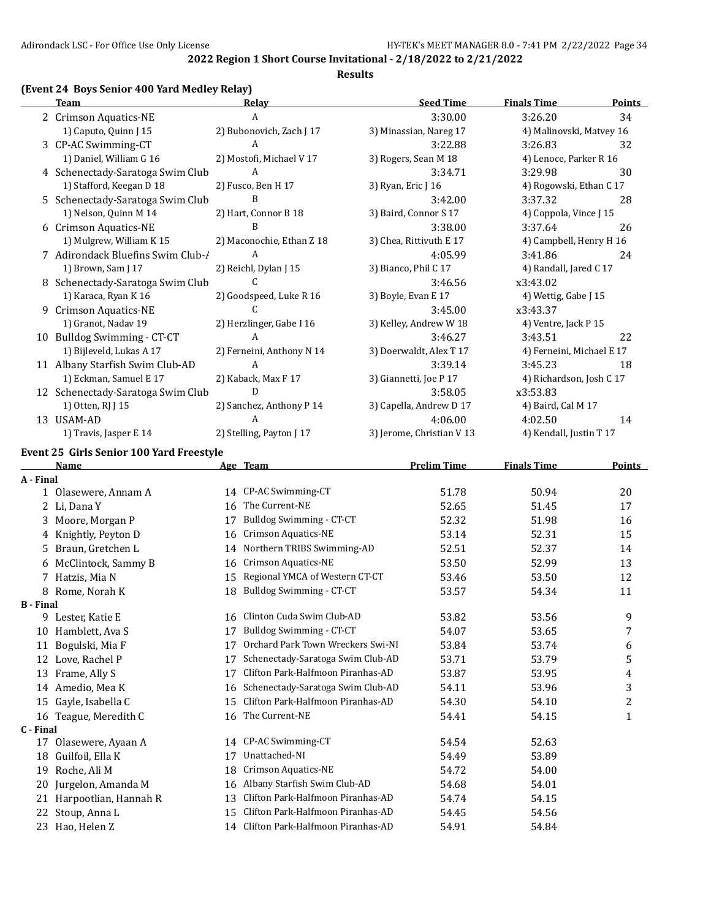#### **Results**

# **(Event 24 Boys Senior 400 Yard Medley Relay)**

|    | <b>Team</b>                              | Relay                     | <b>Seed Time</b>          | <b>Finals Time</b>        | <b>Points</b>               |
|----|------------------------------------------|---------------------------|---------------------------|---------------------------|-----------------------------|
|    | 2 Crimson Aquatics-NE                    | A                         | 3:30.00                   | 3:26.20                   | 34                          |
|    | 1) Caputo, Quinn J 15                    | 2) Bubonovich, Zach J 17  | 3) Minassian, Nareg 17    | 4) Malinovski, Matvey 16  |                             |
|    | 3 CP-AC Swimming-CT                      | A                         | 3:22.88                   | 3:26.83                   | 32                          |
|    | 1) Daniel, William G 16                  | 2) Mostofi, Michael V 17  | 3) Rogers, Sean M 18      | 4) Lenoce, Parker R 16    |                             |
|    | 4 Schenectady-Saratoga Swim Club         | A                         | 3:34.71                   | 3:29.98                   | 30                          |
|    | 1) Stafford, Keegan D 18                 | 2) Fusco, Ben H 17        | 3) Ryan, Eric J 16        | 4) Rogowski, Ethan C 17   |                             |
|    | 5 Schenectady-Saratoga Swim Club         | B                         | 3:42.00                   | 3:37.32                   | 28                          |
|    | 1) Nelson, Quinn M 14                    | 2) Hart, Connor B 18      | 3) Baird, Connor S 17     | 4) Coppola, Vince J 15    |                             |
|    | 6 Crimson Aquatics-NE                    | <sub>R</sub>              | 3:38.00                   | 3:37.64                   | 26                          |
|    | 1) Mulgrew, William K 15                 | 2) Maconochie, Ethan Z 18 | 3) Chea, Rittivuth E 17   | 4) Campbell, Henry H 16   |                             |
|    | 7 Adirondack Bluefins Swim Club-/        | A                         | 4:05.99                   | 3:41.86                   | 24                          |
|    | 1) Brown, Sam J 17                       | 2) Reichl, Dylan J 15     | 3) Bianco, Phil C 17      | 4) Randall, Jared C 17    |                             |
|    | 8 Schenectady-Saratoga Swim Club         | C                         | 3:46.56                   | x3:43.02                  |                             |
|    | 1) Karaca, Ryan K 16                     | 2) Goodspeed, Luke R 16   | 3) Boyle, Evan E 17       | 4) Wettig, Gabe J 15      |                             |
|    | <b>Crimson Aquatics-NE</b>               |                           | 3:45.00                   | x3:43.37                  |                             |
|    | 1) Granot, Nadav 19                      | 2) Herzlinger, Gabe I 16  | 3) Kelley, Andrew W 18    | 4) Ventre, Jack P 15      |                             |
| 10 | <b>Bulldog Swimming - CT-CT</b>          | A                         | 3:46.27                   | 3:43.51                   | 22                          |
|    | 1) Bijleveld, Lukas A 17                 | 2) Ferneini, Anthony N 14 | 3) Doerwaldt, Alex T 17   | 4) Ferneini, Michael E 17 |                             |
|    | 11 Albany Starfish Swim Club-AD          | A                         | 3:39.14                   | 3:45.23                   | 18                          |
|    | 1) Eckman, Samuel E 17                   | 2) Kaback, Max F 17       | 3) Giannetti, Joe P 17    | 4) Richardson, Josh C 17  |                             |
|    | 12 Schenectady-Saratoga Swim Club        | D                         | 3:58.05                   | x3:53.83                  |                             |
|    | 1) Otten, RJ J 15                        | 2) Sanchez, Anthony P 14  | 3) Capella, Andrew D 17   | 4) Baird, Cal M 17        |                             |
|    | 13 USAM-AD                               | A                         | 4:06.00                   | 4:02.50                   | 14                          |
|    | 1) Travis, Jasper E 14                   | 2) Stelling, Payton J 17  | 3) Jerome, Christian V 13 | 4) Kendall, Justin T 17   |                             |
|    | Event 25 Girls Senior 100 Yard Freestyle |                           |                           |                           |                             |
|    |                                          |                           |                           | march - ma                | $\mathbf{D}$ . $\mathbf{L}$ |

|                  | Name                  |    | Age Team                          | <b>Prelim Time</b> | <b>Finals Time</b> | <b>Points</b> |
|------------------|-----------------------|----|-----------------------------------|--------------------|--------------------|---------------|
| A - Final        |                       |    |                                   |                    |                    |               |
|                  | 1 Olasewere, Annam A  | 14 | CP-AC Swimming-CT                 | 51.78              | 50.94              | 20            |
| 2                | Li, Dana Y            | 16 | The Current-NE                    | 52.65              | 51.45              | 17            |
| 3.               | Moore, Morgan P       | 17 | <b>Bulldog Swimming - CT-CT</b>   | 52.32              | 51.98              | 16            |
| 4                | Knightly, Peyton D    | 16 | Crimson Aquatics-NE               | 53.14              | 52.31              | 15            |
| 5                | Braun, Gretchen L     | 14 | Northern TRIBS Swimming-AD        | 52.51              | 52.37              | 14            |
| 6                | McClintock, Sammy B   | 16 | Crimson Aquatics-NE               | 53.50              | 52.99              | 13            |
|                  | Hatzis, Mia N         | 15 | Regional YMCA of Western CT-CT    | 53.46              | 53.50              | 12            |
| 8                | Rome, Norah K         | 18 | Bulldog Swimming - CT-CT          | 53.57              | 54.34              | 11            |
| <b>B</b> - Final |                       |    |                                   |                    |                    |               |
| 9.               | Lester, Katie E       | 16 | Clinton Cuda Swim Club-AD         | 53.82              | 53.56              | 9             |
| 10               | Hamblett, Ava S       | 17 | <b>Bulldog Swimming - CT-CT</b>   | 54.07              | 53.65              | 7             |
| 11               | Bogulski, Mia F       | 17 | Orchard Park Town Wreckers Swi-NI | 53.84              | 53.74              | 6             |
| 12               | Love, Rachel P        | 17 | Schenectady-Saratoga Swim Club-AD | 53.71              | 53.79              | 5             |
| 13               | Frame, Ally S         | 17 | Clifton Park-Halfmoon Piranhas-AD | 53.87              | 53.95              | 4             |
| 14               | Amedio, Mea K         | 16 | Schenectady-Saratoga Swim Club-AD | 54.11              | 53.96              | 3             |
| 15               | Gayle, Isabella C     | 15 | Clifton Park-Halfmoon Piranhas-AD | 54.30              | 54.10              | 2             |
| 16               | Teague, Meredith C    | 16 | The Current-NE                    | 54.41              | 54.15              | $\mathbf{1}$  |
| C - Final        |                       |    |                                   |                    |                    |               |
| 17               | Olasewere, Ayaan A    | 14 | CP-AC Swimming-CT                 | 54.54              | 52.63              |               |
| 18               | Guilfoil, Ella K      | 17 | Unattached-NI                     | 54.49              | 53.89              |               |
| 19               | Roche, Ali M          | 18 | Crimson Aquatics-NE               | 54.72              | 54.00              |               |
| 20               | Jurgelon, Amanda M    | 16 | Albany Starfish Swim Club-AD      | 54.68              | 54.01              |               |
| 21               | Harpootlian, Hannah R | 13 | Clifton Park-Halfmoon Piranhas-AD | 54.74              | 54.15              |               |
| 22               | Stoup, Anna L         | 15 | Clifton Park-Halfmoon Piranhas-AD | 54.45              | 54.56              |               |
| 23               | Hao, Helen Z          | 14 | Clifton Park-Halfmoon Piranhas-AD | 54.91              | 54.84              |               |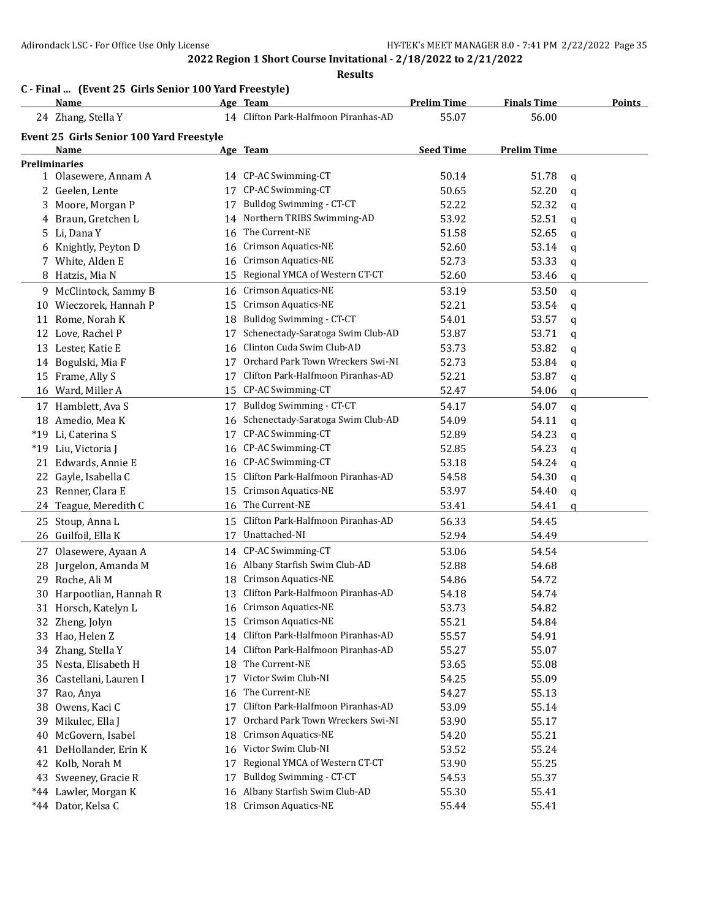**Results**

# **C - Final ... (Event 25 Girls Senior 100 Yard Freestyle)**

|       | Name                                     |    | Age Team                             | <b>Prelim Time</b> | <b>Finals Time</b> |             | <b>Points</b> |
|-------|------------------------------------------|----|--------------------------------------|--------------------|--------------------|-------------|---------------|
|       | 24 Zhang, Stella Y                       |    | 14 Clifton Park-Halfmoon Piranhas-AD | 55.07              | 56.00              |             |               |
|       | Event 25 Girls Senior 100 Yard Freestyle |    |                                      |                    |                    |             |               |
|       | Name                                     |    | Age Team                             | <b>Seed Time</b>   | <b>Prelim Time</b> |             |               |
|       | <b>Preliminaries</b>                     |    |                                      |                    |                    |             |               |
|       | 1 Olasewere, Annam A                     |    | 14 CP-AC Swimming-CT                 | 50.14              | 51.78              | q           |               |
|       | 2 Geelen, Lente                          | 17 | CP-AC Swimming-CT                    | 50.65              | 52.20              | q           |               |
|       | 3 Moore, Morgan P                        | 17 | Bulldog Swimming - CT-CT             | 52.22              | 52.32              | q           |               |
|       | 4 Braun, Gretchen L                      | 14 | Northern TRIBS Swimming-AD           | 53.92              | 52.51              | q           |               |
|       | 5 Li, Dana Y                             | 16 | The Current-NE                       | 51.58              | 52.65              | q           |               |
|       | 6 Knightly, Peyton D                     | 16 | Crimson Aquatics-NE                  | 52.60              | 53.14              | q           |               |
| 7     | White, Alden E                           |    | 16 Crimson Aquatics-NE               | 52.73              | 53.33              | q           |               |
|       | 8 Hatzis, Mia N                          | 15 | Regional YMCA of Western CT-CT       | 52.60              | 53.46              | q           |               |
| 9.    | McClintock, Sammy B                      | 16 | Crimson Aquatics-NE                  | 53.19              | 53.50              | $\mathbf q$ |               |
|       | 10 Wieczorek, Hannah P                   | 15 | Crimson Aquatics-NE                  | 52.21              | 53.54              | q           |               |
| 11    | Rome, Norah K                            | 18 | Bulldog Swimming - CT-CT             | 54.01              | 53.57              | q           |               |
|       | 12 Love, Rachel P                        | 17 | Schenectady-Saratoga Swim Club-AD    | 53.87              | 53.71              | q           |               |
|       | 13 Lester, Katie E                       | 16 | Clinton Cuda Swim Club-AD            | 53.73              | 53.82              | q           |               |
| 14    | Bogulski, Mia F                          | 17 | Orchard Park Town Wreckers Swi-NI    | 52.73              | 53.84              | q           |               |
|       | 15 Frame, Ally S                         | 17 | Clifton Park-Halfmoon Piranhas-AD    | 52.21              | 53.87              | q           |               |
| 16    | Ward, Miller A                           |    | 15 CP-AC Swimming-CT                 | 52.47              | 54.06              | q           |               |
|       | 17 Hamblett, Ava S                       | 17 | Bulldog Swimming - CT-CT             | 54.17              | 54.07              | q           |               |
|       | 18 Amedio, Mea K                         | 16 | Schenectady-Saratoga Swim Club-AD    | 54.09              | 54.11              | q           |               |
| $*19$ | Li, Caterina S                           | 17 | CP-AC Swimming-CT                    | 52.89              | 54.23              | q           |               |
| $*19$ | Liu, Victoria J                          | 16 | CP-AC Swimming-CT                    | 52.85              | 54.23              | q           |               |
|       | 21 Edwards, Annie E                      | 16 | CP-AC Swimming-CT                    | 53.18              | 54.24              | q           |               |
| 22    | Gayle, Isabella C                        | 15 | Clifton Park-Halfmoon Piranhas-AD    | 54.58              | 54.30              | q           |               |
| 23    | Renner, Clara E                          | 15 | Crimson Aquatics-NE                  | 53.97              | 54.40              | q           |               |
| 24    | Teague, Meredith C                       | 16 | The Current-NE                       | 53.41              | 54.41              | q           |               |
|       |                                          | 15 | Clifton Park-Halfmoon Piranhas-AD    | 56.33              | 54.45              |             |               |
|       | 25 Stoup, Anna L<br>26 Guilfoil, Ella K  |    | Unattached-NI                        | 52.94              |                    |             |               |
|       |                                          | 17 |                                      |                    | 54.49              |             |               |
|       | 27 Olasewere, Ayaan A                    | 14 | CP-AC Swimming-CT                    | 53.06              | 54.54              |             |               |
| 28    | Jurgelon, Amanda M                       |    | 16 Albany Starfish Swim Club-AD      | 52.88              | 54.68              |             |               |
| 29    | Roche, Ali M                             | 18 | Crimson Aquatics-NE                  | 54.86              | 54.72              |             |               |
| 30    | Harpootlian, Hannah R                    | 13 | Clifton Park-Halfmoon Piranhas-AD    | 54.18              | 54.74              |             |               |
|       | 31 Horsch, Katelyn L                     |    | 16 Crimson Aquatics-NE               | 53.73              | 54.82              |             |               |
|       | 32 Zheng, Jolyn                          | 15 | Crimson Aquatics-NE                  | 55.21              | 54.84              |             |               |
|       | 33 Hao, Helen Z                          | 14 | Clifton Park-Halfmoon Piranhas-AD    | 55.57              | 54.91              |             |               |
| 34    | Zhang, Stella Y                          |    | 14 Clifton Park-Halfmoon Piranhas-AD | 55.27              | 55.07              |             |               |
|       | 35 Nesta, Elisabeth H                    |    | 18 The Current-NE                    | 53.65              | 55.08              |             |               |
|       | 36 Castellani, Lauren I                  | 17 | Victor Swim Club-NI                  | 54.25              | 55.09              |             |               |
| 37    | Rao, Anya                                | 16 | The Current-NE                       | 54.27              | 55.13              |             |               |
| 38    | Owens, Kaci C                            | 17 | Clifton Park-Halfmoon Piranhas-AD    | 53.09              | 55.14              |             |               |
| 39    | Mikulec, Ella J                          | 17 | Orchard Park Town Wreckers Swi-NI    | 53.90              | 55.17              |             |               |
| 40    | McGovern, Isabel                         | 18 | Crimson Aquatics-NE                  | 54.20              | 55.21              |             |               |
| 41    | DeHollander, Erin K                      | 16 | Victor Swim Club-NI                  | 53.52              | 55.24              |             |               |
| 42    | Kolb, Norah M                            | 17 | Regional YMCA of Western CT-CT       | 53.90              | 55.25              |             |               |
| 43    | Sweeney, Gracie R                        | 17 | Bulldog Swimming - CT-CT             | 54.53              | 55.37              |             |               |
|       | *44 Lawler, Morgan K                     | 16 | Albany Starfish Swim Club-AD         | 55.30              | 55.41              |             |               |
|       | *44 Dator, Kelsa C                       |    | 18 Crimson Aquatics-NE               | 55.44              | 55.41              |             |               |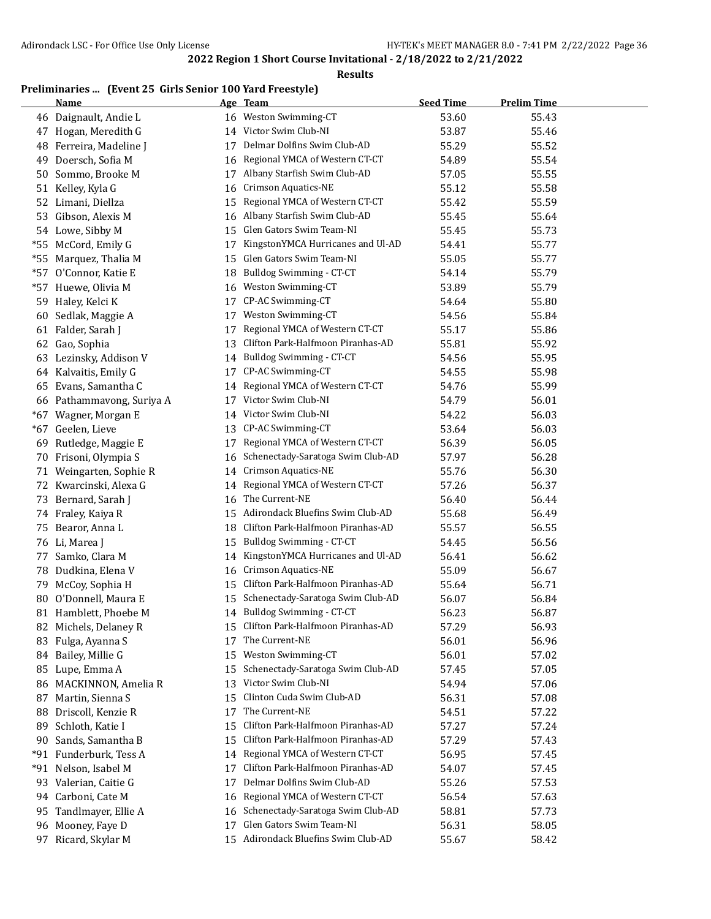#### **Results**

# **Preliminaries ... (Event 25 Girls Senior 100 Yard Freestyle)**

|       | <b>Name</b>               |    | Age Team                            | <b>Seed Time</b> | <b>Prelim Time</b> |  |
|-------|---------------------------|----|-------------------------------------|------------------|--------------------|--|
|       | 46 Daignault, Andie L     | 16 | Weston Swimming-CT                  | 53.60            | 55.43              |  |
|       | 47 Hogan, Meredith G      |    | 14 Victor Swim Club-NI              | 53.87            | 55.46              |  |
| 48    | Ferreira, Madeline J      | 17 | Delmar Dolfins Swim Club-AD         | 55.29            | 55.52              |  |
| 49    | Doersch, Sofia M          | 16 | Regional YMCA of Western CT-CT      | 54.89            | 55.54              |  |
| 50    | Sommo, Brooke M           | 17 | Albany Starfish Swim Club-AD        | 57.05            | 55.55              |  |
| 51    | Kelley, Kyla G            | 16 | Crimson Aquatics-NE                 | 55.12            | 55.58              |  |
| 52    | Limani, Diellza           | 15 | Regional YMCA of Western CT-CT      | 55.42            | 55.59              |  |
| 53    | Gibson, Alexis M          | 16 | Albany Starfish Swim Club-AD        | 55.45            | 55.64              |  |
|       | 54 Lowe, Sibby M          | 15 | Glen Gators Swim Team-NI            | 55.45            | 55.73              |  |
| *55   | McCord, Emily G           | 17 | KingstonYMCA Hurricanes and Ul-AD   | 54.41            | 55.77              |  |
| $*55$ | Marquez, Thalia M         | 15 | Glen Gators Swim Team-NI            | 55.05            | 55.77              |  |
| $*57$ | O'Connor, Katie E         | 18 | Bulldog Swimming - CT-CT            | 54.14            | 55.79              |  |
| $*57$ | Huewe, Olivia M           | 16 | Weston Swimming-CT                  | 53.89            | 55.79              |  |
| 59    | Haley, Kelci K            | 17 | CP-AC Swimming-CT                   | 54.64            | 55.80              |  |
| 60    | Sedlak, Maggie A          | 17 | Weston Swimming-CT                  | 54.56            | 55.84              |  |
|       | 61 Falder, Sarah J        | 17 | Regional YMCA of Western CT-CT      | 55.17            | 55.86              |  |
|       | 62 Gao, Sophia            | 13 | Clifton Park-Halfmoon Piranhas-AD   | 55.81            | 55.92              |  |
| 63    | Lezinsky, Addison V       |    | 14 Bulldog Swimming - CT-CT         | 54.56            | 55.95              |  |
|       | 64 Kalvaitis, Emily G     | 17 | CP-AC Swimming-CT                   | 54.55            | 55.98              |  |
| 65    | Evans, Samantha C         |    | 14 Regional YMCA of Western CT-CT   | 54.76            | 55.99              |  |
|       | 66 Pathammavong, Suriya A | 17 | Victor Swim Club-NI                 | 54.79            | 56.01              |  |
|       | *67 Wagner, Morgan E      |    | 14 Victor Swim Club-NI              | 54.22            | 56.03              |  |
|       | *67 Geelen, Lieve         | 13 | CP-AC Swimming-CT                   | 53.64            | 56.03              |  |
| 69    | Rutledge, Maggie E        | 17 | Regional YMCA of Western CT-CT      | 56.39            | 56.05              |  |
| 70    | Frisoni, Olympia S        | 16 | Schenectady-Saratoga Swim Club-AD   | 57.97            | 56.28              |  |
|       | 71 Weingarten, Sophie R   | 14 | Crimson Aquatics-NE                 | 55.76            | 56.30              |  |
|       | 72 Kwarcinski, Alexa G    | 14 | Regional YMCA of Western CT-CT      | 57.26            | 56.37              |  |
| 73    | Bernard, Sarah J          | 16 | The Current-NE                      | 56.40            | 56.44              |  |
|       | 74 Fraley, Kaiya R        | 15 | Adirondack Bluefins Swim Club-AD    | 55.68            | 56.49              |  |
|       | 75 Bearor, Anna L         | 18 | Clifton Park-Halfmoon Piranhas-AD   | 55.57            | 56.55              |  |
|       |                           |    | Bulldog Swimming - CT-CT            |                  | 56.56              |  |
|       | 76 Li, Marea J            | 15 | KingstonYMCA Hurricanes and Ul-AD   | 54.45            |                    |  |
| 77    | Samko, Clara M            | 14 | Crimson Aquatics-NE                 | 56.41            | 56.62              |  |
| 78    | Dudkina, Elena V          | 16 | Clifton Park-Halfmoon Piranhas-AD   | 55.09            | 56.67              |  |
| 79    | McCoy, Sophia H           | 15 |                                     | 55.64            | 56.71              |  |
| 80    | O'Donnell, Maura E        | 15 | Schenectady-Saratoga Swim Club-AD   | 56.07            | 56.84              |  |
|       | 81 Hamblett, Phoebe M     |    | 14 Bulldog Swimming - CT-CT         | 56.23            | 56.87              |  |
|       | 82 Michels, Delaney R     | 15 | Clifton Park-Halfmoon Piranhas-AD   | 57.29            | 56.93              |  |
| 83    | Fulga, Ayanna S           | 17 | The Current-NE                      | 56.01            | 56.96              |  |
| 84    | Bailey, Millie G          | 15 | Weston Swimming-CT                  | 56.01            | 57.02              |  |
| 85    | Lupe, Emma A              | 15 | Schenectady-Saratoga Swim Club-AD   | 57.45            | 57.05              |  |
| 86    | MACKINNON, Amelia R       | 13 | Victor Swim Club-NI                 | 54.94            | 57.06              |  |
| 87    | Martin, Sienna S          | 15 | Clinton Cuda Swim Club-AD           | 56.31            | 57.08              |  |
| 88    | Driscoll, Kenzie R        | 17 | The Current-NE                      | 54.51            | 57.22              |  |
| 89    | Schloth, Katie I          | 15 | Clifton Park-Halfmoon Piranhas-AD   | 57.27            | 57.24              |  |
| 90    | Sands, Samantha B         | 15 | Clifton Park-Halfmoon Piranhas-AD   | 57.29            | 57.43              |  |
|       | *91 Funderburk, Tess A    | 14 | Regional YMCA of Western CT-CT      | 56.95            | 57.45              |  |
|       | *91 Nelson, Isabel M      | 17 | Clifton Park-Halfmoon Piranhas-AD   | 54.07            | 57.45              |  |
| 93    | Valerian, Caitie G        | 17 | Delmar Dolfins Swim Club-AD         | 55.26            | 57.53              |  |
|       | 94 Carboni, Cate M        | 16 | Regional YMCA of Western CT-CT      | 56.54            | 57.63              |  |
| 95    | Tandlmayer, Ellie A       | 16 | Schenectady-Saratoga Swim Club-AD   | 58.81            | 57.73              |  |
| 96    | Mooney, Faye D            | 17 | Glen Gators Swim Team-NI            | 56.31            | 58.05              |  |
|       | 97 Ricard, Skylar M       |    | 15 Adirondack Bluefins Swim Club-AD | 55.67            | 58.42              |  |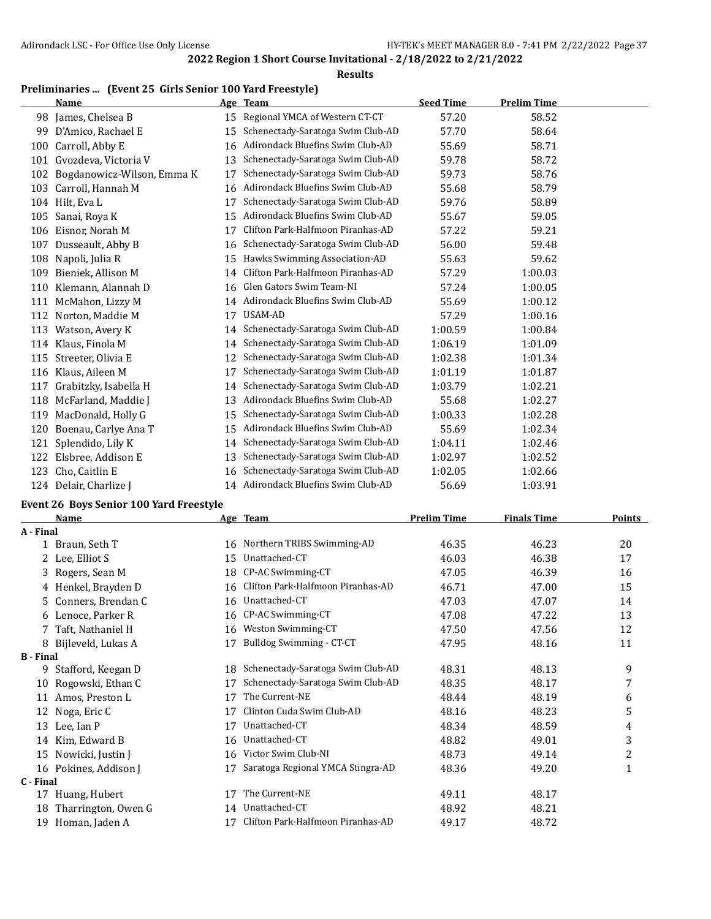#### **Results**

# **Preliminaries ... (Event 25 Girls Senior 100 Yard Freestyle)**

|     | Name                       |    | Age Team                          | <b>Seed Time</b> | <b>Prelim Time</b> |  |
|-----|----------------------------|----|-----------------------------------|------------------|--------------------|--|
|     | 98 James, Chelsea B        | 15 | Regional YMCA of Western CT-CT    | 57.20            | 58.52              |  |
| 99  | D'Amico, Rachael E         | 15 | Schenectady-Saratoga Swim Club-AD | 57.70            | 58.64              |  |
| 100 | Carroll, Abby E            | 16 | Adirondack Bluefins Swim Club-AD  | 55.69            | 58.71              |  |
| 101 | Gvozdeva, Victoria V       | 13 | Schenectady-Saratoga Swim Club-AD | 59.78            | 58.72              |  |
| 102 | Bogdanowicz-Wilson, Emma K | 17 | Schenectady-Saratoga Swim Club-AD | 59.73            | 58.76              |  |
| 103 | Carroll, Hannah M          | 16 | Adirondack Bluefins Swim Club-AD  | 55.68            | 58.79              |  |
| 104 | Hilt, Eva L                | 17 | Schenectady-Saratoga Swim Club-AD | 59.76            | 58.89              |  |
| 105 | Sanai, Roya K              | 15 | Adirondack Bluefins Swim Club-AD  | 55.67            | 59.05              |  |
| 106 | Eisnor, Norah M            | 17 | Clifton Park-Halfmoon Piranhas-AD | 57.22            | 59.21              |  |
| 107 | Dusseault, Abby B          | 16 | Schenectady-Saratoga Swim Club-AD | 56.00            | 59.48              |  |
| 108 | Napoli, Julia R            | 15 | Hawks Swimming Association-AD     | 55.63            | 59.62              |  |
| 109 | Bieniek, Allison M         | 14 | Clifton Park-Halfmoon Piranhas-AD | 57.29            | 1:00.03            |  |
| 110 | Klemann, Alannah D         | 16 | Glen Gators Swim Team-NI          | 57.24            | 1:00.05            |  |
| 111 | McMahon, Lizzy M           | 14 | Adirondack Bluefins Swim Club-AD  | 55.69            | 1:00.12            |  |
| 112 | Norton, Maddie M           | 17 | USAM-AD                           | 57.29            | 1:00.16            |  |
| 113 | Watson, Avery K            | 14 | Schenectady-Saratoga Swim Club-AD | 1:00.59          | 1:00.84            |  |
| 114 | Klaus, Finola M            | 14 | Schenectady-Saratoga Swim Club-AD | 1:06.19          | 1:01.09            |  |
| 115 | Streeter, Olivia E         | 12 | Schenectady-Saratoga Swim Club-AD | 1:02.38          | 1:01.34            |  |
| 116 | Klaus, Aileen M            | 17 | Schenectady-Saratoga Swim Club-AD | 1:01.19          | 1:01.87            |  |
| 117 | Grabitzky, Isabella H      | 14 | Schenectady-Saratoga Swim Club-AD | 1:03.79          | 1:02.21            |  |
| 118 | McFarland, Maddie J        | 13 | Adirondack Bluefins Swim Club-AD  | 55.68            | 1:02.27            |  |
| 119 | MacDonald, Holly G         | 15 | Schenectady-Saratoga Swim Club-AD | 1:00.33          | 1:02.28            |  |
| 120 | Boenau, Carlye Ana T       | 15 | Adirondack Bluefins Swim Club-AD  | 55.69            | 1:02.34            |  |
| 121 | Splendido, Lily K          | 14 | Schenectady-Saratoga Swim Club-AD | 1:04.11          | 1:02.46            |  |
| 122 | Elsbree, Addison E         | 13 | Schenectady-Saratoga Swim Club-AD | 1:02.97          | 1:02.52            |  |
| 123 | Cho, Caitlin E             | 16 | Schenectady-Saratoga Swim Club-AD | 1:02.05          | 1:02.66            |  |
|     | 124 Delair, Charlize I     | 14 | Adirondack Bluefins Swim Club-AD  | 56.69            | 1:03.91            |  |

## **Event 26 Boys Senior 100 Yard Freestyle**

|                  | <b>Name</b>          |    | Age Team                          | <b>Prelim Time</b> | <b>Finals Time</b> | <b>Points</b> |
|------------------|----------------------|----|-----------------------------------|--------------------|--------------------|---------------|
| A - Final        |                      |    |                                   |                    |                    |               |
|                  | 1 Braun, Seth T      | 16 | Northern TRIBS Swimming-AD        | 46.35              | 46.23              | 20            |
|                  | 2 Lee, Elliot S      | 15 | Unattached-CT                     | 46.03              | 46.38              | 17            |
| 3.               | Rogers, Sean M       | 18 | CP-AC Swimming-CT                 | 47.05              | 46.39              | 16            |
|                  | 4 Henkel, Brayden D  | 16 | Clifton Park-Halfmoon Piranhas-AD | 46.71              | 47.00              | 15            |
|                  | 5 Conners, Brendan C | 16 | Unattached-CT                     | 47.03              | 47.07              | 14            |
| 6                | Lenoce, Parker R     | 16 | CP-AC Swimming-CT                 | 47.08              | 47.22              | 13            |
|                  | Taft, Nathaniel H    | 16 | Weston Swimming-CT                | 47.50              | 47.56              | 12            |
| 8                | Bijleveld, Lukas A   | 17 | Bulldog Swimming - CT-CT          | 47.95              | 48.16              | 11            |
| <b>B</b> - Final |                      |    |                                   |                    |                    |               |
| 9                | Stafford, Keegan D   | 18 | Schenectady-Saratoga Swim Club-AD | 48.31              | 48.13              | 9             |
| 10               | Rogowski, Ethan C    |    | Schenectady-Saratoga Swim Club-AD | 48.35              | 48.17              | 7             |
| 11               | Amos, Preston L      | 17 | The Current-NE                    | 48.44              | 48.19              | 6             |
| 12               | Noga, Eric C         | 17 | Clinton Cuda Swim Club-AD         | 48.16              | 48.23              | 5             |
| 13               | Lee, Ian P           | 17 | Unattached-CT                     | 48.34              | 48.59              | 4             |
|                  | 14 Kim, Edward B     | 16 | Unattached-CT                     | 48.82              | 49.01              | 3             |
| 15               | Nowicki, Justin J    | 16 | Victor Swim Club-NI               | 48.73              | 49.14              | 2             |
| 16               | Pokines, Addison J   |    | Saratoga Regional YMCA Stingra-AD | 48.36              | 49.20              | 1             |
| C - Final        |                      |    |                                   |                    |                    |               |
| 17               | Huang, Hubert        | 17 | The Current-NE                    | 49.11              | 48.17              |               |
| 18               | Tharrington, Owen G  | 14 | Unattached-CT                     | 48.92              | 48.21              |               |
| 19               | Homan, Jaden A       |    | Clifton Park-Halfmoon Piranhas-AD | 49.17              | 48.72              |               |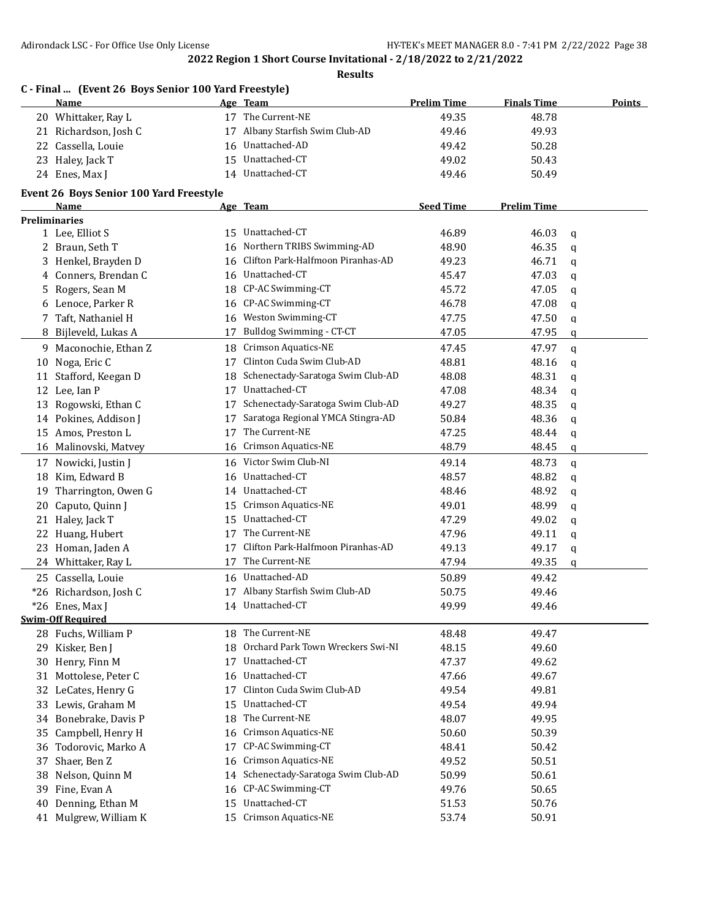|    | C - Final  (Event 26 Boys Senior 100 Yard Freestyle)<br>Name  |    | Age Team                          | <b>Prelim Time</b> | <b>Finals Time</b> | <b>Points</b> |
|----|---------------------------------------------------------------|----|-----------------------------------|--------------------|--------------------|---------------|
|    | 20 Whittaker, Ray L                                           |    | 17 The Current-NE                 | 49.35              | 48.78              |               |
|    | 21 Richardson, Josh C                                         | 17 | Albany Starfish Swim Club-AD      | 49.46              | 49.93              |               |
|    | 22 Cassella, Louie                                            | 16 | Unattached-AD                     | 49.42              | 50.28              |               |
|    | 23 Haley, Jack T                                              | 15 | Unattached-CT                     | 49.02              | 50.43              |               |
|    | 24 Enes, Max J                                                | 14 | Unattached-CT                     | 49.46              | 50.49              |               |
|    |                                                               |    |                                   |                    |                    |               |
|    | <b>Event 26 Boys Senior 100 Yard Freestyle</b><br><b>Name</b> |    | Age Team                          | <b>Seed Time</b>   | <b>Prelim Time</b> |               |
|    | <b>Preliminaries</b>                                          |    |                                   |                    |                    |               |
|    | 1 Lee, Elliot S                                               |    | 15 Unattached-CT                  | 46.89              | 46.03              | q             |
| 2  | Braun, Seth T                                                 |    | 16 Northern TRIBS Swimming-AD     | 48.90              | 46.35              | $\mathbf q$   |
| 3  | Henkel, Brayden D                                             | 16 | Clifton Park-Halfmoon Piranhas-AD | 49.23              | 46.71              | q             |
|    | 4 Conners, Brendan C                                          |    | 16 Unattached-CT                  | 45.47              | 47.03              | q             |
| 5. | Rogers, Sean M                                                |    | 18 CP-AC Swimming-CT              | 45.72              | 47.05              | q             |
|    | 6 Lenoce, Parker R                                            |    | 16 CP-AC Swimming-CT              | 46.78              | 47.08              | q             |
| 7  | Taft, Nathaniel H                                             | 16 | Weston Swimming-CT                | 47.75              | 47.50              | q             |
| 8  | Bijleveld, Lukas A                                            | 17 | Bulldog Swimming - CT-CT          | 47.05              | 47.95              | q             |
|    | 9 Maconochie, Ethan Z                                         |    | 18 Crimson Aquatics-NE            | 47.45              | 47.97              | q             |
| 10 | Noga, Eric C                                                  | 17 | Clinton Cuda Swim Club-AD         | 48.81              | 48.16              |               |
|    | 11 Stafford, Keegan D                                         | 18 | Schenectady-Saratoga Swim Club-AD | 48.08              | 48.31              | q             |
|    | 12 Lee, Ian P                                                 | 17 | Unattached-CT                     | 47.08              | 48.34              | q             |
|    | 13 Rogowski, Ethan C                                          | 17 | Schenectady-Saratoga Swim Club-AD | 49.27              | 48.35              | q             |
|    | 14 Pokines, Addison J                                         | 17 | Saratoga Regional YMCA Stingra-AD | 50.84              | 48.36              | q             |
| 15 | Amos, Preston L                                               | 17 | The Current-NE                    | 47.25              | 48.44              | q             |
|    |                                                               | 16 | Crimson Aquatics-NE               |                    |                    | q             |
| 16 | Malinovski, Matvey                                            |    |                                   | 48.79              | 48.45              | q             |
| 17 | Nowicki, Justin J                                             | 16 | Victor Swim Club-NI               | 49.14              | 48.73              | q             |
| 18 | Kim, Edward B                                                 | 16 | Unattached-CT                     | 48.57              | 48.82              | q             |
| 19 | Tharrington, Owen G                                           | 14 | Unattached-CT                     | 48.46              | 48.92              | q             |
| 20 | Caputo, Quinn J                                               | 15 | Crimson Aquatics-NE               | 49.01              | 48.99              | q             |
|    | 21 Haley, Jack T                                              | 15 | Unattached-CT                     | 47.29              | 49.02              | q             |
| 22 | Huang, Hubert                                                 | 17 | The Current-NE                    | 47.96              | 49.11              | q             |
|    | 23 Homan, Jaden A                                             | 17 | Clifton Park-Halfmoon Piranhas-AD | 49.13              | 49.17              | q             |
|    | 24 Whittaker, Ray L                                           | 17 | The Current-NE                    | 47.94              | 49.35              | q             |
|    | 25 Cassella, Louie                                            |    | 16 Unattached-AD                  | 50.89              | 49.42              |               |
|    | *26 Richardson, Josh C                                        |    | 17 Albany Starfish Swim Club-AD   | 50.75              | 49.46              |               |
|    | *26 Enes, Max J                                               |    | 14 Unattached-CT                  | 49.99              | 49.46              |               |
|    | <b>Swim-Off Required</b>                                      |    |                                   |                    |                    |               |
|    | 28 Fuchs, William P                                           |    | 18 The Current-NE                 | 48.48              | 49.47              |               |
| 29 | Kisker, Ben J                                                 | 18 | Orchard Park Town Wreckers Swi-NI | 48.15              | 49.60              |               |
| 30 | Henry, Finn M                                                 | 17 | Unattached-CT                     | 47.37              | 49.62              |               |
| 31 | Mottolese, Peter C                                            | 16 | Unattached-CT                     | 47.66              | 49.67              |               |
|    | 32 LeCates, Henry G                                           | 17 | Clinton Cuda Swim Club-AD         | 49.54              | 49.81              |               |
|    | 33 Lewis, Graham M                                            | 15 | Unattached-CT                     | 49.54              | 49.94              |               |
| 34 | Bonebrake, Davis P                                            | 18 | The Current-NE                    | 48.07              | 49.95              |               |
| 35 | Campbell, Henry H                                             | 16 | <b>Crimson Aquatics-NE</b>        | 50.60              | 50.39              |               |
| 36 | Todorovic, Marko A                                            | 17 | CP-AC Swimming-CT                 | 48.41              | 50.42              |               |
| 37 | Shaer, Ben Z                                                  | 16 | Crimson Aquatics-NE               | 49.52              | 50.51              |               |
| 38 | Nelson, Quinn M                                               | 14 | Schenectady-Saratoga Swim Club-AD | 50.99              | 50.61              |               |
| 39 | Fine, Evan A                                                  | 16 | CP-AC Swimming-CT                 | 49.76              | 50.65              |               |
| 40 | Denning, Ethan M                                              | 15 | Unattached-CT                     | 51.53              | 50.76              |               |
| 41 | Mulgrew, William K                                            |    | 15 Crimson Aquatics-NE            | 53.74              | 50.91              |               |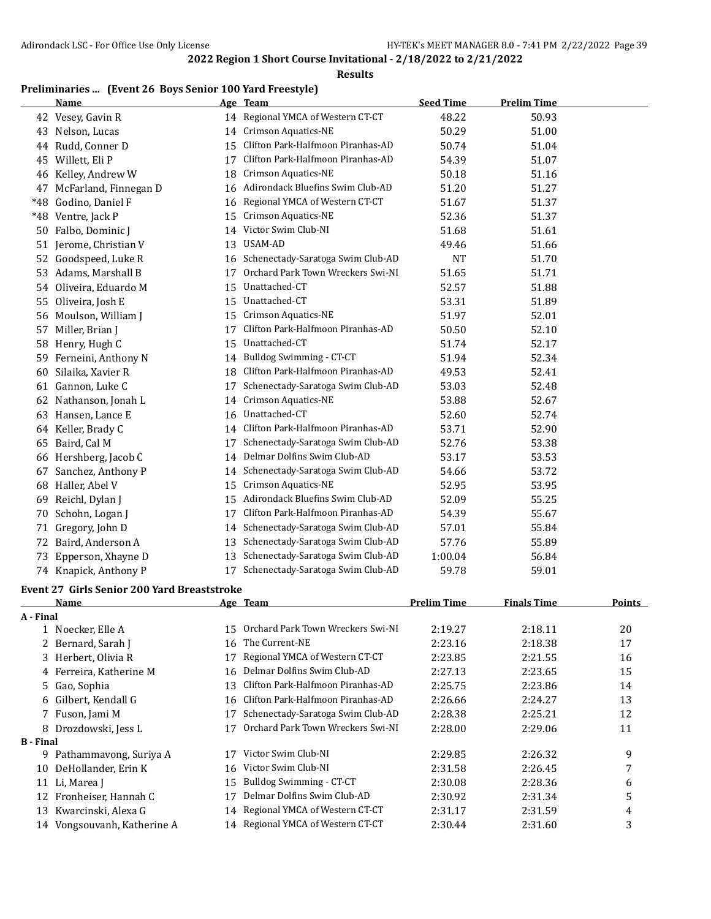#### **Results**

# **Preliminaries ... (Event 26 Boys Senior 100 Yard Freestyle)**

|                  | Name                                               |          | Age Team                                                         | <b>Seed Time</b>   | <b>Prelim Time</b> |               |
|------------------|----------------------------------------------------|----------|------------------------------------------------------------------|--------------------|--------------------|---------------|
|                  | 42 Vesey, Gavin R                                  |          | 14 Regional YMCA of Western CT-CT                                | 48.22              | 50.93              |               |
| 43               | Nelson, Lucas                                      | 14       | Crimson Aquatics-NE                                              | 50.29              | 51.00              |               |
| 44               | Rudd, Conner D                                     | 15       | Clifton Park-Halfmoon Piranhas-AD                                | 50.74              | 51.04              |               |
| 45               | Willett, Eli P                                     | 17       | Clifton Park-Halfmoon Piranhas-AD                                | 54.39              | 51.07              |               |
| 46               | Kelley, Andrew W                                   | 18       | Crimson Aquatics-NE                                              | 50.18              | 51.16              |               |
| 47               | McFarland, Finnegan D                              | 16       | Adirondack Bluefins Swim Club-AD                                 | 51.20              | 51.27              |               |
| $*48$            | Godino, Daniel F                                   | 16       | Regional YMCA of Western CT-CT                                   | 51.67              | 51.37              |               |
| $*48$            | Ventre, Jack P                                     | 15       | Crimson Aquatics-NE                                              | 52.36              | 51.37              |               |
| 50               | Falbo, Dominic J                                   | 14       | Victor Swim Club-NI                                              | 51.68              | 51.61              |               |
|                  | 51 Jerome, Christian V                             | 13       | <b>USAM-AD</b>                                                   | 49.46              | 51.66              |               |
|                  | 52 Goodspeed, Luke R                               | 16       | Schenectady-Saratoga Swim Club-AD                                | <b>NT</b>          | 51.70              |               |
| 53               | Adams, Marshall B                                  | 17       | Orchard Park Town Wreckers Swi-NI                                | 51.65              | 51.71              |               |
| 54               | Oliveira, Eduardo M                                | 15       | Unattached-CT                                                    | 52.57              | 51.88              |               |
| 55               | Oliveira, Josh E                                   | 15       | Unattached-CT                                                    | 53.31              | 51.89              |               |
| 56               | Moulson, William J                                 | 15       | Crimson Aquatics-NE                                              | 51.97              | 52.01              |               |
| 57               | Miller, Brian J                                    | 17       | Clifton Park-Halfmoon Piranhas-AD                                | 50.50              | 52.10              |               |
| 58               | Henry, Hugh C                                      | 15       | Unattached-CT                                                    | 51.74              | 52.17              |               |
| 59               | Ferneini, Anthony N                                | 14       | Bulldog Swimming - CT-CT                                         | 51.94              | 52.34              |               |
| 60               | Silaika, Xavier R                                  | 18       | Clifton Park-Halfmoon Piranhas-AD                                | 49.53              | 52.41              |               |
| 61               | Gannon, Luke C                                     | 17       | Schenectady-Saratoga Swim Club-AD                                | 53.03              | 52.48              |               |
| 62               | Nathanson, Jonah L                                 | 14       | <b>Crimson Aquatics-NE</b>                                       | 53.88              | 52.67              |               |
| 63               | Hansen, Lance E                                    | 16       | Unattached-CT                                                    | 52.60              | 52.74              |               |
|                  | 64 Keller, Brady C                                 | 14       | Clifton Park-Halfmoon Piranhas-AD                                | 53.71              | 52.90              |               |
| 65               | Baird, Cal M                                       | 17       | Schenectady-Saratoga Swim Club-AD                                | 52.76              | 53.38              |               |
| 66               | Hershberg, Jacob C                                 | 14       | Delmar Dolfins Swim Club-AD                                      | 53.17              | 53.53              |               |
| 67               | Sanchez, Anthony P                                 | 14       | Schenectady-Saratoga Swim Club-AD                                | 54.66              | 53.72              |               |
| 68               | Haller, Abel V                                     | 15       | Crimson Aquatics-NE                                              | 52.95              | 53.95              |               |
| 69               | Reichl, Dylan J                                    | 15       | Adirondack Bluefins Swim Club-AD                                 | 52.09              | 55.25              |               |
| 70               | Schohn, Logan J                                    | 17       | Clifton Park-Halfmoon Piranhas-AD                                | 54.39              | 55.67              |               |
| 71               | Gregory, John D                                    | 14       | Schenectady-Saratoga Swim Club-AD                                | 57.01              | 55.84              |               |
| 72               | Baird, Anderson A                                  | 13       | Schenectady-Saratoga Swim Club-AD                                | 57.76              | 55.89              |               |
| 73               | Epperson, Xhayne D                                 | 13       | Schenectady-Saratoga Swim Club-AD                                | 1:00.04            | 56.84              |               |
|                  | 74 Knapick, Anthony P                              |          | 17 Schenectady-Saratoga Swim Club-AD                             | 59.78              | 59.01              |               |
|                  |                                                    |          |                                                                  |                    |                    |               |
|                  | <b>Event 27 Girls Senior 200 Yard Breaststroke</b> |          |                                                                  |                    |                    |               |
|                  | <b>Name</b>                                        |          | Age Team                                                         | <b>Prelim Time</b> | <b>Finals Time</b> | <b>Points</b> |
| A - Final        |                                                    |          |                                                                  |                    |                    |               |
|                  | 1 Noecker, Elle A                                  | 15       | Orchard Park Town Wreckers Swi-NI<br>The Current-NE              | 2:19.27            | 2:18.11            | 20            |
| 2                | Bernard, Sarah J                                   | 16       | Regional YMCA of Western CT-CT                                   | 2:23.16            | 2:18.38            | 17            |
| 3                | Herbert, Olivia R                                  | 17       |                                                                  | 2:23.85            | 2:21.55            | 16            |
| 4                | Ferreira, Katherine M                              | 16       | Delmar Dolfins Swim Club-AD<br>Clifton Park-Halfmoon Piranhas-AD | 2:27.13            | 2:23.65            | 15            |
| 5                | Gao, Sophia                                        | 13       |                                                                  | 2:25.75            | 2:23.86            | 14            |
| 6                | Gilbert, Kendall G                                 | 16       | Clifton Park-Halfmoon Piranhas-AD                                | 2:26.66            | 2:24.27            | 13            |
| 7                | Fuson, Jami M                                      | 17       | Schenectady-Saratoga Swim Club-AD                                | 2:28.38            | 2:25.21            | 12            |
|                  | 8 Drozdowski, Jess L                               | 17       | Orchard Park Town Wreckers Swi-NI                                | 2:28.00            | 2:29.06            | 11            |
| <b>B</b> - Final | 9 Pathammavong, Suriya A                           |          | Victor Swim Club-NI                                              |                    |                    |               |
|                  |                                                    | 17       | Victor Swim Club-NI                                              | 2:29.85            | 2:26.32            | 9             |
| 10               | DeHollander, Erin K                                | 16       | Bulldog Swimming - CT-CT                                         | 2:31.58            | 2:26.45            | 7             |
|                  | 11 Li, Marea J<br>12 Fronheiser, Hannah C          | 15<br>17 | Delmar Dolfins Swim Club-AD                                      | 2:30.08            | 2:28.36            | 6             |
|                  | 13 Kwarcinski, Alexa G                             |          | Regional YMCA of Western CT-CT                                   | 2:30.92            | 2:31.34            | 5             |
|                  |                                                    | 14       | 14 Regional YMCA of Western CT-CT                                | 2:31.17            | 2:31.59            | 4             |
|                  | 14 Vongsouvanh, Katherine A                        |          |                                                                  | 2:30.44            | 2:31.60            | 3             |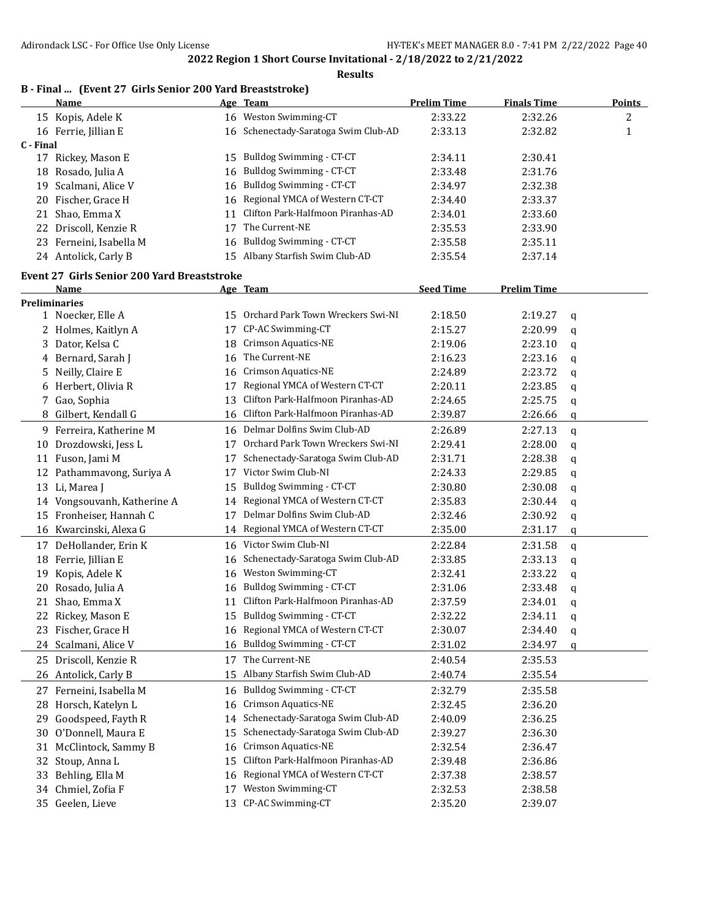|  |  |  |  |  | B - Final  (Event 27 Girls Senior 200 Yard Breaststroke) |
|--|--|--|--|--|----------------------------------------------------------|
|--|--|--|--|--|----------------------------------------------------------|

|           | Name                                               |          | Age Team                             | <b>Prelim Time</b> | <b>Finals Time</b> | Points |   |
|-----------|----------------------------------------------------|----------|--------------------------------------|--------------------|--------------------|--------|---|
|           | 15 Kopis, Adele K                                  |          | 16 Weston Swimming-CT                | 2:33.22            | 2:32.26            |        | 2 |
|           | 16 Ferrie, Jillian E                               |          | 16 Schenectady-Saratoga Swim Club-AD | 2:33.13            | 2:32.82            |        | 1 |
| C - Final |                                                    |          |                                      |                    |                    |        |   |
|           | 17 Rickey, Mason E                                 |          | 15 Bulldog Swimming - CT-CT          | 2:34.11            | 2:30.41            |        |   |
|           | 18 Rosado, Julia A                                 | 16       | Bulldog Swimming - CT-CT             | 2:33.48            | 2:31.76            |        |   |
| 19        | Scalmani, Alice V                                  |          | 16 Bulldog Swimming - CT-CT          | 2:34.97            | 2:32.38            |        |   |
| 20        | Fischer, Grace H                                   | 16       | Regional YMCA of Western CT-CT       | 2:34.40            | 2:33.37            |        |   |
|           | 21 Shao, Emma X                                    | 11       | Clifton Park-Halfmoon Piranhas-AD    | 2:34.01            | 2:33.60            |        |   |
| 22        | Driscoll, Kenzie R                                 | 17       | The Current-NE                       | 2:35.53            | 2:33.90            |        |   |
|           | 23 Ferneini, Isabella M                            | 16       | Bulldog Swimming - CT-CT             | 2:35.58            | 2:35.11            |        |   |
|           | 24 Antolick, Carly B                               |          | 15 Albany Starfish Swim Club-AD      | 2:35.54            | 2:37.14            |        |   |
|           | <b>Event 27 Girls Senior 200 Yard Breaststroke</b> |          |                                      |                    |                    |        |   |
|           | Name                                               |          | Age Team                             | <b>Seed Time</b>   | <b>Prelim Time</b> |        |   |
|           | <b>Preliminaries</b>                               |          |                                      |                    |                    |        |   |
|           | 1 Noecker, Elle A                                  |          | 15 Orchard Park Town Wreckers Swi-NI | 2:18.50            | 2:19.27            | q      |   |
|           | 2 Holmes, Kaitlyn A                                | 17       | CP-AC Swimming-CT                    | 2:15.27            | 2:20.99            | q      |   |
|           | 3 Dator, Kelsa C                                   | 18       | Crimson Aquatics-NE                  | 2:19.06            | 2:23.10            | q      |   |
|           | 4 Bernard, Sarah J                                 | 16       | The Current-NE                       | 2:16.23            | 2:23.16            | q      |   |
|           | 5 Neilly, Claire E                                 | 16       | Crimson Aquatics-NE                  | 2:24.89            | 2:23.72            | q      |   |
|           | 6 Herbert, Olivia R                                | 17       | Regional YMCA of Western CT-CT       | 2:20.11            | 2:23.85            | q      |   |
| 7         | Gao, Sophia                                        | 13       | Clifton Park-Halfmoon Piranhas-AD    | 2:24.65            | 2:25.75            | q      |   |
|           | 8 Gilbert, Kendall G                               | 16       | Clifton Park-Halfmoon Piranhas-AD    | 2:39.87            | 2:26.66            | q      |   |
| 9.        | Ferreira, Katherine M                              |          | 16 Delmar Dolfins Swim Club-AD       | 2:26.89            | 2:27.13            | q      |   |
| 10        | Drozdowski, Jess L                                 | 17       | Orchard Park Town Wreckers Swi-NI    | 2:29.41            | 2:28.00            | q      |   |
|           | 11 Fuson, Jami M                                   | 17       | Schenectady-Saratoga Swim Club-AD    | 2:31.71            | 2:28.38            | q      |   |
|           | 12 Pathammavong, Suriya A                          | 17       | Victor Swim Club-NI                  | 2:24.33            | 2:29.85            | q      |   |
|           | 13 Li, Marea J                                     | 15       | Bulldog Swimming - CT-CT             | 2:30.80            | 2:30.08            | q      |   |
|           | 14 Vongsouvanh, Katherine A                        | 14       | Regional YMCA of Western CT-CT       | 2:35.83            | 2:30.44            | q      |   |
|           | 15 Fronheiser, Hannah C                            | 17       | Delmar Dolfins Swim Club-AD          | 2:32.46            | 2:30.92            | q      |   |
|           | 16 Kwarcinski, Alexa G                             |          | 14 Regional YMCA of Western CT-CT    | 2:35.00            | 2:31.17            | q      |   |
|           | 17 DeHollander, Erin K                             | 16       | Victor Swim Club-NI                  | 2:22.84            | 2:31.58            |        |   |
|           | 18 Ferrie, Jillian E                               |          | Schenectady-Saratoga Swim Club-AD    |                    |                    | q      |   |
| 19        | Kopis, Adele K                                     | 16       | Weston Swimming-CT                   | 2:33.85<br>2:32.41 | 2:33.13<br>2:33.22 | q      |   |
|           | 20 Rosado, Julia A                                 | 16       | Bulldog Swimming - CT-CT             |                    |                    | q      |   |
|           | 21 Shao, Emma X                                    | 16<br>11 | Clifton Park-Halfmoon Piranhas-AD    | 2:31.06<br>2:37.59 | 2:33.48<br>2:34.01 | q      |   |
|           |                                                    |          | 15 Bulldog Swimming - CT-CT          |                    |                    | q      |   |
| 22        | Rickey, Mason E                                    |          | 16 Regional YMCA of Western CT-CT    | 2:32.22            | 2:34.11            | a      |   |
|           | 23 Fischer, Grace H                                |          | 16 Bulldog Swimming - CT-CT          | 2:30.07            | 2:34.40            | q      |   |
|           | 24 Scalmani, Alice V                               |          |                                      | 2:31.02            | 2:34.97            | q      |   |
|           | 25 Driscoll, Kenzie R                              |          | 17 The Current-NE                    | 2:40.54            | 2:35.53            |        |   |
|           | 26 Antolick, Carly B                               |          | 15 Albany Starfish Swim Club-AD      | 2:40.74            | 2:35.54            |        |   |
|           | 27 Ferneini, Isabella M                            |          | 16 Bulldog Swimming - CT-CT          | 2:32.79            | 2:35.58            |        |   |
| 28        | Horsch, Katelyn L                                  | 16       | Crimson Aquatics-NE                  | 2:32.45            | 2:36.20            |        |   |
| 29        | Goodspeed, Fayth R                                 | 14       | Schenectady-Saratoga Swim Club-AD    | 2:40.09            | 2:36.25            |        |   |
|           | 30 O'Donnell, Maura E                              | 15       | Schenectady-Saratoga Swim Club-AD    | 2:39.27            | 2:36.30            |        |   |
| 31        | McClintock, Sammy B                                | 16       | Crimson Aquatics-NE                  | 2:32.54            | 2:36.47            |        |   |
| 32        | Stoup, Anna L                                      | 15       | Clifton Park-Halfmoon Piranhas-AD    | 2:39.48            | 2:36.86            |        |   |
| 33        | Behling, Ella M                                    | 16       | Regional YMCA of Western CT-CT       | 2:37.38            | 2:38.57            |        |   |
|           | 34 Chmiel, Zofia F                                 | 17       | Weston Swimming-CT                   | 2:32.53            | 2:38.58            |        |   |
|           | 35 Geelen, Lieve                                   |          | 13 CP-AC Swimming-CT                 | 2:35.20            | 2:39.07            |        |   |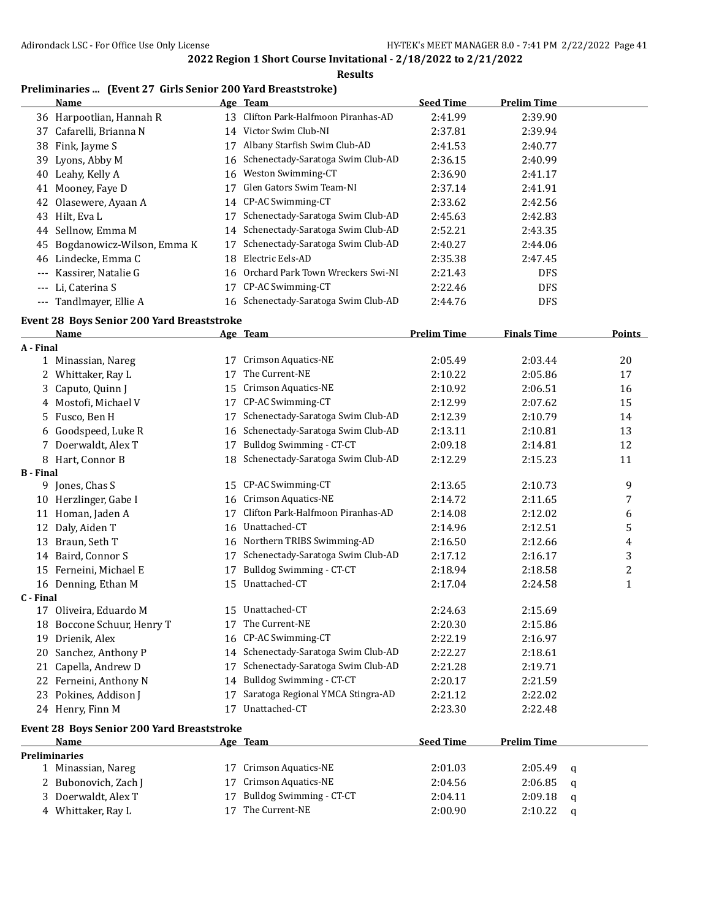## **Results**

# **Preliminaries ... (Event 27 Girls Senior 200 Yard Breaststroke)**

|                      | Name                                       |    | Age Team                              | <b>Seed Time</b>   | <b>Prelim Time</b> |   |                         |
|----------------------|--------------------------------------------|----|---------------------------------------|--------------------|--------------------|---|-------------------------|
|                      | 36 Harpootlian, Hannah R                   |    | 13 Clifton Park-Halfmoon Piranhas-AD  | 2:41.99            | 2:39.90            |   |                         |
|                      | 37 Cafarelli, Brianna N                    |    | 14 Victor Swim Club-NI                | 2:37.81            | 2:39.94            |   |                         |
|                      | 38 Fink, Jayme S                           | 17 | Albany Starfish Swim Club-AD          | 2:41.53            | 2:40.77            |   |                         |
|                      | 39 Lyons, Abby M                           | 16 | Schenectady-Saratoga Swim Club-AD     | 2:36.15            | 2:40.99            |   |                         |
|                      | 40 Leahy, Kelly A                          | 16 | Weston Swimming-CT                    | 2:36.90            | 2:41.17            |   |                         |
|                      | 41 Mooney, Faye D                          | 17 | Glen Gators Swim Team-NI              | 2:37.14            | 2:41.91            |   |                         |
|                      | 42 Olasewere, Ayaan A                      | 14 | CP-AC Swimming-CT                     | 2:33.62            | 2:42.56            |   |                         |
|                      | 43 Hilt, Eva L                             | 17 | Schenectady-Saratoga Swim Club-AD     | 2:45.63            | 2:42.83            |   |                         |
|                      | 44 Sellnow, Emma M                         | 14 | Schenectady-Saratoga Swim Club-AD     | 2:52.21            | 2:43.35            |   |                         |
|                      | 45 Bogdanowicz-Wilson, Emma K              | 17 | Schenectady-Saratoga Swim Club-AD     | 2:40.27            | 2:44.06            |   |                         |
|                      | 46 Lindecke, Emma C                        | 18 | Electric Eels-AD                      | 2:35.38            | 2:47.45            |   |                         |
| $\qquad \qquad - -$  | Kassirer, Natalie G                        | 16 | Orchard Park Town Wreckers Swi-NI     | 2:21.43            | <b>DFS</b>         |   |                         |
| $\qquad \qquad - -$  | Li, Caterina S                             | 17 | CP-AC Swimming-CT                     | 2:22.46            | <b>DFS</b>         |   |                         |
|                      | --- Tandlmayer, Ellie A                    |    | 16 Schenectady-Saratoga Swim Club-AD  | 2:44.76            | <b>DFS</b>         |   |                         |
|                      |                                            |    |                                       |                    |                    |   |                         |
|                      | Event 28 Boys Senior 200 Yard Breaststroke |    |                                       |                    |                    |   |                         |
|                      | <b>Name</b>                                |    | Age Team                              | <b>Prelim Time</b> | <b>Finals Time</b> |   | Points                  |
| A - Final            |                                            |    |                                       |                    |                    |   |                         |
|                      | 1 Minassian, Nareg                         | 17 | Crimson Aquatics-NE<br>The Current-NE | 2:05.49            | 2:03.44            |   | 20                      |
|                      | 2 Whittaker, Ray L                         | 17 |                                       | 2:10.22            | 2:05.86            |   | 17                      |
|                      | 3 Caputo, Quinn J                          | 15 | Crimson Aquatics-NE                   | 2:10.92            | 2:06.51            |   | 16                      |
|                      | 4 Mostofi, Michael V                       |    | 17 CP-AC Swimming-CT                  | 2:12.99            | 2:07.62            |   | 15                      |
|                      | 5 Fusco, Ben H                             | 17 | Schenectady-Saratoga Swim Club-AD     | 2:12.39            | 2:10.79            |   | 14                      |
|                      | 6 Goodspeed, Luke R                        | 16 | Schenectady-Saratoga Swim Club-AD     | 2:13.11            | 2:10.81            |   | 13                      |
|                      | 7 Doerwaldt, Alex T                        | 17 | Bulldog Swimming - CT-CT              | 2:09.18            | 2:14.81            |   | 12                      |
|                      | 8 Hart, Connor B                           | 18 | Schenectady-Saratoga Swim Club-AD     | 2:12.29            | 2:15.23            |   | 11                      |
| <b>B</b> - Final     |                                            |    |                                       |                    |                    |   |                         |
|                      | 9 Jones, Chas S                            | 15 | CP-AC Swimming-CT                     | 2:13.65            | 2:10.73            |   | 9                       |
|                      | 10 Herzlinger, Gabe I                      |    | 16 Crimson Aquatics-NE                | 2:14.72            | 2:11.65            |   | 7                       |
|                      | 11 Homan, Jaden A                          | 17 | Clifton Park-Halfmoon Piranhas-AD     | 2:14.08            | 2:12.02            |   | 6                       |
|                      | 12 Daly, Aiden T                           | 16 | Unattached-CT                         | 2:14.96            | 2:12.51            |   | 5                       |
|                      | 13 Braun, Seth T                           |    | 16 Northern TRIBS Swimming-AD         | 2:16.50            | 2:12.66            |   | 4                       |
|                      | 14 Baird, Connor S                         | 17 | Schenectady-Saratoga Swim Club-AD     | 2:17.12            | 2:16.17            |   | 3                       |
|                      | 15 Ferneini, Michael E                     | 17 | Bulldog Swimming - CT-CT              | 2:18.94            | 2:18.58            |   | $\overline{\mathbf{c}}$ |
|                      | 16 Denning, Ethan M                        | 15 | Unattached-CT                         | 2:17.04            | 2:24.58            |   | $\mathbf{1}$            |
| C - Final            |                                            |    | 15 Unattached-CT                      |                    |                    |   |                         |
|                      | 17 Oliveira, Eduardo M                     |    | The Current-NE                        | 2:24.63            | 2:15.69            |   |                         |
|                      | 18 Boccone Schuur, Henry T                 | 17 | CP-AC Swimming-CT                     | 2:20.30            | 2:15.86            |   |                         |
|                      | 19 Drienik, Alex                           | 16 |                                       | 2:22.19            | 2:16.97            |   |                         |
| 20                   | Sanchez, Anthony P                         | 14 | Schenectady-Saratoga Swim Club-AD     | 2:22.27            | 2:18.61            |   |                         |
|                      | 21 Capella, Andrew D                       | 17 | Schenectady-Saratoga Swim Club-AD     | 2:21.28            | 2:19.71            |   |                         |
|                      | 22 Ferneini, Anthony N                     | 14 | <b>Bulldog Swimming - CT-CT</b>       | 2:20.17            | 2:21.59            |   |                         |
|                      | 23 Pokines, Addison J                      | 17 | Saratoga Regional YMCA Stingra-AD     | 2:21.12            | 2:22.02            |   |                         |
|                      | 24 Henry, Finn M                           | 17 | Unattached-CT                         | 2:23.30            | 2:22.48            |   |                         |
|                      | Event 28 Boys Senior 200 Yard Breaststroke |    |                                       |                    |                    |   |                         |
|                      | Name                                       |    | Age Team                              | <b>Seed Time</b>   | <b>Prelim Time</b> |   |                         |
| <b>Preliminaries</b> |                                            |    |                                       |                    |                    |   |                         |
|                      | 1 Minassian, Nareg                         | 17 | Crimson Aquatics-NE                   | 2:01.03            | 2:05.49            | q |                         |
|                      | 2 Bubonovich, Zach J                       | 17 | Crimson Aquatics-NE                   | 2:04.56            | 2:06.85            | q |                         |
|                      | 3 Doerwaldt, Alex T                        | 17 | Bulldog Swimming - CT-CT              | 2:04.11            | 2:09.18            | q |                         |
|                      | 4 Whittaker, Ray L                         | 17 | The Current-NE                        | 2:00.90            | 2:10.22            | q |                         |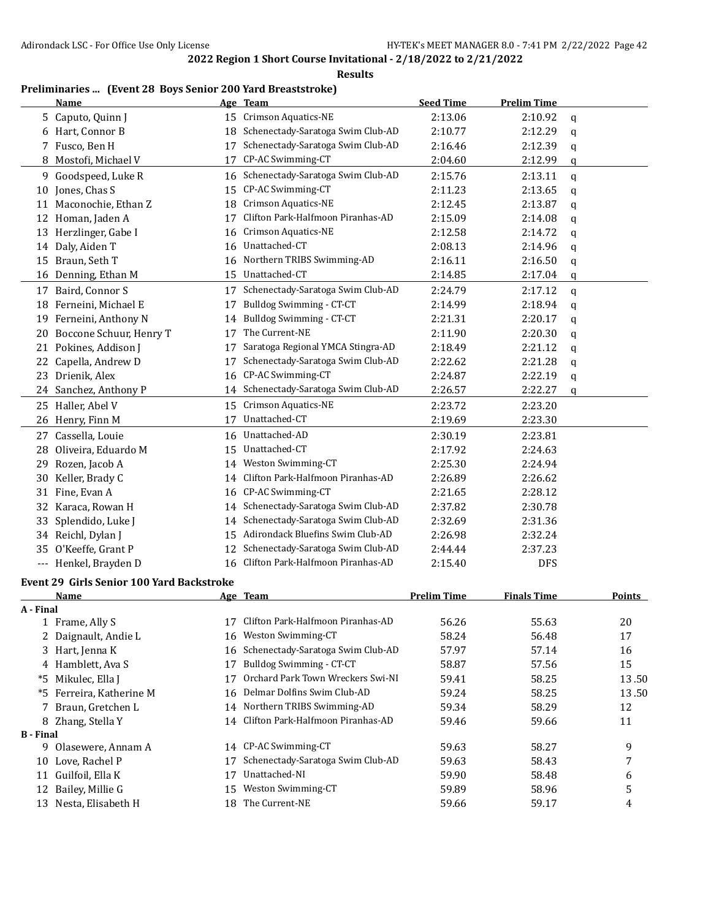**B - Final**

**2022 Region 1 Short Course Invitational - 2/18/2022 to 2/21/2022**

**Results**

## **Preliminaries ... (Event 28 Boys Senior 200 Yard Breaststroke)**

|           | <b>Name</b>                                      |    | Age Team                             | <b>Seed Time</b>   | <b>Prelim Time</b> |             |
|-----------|--------------------------------------------------|----|--------------------------------------|--------------------|--------------------|-------------|
|           | 5 Caputo, Quinn J                                |    | 15 Crimson Aquatics-NE               | 2:13.06            | 2:10.92            | q           |
|           | 6 Hart, Connor B                                 | 18 | Schenectady-Saratoga Swim Club-AD    | 2:10.77            | 2:12.29            | q           |
| 7         | Fusco, Ben H                                     | 17 | Schenectady-Saratoga Swim Club-AD    | 2:16.46            | 2:12.39            | q           |
| 8         | Mostofi, Michael V                               | 17 | CP-AC Swimming-CT                    | 2:04.60            | 2:12.99            | q           |
| 9         | Goodspeed, Luke R                                | 16 | Schenectady-Saratoga Swim Club-AD    | 2:15.76            | 2:13.11            | q           |
| 10        | Jones, Chas S                                    | 15 | CP-AC Swimming-CT                    | 2:11.23            | 2:13.65            | q           |
|           | 11 Maconochie, Ethan Z                           | 18 | Crimson Aquatics-NE                  | 2:12.45            | 2:13.87            | q           |
|           | 12 Homan, Jaden A                                | 17 | Clifton Park-Halfmoon Piranhas-AD    | 2:15.09            | 2:14.08            | q           |
|           | 13 Herzlinger, Gabe I                            | 16 | Crimson Aquatics-NE                  | 2:12.58            | 2:14.72            | q           |
|           | 14 Daly, Aiden T                                 |    | 16 Unattached-CT                     | 2:08.13            | 2:14.96            | q           |
| 15        | Braun, Seth T                                    | 16 | Northern TRIBS Swimming-AD           | 2:16.11            | 2:16.50            | q           |
| 16        | Denning, Ethan M                                 | 15 | Unattached-CT                        | 2:14.85            | 2:17.04            | q           |
|           | 17 Baird, Connor S                               | 17 | Schenectady-Saratoga Swim Club-AD    | 2:24.79            | 2:17.12            | $\mathbf q$ |
|           | 18 Ferneini, Michael E                           | 17 | Bulldog Swimming - CT-CT             | 2:14.99            | 2:18.94            | q           |
|           | 19 Ferneini, Anthony N                           | 14 | Bulldog Swimming - CT-CT             | 2:21.31            | 2:20.17            | q           |
| 20        | Boccone Schuur, Henry T                          | 17 | The Current-NE                       | 2:11.90            | 2:20.30            | q           |
| 21        | Pokines, Addison J                               | 17 | Saratoga Regional YMCA Stingra-AD    | 2:18.49            | 2:21.12            | q           |
| 22        | Capella, Andrew D                                | 17 | Schenectady-Saratoga Swim Club-AD    | 2:22.62            | 2:21.28            | q           |
|           | 23 Drienik, Alex                                 | 16 | CP-AC Swimming-CT                    | 2:24.87            | 2:22.19            | q           |
|           | 24 Sanchez, Anthony P                            | 14 | Schenectady-Saratoga Swim Club-AD    | 2:26.57            | 2:22.27            | q           |
|           | 25 Haller, Abel V                                |    | 15 Crimson Aquatics-NE               | 2:23.72            | 2:23.20            |             |
|           | 26 Henry, Finn M                                 | 17 | Unattached-CT                        | 2:19.69            | 2:23.30            |             |
| 27        | Cassella, Louie                                  | 16 | Unattached-AD                        | 2:30.19            | 2:23.81            |             |
| 28        | Oliveira, Eduardo M                              | 15 | Unattached-CT                        | 2:17.92            | 2:24.63            |             |
| 29        | Rozen, Jacob A                                   | 14 | Weston Swimming-CT                   | 2:25.30            | 2:24.94            |             |
| 30        | Keller, Brady C                                  | 14 | Clifton Park-Halfmoon Piranhas-AD    | 2:26.89            | 2:26.62            |             |
|           | 31 Fine, Evan A                                  | 16 | CP-AC Swimming-CT                    | 2:21.65            | 2:28.12            |             |
|           | 32 Karaca, Rowan H                               | 14 | Schenectady-Saratoga Swim Club-AD    | 2:37.82            | 2:30.78            |             |
|           | 33 Splendido, Luke J                             | 14 | Schenectady-Saratoga Swim Club-AD    | 2:32.69            | 2:31.36            |             |
|           | 34 Reichl, Dylan J                               | 15 | Adirondack Bluefins Swim Club-AD     | 2:26.98            | 2:32.24            |             |
| 35        | O'Keeffe, Grant P                                | 12 | Schenectady-Saratoga Swim Club-AD    | 2:44.44            | 2:37.23            |             |
|           | --- Henkel, Brayden D                            | 16 | Clifton Park-Halfmoon Piranhas-AD    | 2:15.40            | <b>DFS</b>         |             |
|           | <b>Event 29 Girls Senior 100 Yard Backstroke</b> |    |                                      |                    |                    |             |
|           | <b>Name</b>                                      |    | Age Team                             | <b>Prelim Time</b> | <b>Finals Time</b> | Points      |
| A - Final |                                                  |    |                                      |                    |                    |             |
|           | 1 Frame, Ally S                                  | 17 | Clifton Park-Halfmoon Piranhas-AD    | 56.26              | 55.63              | 20          |
|           | 2 Daignault, Andie L                             |    | 16 Weston Swimming-CT                | 58.24              | 56.48              | 17          |
|           | 3 Hart, Jenna K                                  |    | 16 Schenectady-Saratoga Swim Club-AD | 57.97              | 57.14              | 16          |
|           | 4 Hamblett, Ava S                                | 17 | Bulldog Swimming - CT-CT             | 58.87              | 57.56              | 15          |
| *5        | Mikulec, Ella J                                  | 17 | Orchard Park Town Wreckers Swi-NI    | 59.41              | 58.25              | 13.50       |
| *5        | Ferreira, Katherine M                            |    | 16 Delmar Dolfins Swim Club-AD       | 59.24              | 58.25              | 13.50       |
|           | 7 Braun, Gretchen L                              |    | 14 Northern TRIBS Swimming-AD        | 59.34              | 58.29              | 12          |

8 Zhang, Stella Y 14 Clifton Park-Halfmoon Piranhas-AD 59.46 59.66 59.66 11

9 Olasewere, Annam A 14 CP-AC Swimming-CT 59.63 58.27 9 10 Love, Rachel P 17 Schenectady-Saratoga Swim Club-AD 59.63 58.43 58.43 11 Guilfoil, Ella K 17 Unattached-NI 59.90 58.48 6 12 Bailey, Millie G 15 Weston Swimming-CT 59.89 58.96 59.89 13 Nesta, Elisabeth H 18 The Current-NE 59.66 59.17 4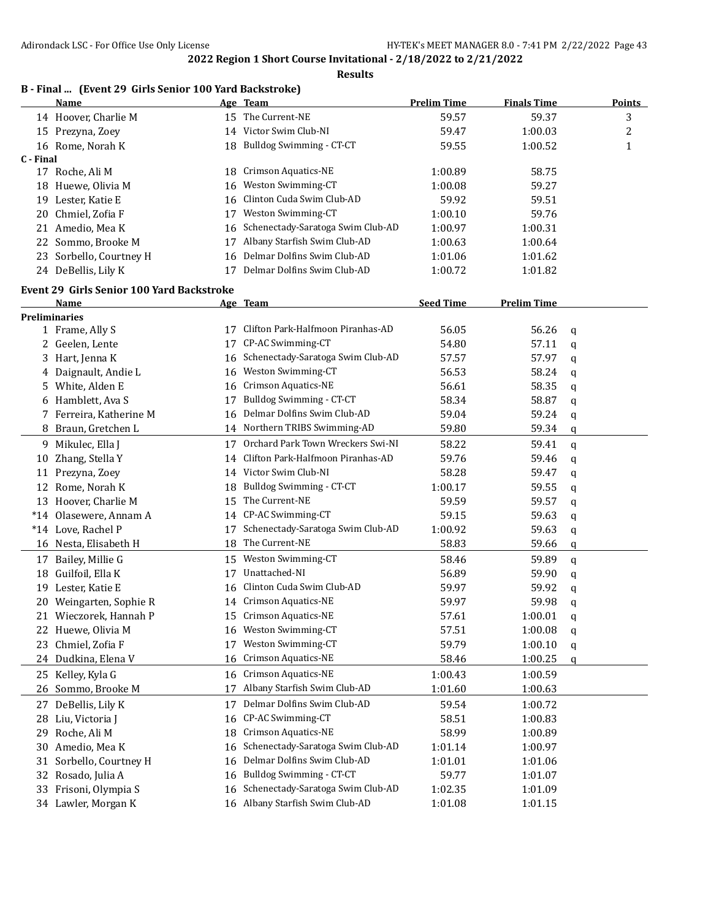| l1<br>SU<br>Ш<br>۰.<br>v |
|--------------------------|
|--------------------------|

|           | B - Final  (Event 29 Girls Senior 100 Yard Backstroke)<br>Name |    | Age Team                                            | <b>Prelim Time</b> | <b>Finals Time</b> |   | <b>Points</b> |
|-----------|----------------------------------------------------------------|----|-----------------------------------------------------|--------------------|--------------------|---|---------------|
|           | 14 Hoover, Charlie M                                           |    | 15 The Current-NE                                   | 59.57              | 59.37              |   | 3             |
|           | 15 Prezyna, Zoey                                               |    | 14 Victor Swim Club-NI                              | 59.47              | 1:00.03            |   | 2             |
|           | 16 Rome, Norah K                                               |    | 18 Bulldog Swimming - CT-CT                         | 59.55              | 1:00.52            |   | 1             |
| C - Final |                                                                |    |                                                     |                    |                    |   |               |
|           | 17 Roche, Ali M                                                | 18 | Crimson Aquatics-NE                                 | 1:00.89            | 58.75              |   |               |
|           | 18 Huewe, Olivia M                                             | 16 | Weston Swimming-CT                                  | 1:00.08            | 59.27              |   |               |
|           | 19 Lester, Katie E                                             | 16 | Clinton Cuda Swim Club-AD                           | 59.92              | 59.51              |   |               |
|           | 20 Chmiel, Zofia F                                             | 17 | Weston Swimming-CT                                  | 1:00.10            | 59.76              |   |               |
|           | 21 Amedio, Mea K                                               | 16 | Schenectady-Saratoga Swim Club-AD                   | 1:00.97            | 1:00.31            |   |               |
|           | 22 Sommo, Brooke M                                             | 17 | Albany Starfish Swim Club-AD                        | 1:00.63            | 1:00.64            |   |               |
|           | 23 Sorbello, Courtney H                                        | 16 | Delmar Dolfins Swim Club-AD                         | 1:01.06            | 1:01.62            |   |               |
|           | 24 DeBellis, Lily K                                            | 17 | Delmar Dolfins Swim Club-AD                         | 1:00.72            | 1:01.82            |   |               |
|           | <b>Event 29 Girls Senior 100 Yard Backstroke</b>               |    |                                                     |                    |                    |   |               |
|           | Name                                                           |    | Age Team                                            | <b>Seed Time</b>   | <b>Prelim Time</b> |   |               |
|           | <b>Preliminaries</b>                                           |    |                                                     |                    |                    |   |               |
|           | 1 Frame, Ally S                                                | 17 | Clifton Park-Halfmoon Piranhas-AD                   | 56.05              | 56.26              | q |               |
|           | 2 Geelen, Lente                                                | 17 | CP-AC Swimming-CT                                   | 54.80              | 57.11              | q |               |
|           | 3 Hart, Jenna K                                                |    | 16 Schenectady-Saratoga Swim Club-AD                | 57.57              | 57.97              | q |               |
|           | 4 Daignault, Andie L                                           | 16 | Weston Swimming-CT                                  | 56.53              | 58.24              | q |               |
| 5.        | White, Alden E                                                 | 16 | Crimson Aquatics-NE                                 | 56.61              | 58.35              | q |               |
|           | Hamblett, Ava S                                                | 17 | Bulldog Swimming - CT-CT                            | 58.34              | 58.87              | q |               |
|           | 7 Ferreira, Katherine M                                        | 16 | Delmar Dolfins Swim Club-AD                         | 59.04              | 59.24              | q |               |
| 8         | Braun, Gretchen L                                              |    | 14 Northern TRIBS Swimming-AD                       | 59.80              | 59.34              | q |               |
|           | 9 Mikulec, Ella J                                              |    | 17 Orchard Park Town Wreckers Swi-NI                | 58.22              | 59.41              | q |               |
| 10        | Zhang, Stella Y                                                | 14 | Clifton Park-Halfmoon Piranhas-AD                   | 59.76              | 59.46              | q |               |
|           | 11 Prezyna, Zoey                                               |    | 14 Victor Swim Club-NI                              | 58.28              | 59.47              | q |               |
|           | 12 Rome, Norah K                                               | 18 | Bulldog Swimming - CT-CT                            | 1:00.17            | 59.55              | q |               |
|           | 13 Hoover, Charlie M                                           | 15 | The Current-NE                                      | 59.59              | 59.57              | q |               |
|           | *14 Olasewere, Annam A                                         |    | 14 CP-AC Swimming-CT                                | 59.15              | 59.63              | q |               |
|           | *14 Love, Rachel P                                             | 17 | Schenectady-Saratoga Swim Club-AD                   | 1:00.92            | 59.63              | q |               |
|           | 16 Nesta, Elisabeth H                                          | 18 | The Current-NE                                      | 58.83              | 59.66              | q |               |
|           | 17 Bailey, Millie G                                            | 15 | Weston Swimming-CT                                  | 58.46              | 59.89              |   |               |
|           | 18 Guilfoil, Ella K                                            | 17 | Unattached-NI                                       | 56.89              | 59.90              | q |               |
|           | 19 Lester, Katie E                                             |    | 16 Clinton Cuda Swim Club-AD                        | 59.97              | 59.92              | q |               |
|           | 20 Weingarten, Sophie R                                        |    | 14 Crimson Aquatics-NE                              | 59.97              | 59.98              | q |               |
|           | 21 Wieczorek, Hannah P                                         | 15 | Crimson Aquatics-NE                                 | 57.61              | 1:00.01            | q |               |
| 22        | Huewe, Olivia M                                                | 16 | Weston Swimming-CT                                  | 57.51              | 1:00.08            | q |               |
| 23        | Chmiel, Zofia F                                                | 17 | Weston Swimming-CT                                  | 59.79              | 1:00.10            | q |               |
| 24        | Dudkina, Elena V                                               | 16 | Crimson Aquatics-NE                                 | 58.46              | 1:00.25            | q |               |
|           |                                                                |    |                                                     |                    |                    | q |               |
| 25        | Kelley, Kyla G                                                 | 16 | Crimson Aquatics-NE<br>Albany Starfish Swim Club-AD | 1:00.43            | 1:00.59            |   |               |
| 26        | Sommo, Brooke M                                                | 17 |                                                     | 1:01.60            | 1:00.63            |   |               |
| 27        | DeBellis, Lily K                                               | 17 | Delmar Dolfins Swim Club-AD                         | 59.54              | 1:00.72            |   |               |
| 28        | Liu, Victoria J                                                | 16 | CP-AC Swimming-CT                                   | 58.51              | 1:00.83            |   |               |
| 29        | Roche, Ali M                                                   | 18 | Crimson Aquatics-NE                                 | 58.99              | 1:00.89            |   |               |
| 30        | Amedio, Mea K                                                  | 16 | Schenectady-Saratoga Swim Club-AD                   | 1:01.14            | 1:00.97            |   |               |
| 31        | Sorbello, Courtney H                                           | 16 | Delmar Dolfins Swim Club-AD                         | 1:01.01            | 1:01.06            |   |               |
| 32        | Rosado, Julia A                                                | 16 | Bulldog Swimming - CT-CT                            | 59.77              | 1:01.07            |   |               |
|           | 33 Frisoni, Olympia S                                          | 16 | Schenectady-Saratoga Swim Club-AD                   | 1:02.35            | 1:01.09            |   |               |
|           | 34 Lawler, Morgan K                                            |    | 16 Albany Starfish Swim Club-AD                     | 1:01.08            | 1:01.15            |   |               |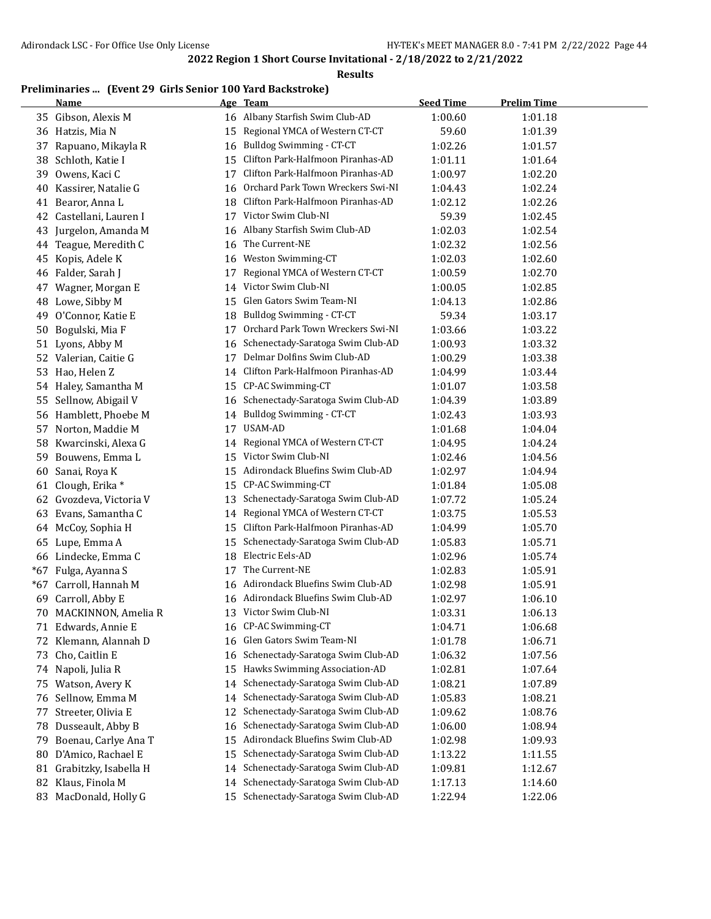**Results**

# **Preliminaries ... (Event 29 Girls Senior 100 Yard Backstroke)**

|       | Name                   |    | Age Team                             | <b>Seed Time</b> | <b>Prelim Time</b> |  |
|-------|------------------------|----|--------------------------------------|------------------|--------------------|--|
|       | 35 Gibson, Alexis M    |    | 16 Albany Starfish Swim Club-AD      | 1:00.60          | 1:01.18            |  |
|       | 36 Hatzis, Mia N       | 15 | Regional YMCA of Western CT-CT       | 59.60            | 1:01.39            |  |
| 37    | Rapuano, Mikayla R     | 16 | Bulldog Swimming - CT-CT             | 1:02.26          | 1:01.57            |  |
| 38    | Schloth, Katie I       | 15 | Clifton Park-Halfmoon Piranhas-AD    | 1:01.11          | 1:01.64            |  |
| 39    | Owens, Kaci C          | 17 | Clifton Park-Halfmoon Piranhas-AD    | 1:00.97          | 1:02.20            |  |
| 40    | Kassirer, Natalie G    | 16 | Orchard Park Town Wreckers Swi-NI    | 1:04.43          | 1:02.24            |  |
| 41    | Bearor, Anna L         | 18 | Clifton Park-Halfmoon Piranhas-AD    | 1:02.12          | 1:02.26            |  |
| 42    | Castellani, Lauren I   | 17 | Victor Swim Club-NI                  | 59.39            | 1:02.45            |  |
| 43    | Jurgelon, Amanda M     | 16 | Albany Starfish Swim Club-AD         | 1:02.03          | 1:02.54            |  |
| 44    | Teague, Meredith C     | 16 | The Current-NE                       | 1:02.32          | 1:02.56            |  |
| 45    | Kopis, Adele K         | 16 | Weston Swimming-CT                   | 1:02.03          | 1:02.60            |  |
| 46    | Falder, Sarah J        | 17 | Regional YMCA of Western CT-CT       | 1:00.59          | 1:02.70            |  |
| 47    | Wagner, Morgan E       | 14 | Victor Swim Club-NI                  | 1:00.05          | 1:02.85            |  |
| 48    | Lowe, Sibby M          | 15 | Glen Gators Swim Team-NI             | 1:04.13          | 1:02.86            |  |
| 49    | O'Connor, Katie E      | 18 | Bulldog Swimming - CT-CT             | 59.34            | 1:03.17            |  |
| 50    | Bogulski, Mia F        | 17 | Orchard Park Town Wreckers Swi-NI    | 1:03.66          | 1:03.22            |  |
|       | 51 Lyons, Abby M       | 16 | Schenectady-Saratoga Swim Club-AD    | 1:00.93          | 1:03.32            |  |
|       | 52 Valerian, Caitie G  | 17 | Delmar Dolfins Swim Club-AD          | 1:00.29          | 1:03.38            |  |
|       | 53 Hao, Helen Z        |    | 14 Clifton Park-Halfmoon Piranhas-AD | 1:04.99          | 1:03.44            |  |
|       | 54 Haley, Samantha M   |    | 15 CP-AC Swimming-CT                 | 1:01.07          | 1:03.58            |  |
| 55    | Sellnow, Abigail V     | 16 | Schenectady-Saratoga Swim Club-AD    | 1:04.39          | 1:03.89            |  |
| 56    | Hamblett, Phoebe M     | 14 | Bulldog Swimming - CT-CT             | 1:02.43          | 1:03.93            |  |
| 57    | Norton, Maddie M       |    | 17 USAM-AD                           | 1:01.68          | 1:04.04            |  |
| 58    | Kwarcinski, Alexa G    | 14 | Regional YMCA of Western CT-CT       | 1:04.95          | 1:04.24            |  |
| 59    | Bouwens, Emma L        |    | 15 Victor Swim Club-NI               | 1:02.46          | 1:04.56            |  |
| 60    | Sanai, Roya K          | 15 | Adirondack Bluefins Swim Club-AD     | 1:02.97          | 1:04.94            |  |
| 61    | Clough, Erika *        | 15 | CP-AC Swimming-CT                    | 1:01.84          | 1:05.08            |  |
| 62    | Gvozdeva, Victoria V   | 13 | Schenectady-Saratoga Swim Club-AD    | 1:07.72          | 1:05.24            |  |
| 63    | Evans, Samantha C      | 14 | Regional YMCA of Western CT-CT       | 1:03.75          | 1:05.53            |  |
|       | 64 McCoy, Sophia H     | 15 | Clifton Park-Halfmoon Piranhas-AD    | 1:04.99          | 1:05.70            |  |
|       | 65 Lupe, Emma A        | 15 | Schenectady-Saratoga Swim Club-AD    | 1:05.83          | 1:05.71            |  |
|       | 66 Lindecke, Emma C    | 18 | Electric Eels-AD                     | 1:02.96          | 1:05.74            |  |
| $*67$ | Fulga, Ayanna S        | 17 | The Current-NE                       | 1:02.83          | 1:05.91            |  |
| $*67$ | Carroll, Hannah M      | 16 | Adirondack Bluefins Swim Club-AD     | 1:02.98          | 1:05.91            |  |
| 69    | Carroll, Abby E        | 16 | Adirondack Bluefins Swim Club-AD     | 1:02.97          | 1:06.10            |  |
|       | 70 MACKINNON, Amelia R |    | 13 Victor Swim Club-NI               | 1:03.31          | 1:06.13            |  |
|       | 71 Edwards, Annie E    |    | 16 CP-AC Swimming-CT                 | 1:04.71          | 1:06.68            |  |
| 72    | Klemann, Alannah D     | 16 | Glen Gators Swim Team-NI             | 1:01.78          | 1:06.71            |  |
| 73    | Cho, Caitlin E         | 16 | Schenectady-Saratoga Swim Club-AD    | 1:06.32          | 1:07.56            |  |
|       | 74 Napoli, Julia R     | 15 | Hawks Swimming Association-AD        | 1:02.81          | 1:07.64            |  |
| 75    | Watson, Avery K        | 14 | Schenectady-Saratoga Swim Club-AD    | 1:08.21          | 1:07.89            |  |
| 76    | Sellnow, Emma M        | 14 | Schenectady-Saratoga Swim Club-AD    | 1:05.83          | 1:08.21            |  |
| 77    | Streeter, Olivia E     | 12 | Schenectady-Saratoga Swim Club-AD    | 1:09.62          | 1:08.76            |  |
| 78    | Dusseault, Abby B      | 16 | Schenectady-Saratoga Swim Club-AD    | 1:06.00          | 1:08.94            |  |
| 79    | Boenau, Carlye Ana T   | 15 | Adirondack Bluefins Swim Club-AD     | 1:02.98          | 1:09.93            |  |
| 80    | D'Amico, Rachael E     | 15 | Schenectady-Saratoga Swim Club-AD    | 1:13.22          | 1:11.55            |  |
| 81    | Grabitzky, Isabella H  | 14 | Schenectady-Saratoga Swim Club-AD    | 1:09.81          | 1:12.67            |  |
|       | 82 Klaus, Finola M     | 14 | Schenectady-Saratoga Swim Club-AD    | 1:17.13          | 1:14.60            |  |
|       | 83 MacDonald, Holly G  |    | 15 Schenectady-Saratoga Swim Club-AD | 1:22.94          | 1:22.06            |  |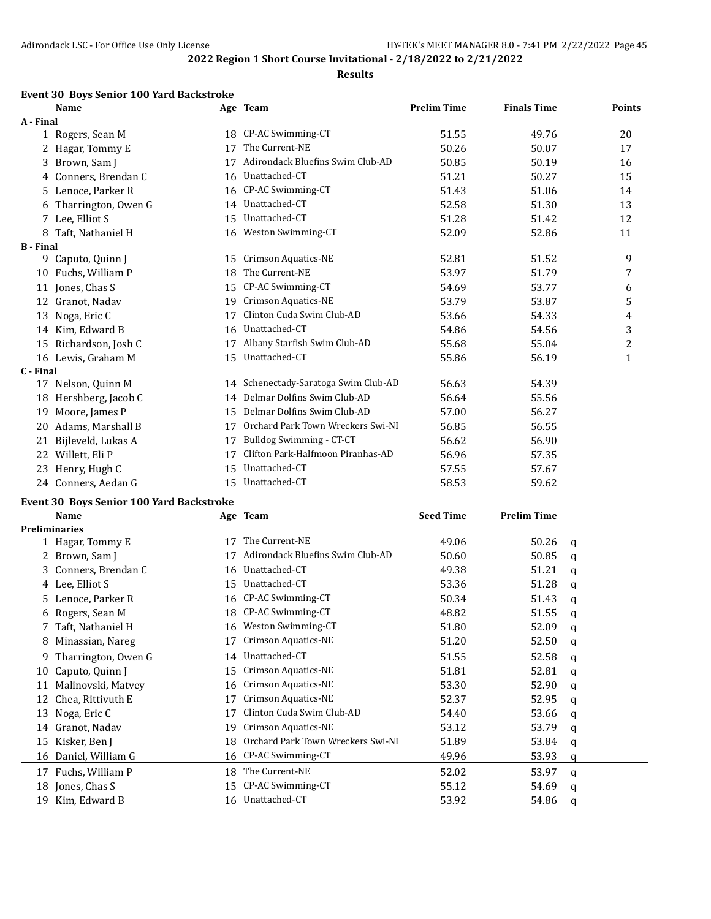#### **Results**

#### **Event 30 Boys Senior 100 Yard Backstroke**

|                  | <b>Name</b>         |    | Age Team                          | <b>Prelim Time</b> | <b>Finals Time</b> | Points         |
|------------------|---------------------|----|-----------------------------------|--------------------|--------------------|----------------|
| A - Final        |                     |    |                                   |                    |                    |                |
|                  | 1 Rogers, Sean M    | 18 | CP-AC Swimming-CT                 | 51.55              | 49.76              | 20             |
| 2                | Hagar, Tommy E      | 17 | The Current-NE                    | 50.26              | 50.07              | 17             |
| 3                | Brown, Sam J        | 17 | Adirondack Bluefins Swim Club-AD  | 50.85              | 50.19              | 16             |
| 4                | Conners, Brendan C  | 16 | Unattached-CT                     | 51.21              | 50.27              | 15             |
| 5                | Lenoce, Parker R    | 16 | CP-AC Swimming-CT                 | 51.43              | 51.06              | 14             |
| 6                | Tharrington, Owen G | 14 | Unattached-CT                     | 52.58              | 51.30              | 13             |
| 7                | Lee, Elliot S       | 15 | Unattached-CT                     | 51.28              | 51.42              | 12             |
|                  | 8 Taft, Nathaniel H | 16 | Weston Swimming-CT                | 52.09              | 52.86              | 11             |
| <b>B</b> - Final |                     |    |                                   |                    |                    |                |
| 9.               | Caputo, Quinn J     | 15 | Crimson Aquatics-NE               | 52.81              | 51.52              | 9              |
| 10               | Fuchs, William P    | 18 | The Current-NE                    | 53.97              | 51.79              | 7              |
| 11               | Jones, Chas S       | 15 | CP-AC Swimming-CT                 | 54.69              | 53.77              | 6              |
| 12               | Granot, Nadav       | 19 | Crimson Aquatics-NE               | 53.79              | 53.87              | 5              |
| 13               | Noga, Eric C        | 17 | Clinton Cuda Swim Club-AD         | 53.66              | 54.33              | 4              |
| 14               | Kim, Edward B       | 16 | Unattached-CT                     | 54.86              | 54.56              | 3              |
| 15               | Richardson, Josh C  | 17 | Albany Starfish Swim Club-AD      | 55.68              | 55.04              | $\overline{c}$ |
|                  | 16 Lewis, Graham M  | 15 | Unattached-CT                     | 55.86              | 56.19              | $\mathbf{1}$   |
| C - Final        |                     |    |                                   |                    |                    |                |
| 17               | Nelson, Quinn M     | 14 | Schenectady-Saratoga Swim Club-AD | 56.63              | 54.39              |                |
| 18               | Hershberg, Jacob C  | 14 | Delmar Dolfins Swim Club-AD       | 56.64              | 55.56              |                |
| 19               | Moore, James P      | 15 | Delmar Dolfins Swim Club-AD       | 57.00              | 56.27              |                |
| 20               | Adams, Marshall B   | 17 | Orchard Park Town Wreckers Swi-NI | 56.85              | 56.55              |                |
| 21               | Bijleveld, Lukas A  | 17 | Bulldog Swimming - CT-CT          | 56.62              | 56.90              |                |
| 22               | Willett, Eli P      | 17 | Clifton Park-Halfmoon Piranhas-AD | 56.96              | 57.35              |                |
| 23               | Henry, Hugh C       | 15 | Unattached-CT                     | 57.55              | 57.67              |                |
| 24               | Conners, Aedan G    | 15 | Unattached-CT                     | 58.53              | 59.62              |                |

#### **Event 30 Boys Senior 100 Yard Backstroke**

|                      | <b>Name</b>         |    | Age Team                          | <b>Seed Time</b> | <b>Prelim Time</b> |              |
|----------------------|---------------------|----|-----------------------------------|------------------|--------------------|--------------|
| <b>Preliminaries</b> |                     |    |                                   |                  |                    |              |
|                      | 1 Hagar, Tommy E    | 17 | The Current-NE                    | 49.06            | 50.26              | a            |
| 2.                   | Brown, Sam J        | 17 | Adirondack Bluefins Swim Club-AD  | 50.60            | 50.85              | a            |
| 3.                   | Conners, Brendan C  | 16 | Unattached-CT                     | 49.38            | 51.21              | a            |
|                      | 4 Lee, Elliot S     | 15 | Unattached-CT                     | 53.36            | 51.28              | q            |
| 5.                   | Lenoce, Parker R    | 16 | CP-AC Swimming-CT                 | 50.34            | 51.43              | q            |
| 6                    | Rogers, Sean M      | 18 | CP-AC Swimming-CT                 | 48.82            | 51.55              | a            |
|                      | Taft, Nathaniel H   | 16 | Weston Swimming-CT                | 51.80            | 52.09              | q            |
| 8                    | Minassian, Nareg    | 17 | <b>Crimson Aquatics-NE</b>        | 51.20            | 52.50              | q            |
| 9.                   | Tharrington, Owen G | 14 | Unattached-CT                     | 51.55            | 52.58              | q            |
| 10                   | Caputo, Quinn J     | 15 | Crimson Aquatics-NE               | 51.81            | 52.81              | a            |
| 11                   | Malinovski, Matvey  | 16 | <b>Crimson Aquatics-NE</b>        | 53.30            | 52.90              | q            |
| 12                   | Chea, Rittivuth E   |    | <b>Crimson Aquatics-NE</b>        | 52.37            | 52.95              | a            |
| 13                   | Noga, Eric C        | 17 | Clinton Cuda Swim Club-AD         | 54.40            | 53.66              | q            |
| 14                   | Granot, Nadav       | 19 | Crimson Aquatics-NE               | 53.12            | 53.79              | a            |
| 15                   | Kisker, Ben J       | 18 | Orchard Park Town Wreckers Swi-NI | 51.89            | 53.84              | q            |
| 16                   | Daniel, William G   | 16 | CP-AC Swimming-CT                 | 49.96            | 53.93              | q            |
| 17                   | Fuchs, William P    | 18 | The Current-NE                    | 52.02            | 53.97              | $\mathbf{q}$ |
| 18                   | Jones, Chas S       | 15 | CP-AC Swimming-CT                 | 55.12            | 54.69              | a            |
| 19                   | Kim, Edward B       | 16 | Unattached-CT                     | 53.92            | 54.86              | a            |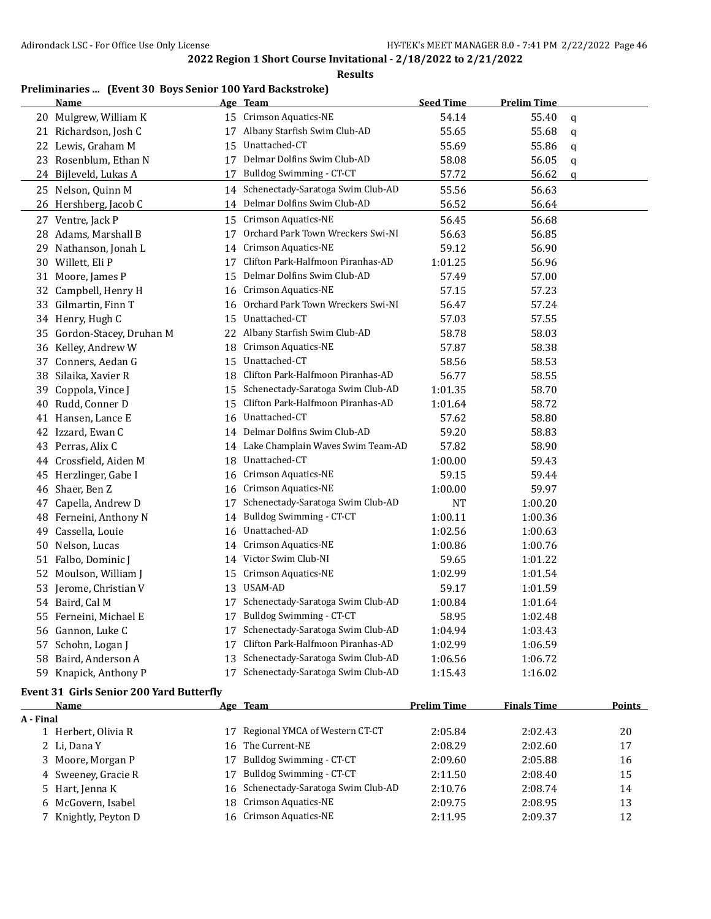**Results**

# **Preliminaries ... (Event 30 Boys Senior 100 Yard Backstroke)**

|    | Name                       |    | Age Team                             | <b>Seed Time</b> | <b>Prelim Time</b> |   |
|----|----------------------------|----|--------------------------------------|------------------|--------------------|---|
|    | 20 Mulgrew, William K      |    | 15 Crimson Aquatics-NE               | 54.14            | 55.40              | q |
|    | 21 Richardson, Josh C      |    | 17 Albany Starfish Swim Club-AD      | 55.65            | 55.68              | q |
|    | 22 Lewis, Graham M         |    | 15 Unattached-CT                     | 55.69            | 55.86              | q |
|    | 23 Rosenblum, Ethan N      | 17 | Delmar Dolfins Swim Club-AD          | 58.08            | 56.05              | q |
|    | 24 Bijleveld, Lukas A      | 17 | Bulldog Swimming - CT-CT             | 57.72            | 56.62              | q |
|    | 25 Nelson, Quinn M         | 14 | Schenectady-Saratoga Swim Club-AD    | 55.56            | 56.63              |   |
|    | 26 Hershberg, Jacob C      |    | 14 Delmar Dolfins Swim Club-AD       | 56.52            | 56.64              |   |
|    | 27 Ventre, Jack P          |    | 15 Crimson Aquatics-NE               | 56.45            | 56.68              |   |
|    | 28 Adams, Marshall B       |    | 17 Orchard Park Town Wreckers Swi-NI | 56.63            | 56.85              |   |
|    | 29 Nathanson, Jonah L      |    | 14 Crimson Aquatics-NE               | 59.12            | 56.90              |   |
|    | 30 Willett, Eli P          | 17 | Clifton Park-Halfmoon Piranhas-AD    | 1:01.25          | 56.96              |   |
|    | 31 Moore, James P          | 15 | Delmar Dolfins Swim Club-AD          | 57.49            | 57.00              |   |
|    | 32 Campbell, Henry H       | 16 | <b>Crimson Aquatics-NE</b>           | 57.15            | 57.23              |   |
|    | 33 Gilmartin, Finn T       | 16 | Orchard Park Town Wreckers Swi-NI    | 56.47            | 57.24              |   |
|    | 34 Henry, Hugh C           | 15 | Unattached-CT                        | 57.03            | 57.55              |   |
|    | 35 Gordon-Stacey, Druhan M |    | 22 Albany Starfish Swim Club-AD      | 58.78            | 58.03              |   |
|    | 36 Kelley, Andrew W        | 18 | <b>Crimson Aquatics-NE</b>           | 57.87            | 58.38              |   |
|    | 37 Conners, Aedan G        | 15 | Unattached-CT                        | 58.56            | 58.53              |   |
|    | 38 Silaika, Xavier R       |    | 18 Clifton Park-Halfmoon Piranhas-AD | 56.77            | 58.55              |   |
|    | 39 Coppola, Vince J        |    | 15 Schenectady-Saratoga Swim Club-AD | 1:01.35          | 58.70              |   |
|    | 40 Rudd, Conner D          | 15 | Clifton Park-Halfmoon Piranhas-AD    | 1:01.64          | 58.72              |   |
|    | 41 Hansen, Lance E         | 16 | Unattached-CT                        | 57.62            | 58.80              |   |
|    | 42 Izzard, Ewan C          | 14 | Delmar Dolfins Swim Club-AD          | 59.20            | 58.83              |   |
|    | 43 Perras, Alix C          | 14 | Lake Champlain Waves Swim Team-AD    | 57.82            | 58.90              |   |
|    | 44 Crossfield, Aiden M     | 18 | Unattached-CT                        | 1:00.00          | 59.43              |   |
|    | 45 Herzlinger, Gabe I      | 16 | Crimson Aquatics-NE                  | 59.15            | 59.44              |   |
|    | 46 Shaer, Ben Z            |    | 16 Crimson Aquatics-NE               | 1:00.00          | 59.97              |   |
|    | 47 Capella, Andrew D       | 17 | Schenectady-Saratoga Swim Club-AD    | NT               | 1:00.20            |   |
|    | 48 Ferneini, Anthony N     | 14 | Bulldog Swimming - CT-CT             | 1:00.11          | 1:00.36            |   |
|    | 49 Cassella, Louie         | 16 | Unattached-AD                        | 1:02.56          | 1:00.63            |   |
|    | 50 Nelson, Lucas           | 14 | Crimson Aquatics-NE                  | 1:00.86          | 1:00.76            |   |
|    | 51 Falbo, Dominic J        |    | 14 Victor Swim Club-NI               | 59.65            | 1:01.22            |   |
| 52 | Moulson, William J         |    | 15 Crimson Aquatics-NE               | 1:02.99          | 1:01.54            |   |
|    | 53 Jerome, Christian V     | 13 | USAM-AD                              | 59.17            | 1:01.59            |   |
|    | 54 Baird, Cal M            | 17 | Schenectady-Saratoga Swim Club-AD    | 1:00.84          | 1:01.64            |   |
|    | 55 Ferneini, Michael E     | 17 | Bulldog Swimming - CT-CT             | 58.95            | 1:02.48            |   |
|    | 56 Gannon, Luke C          | 17 | Schenectady-Saratoga Swim Club-AD    | 1:04.94          | 1:03.43            |   |
|    | 57 Schohn, Logan J         | 17 | Clifton Park-Halfmoon Piranhas-AD    | 1:02.99          | 1:06.59            |   |
|    | 58 Baird, Anderson A       | 13 | Schenectady-Saratoga Swim Club-AD    | 1:06.56          | 1:06.72            |   |
| 59 | Knapick, Anthony P         |    | 17 Schenectady-Saratoga Swim Club-AD | 1:15.43          | 1:16.02            |   |

#### **Event 31 Girls Senior 200 Yard Butterfly**

|           | Name                |    | Age Team                             | <b>Prelim Time</b> | <b>Finals Time</b> | Points |
|-----------|---------------------|----|--------------------------------------|--------------------|--------------------|--------|
| A - Final |                     |    |                                      |                    |                    |        |
|           | 1 Herbert, Olivia R | 17 | Regional YMCA of Western CT-CT       | 2:05.84            | 2:02.43            | 20     |
|           | 2 Li, Dana Y        |    | 16 The Current-NE                    | 2:08.29            | 2:02.60            | 17     |
|           | 3 Moore, Morgan P   | 17 | Bulldog Swimming - CT-CT             | 2:09.60            | 2:05.88            | 16     |
|           | 4 Sweeney, Gracie R | 17 | Bulldog Swimming - CT-CT             | 2:11.50            | 2:08.40            | 15     |
|           | 5 Hart, Jenna K     |    | 16 Schenectady-Saratoga Swim Club-AD | 2:10.76            | 2:08.74            | 14     |
|           | 6 McGovern, Isabel  |    | 18 Crimson Aquatics-NE               | 2:09.75            | 2:08.95            | 13     |
|           | Knightly, Peyton D  |    | 16 Crimson Aquatics-NE               | 2:11.95            | 2:09.37            | 12     |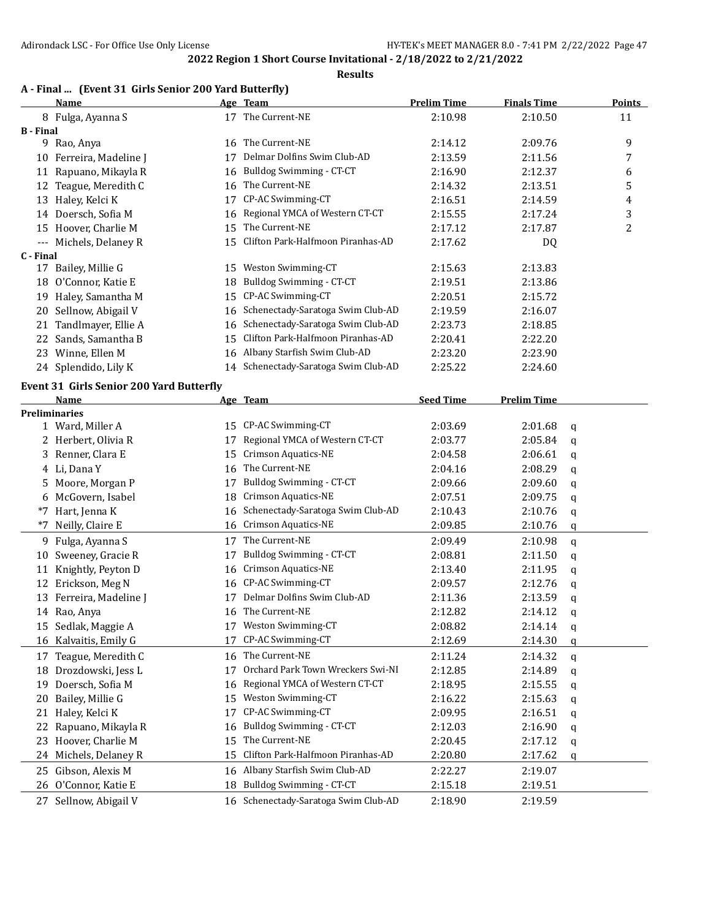#### **Results**

## **A - Final ... (Event 31 Girls Senior 200 Yard Butterfly)**

|                     | <b>Name</b>                                     |    | Age Team                             | <b>Prelim Time</b> | <b>Finals Time</b> |   | <b>Points</b> |
|---------------------|-------------------------------------------------|----|--------------------------------------|--------------------|--------------------|---|---------------|
|                     | 8 Fulga, Ayanna S                               |    | 17 The Current-NE                    | 2:10.98            | 2:10.50            |   | 11            |
| <b>B</b> - Final    |                                                 |    |                                      |                    |                    |   |               |
|                     | 9 Rao, Anya                                     | 16 | The Current-NE                       | 2:14.12            | 2:09.76            |   | 9             |
|                     | 10 Ferreira, Madeline J                         | 17 | Delmar Dolfins Swim Club-AD          | 2:13.59            | 2:11.56            |   | 7             |
| 11                  | Rapuano, Mikayla R                              | 16 | Bulldog Swimming - CT-CT             | 2:16.90            | 2:12.37            |   | 6             |
|                     | 12 Teague, Meredith C                           | 16 | The Current-NE                       | 2:14.32            | 2:13.51            |   | 5             |
|                     | 13 Haley, Kelci K                               | 17 | CP-AC Swimming-CT                    | 2:16.51            | 2:14.59            |   | 4             |
|                     | 14 Doersch, Sofia M                             | 16 | Regional YMCA of Western CT-CT       | 2:15.55            | 2:17.24            |   | 3             |
|                     | 15 Hoover, Charlie M                            | 15 | The Current-NE                       | 2:17.12            | 2:17.87            |   | 2             |
| $\qquad \qquad - -$ | Michels, Delaney R                              | 15 | Clifton Park-Halfmoon Piranhas-AD    | 2:17.62            | DQ                 |   |               |
| C - Final           |                                                 |    |                                      |                    |                    |   |               |
|                     | 17 Bailey, Millie G                             |    | 15 Weston Swimming-CT                | 2:15.63            | 2:13.83            |   |               |
|                     | 18 O'Connor, Katie E                            | 18 | Bulldog Swimming - CT-CT             | 2:19.51            | 2:13.86            |   |               |
|                     | 19 Haley, Samantha M                            | 15 | CP-AC Swimming-CT                    | 2:20.51            | 2:15.72            |   |               |
| 20                  | Sellnow, Abigail V                              | 16 | Schenectady-Saratoga Swim Club-AD    | 2:19.59            | 2:16.07            |   |               |
| 21                  | Tandlmayer, Ellie A                             | 16 | Schenectady-Saratoga Swim Club-AD    | 2:23.73            | 2:18.85            |   |               |
|                     | 22 Sands, Samantha B                            | 15 | Clifton Park-Halfmoon Piranhas-AD    | 2:20.41            | 2:22.20            |   |               |
|                     | 23 Winne, Ellen M                               | 16 | Albany Starfish Swim Club-AD         | 2:23.20            | 2:23.90            |   |               |
|                     | 24 Splendido, Lily K                            |    | 14 Schenectady-Saratoga Swim Club-AD | 2:25.22            | 2:24.60            |   |               |
|                     | <b>Event 31 Girls Senior 200 Yard Butterfly</b> |    |                                      |                    |                    |   |               |
|                     | <b>Name</b>                                     |    | Age Team                             | <b>Seed Time</b>   | <b>Prelim Time</b> |   |               |
|                     | <b>Preliminaries</b>                            |    |                                      |                    |                    |   |               |
|                     | 1 Ward, Miller A                                | 15 | CP-AC Swimming-CT                    | 2:03.69            | 2:01.68            | q |               |
|                     | 2 Herbert, Olivia R                             | 17 | Regional YMCA of Western CT-CT       | 2:03.77            | 2:05.84            | q |               |
|                     | 3 Renner, Clara E                               | 15 | Crimson Aquatics-NE                  | 2:04.58            | 2:06.61            | q |               |
|                     | 4 Li, Dana Y                                    | 16 | The Current-NE                       | 2:04.16            | 2:08.29            | q |               |
|                     | 5 Moore, Morgan P                               | 17 | Bulldog Swimming - CT-CT             | 2:09.66            | 2:09.60            | q |               |
|                     | 6 McGovern, Isabel                              | 18 | Crimson Aquatics-NE                  | 2:07.51            | 2:09.75            | q |               |
| *7                  | Hart, Jenna K                                   | 16 | Schenectady-Saratoga Swim Club-AD    | 2:10.43            | 2:10.76            | q |               |
| *7                  | Neilly, Claire E                                | 16 | Crimson Aquatics-NE                  | 2:09.85            | 2:10.76            | q |               |
| 9.                  | Fulga, Ayanna S                                 |    | 17 The Current-NE                    | 2:09.49            | 2:10.98            | q |               |
| 10                  | Sweeney, Gracie R                               | 17 | Bulldog Swimming - CT-CT             | 2:08.81            | 2:11.50            | q |               |
|                     | 11 Knightly, Peyton D                           | 16 | <b>Crimson Aquatics-NE</b>           | 2:13.40            | 2:11.95            | q |               |
|                     | 12 Erickson, Meg N                              | 16 | CP-AC Swimming-CT                    | 2:09.57            | 2:12.76            | q |               |
|                     | 13 Ferreira, Madeline J                         | 17 | Delmar Dolfins Swim Club-AD          | 2:11.36            | 2:13.59            | q |               |
|                     | 14 Rao, Anya                                    | 16 | The Current-NE                       | 2:12.82            | 2:14.12            | q |               |
|                     | 15 Sedlak, Maggie A                             |    | 17 Weston Swimming-CT                | 2:08.82            | 2:14.14            | q |               |
|                     | 16 Kalvaitis, Emily G                           | 17 | CP-AC Swimming-CT                    | 2:12.69            | 2:14.30            | q |               |
| 17                  | Teague, Meredith C                              | 16 | The Current-NE                       | 2:11.24            | 2:14.32            | q |               |
| 18                  | Drozdowski, Jess L                              | 17 | Orchard Park Town Wreckers Swi-NI    | 2:12.85            | 2:14.89            | q |               |
| 19                  | Doersch, Sofia M                                | 16 | Regional YMCA of Western CT-CT       | 2:18.95            | 2:15.55            | q |               |
| 20                  | Bailey, Millie G                                | 15 | Weston Swimming-CT                   | 2:16.22            | 2:15.63            | q |               |
| 21                  | Haley, Kelci K                                  | 17 | CP-AC Swimming-CT                    | 2:09.95            | 2:16.51            | q |               |
| 22                  | Rapuano, Mikayla R                              | 16 | <b>Bulldog Swimming - CT-CT</b>      | 2:12.03            | 2:16.90            | q |               |
| 23                  | Hoover, Charlie M                               | 15 | The Current-NE                       | 2:20.45            | 2:17.12            | q |               |
| 24                  | Michels, Delaney R                              | 15 | Clifton Park-Halfmoon Piranhas-AD    | 2:20.80            | 2:17.62            | q |               |
| 25                  | Gibson, Alexis M                                | 16 | Albany Starfish Swim Club-AD         | 2:22.27            | 2:19.07            |   |               |
| 26                  | O'Connor, Katie E                               | 18 | Bulldog Swimming - CT-CT             | 2:15.18            | 2:19.51            |   |               |
|                     |                                                 |    |                                      |                    |                    |   |               |
|                     | 27 Sellnow, Abigail V                           |    | 16 Schenectady-Saratoga Swim Club-AD | 2:18.90            | 2:19.59            |   |               |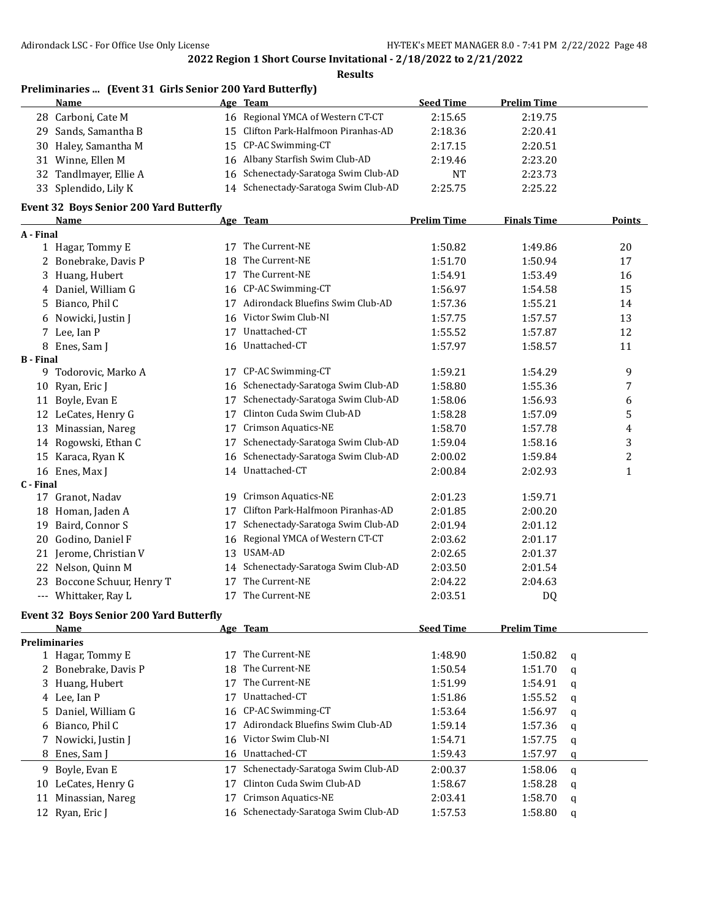|                       | Preliminaries  (Event 31 Girls Senior 200 Yard Butterfly) |    |                                      |                    |                    |                         |  |
|-----------------------|-----------------------------------------------------------|----|--------------------------------------|--------------------|--------------------|-------------------------|--|
|                       | Name                                                      |    | Age Team                             | <b>Seed Time</b>   | <b>Prelim Time</b> |                         |  |
|                       | 28 Carboni, Cate M                                        |    | 16 Regional YMCA of Western CT-CT    | 2:15.65            | 2:19.75            |                         |  |
| 29                    | Sands, Samantha B                                         | 15 | Clifton Park-Halfmoon Piranhas-AD    | 2:18.36            | 2:20.41            |                         |  |
| 30                    | Haley, Samantha M                                         | 15 | CP-AC Swimming-CT                    | 2:17.15            | 2:20.51            |                         |  |
|                       | 31 Winne, Ellen M                                         |    | 16 Albany Starfish Swim Club-AD      | 2:19.46            | 2:23.20            |                         |  |
| 32                    | Tandlmayer, Ellie A                                       | 16 | Schenectady-Saratoga Swim Club-AD    | NT                 | 2:23.73            |                         |  |
|                       | 33 Splendido, Lily K                                      |    | 14 Schenectady-Saratoga Swim Club-AD | 2:25.75            | 2:25.22            |                         |  |
|                       | <b>Event 32 Boys Senior 200 Yard Butterfly</b><br>Name    |    |                                      | <b>Prelim Time</b> | <b>Finals Time</b> | Points                  |  |
| A - Final             |                                                           |    | Age Team                             |                    |                    |                         |  |
|                       | 1 Hagar, Tommy E                                          | 17 | The Current-NE                       | 1:50.82            | 1:49.86            | 20                      |  |
|                       | 2 Bonebrake, Davis P                                      | 18 | The Current-NE                       | 1:51.70            | 1:50.94            | 17                      |  |
| 3                     | Huang, Hubert                                             | 17 | The Current-NE                       | 1:54.91            | 1:53.49            | 16                      |  |
| 4                     | Daniel, William G                                         | 16 | CP-AC Swimming-CT                    | 1:56.97            | 1:54.58            | 15                      |  |
| 5                     | Bianco, Phil C                                            | 17 | Adirondack Bluefins Swim Club-AD     | 1:57.36            | 1:55.21            | 14                      |  |
| 6                     | Nowicki, Justin J                                         | 16 | Victor Swim Club-NI                  | 1:57.75            | 1:57.57            | 13                      |  |
|                       | 7 Lee, Ian P                                              | 17 | Unattached-CT                        | 1:55.52            | 1:57.87            | 12                      |  |
|                       |                                                           | 16 | Unattached-CT                        |                    |                    | 11                      |  |
| 8<br><b>B</b> - Final | Enes, Sam J                                               |    |                                      | 1:57.97            | 1:58.57            |                         |  |
|                       | 9 Todorovic, Marko A                                      | 17 | CP-AC Swimming-CT                    | 1:59.21            | 1:54.29            | 9                       |  |
|                       | 10 Ryan, Eric J                                           |    | 16 Schenectady-Saratoga Swim Club-AD | 1:58.80            | 1:55.36            | 7                       |  |
|                       | 11 Boyle, Evan E                                          | 17 | Schenectady-Saratoga Swim Club-AD    | 1:58.06            | 1:56.93            | 6                       |  |
|                       | 12 LeCates, Henry G                                       | 17 | Clinton Cuda Swim Club-AD            | 1:58.28            | 1:57.09            | 5                       |  |
|                       | 13 Minassian, Nareg                                       |    | 17 Crimson Aquatics-NE               | 1:58.70            | 1:57.78            | $\overline{\mathbf{4}}$ |  |
|                       | 14 Rogowski, Ethan C                                      |    | 17 Schenectady-Saratoga Swim Club-AD | 1:59.04            | 1:58.16            | 3                       |  |
|                       | 15 Karaca, Ryan K                                         | 16 | Schenectady-Saratoga Swim Club-AD    | 2:00.02            | 1:59.84            | $\overline{c}$          |  |
|                       | 16 Enes, Max J                                            |    | 14 Unattached-CT                     | 2:00.84            | 2:02.93            | $\mathbf{1}$            |  |
| C - Final             |                                                           |    |                                      |                    |                    |                         |  |
|                       | 17 Granot, Nadav                                          | 19 | <b>Crimson Aquatics-NE</b>           | 2:01.23            | 1:59.71            |                         |  |
|                       | 18 Homan, Jaden A                                         | 17 | Clifton Park-Halfmoon Piranhas-AD    | 2:01.85            | 2:00.20            |                         |  |
| 19                    | Baird, Connor S                                           | 17 | Schenectady-Saratoga Swim Club-AD    | 2:01.94            | 2:01.12            |                         |  |
| 20                    | Godino, Daniel F                                          | 16 | Regional YMCA of Western CT-CT       | 2:03.62            | 2:01.17            |                         |  |
|                       | 21 Jerome, Christian V                                    | 13 | USAM-AD                              | 2:02.65            | 2:01.37            |                         |  |
|                       | 22 Nelson, Quinn M                                        |    | 14 Schenectady-Saratoga Swim Club-AD | 2:03.50            | 2:01.54            |                         |  |
| 23                    | Boccone Schuur, Henry T                                   | 17 | The Current-NE                       | 2:04.22            | 2:04.63            |                         |  |
|                       | --- Whittaker, Ray L                                      | 17 | The Current-NE                       | 2:03.51            | DQ                 |                         |  |
|                       |                                                           |    |                                      |                    |                    |                         |  |
|                       | <b>Event 32 Boys Senior 200 Yard Butterfly</b><br>Name    |    | Age Team                             | <b>Seed Time</b>   | <b>Prelim Time</b> |                         |  |
|                       | <b>Preliminaries</b>                                      |    |                                      |                    |                    |                         |  |
|                       | 1 Hagar, Tommy E                                          | 17 | The Current-NE                       | 1:48.90            | 1:50.82            | q                       |  |
|                       | 2 Bonebrake, Davis P                                      | 18 | The Current-NE                       | 1:50.54            | 1:51.70            | q                       |  |
| 3                     | Huang, Hubert                                             | 17 | The Current-NE                       | 1:51.99            | 1:54.91            | q                       |  |
|                       | 4 Lee, Ian P                                              | 17 | Unattached-CT                        | 1:51.86            | 1:55.52            | q                       |  |
| 5.                    | Daniel, William G                                         | 16 | CP-AC Swimming-CT                    | 1:53.64            | 1:56.97            | q                       |  |
| 6                     | Bianco, Phil C                                            | 17 | Adirondack Bluefins Swim Club-AD     | 1:59.14            | 1:57.36            | q                       |  |
| 7                     | Nowicki, Justin J                                         | 16 | Victor Swim Club-NI                  | 1:54.71            | 1:57.75            | q                       |  |
|                       | 8 Enes, Sam J                                             | 16 | Unattached-CT                        | 1:59.43            | 1:57.97            | q                       |  |
|                       |                                                           |    | Schenectady-Saratoga Swim Club-AD    |                    |                    |                         |  |
|                       | 9 Boyle, Evan E                                           | 17 |                                      | 2:00.37            | 1:58.06            | q                       |  |
| 10                    | LeCates, Henry G                                          | 17 | Clinton Cuda Swim Club-AD            | 1:58.67            | 1:58.28            | q                       |  |
| 11                    | Minassian, Nareg                                          | 17 | Crimson Aquatics-NE                  | 2:03.41            | 1:58.70            | q                       |  |
| 12                    | Ryan, Eric J                                              | 16 | Schenectady-Saratoga Swim Club-AD    | 1:57.53            | 1:58.80            | q                       |  |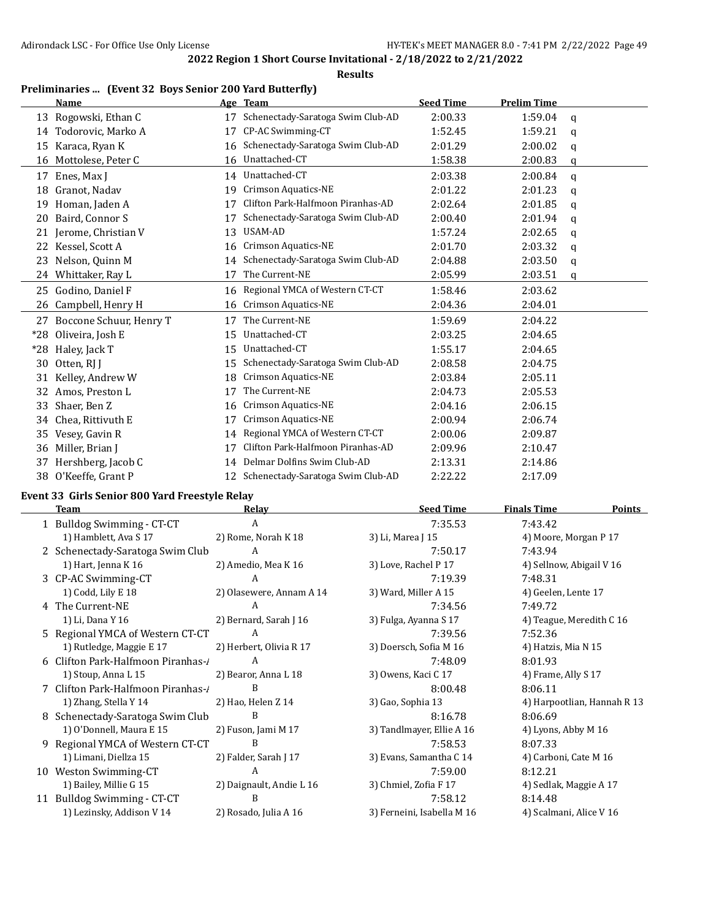**Results**

# **Preliminaries ... (Event 32 Boys Senior 200 Yard Butterfly)**

|       | <b>Name</b>             |    | Age Team                          | <b>Seed Time</b> | <b>Prelim Time</b> |   |
|-------|-------------------------|----|-----------------------------------|------------------|--------------------|---|
| 13    | Rogowski, Ethan C       | 17 | Schenectady-Saratoga Swim Club-AD | 2:00.33          | 1:59.04            | a |
| 14    | Todorovic, Marko A      | 17 | CP-AC Swimming-CT                 | 1:52.45          | 1:59.21            | a |
| 15    | Karaca, Ryan K          | 16 | Schenectady-Saratoga Swim Club-AD | 2:01.29          | 2:00.02            | q |
| 16    | Mottolese, Peter C      | 16 | Unattached-CT                     | 1:58.38          | 2:00.83            | q |
| 17    | Enes, Max J             |    | 14 Unattached-CT                  | 2:03.38          | 2:00.84            | q |
| 18    | Granot, Nadav           | 19 | <b>Crimson Aquatics-NE</b>        | 2:01.22          | 2:01.23            | q |
| 19    | Homan, Jaden A          | 17 | Clifton Park-Halfmoon Piranhas-AD | 2:02.64          | 2:01.85            | a |
| 20    | Baird, Connor S         | 17 | Schenectady-Saratoga Swim Club-AD | 2:00.40          | 2:01.94            | q |
| 21    | Jerome, Christian V     | 13 | USAM-AD                           | 1:57.24          | 2:02.65            | a |
| 22    | Kessel, Scott A         | 16 | <b>Crimson Aquatics-NE</b>        | 2:01.70          | 2:03.32            | q |
| 23    | Nelson, Quinn M         | 14 | Schenectady-Saratoga Swim Club-AD | 2:04.88          | 2:03.50            | q |
| 24    | Whittaker, Ray L        | 17 | The Current-NE                    | 2:05.99          | 2:03.51            | q |
| 25    | Godino, Daniel F        | 16 | Regional YMCA of Western CT-CT    | 1:58.46          | 2:03.62            |   |
| 26    | Campbell, Henry H       | 16 | Crimson Aquatics-NE               | 2:04.36          | 2:04.01            |   |
| 27    | Boccone Schuur, Henry T | 17 | The Current-NE                    | 1:59.69          | 2:04.22            |   |
| $*28$ | Oliveira, Josh E        | 15 | Unattached-CT                     | 2:03.25          | 2:04.65            |   |
| $*28$ | Haley, Jack T           | 15 | Unattached-CT                     | 1:55.17          | 2:04.65            |   |
| 30    | Otten, RJ J             | 15 | Schenectady-Saratoga Swim Club-AD | 2:08.58          | 2:04.75            |   |
| 31    | Kelley, Andrew W        | 18 | Crimson Aquatics-NE               | 2:03.84          | 2:05.11            |   |
| 32    | Amos, Preston L         | 17 | The Current-NE                    | 2:04.73          | 2:05.53            |   |
| 33    | Shaer, Ben Z            | 16 | Crimson Aquatics-NE               | 2:04.16          | 2:06.15            |   |
| 34    | Chea, Rittivuth E       | 17 | Crimson Aquatics-NE               | 2:00.94          | 2:06.74            |   |
| 35    | Vesey, Gavin R          | 14 | Regional YMCA of Western CT-CT    | 2:00.06          | 2:09.87            |   |
| 36    | Miller, Brian J         | 17 | Clifton Park-Halfmoon Piranhas-AD | 2:09.96          | 2:10.47            |   |
| 37    | Hershberg, Jacob C      | 14 | Delmar Dolfins Swim Club-AD       | 2:13.31          | 2:14.86            |   |
| 38    | O'Keeffe, Grant P       | 12 | Schenectady-Saratoga Swim Club-AD | 2:22.22          | 2:17.09            |   |

# **Event 33 Girls Senior 800 Yard Freestyle Relay**

|    | Team                             | Relay                    | <b>Seed Time</b>           | <b>Finals Time</b><br><b>Points</b> |
|----|----------------------------------|--------------------------|----------------------------|-------------------------------------|
|    | 1 Bulldog Swimming - CT-CT       | A                        | 7:35.53                    | 7:43.42                             |
|    | 1) Hamblett, Ava S 17            | 2) Rome, Norah K 18      | 3) Li, Marea J 15          | 4) Moore, Morgan P 17               |
|    | 2 Schenectady-Saratoga Swim Club | A                        | 7:50.17                    | 7:43.94                             |
|    | 1) Hart, Jenna K 16              | 2) Amedio, Mea K 16      | 3) Love, Rachel P 17       | 4) Sellnow, Abigail V 16            |
|    | 3 CP-AC Swimming-CT              | A                        | 7:19.39                    | 7:48.31                             |
|    | 1) Codd, Lily E 18               | 2) Olasewere, Annam A 14 | 3) Ward, Miller A 15       | 4) Geelen, Lente 17                 |
|    | 4 The Current-NE                 | A                        | 7:34.56                    | 7:49.72                             |
|    | 1) Li, Dana Y 16                 | 2) Bernard, Sarah J 16   | 3) Fulga, Ayanna S 17      | 4) Teague, Meredith C 16            |
|    | 5 Regional YMCA of Western CT-CT | A                        | 7:39.56                    | 7:52.36                             |
|    | 1) Rutledge, Maggie E 17         | 2) Herbert, Olivia R 17  | 3) Doersch, Sofia M 16     | 4) Hatzis, Mia N 15                 |
| 6  | Clifton Park-Halfmoon Piranhas-  | A                        | 7:48.09                    | 8:01.93                             |
|    | 1) Stoup, Anna L 15              | 2) Bearor, Anna L 18     | 3) Owens, Kaci C 17        | 4) Frame, Ally S 17                 |
|    | Clifton Park-Halfmoon Piranhas-  | B                        | 8:00.48                    | 8:06.11                             |
|    | 1) Zhang, Stella Y 14            | 2) Hao, Helen Z 14       | 3) Gao, Sophia 13          | 4) Harpootlian, Hannah R 13         |
|    | Schenectady-Saratoga Swim Club   | B                        | 8:16.78                    | 8:06.69                             |
|    | 1) O'Donnell, Maura E 15         | 2) Fuson, Jami M 17      | 3) Tandlmayer, Ellie A 16  | 4) Lyons, Abby M 16                 |
|    | Regional YMCA of Western CT-CT   | B                        | 7:58.53                    | 8:07.33                             |
|    | 1) Limani, Diellza 15            | 2) Falder, Sarah J 17    | 3) Evans, Samantha C 14    | 4) Carboni, Cate M 16               |
| 10 | Weston Swimming-CT               | A                        | 7:59.00                    | 8:12.21                             |
|    | 1) Bailey, Millie G 15           | 2) Daignault, Andie L 16 | 3) Chmiel, Zofia F 17      | 4) Sedlak, Maggie A 17              |
| 11 | Bulldog Swimming - CT-CT         | B                        | 7:58.12                    | 8:14.48                             |
|    | 1) Lezinsky, Addison V 14        | 2) Rosado, Julia A 16    | 3) Ferneini, Isabella M 16 | 4) Scalmani, Alice V 16             |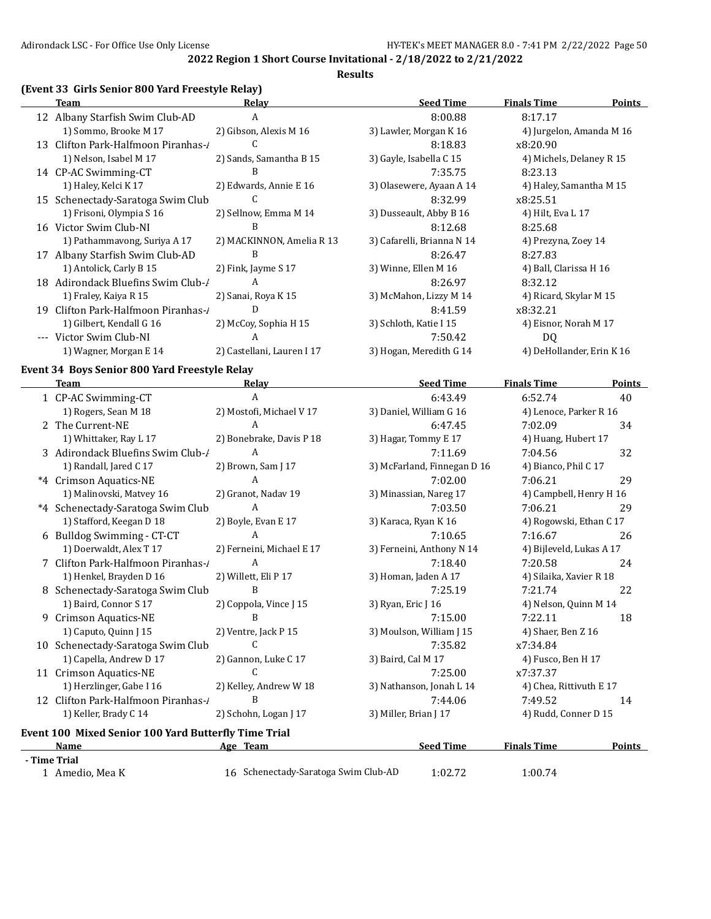#### **Results**

## **(Event 33 Girls Senior 800 Yard Freestyle Relay)**

|     | Team                               | Relav                      | <b>Seed Time</b>           | <b>Finals Time</b><br>Points |  |
|-----|------------------------------------|----------------------------|----------------------------|------------------------------|--|
|     | 12 Albany Starfish Swim Club-AD    | A                          | 8:00.88                    | 8:17.17                      |  |
|     | 1) Sommo, Brooke M 17              | 2) Gibson, Alexis M 16     | 3) Lawler, Morgan K 16     | 4) Jurgelon, Amanda M 16     |  |
| 13  | Clifton Park-Halfmoon Piranhas-    |                            | 8:18.83                    | x8:20.90                     |  |
|     | 1) Nelson, Isabel M 17             | 2) Sands, Samantha B 15    | 3) Gayle, Isabella C 15    | 4) Michels, Delaney R 15     |  |
|     | 14 CP-AC Swimming-CT               | B                          | 7:35.75                    | 8:23.13                      |  |
|     | 1) Haley, Kelci K 17               | 2) Edwards, Annie E 16     | 3) Olasewere, Ayaan A 14   | 4) Haley, Samantha M 15      |  |
| 15  | Schenectady-Saratoga Swim Club     | C                          | 8:32.99                    | x8:25.51                     |  |
|     | 1) Frisoni, Olympia S 16           | 2) Sellnow, Emma M 14      | 3) Dusseault, Abby B 16    | 4) Hilt, Eva L 17            |  |
|     | 16 Victor Swim Club-NI             | B                          | 8:12.68                    | 8:25.68                      |  |
|     | 1) Pathammavong, Suriya A 17       | 2) MACKINNON, Amelia R 13  | 3) Cafarelli, Brianna N 14 | 4) Prezyna, Zoey 14          |  |
| 17  | Albany Starfish Swim Club-AD       | B                          | 8:26.47                    | 8:27.83                      |  |
|     | 1) Antolick, Carly B 15            | 2) Fink, Jayme S 17        | 3) Winne, Ellen M 16       | 4) Ball, Clarissa H 16       |  |
|     | 18 Adirondack Bluefins Swim Club-/ | A                          | 8:26.97                    | 8:32.12                      |  |
|     | 1) Fraley, Kaiya R 15              | 2) Sanai, Roya K 15        | 3) McMahon, Lizzy M 14     | 4) Ricard, Skylar M 15       |  |
| 19. | Clifton Park-Halfmoon Piranhas-    | D                          | 8:41.59                    | x8:32.21                     |  |
|     | 1) Gilbert, Kendall G 16           | 2) McCoy, Sophia H 15      | 3) Schloth, Katie I 15     | 4) Eisnor, Norah M 17        |  |
|     | --- Victor Swim Club-NI            | A                          | 7:50.42                    | DQ.                          |  |
|     | 1) Wagner, Morgan E 14             | 2) Castellani, Lauren I 17 | 3) Hogan, Meredith G 14    | 4) DeHollander, Erin K 16    |  |
|     |                                    |                            |                            |                              |  |

## **Event 34 Boys Senior 800 Yard Freestyle Relay**

|    | <b>Team</b>                                          | Relay                     | <b>Seed Time</b>            | <b>Finals Time</b>       | <b>Points</b> |
|----|------------------------------------------------------|---------------------------|-----------------------------|--------------------------|---------------|
|    | 1 CP-AC Swimming-CT                                  | A                         | 6:43.49                     | 6:52.74                  | 40            |
|    | 1) Rogers, Sean M 18                                 | 2) Mostofi, Michael V 17  | 3) Daniel, William G 16     | 4) Lenoce, Parker R 16   |               |
|    | 2 The Current-NE                                     | A                         | 6:47.45                     | 7:02.09                  | 34            |
|    | 1) Whittaker, Ray L 17                               | 2) Bonebrake, Davis P 18  | 3) Hagar, Tommy E 17        | 4) Huang, Hubert 17      |               |
|    | 3 Adirondack Bluefins Swim Club-/                    | A                         | 7:11.69                     | 7:04.56                  | 32            |
|    | 1) Randall, Jared C 17                               | 2) Brown, Sam J 17        | 3) McFarland, Finnegan D 16 | 4) Bianco, Phil C 17     |               |
|    | *4 Crimson Aquatics-NE                               | A                         | 7:02.00                     | 7:06.21                  | 29            |
|    | 1) Malinovski, Matvey 16                             | 2) Granot, Nadav 19       | 3) Minassian, Nareg 17      | 4) Campbell, Henry H 16  |               |
|    | *4 Schenectady-Saratoga Swim Club                    | A                         | 7:03.50                     | 7:06.21                  | 29            |
|    | 1) Stafford, Keegan D 18                             | 2) Boyle, Evan E 17       | 3) Karaca, Ryan K 16        | 4) Rogowski, Ethan C 17  |               |
|    | 6 Bulldog Swimming - CT-CT                           | A                         | 7:10.65                     | 7:16.67                  | 26            |
|    | 1) Doerwaldt, Alex T 17                              | 2) Ferneini, Michael E 17 | 3) Ferneini, Anthony N 14   | 4) Bijleveld, Lukas A 17 |               |
|    | Clifton Park-Halfmoon Piranhas-1                     | A                         | 7:18.40                     | 7:20.58                  | 24            |
|    | 1) Henkel, Brayden D 16                              | 2) Willett, Eli P 17      | 3) Homan, Jaden A 17        | 4) Silaika, Xavier R 18  |               |
|    | 8 Schenectady-Saratoga Swim Club                     | B                         | 7:25.19                     | 7:21.74                  | 22            |
|    | 1) Baird, Connor S 17                                | 2) Coppola, Vince J 15    | 3) Ryan, Eric J 16          | 4) Nelson, Quinn M 14    |               |
| 9. | Crimson Aquatics-NE                                  | R                         | 7:15.00                     | 7:22.11                  | 18            |
|    | 1) Caputo, Quinn J 15                                | 2) Ventre, Jack P 15      | 3) Moulson, William J 15    | 4) Shaer, Ben Z 16       |               |
|    | 10 Schenectady-Saratoga Swim Club                    |                           | 7:35.82                     | x7:34.84                 |               |
|    | 1) Capella, Andrew D 17                              | 2) Gannon, Luke C 17      | 3) Baird, Cal M 17          | 4) Fusco, Ben H 17       |               |
|    | 11 Crimson Aquatics-NE                               | C                         | 7:25.00                     | x7:37.37                 |               |
|    | 1) Herzlinger, Gabe I 16                             | 2) Kelley, Andrew W 18    | 3) Nathanson, Jonah L 14    | 4) Chea, Rittivuth E 17  |               |
| 12 | Clifton Park-Halfmoon Piranhas-                      | B                         | 7:44.06                     | 7:49.52                  | 14            |
|    | 1) Keller, Brady C 14                                | 2) Schohn, Logan J 17     | 3) Miller, Brian J 17       | 4) Rudd, Conner D 15     |               |
|    | Event 100 Mixed Senior 100 Yard Butterfly Time Trial |                           |                             |                          |               |
|    | Name                                                 | Age Team                  | <b>Seed Time</b>            | <b>Finals Time</b>       | Points        |

 **- Time Trial**

16 Schenectady-Saratoga Swim Club-AD 1:02.72 1:00.74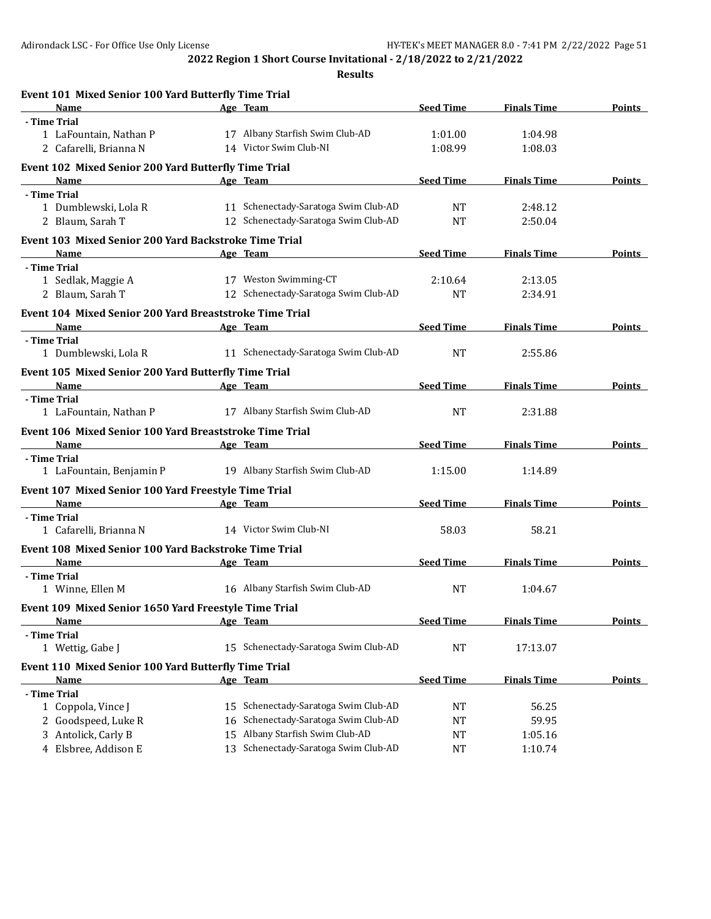| <b>Event 101 Mixed Senior 100 Yard Butterfly Time Trial</b> |                                      |                  |                    |               |
|-------------------------------------------------------------|--------------------------------------|------------------|--------------------|---------------|
| Name                                                        | Age Team                             | <b>Seed Time</b> | <b>Finals Time</b> | Points        |
| - Time Trial                                                |                                      |                  |                    |               |
| 1 LaFountain, Nathan P                                      | 17 Albany Starfish Swim Club-AD      | 1:01.00          | 1:04.98            |               |
| 2 Cafarelli, Brianna N                                      | 14 Victor Swim Club-NI               | 1:08.99          | 1:08.03            |               |
| Event 102 Mixed Senior 200 Yard Butterfly Time Trial        |                                      |                  |                    |               |
| <b>Name</b>                                                 | Age Team                             | <b>Seed Time</b> | <b>Finals Time</b> | Points        |
| - Time Trial                                                |                                      |                  |                    |               |
| 1 Dumblewski, Lola R                                        | 11 Schenectady-Saratoga Swim Club-AD | NT               | 2:48.12            |               |
| 2 Blaum, Sarah T                                            | 12 Schenectady-Saratoga Swim Club-AD | NT               | 2:50.04            |               |
| Event 103 Mixed Senior 200 Yard Backstroke Time Trial       |                                      |                  |                    |               |
| Name                                                        | Age Team                             | <b>Seed Time</b> | <b>Finals Time</b> | Points        |
| - Time Trial                                                |                                      |                  |                    |               |
| 1 Sedlak, Maggie A                                          | 17 Weston Swimming-CT                | 2:10.64          | 2:13.05            |               |
| 2 Blaum, Sarah T                                            | 12 Schenectady-Saratoga Swim Club-AD | NT               | 2:34.91            |               |
| Event 104 Mixed Senior 200 Yard Breaststroke Time Trial     |                                      |                  |                    |               |
| Name                                                        | Age Team                             | <b>Seed Time</b> | <b>Finals Time</b> | Points        |
| - Time Trial                                                |                                      |                  |                    |               |
| 1 Dumblewski, Lola R                                        | 11 Schenectady-Saratoga Swim Club-AD | NT               | 2:55.86            |               |
|                                                             |                                      |                  |                    |               |
| Event 105 Mixed Senior 200 Yard Butterfly Time Trial        |                                      | <b>Seed Time</b> | <b>Finals Time</b> |               |
| Name<br>- Time Trial                                        | Age Team                             |                  |                    | Points        |
| 1 LaFountain, Nathan P                                      | 17 Albany Starfish Swim Club-AD      | <b>NT</b>        | 2:31.88            |               |
|                                                             |                                      |                  |                    |               |
| Event 106 Mixed Senior 100 Yard Breaststroke Time Trial     |                                      |                  |                    |               |
| <b>Name</b>                                                 | Age Team                             | <b>Seed Time</b> | <b>Finals Time</b> | <b>Points</b> |
| - Time Trial                                                |                                      |                  |                    |               |
| 1 LaFountain, Benjamin P                                    | 19 Albany Starfish Swim Club-AD      | 1:15.00          | 1:14.89            |               |
| Event 107 Mixed Senior 100 Yard Freestyle Time Trial        |                                      |                  |                    |               |
| <b>Name</b>                                                 | Age Team                             | <b>Seed Time</b> | <b>Finals Time</b> | Points        |
| - Time Trial                                                |                                      |                  |                    |               |
| 1 Cafarelli, Brianna N                                      | 14 Victor Swim Club-NI               | 58.03            | 58.21              |               |
| Event 108 Mixed Senior 100 Yard Backstroke Time Trial       |                                      |                  |                    |               |
| Name                                                        | Age Team                             | <b>Seed Time</b> | <b>Finals Time</b> | Points        |
| - Time Trial                                                |                                      |                  |                    |               |
| 1 Winne, Ellen M                                            | 16 Albany Starfish Swim Club-AD      | <b>NT</b>        | 1:04.67            |               |
| Event 109 Mixed Senior 1650 Yard Freestyle Time Trial       |                                      |                  |                    |               |
| <u>Name</u>                                                 | Age Team                             | <b>Seed Time</b> | <b>Finals Time</b> | <b>Points</b> |
| - Time Trial                                                |                                      |                  |                    |               |
| 1 Wettig, Gabe J                                            | 15 Schenectady-Saratoga Swim Club-AD | NT               | 17:13.07           |               |
|                                                             |                                      |                  |                    |               |
| <b>Event 110 Mixed Senior 100 Yard Butterfly Time Trial</b> |                                      |                  |                    |               |
| Name                                                        | Age Team                             | <b>Seed Time</b> | <b>Finals Time</b> | <b>Points</b> |
| - Time Trial                                                |                                      |                  |                    |               |
| 1 Coppola, Vince J                                          | 15 Schenectady-Saratoga Swim Club-AD | NT               | 56.25              |               |
| 2 Goodspeed, Luke R                                         | 16 Schenectady-Saratoga Swim Club-AD | NT               | 59.95              |               |
| 3 Antolick, Carly B                                         | 15 Albany Starfish Swim Club-AD      | NT               | 1:05.16            |               |
| 4 Elsbree, Addison E                                        | 13 Schenectady-Saratoga Swim Club-AD | <b>NT</b>        | 1:10.74            |               |